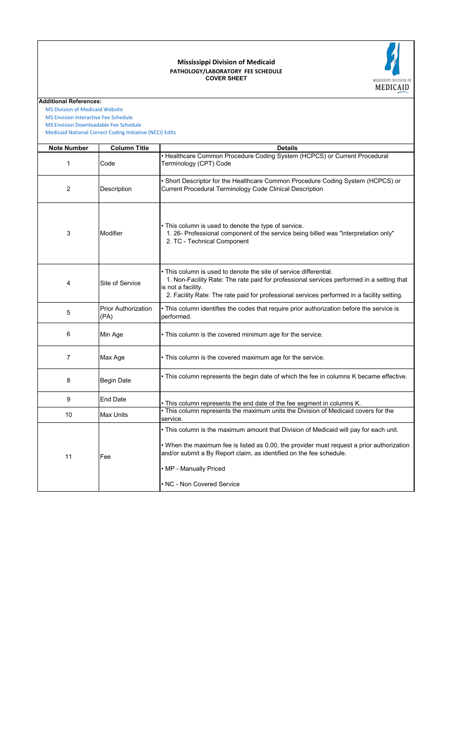### **COVER SHEET PATHOLOGY/LABORATORY FEE SCHEDULE Mississippi Division of Medicaid**



**Additional References:**

 [MS Division of Medicai](https://medicaid.ms.gov/)d Website

 [MS Envision Interactive](https://www.ms-medicaid.com/msenvision/feeScheduleInquiry.do) Fee Schedule

 [Medicaid National Corr](https://www.medicaid.gov/medicaid/program-integrity/national-correct-coding-initiative/medicaid-ncci-edit-files/index.html)ect Coding Initiative (NCCI) Edits  [MS Envision Download](https://www.ms-medicaid.com/msenvision/AMA_ADA_licenseAgreement.do?strUrl=feeScheduleInquiry)able Fee Schedule

| <b>Note Number</b> | <b>Column Title</b>                | <b>Details</b>                                                                                                                                                                                                                                                                                                    |
|--------------------|------------------------------------|-------------------------------------------------------------------------------------------------------------------------------------------------------------------------------------------------------------------------------------------------------------------------------------------------------------------|
| 1                  | Code                               | • Healthcare Common Procedure Coding System (HCPCS) or Current Procedural<br>Terminology (CPT) Code                                                                                                                                                                                                               |
| 2                  | Description                        | • Short Descriptor for the Healthcare Common Procedure Coding System (HCPCS) or<br>Current Procedural Terminology Code Clinical Description                                                                                                                                                                       |
| 3                  | Modifier                           | • This column is used to denote the type of service.<br>1. 26- Professional component of the service being billed was "interpretation only"<br>2. TC - Technical Component                                                                                                                                        |
| 4                  | Site of Service                    | • This column is used to denote the site of service differential.<br>1. Non-Facility Rate: The rate paid for professional services performed in a setting that<br>is not a facility.<br>2. Facility Rate: The rate paid for professional services performed in a facility setting.                                |
| 5                  | <b>Prior Authorization</b><br>(PA) | • This column identifies the codes that require prior authorization before the service is<br>performed.                                                                                                                                                                                                           |
| 6                  | Min Age                            | • This column is the covered minimum age for the service.                                                                                                                                                                                                                                                         |
| $\overline{7}$     | Max Age                            | . This column is the covered maximum age for the service.                                                                                                                                                                                                                                                         |
| 8                  | <b>Begin Date</b>                  | . This column represents the begin date of which the fee in columns K became effective.                                                                                                                                                                                                                           |
| 9                  | End Date                           | . This column represents the end date of the fee segment in columns K.                                                                                                                                                                                                                                            |
| 10                 | Max Units                          | . This column represents the maximum units the Division of Medicaid covers for the<br>service.                                                                                                                                                                                                                    |
| 11                 | Fee                                | . This column is the maximum amount that Division of Medicaid will pay for each unit.<br>• When the maximum fee is listed as 0.00, the provider must request a prior authorization<br>and/or submit a By Report claim, as identified on the fee schedule.<br>• MP - Manually Priced<br>• NC - Non Covered Service |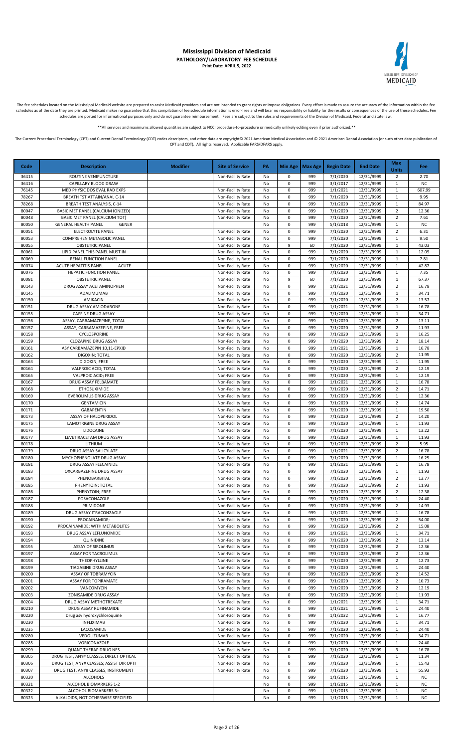

The fee schedules located on the Mississippi Medicaid website are prepared to assist Medicaid providers and are not intended to grant rights or impose obligations. Every effort is made to assure the accuracy of the informa

\*\*All services and maximums allowed quantities are subject to NCCI procedure-to-procedure or medically unlikely editing even if prior authorized.\*\*

| Code           | <b>Description</b>                                                                  | <b>Modifier</b> | <b>Site of Service</b>                 | PA       |                        | Min Age   Max Age | <b>Begin Date</b>    | <b>End Date</b>          | Max<br><b>Units</b>                        | Fee                 |
|----------------|-------------------------------------------------------------------------------------|-----------------|----------------------------------------|----------|------------------------|-------------------|----------------------|--------------------------|--------------------------------------------|---------------------|
| 36415          | ROUTINE VENIPUNCTURE                                                                |                 | Non-Facility Rate                      | No       | 0                      | 999               | 7/1/2020             | 12/31/9999               | $\overline{2}$                             | 2.70                |
| 36416<br>76145 | CAPILLARY BLOOD DRAW<br>MED PHYSIC DOS EVAL RAD EXPS                                |                 |                                        | No<br>No | $\pmb{0}$<br>0         | 999<br>999        | 3/1/2017<br>1/1/2021 | 12/31/9999<br>12/31/9999 | $\mathbf{1}$<br>1                          | <b>NC</b><br>607.99 |
| 78267          | <b>BREATH TST ATTAIN/ANAL C-14</b>                                                  |                 | Non-Facility Rate<br>Non-Facility Rate | No       | $\pmb{0}$              | 999               | 7/1/2020             | 12/31/9999               | $\mathbf{1}$                               | 9.95                |
| 78268          | BREATH TEST ANALYSIS, C-14                                                          |                 | Non-Facility Rate                      | No       | $\pmb{0}$              | 999               | 7/1/2020             | 12/31/9999               | $\mathbf{1}$                               | 84.97               |
| 80047          | BASIC MET PANEL (CALCIUM IONIZED)                                                   |                 | Non-Facility Rate                      | No       | 0                      | 999               | 7/1/2020             | 12/31/9999               | $\overline{2}$                             | 12.36               |
| 80048          | BASIC MET PANEL (CALCIUM TOT)                                                       |                 | Non-Facility Rate                      | No       | $\pmb{0}$              | 999               | 7/1/2020             | 12/31/9999               | $\overline{2}$                             | 7.61                |
| 80050          | <b>GENERAL HEALTH PANEL</b><br><b>GENER</b>                                         |                 |                                        | No       | 0                      | 999               | 5/1/2018             | 12/31/9999               | $\mathbf{1}$                               | <b>NC</b>           |
| 80051<br>80053 | ELECTROLYTE PANEL<br>COMPREHEN METABOLIC PANEL                                      |                 | Non-Facility Rate<br>Non-Facility Rate | No<br>No | 0<br>0                 | 999<br>999        | 7/1/2020<br>7/1/2020 | 12/31/9999<br>12/31/9999 | $\overline{2}$<br>$\mathbf{1}$             | 6.31<br>9.50        |
| 80055          | <b>OBSTETRIC PANEL</b>                                                              |                 | Non-Facility Rate                      | No       | 9                      | 60                | 7/1/2020             | 12/31/9999               | $\mathbf{1}$                               | 43.03               |
| 80061          | LIPID PANEL THIS PANEL MUST IN                                                      |                 | Non-Facility Rate                      | No       | 0                      | 999               | 7/1/2020             | 12/31/9999               | 1                                          | 12.05               |
| 80069          | RENAL FUNCTION PANEL                                                                |                 | Non-Facility Rate                      | No       | $\pmb{0}$              | 999               | 7/1/2020             | 12/31/9999               | $\mathbf{1}$                               | 7.81                |
| 80074          | ACUTE HEPATITIS PANEL<br><b>ACUTE</b>                                               |                 | Non-Facility Rate                      | No       | $\pmb{0}$              | 999               | 7/1/2020             | 12/31/9999               | $\mathbf{1}$                               | 42.87               |
| 80076<br>80081 | HEPATIC FUNCTION PANEL<br><b>OBSTETRIC PANEL</b>                                    |                 | Non-Facility Rate<br>Non-Facility Rate | No<br>No | $\pmb{0}$<br>9         | 999<br>60         | 7/1/2020<br>7/1/2020 | 12/31/9999<br>12/31/9999 | $\mathbf{1}$<br>1                          | 7.35<br>67.37       |
| 80143          | DRUG ASSAY ACETAMINOPHEN                                                            |                 | Non-Facility Rate                      | No       | $\pmb{0}$              | 999               | 1/1/2021             | 12/31/9999               | $\overline{2}$                             | 16.78               |
| 80145          | ADALIMUMAB                                                                          |                 | Non-Facility Rate                      | No       | 0                      | 999               | 7/1/2020             | 12/31/9999               | 1                                          | 34.71               |
| 80150          | AMIKACIN                                                                            |                 | Non-Facility Rate                      | No       | 0                      | 999               | 7/1/2020             | 12/31/9999               | $\overline{2}$                             | 13.57               |
| 80151          | DRUG ASSAY AMIODARONE                                                               |                 | Non-Facility Rate                      | No       | 0                      | 999               | 1/1/2021             | 12/31/9999               | $\mathbf{1}$                               | 16.78               |
| 80155<br>80156 | <b>CAFFINE DRUG ASSAY</b><br>ASSAY, CARBAMAZEPINE, TOTAL                            |                 | Non-Facility Rate                      | No<br>No | 0<br>0                 | 999<br>999        | 7/1/2020<br>7/1/2020 | 12/31/9999<br>12/31/9999 | $\mathbf{1}$<br>$\overline{2}$             | 34.71<br>13.11      |
| 80157          | ASSAY, CARBAMAZEPINE, FREE                                                          |                 | Non-Facility Rate<br>Non-Facility Rate | No       | 0                      | 999               | 7/1/2020             | 12/31/9999               | $\overline{2}$                             | 11.93               |
| 80158          | CYCLOSPORINE                                                                        |                 | Non-Facility Rate                      | No       | 0                      | 999               | 7/1/2020             | 12/31/9999               | 1                                          | 16.25               |
| 80159          | <b>CLOZAPINE DRUG ASSAY</b>                                                         |                 | Non-Facility Rate                      | No       | $\pmb{0}$              | 999               | 7/1/2020             | 12/31/9999               | $\overline{2}$                             | 18.14               |
| 80161          | ASY CARBAMAZEPIN 10,11-EPXID                                                        |                 | Non-Facility Rate                      | No       | $\pmb{0}$              | 999               | 1/1/2021             | 12/31/9999               | $\mathbf{1}$                               | 16.78               |
| 80162          | DIGOXIN; TOTAL                                                                      |                 | Non-Facility Rate                      | No       | $\pmb{0}$              | 999               | 7/1/2020             | 12/31/9999               | $\overline{2}$                             | 11.95               |
| 80163<br>80164 | DIGOXIN; FREE<br>VALPROIC ACID; TOTAL                                               |                 | Non-Facility Rate<br>Non-Facility Rate | No<br>No | $\pmb{0}$<br>$\pmb{0}$ | 999<br>999        | 7/1/2020<br>7/1/2020 | 12/31/9999<br>12/31/9999 | $\mathbf{1}$<br>$\overline{2}$             | 11.95<br>12.19      |
| 80165          | VALPROIC ACID; FREE                                                                 |                 | Non-Facility Rate                      | No       | $\pmb{0}$              | 999               | 7/1/2020             | 12/31/9999               | $\mathbf{1}$                               | 12.19               |
| 80167          | DRUG ASSAY FELBAMATE                                                                |                 | Non-Facility Rate                      | No       | $\mathbf 0$            | 999               | 1/1/2021             | 12/31/9999               | 1                                          | 16.78               |
| 80168          | <b>ETHOSUXIMIDE</b>                                                                 |                 | Non-Facility Rate                      | No       | $\pmb{0}$              | 999               | 7/1/2020             | 12/31/9999               | $\overline{2}$                             | 14.71               |
| 80169          | EVEROLIMUS DRUG ASSAY                                                               |                 | Non-Facility Rate                      | No       | 0                      | 999               | 7/1/2020             | 12/31/9999               | $\mathbf{1}$                               | 12.36               |
| 80170<br>80171 | <b>GENTAMICIN</b><br>GABAPENTIN                                                     |                 | Non-Facility Rate<br>Non-Facility Rate | No<br>No | 0<br>0                 | 999<br>999        | 7/1/2020<br>7/1/2020 | 12/31/9999<br>12/31/9999 | $\overline{2}$<br>$\mathbf{1}$             | 14.74<br>19.50      |
| 80173          | ASSAY OF HALOPERIDOL                                                                |                 | Non-Facility Rate                      | No       | 0                      | 999               | 7/1/2020             | 12/31/9999               | $\overline{2}$                             | 14.20               |
| 80175          | LAMOTRIGINE DRUG ASSAY                                                              |                 | Non-Facility Rate                      | No       | 0                      | 999               | 7/1/2020             | 12/31/9999               | 1                                          | 11.93               |
| 80176          | LIDOCAINE                                                                           |                 | Non-Facility Rate                      | No       | $\pmb{0}$              | 999               | 7/1/2020             | 12/31/9999               | $\mathbf{1}$                               | 13.22               |
| 80177          | LEVETIRACETAM DRUG ASSAY                                                            |                 | Non-Facility Rate                      | No       | $\pmb{0}$              | 999               | 7/1/2020             | 12/31/9999               | $\mathbf{1}$                               | 11.93               |
| 80178<br>80179 | LITHIUM<br>DRUG ASSAY SALICYLATE                                                    |                 | Non-Facility Rate<br>Non-Facility Rate | No<br>No | $\pmb{0}$<br>0         | 999<br>999        | 7/1/2020<br>1/1/2021 | 12/31/9999<br>12/31/9999 | $\overline{2}$<br>$\overline{2}$           | 5.95<br>16.78       |
| 80180          | MYCHOPHENOLATE DRUG ASSAY                                                           |                 | Non-Facility Rate                      | No       | $\pmb{0}$              | 999               | 7/1/2020             | 12/31/9999               | $\mathbf{1}$                               | 16.25               |
| 80181          | DRUG ASSAY FLECAINIDE                                                               |                 | Non-Facility Rate                      | No       | $\mathbf 0$            | 999               | 1/1/2021             | 12/31/9999               | $\mathbf{1}$                               | 16.78               |
| 80183          | OXCARBAZEPINE DRUG ASSAY                                                            |                 | Non-Facility Rate                      | No       | 0                      | 999               | 7/1/2020             | 12/31/9999               | 1                                          | 11.93               |
| 80184          | PHENOBARBITAL                                                                       |                 | Non-Facility Rate                      | No       | $\pmb{0}$              | 999               | 7/1/2020             | 12/31/9999               | $\overline{2}$                             | 13.77               |
| 80185<br>80186 | PHENYTOIN; TOTAL<br>PHENYTOIN: FREE                                                 |                 | Non-Facility Rate<br>Non-Facility Rate | No<br>No | 0<br>0                 | 999<br>999        | 7/1/2020<br>7/1/2020 | 12/31/9999<br>12/31/9999 | $\overline{2}$<br>$\overline{\phantom{a}}$ | 11.93<br>12.38      |
| 80187          | POSACONAZOLE                                                                        |                 | Non-Facility Rate                      | No       | 0                      | 999               | 7/1/2020             | 12/31/9999               | $\mathbf{1}$                               | 24.40               |
| 80188          | PRIMIDONE                                                                           |                 | Non-Facility Rate                      | No       | 0                      | 999               | 7/1/2020             | 12/31/9999               | $\overline{2}$                             | 14.93               |
| 80189          | DRUG ASSAY ITRACONZAOLE                                                             |                 | Non-Facility Rate                      | No       | 0                      | 999               | 1/1/2021             | 12/31/9999               | 1                                          | 16.78               |
| 80190          | PROCAINAMIDE;                                                                       |                 | Non-Facility Rate                      | No       | $\pmb{0}$              | 999               | 7/1/2020             | 12/31/9999               | $\overline{2}$                             | 54.00               |
| 80192<br>80193 | PROCAINAMIDE; WITH METABOLITES<br>DRUG ASSAY LEFLUNOMIDE                            |                 | Non-Facility Rate                      | No<br>No | $\pmb{0}$<br>$\pmb{0}$ | 999<br>999        | 7/1/2020<br>1/1/2021 | 12/31/9999<br>12/31/9999 | $\overline{2}$<br>$\mathbf{1}$             | 15.08<br>34.71      |
| 80194          | QUINIDINE                                                                           |                 | Non-Facility Rate<br>Non-Facility Rate | No       | $\pmb{0}$              | 999               | 7/1/2020             | 12/31/9999               | $\overline{2}$                             | 13.14               |
| 80195          | <b>ASSAY OF SIROLIMUS</b>                                                           |                 | Non-Facility Rate                      | No       | $\pmb{0}$              | 999               | 7/1/2020             | 12/31/9999               | $\overline{2}$                             | 12.36               |
| 80197          | <b>ASSAY FOR TACROLIMUS</b>                                                         |                 | Non-Facility Rate                      | No       | $\pmb{0}$              | 999               | 7/1/2020             | 12/31/9999               | $\mathbf 2$                                | 12.36               |
| 80198          | THEOPHYLLINE                                                                        |                 | Non-Facility Rate                      | No       | $\pmb{0}$              | 999               | 7/1/2020             | 12/31/9999               | $\overline{2}$                             | 12.73               |
| 80199<br>80200 | <b>TIAGABINE DRUG ASSAY</b><br>ASSAY OF TOBRAMYCIN                                  |                 | Non-Facility Rate                      | No       | 0<br>0                 | 999<br>999        | 7/1/2020<br>7/1/2020 | 12/31/9999<br>12/31/9999 | $\mathbf{1}$<br>$\overline{2}$             | 24.40<br>14.52      |
| 80201          | ASSAY FOR TOPIRAMATE                                                                |                 | Non-Facility Rate<br>Non-Facility Rate | No<br>No | 0                      | 999               | 7/1/2020             | 12/31/9999               | $\overline{2}$                             | 10.73               |
| 80202          | VANCOMYCIN                                                                          |                 | Non-Facility Rate                      | No       | 0                      | 999               | 7/1/2020             | 12/31/9999               | $\overline{2}$                             | 12.19               |
| 80203          | ZONISAMIDE DRUG ASSAY                                                               |                 | Non-Facility Rate                      | No       | $\mathsf 0$            | 999               | 7/1/2020             | 12/31/9999               | 1                                          | 11.93               |
| 80204          | DRUG ASSAY METHOTREXATE                                                             |                 | Non-Facility Rate                      | No       | $\pmb{0}$              | 999               | 1/1/2021             | 12/31/9999               | $\mathbf{1}$                               | 34.71               |
| 80210          | DRUG ASSAY RUFINAMIDE                                                               |                 | Non-Facility Rate                      | No       | $\pmb{0}$              | 999               | 1/1/2021             | 12/31/9999               | $\mathbf{1}$                               | 24.40               |
| 80220<br>80230 | Drug asy hydroxychloroquine<br><b>INFLIXIMAB</b>                                    |                 | Non-Facility Rate<br>Non-Facility Rate | No<br>No | $\pmb{0}$<br>0         | 999<br>999        | 1/1/2022<br>7/1/2020 | 12/31/9999<br>12/31/9999 | $\mathbf{1}$<br>1                          | 16.77<br>34.71      |
| 80235          | LACOSAMIDE                                                                          |                 | Non-Facility Rate                      | No       | $\pmb{0}$              | 999               | 7/1/2020             | 12/31/9999               | $\mathbf{1}$                               | 24.40               |
| 80280          | VEDOLIZUMAB                                                                         |                 | Non-Facility Rate                      | No       | $\pmb{0}$              | 999               | 7/1/2020             | 12/31/9999               | $\mathbf{1}$                               | 34.71               |
| 80285          | VORICONAZOLE                                                                        |                 | Non-Facility Rate                      | No       | $\pmb{0}$              | 999               | 7/1/2020             | 12/31/9999               | $\mathbf{1}$                               | 24.40               |
| 80299          | <b>QUANT THERAP DRUG NES</b>                                                        |                 | Non-Facility Rate                      | No       | 0                      | 999               | 7/1/2020             | 12/31/9999               | 3                                          | 16.78               |
| 80305<br>80306 | DRUG TEST, ANY# CLASSES, DIRECT OPTICAL<br>DRUG TEST, ANY# CLASSES; ASSIST DIR OPTI |                 | Non-Facility Rate                      | No       | 0<br>0                 | 999<br>999        | 7/1/2020<br>7/1/2020 | 12/31/9999<br>12/31/9999 | $\mathbf{1}$<br>1                          | 11.34<br>15.43      |
| 80307          | DRUG TEST, ANY# CLASSES, INSTRUMENT                                                 |                 | Non-Facility Rate<br>Non-Facility Rate | No<br>No | 0                      | 999               | 7/1/2020             | 12/31/9999               | $\mathbf{1}$                               | 55.93               |
| 80320          | <b>ALCOHOLS</b>                                                                     |                 |                                        | No       | 0                      | 999               | 1/1/2015             | 12/31/9999               | 1                                          | <b>NC</b>           |
| 80321          | ALCOHOL BIOMARKERS 1-2                                                              |                 |                                        | No       | $\mathsf 0$            | 999               | 1/1/2015             | 12/31/9999               | 1                                          | NC                  |
| 80322          | ALCOHOL BIOMARKERS 3+                                                               |                 |                                        | No       | $\pmb{0}$              | 999               | 1/1/2015             | 12/31/9999               | $\mathbf{1}$                               | <b>NC</b>           |
| 80323          | ALKALOIDS, NOT OTHERWISE SPECIFIED                                                  |                 |                                        | No       | $\pmb{0}$              | 999               | 1/1/2015             | 12/31/9999               | $\mathbf 1$                                | <b>NC</b>           |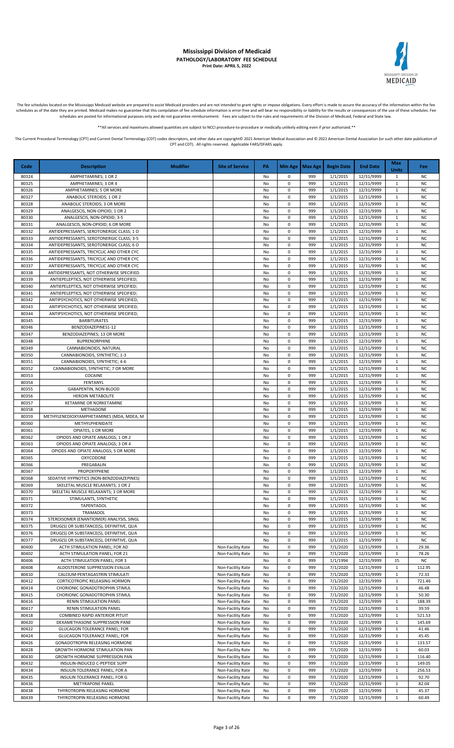

The fee schedules located on the Mississippi Medicaid website are prepared to assist Medicaid providers and are not intended to grant rights or impose obligations. Every effort is made to assure the accuracy of the informa schedules as of the date they are printed. Medicaid makes no guarantee that this compilation of fee schedule information is error-free and will bear no responsibility or liability for the results or consequences of the use schedules are posted for informational purposes only and do not guarantee reimbursement. Fees are subject to the rules and requirements of the Division of Medicaid, Federal and State law.

\*All services and maximums allowed quantities are subject to NCCI procedure-to-procedure or medically unlikely editing even if prior authorized

The Current Procedural Terminology (CPT) and Current Dental Terminology (CDT) codes descriptors, and other data are copyright@ 2021 American Medical Association and @ 2021 American Dental Association (or such other date pu CPT and CDT). All rights reserved. Applicable FARS/DFARS apply.

**Code Description Modifier Site of Service PA Min Age Max Age Begin Date End Date Max Units Fee** 80324 AMPHETAMINES;10R2 No 0 999 1/1/2015 12/31/9999 1 80325 AMPHETAMINES; 3 OR 4 No 0 999 1/1/2015 12/31/9999 1 NC 80326 | AMPHETAMINES; 5 OR MORE | NO 0 999 | 1/1/2015 | 12/31/9999 | 1 | NC 80327 ANABOLIC STEROIDS; 1 OR 2 No 0 999 1/1/2015 12/31/9999 1 No<br>80328 ANABOLIC STEROIDS; 3 OR MORE NO 0 999 1/1/2015 12/31/9999 1 NO 80328 ANABOLIC STEROIDS; 3 OR MORE NO 2009 1/1/2015 12/31/9999 1 NO 4 999 1/1/2015 12/31/9999 1 NC 80329 ANALGESCIS, NON-OPIOID; 1 OR 2 No 0 999 1/1/2015 12/31/9999 1 NO 80330 ANALGESCIS, NON-OPIOID; 3-5 No 0 999 1/1/2015 12/31/9999 1 NC 80331 | ANALGESCIS, NON-OPIOID; 6 OR MORE | NO | NO | NO | 999 | 1/1/2015 | 12/31/9999 | 1 | NC 80332 ANTIDEPRESSANTS, SEROTONERGIC CLASS; 1 O No 1 O 999 1/1/2015 12/31/9999 1 NO 80333 | ANTIDEPRESSANTS, SEROTONERGIC CLASS; 3-5 | No | No | No | 999 | 1/1/2015 | 12/31/9999 | 1 | NC 80334 ANTIDEPRESSANTS, SEROTONERGIC CLASS; 6 O No 0 999 1/1/2015 12/31/9999 1 NC 80335 | ANTIDEPRESSANTS, TRICYCLIC AND OTHER CYC | NO | NO | NO | 999 | 1/1/2015 | 12/31/9999 | 1 | NC 80336 ANTIDEPRESSANTS, TRICYCLIC AND OTHER CYC 80337 ANTIDEPRESSANTS, TRICYCLIC AND OTHER CYC NO 2000 NO 0 999 1/1/2015 12/31/9999 1 NO 80338 ANTIDEPRESSANTS. NOT OTHERWISE SPECIFIED I NO 2 900 11/1/2015 12/31/9999 1 1/1/2099 1 1 NC 80339 ANTIEPELEPTICS, NOT OTHERWISE SPECIFIED; No 0 999 1/1/2015 12/31/9999 1 No 80340 ANTIEPELEPTICS, NOT OTHERWISE SPECIFIED; No 0 999 1/1/2015 12/31/9999 1 NO 80341 ANTIEPELEPTICS NOT OTHERWISE SPECIEIED; No 2 999 1/1/2015 12/31/9999 1 NC 80342 | ANTIPSYCHOTICS, NOT OTHERWISE SPECIFIED; | NO | NO | O | 999 | 1/1/2015 | 12/31/9999 | 1 | NC 80343 ANTIPSYCHOTICS, NOT OTHERWISE SPECIFIED;<br>80344 ANTIPSYCHOTICS, NOT OTHERWISE SPECIFIED; NO 10 999 1/1/2015 12/31/9999 1 NC ANTIPSYCHOTICS, NOT OTHERWISE SPECIFIED; No 300 100 999 1/1/2015 12/31/9999 1 80345 BARBITURATES No 0 999 1/1/2015 12/31/9999 1 NC 80346 BENZODIAZEPINES1-12 No 0 999 1/1/2015 12/31/9999 1 NC 80347 BENZODIAZEPINES; 13 OR MORE NO 1999 1/1/2015 12/31/9999 1 NO 80348 BUPRENORPHINE No 0 999 1/1/2015 12/31/9999 1 NC 80349 CANNABIONOIDS, NATURAL No 0 999 1/1/2015 12/31/9999 1 NC 80350 CANNABIONOIDS, SYNTHETIC; 1-3 No 0 999 1/1/2015 12/31/9999 1 No 0 999 1/1/2015 12/31/9999 1 NC 80351 CANNABIONOIDS, SYNTHETIC; 4-6 No 0 999 1/1/2015 12/31/9999 1 NO 80352 CANNABIONOIDS, SYNTHETIC; 7 OR MORE NO DEL 1999 1/1/2015 12/31/9999 1 NO DEL 12/31/9999 1 NO 80353 COCAINE No 0 999 1/1/2015 12/31/9999 1 NC 80354 FENTANYL No 0 999 1/1/2015 12/31/9999 1 NC 80355 GABAPENTIN, NON-BLOOD No 0 999 1/1/2015 12/31/9999 1 NC 80356 HEROIN METABOLITE No 0 999 1/1/2015 12/31/9999 1 NC 80357 | KETAMINE OR NORKETAMINE | NO | NO | 1999 | 1/1/2015 | 12/31/9999 | 1 | NC 80358 METHADONE No 0 999 1/1/2015 12/31/9999 1 NC 80359 METHYLENEDIOXYAMPHETAMINES (MDA, MDEA, M NO 1999 1/1/2015 12/31/9999 1 NO 1999 1/1/2015 12/31/9999 1 NC<br>80360 METHYLPHENIDATE NO 1999 1/1/2015 12/31/9999 1 NC 80360 METHYLPHENIDATE No 0 999 1/1/2015 12/31/9999 1 NC 80361 OPIATES, 1 OR MORE No 0 999 1/1/2015 12/31/9999 1 NC 80362 OPIODS AND OPIATE ANALOGS; 1 OR 2 No 1999 1/1/2015 12/31/9999 1 No 1<br>80363 OPIODS AND OPIATE ANALOGS: 3 OR 4 NO 1999 1/1/2015 12/31/9999 1 NO 1999 1/1/2015 12/31/9999 1 NO 8 OPIODS AND OPIATE ANALOGS: 3 OR 4 No 3 OR 999 1/1/2015 12/31/9999 1 80364 OPIODS AND OPIATE ANALOGS; 5 OR MORE NO DEL 1999 1/1/2015 12/31/9999 1 NO DEL 12/31/9999 1 NO 80365 OXYCODONE No 0 999 1/1/2015 12/31/9999 1 NC 80366 PREGABALIN No 0 999 1/1/2015 12/31/9999 1 NC 80367 PROPOXYPHENE No 0 999 1/1/2015 12/31/9999 1 NC 80368 SEDATIVE HYPNOTICS (NON-BENZODIAZEPINES) NO NO 999 1/1/2015 12/31/9999 1 NO 80369 SKELETAL MUSCLE RELAXANTS; 1 OR 2 No 1 O 999 1/1/2015 12/31/9999 1 NO 1 O 999 1/1/2015 12/31/9999 1 NO 80370 SKELETAL MUSCLE RELAXANTS; 3 OR MORE NO 2009 1/1/2015 12/31/9999 1 NO 38371 SKELETAL MUSCLE RELAXANTS; 3 OR MORE NO 2009 1/1/2015 12/31/9999 1 NO 38371 STIMULANTS, SYNTHETIC NO 2009 1/1/2015 12/31/9999 1 NO 80371 STIMULANTS, SYNTHETIC NO 0 999 1/1/2015 12/31/9999 80372 TAPENTADOL No 0 999 1/1/2015 12/31/9999 1 NC 80373 TRAMADOL No 0 999 1/1/2015 12/31/9999 1 NC 80374 STEROISOMER (ENANTIOMER) ANALYSIS, SINGL NO 2009 NO 0 999 11/1/2015 12/31/9999 1 NO 1 80375 DRUG(S) OR SUBSTANCE(S), DEFINITIVE, QUA No 0 999 1/1/2015 12/31/9999 1 NC 80376 DRUG(S) OR SUBSTANCE(S), DEFINITIVE, QUA NO 0 999 1/1/2015 12/31/9999 1 NO 80377 DRUG(S) OR SUBSTANCE(S), DEFINITIVE, OUA NO DEFINITIVE, OUA NO DEFINITIVE, OUA NO DEFINITIVE, OUA NO DEFINITIVE, OUA NO DEFINITIVE, OUA NO DEFINITIVE, OUA NO DEFINITIVE, OUA NO DEFINITIVE, OUA NO DEFINITIVE, OUA NO D 80400 ACTH STIMULATION PANEL; FOR AD Non-Facility Rate No 0 999 7/1/2020 12/31/9999 1 29.36<br>80402 ACTH STIMULATION PANEL; FOR 21 Non-Facility Rate No 0 999 7/1/2020 12/31/9999 1 78.26 ACTH STIMULATION PANEL; FOR 21 Non-Facility Rate No 0 999 7/1/2020 12/31/9999 1 80406 ACTH STIMULATION PANEL; FOR 3 NO 2009 1/1/1994 2/31/9999 15 NO 80408 ALDOSTERONE SUPPRESSION EVALUA Non-Facility Rate No 0 999 7/1/2020 12/31/9999 1 12.95 80410 | CALCIUM-PENTAGASTRIN STIMULATI | None Facility Rate | No | 0 | 999 | 7/1/2020 | 12/31/9999 | 1 | 72.33 80412 CORTICOTROPIC RELEASING HORMON Non-Facility Rate No 0 999 7/1/2020 12/31/9999 1 721.46 80414 CHORIONIC GONADOTROPHIN STIMUL CHORIONIC NON-Facility Rate No 0 999 7/1/2020 12/31/9999 1 46.48 80415 CHORIONIC GONADOTROPHIN STIMUL Non-Facility Rate No 0 999 7/1/2020 12/31/9999 1 50.30 80416 RENIN STIMULATION PANEL NO NON-Facility Rate No 0 999 7/1/2020 12/31/9999 1 188.39<br>80417 RENIN STIMULATION PANEL NO NON-Facility Rate No 0 999 7/1/2020 12/31/9999 1 39.59 RENIN STIMULATION PANEL Non-Facility Rate 80418 COMBINED RAPID ANTERIOR PITUIT NON-Facility Rate No 0 999 7/1/2020 12/31/9999 1 521.53 80420 DEXAMETHASONE SUPPRESSION PANE Non-Facility Rate No 0 999 7/1/2020 12/31/9999 1 145.69 80422 | GLUCAGON TOLERANCE PANEL; FOR | None Facility Rate No 0 999 | 7/1/2020 | 12/31/9999 | 1 | 41.46 80424 GLUCAGON TOLERANCE PANEL; FOR Non-Facility Rate No 0 999 7/1/2020 12/31/9999 1 45.45 80426 GONADOTROPIN RELEASING HORMONE NON-Facility Rate No 0 999 7/1/2020 12/31/9999 1 133.57 80428 GROWTH HORMONE STIMULATION PAN NON-Facility Rate No 0 999 7/1/2020 12/31/9999 1 60.03 80430 GROWTH HORMONE SUPPRESSION PAN Non-Facility Rate No 0 999 7/1/2020 12/31/9999 1 116.40<br>80432 INSULIN-INDUCED C-PEPTIDE SUPP Non-Facility Rate No 0 999 7/1/2020 12/31/9999 1 149.05 80432 INSULIN-INDUCED C-PEPTIDE SUPP Non-Facility Rate No 0 999 7/1/2020 12/31/9999 1 149.05 80434 INSULIN TOLERANCE PANEL; FOR A Non-Facility Rate No 0 999 7/1/2020 12/31/9999 1 256.53 80435 INSULIN TOLERANCE PANEL; FOR G NO CHARGE NO NON-Facility Rate No 0 999 7/1/2020 12/31/9999 1 92.70 80436 METYRAPONE PANEL Non-Facility Rate No 0 999 7/1/2020 12/31/9999 1 82.04 80438 THYROTROPIN RELEASING HORMONE Non-Facility Rate No 0 999 7/1/2020 12/31/9999 1 45.37 80439 THYROTROPIN RELEASING HORMONE NO NON-Facility Rate No 0 999 7/1/2020 12/31/9999 1 60.49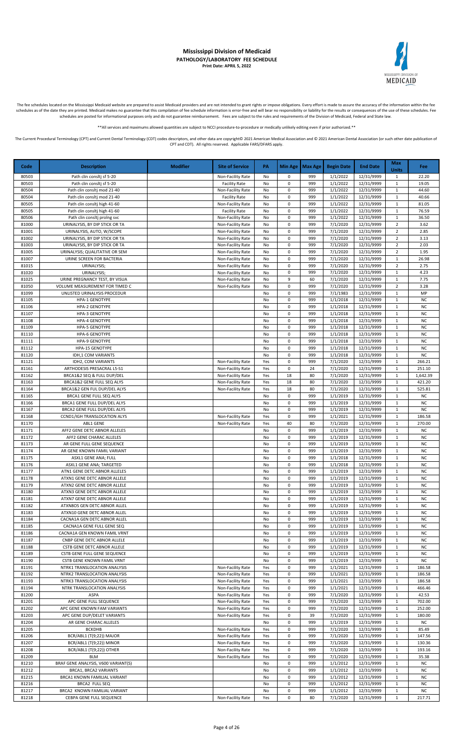

The fee schedules located on the Mississippi Medicaid website are prepared to assist Medicaid providers and are not intended to grant rights or impose obligations. Every effort is made to assure the accuracy of the informa

\*\*All services and maximums allowed quantities are subject to NCCI procedure-to-procedure or medically unlikely editing even if prior authorized.\*\*

| Code           | <b>Description</b>                                           | <b>Modifier</b> | <b>Site of Service</b>                 | PA         |                        | Min Age   Max Age | <b>Begin Date</b>    | <b>End Date</b>          | Max<br><b>Units</b>              | <b>Fee</b>             |
|----------------|--------------------------------------------------------------|-----------------|----------------------------------------|------------|------------------------|-------------------|----------------------|--------------------------|----------------------------------|------------------------|
| 80503          | Path clin consitj sf 5-20                                    |                 | Non-Facility Rate                      | No         | 0                      | 999               | 1/1/2022             | 12/31/9999               | -1                               | 22.20                  |
| 80503          | Path clin consitj sf 5-20                                    |                 | <b>Facility Rate</b>                   | No         | 0                      | 999               | 1/1/2022             | 12/31/9999               | $\mathbf 1$                      | 19.05                  |
| 80504          | Path clin consitj mod 21-40                                  |                 | Non-Facility Rate                      | No         | 0                      | 999               | 1/1/2022             | 12/31/9999               | 1                                | 44.60                  |
| 80504          | Path clin consitj mod 21-40                                  |                 | <b>Facility Rate</b>                   | No         | 0                      | 999               | 1/1/2022             | 12/31/9999               | $\mathbf{1}$                     | 40.66                  |
| 80505          | Path clin consitj high 41-60                                 |                 | Non-Facility Rate                      | No         | 0                      | 999               | 1/1/2022             | 12/31/9999               | $\mathbf{1}$                     | 81.05                  |
| 80505          | Path clin consitj high 41-60                                 |                 | <b>Facility Rate</b>                   | No         | $\pmb{0}$              | 999               | 1/1/2022             | 12/31/9999               | 1                                | 76.59                  |
| 80506          | Path clin consitj proing svc                                 |                 | Non-Facility Rate                      | No         | $\pmb{0}$              | 999               | 1/1/2022             | 12/31/9999               | $\mathbf{1}$                     | 36.50                  |
| 81000<br>81001 | URINALYSIS, BY DIP STICK OR TA<br>URINALYSIS, AUTO, W/SCOPE  |                 | Non-Facility Rate<br>Non-Facility Rate | No<br>No   | $\pmb{0}$<br>$\pmb{0}$ | 999<br>999        | 7/1/2020<br>7/1/2020 | 12/31/9999<br>12/31/9999 | $\overline{2}$<br>$\overline{2}$ | 3.62<br>2.85           |
| 81002          | URINALYSIS, BY DIP STICK OR TA                               |                 | Non-Facility Rate                      | No         | $\pmb{0}$              | 999               | 7/1/2020             | 12/31/9999               | $\overline{2}$                   | 3.13                   |
| 81003          | URINALYSIS, BY DIP STICK OR TA                               |                 | Non-Facility Rate                      | No         | $\pmb{0}$              | 999               | 7/1/2020             | 12/31/9999               | $\overline{2}$                   | 2.03                   |
| 81005          | URINALYSIS; QUALITATIVE OR SEM                               |                 | Non-Facility Rate                      | No         | $\pmb{0}$              | 999               | 7/1/2020             | 12/31/9999               | $\overline{2}$                   | 1.95                   |
| 81007          | URINE SCREEN FOR BACTERIA                                    |                 | Non-Facility Rate                      | No         | $\pmb{0}$              | 999               | 7/1/2020             | 12/31/9999               | $\mathbf{1}$                     | 26.98                  |
| 81015          | URINALYSIS;                                                  |                 | Non-Facility Rate                      | No         | 0                      | 999               | 7/1/2020             | 12/31/9999               | $\overline{2}$                   | 2.75                   |
| 81020          | URINALYSIS;                                                  |                 | Non-Facility Rate                      | No         | 0                      | 999               | 7/1/2020             | 12/31/9999               | $\mathbf{1}$                     | 4.23                   |
| 81025          | URINE PREGNANCY TEST, BY VISUA                               |                 | Non-Facility Rate                      | No         | 9                      | 60                | 7/1/2020             | 12/31/9999               | 1                                | 7.75                   |
| 81050          | VOLUME MEASUREMENT FOR TIMED C                               |                 | Non-Facility Rate                      | No         | 0                      | 999               | 7/1/2020             | 12/31/9999               | $\overline{2}$                   | 3.28                   |
| 81099          | UNLISTED URINALYSIS PROCEDUR                                 |                 |                                        | No         | $\pmb{0}$              | 999               | 7/1/1983             | 12/31/9999               | 1                                | MP                     |
| 81105          | <b>HPA-1 GENOTYPE</b>                                        |                 |                                        | No         | $\pmb{0}$              | 999               | 1/1/2018             | 12/31/9999               | 1                                | <b>NC</b>              |
| 81106          | <b>HPA-2 GENOTYPE</b>                                        |                 |                                        | No         | $\pmb{0}$              | 999               | 1/1/2018             | 12/31/9999<br>12/31/9999 | $\mathbf{1}$                     | <b>NC</b>              |
| 81107<br>81108 | <b>HPA-3 GENOTYPE</b><br><b>HPA-4 GENOTYPE</b>               |                 |                                        | No<br>No   | $\pmb{0}$<br>$\pmb{0}$ | 999<br>999        | 1/1/2018<br>1/1/2018 | 12/31/9999               | $\mathbf{1}$<br>$\mathbf{1}$     | <b>NC</b><br><b>NC</b> |
| 81109          | <b>HPA-5 GENOTYPE</b>                                        |                 |                                        | No         | $\pmb{0}$              | 999               | 1/1/2018             | 12/31/9999               | $\mathbf{1}$                     | <b>NC</b>              |
| 81110          | <b>HPA-6 GENOTYPE</b>                                        |                 |                                        | No         | $\pmb{0}$              | 999               | 1/1/2018             | 12/31/9999               | $1\,$                            | <b>NC</b>              |
| 81111          | <b>HPA-9 GENOTYPE</b>                                        |                 |                                        | No         | $\pmb{0}$              | 999               | 1/1/2018             | 12/31/9999               | 1                                | <b>NC</b>              |
| 81112          | HPA-15 GENOTYPE                                              |                 |                                        | No         | $\pmb{0}$              | 999               | 1/1/2018             | 12/31/9999               | $\mathbf{1}$                     | <b>NC</b>              |
| 81120          | IDH,1 COM VARIANTS                                           |                 |                                        | No         | 0                      | 999               | 1/1/2018             | 12/31/9999               | $\mathbf{1}$                     | <b>NC</b>              |
| 81121          | IDH2, COM VARIANTS                                           |                 | Non-Facility Rate                      | Yes        | 0                      | 999               | 7/1/2020             | 12/31/9999               | $\mathbf{1}$                     | 266.21                 |
| 81161          | ARTHODESIS PRESACRAL L5-S1                                   |                 | Non-Facility Rate                      | Yes        | 0                      | 24                | 7/1/2020             | 12/31/9999               | $\mathbf{1}$                     | 251.10                 |
| 81162          | BRCA1&2 SEQ & FULL DUP/DEL                                   |                 | Non-Facility Rate                      | Yes        | 18                     | 80                | 7/1/2020             | 12/31/9999               | $\mathbf{1}$                     | 1,642.39               |
| 81163          | BRCA1&2 GENE FULL SEQ ALYS                                   |                 | Non-Facility Rate                      | Yes        | 18                     | 80                | 7/1/2020             | 12/31/9999               | 1                                | 421.20                 |
| 81164          | BRCA1&2 GEN FUL DUP/DEL ALYS                                 |                 | Non-Facility Rate                      | Yes        | 18                     | 80                | 7/1/2020             | 12/31/9999               | $\mathbf{1}$                     | 525.81                 |
| 81165          | BRCA1 GENE FULL SEQ ALYS                                     |                 |                                        | No         | $\pmb{0}$              | 999               | 1/1/2019             | 12/31/9999               | $\mathbf{1}$                     | <b>NC</b>              |
| 81166<br>81167 | BRCA1 GENE FULL DUP/DEL ALYS<br>BRCA2 GENE FULL DUP/DEL ALYS |                 |                                        | No<br>No   | $\pmb{0}$<br>$\pmb{0}$ | 999<br>999        | 1/1/2019<br>1/1/2019 | 12/31/9999<br>12/31/9999 | 1<br>$\mathbf{1}$                | <b>NC</b><br><b>NC</b> |
| 81168          | CCND1/IGH TRANSLOCATION ALYS                                 |                 | Non-Facility Rate                      | Yes        | 0                      | 999               | 1/1/2021             | 12/31/9999               | $\mathbf{1}$                     | 186.58                 |
| 81170          | ABL1 GENE                                                    |                 | Non-Facility Rate                      | Yes        | 40                     | 80                | 7/1/2020             | 12/31/9999               | $\mathbf{1}$                     | 270.00                 |
| 81171          | AFF2 GENE DETC ABNOR ALLELES                                 |                 |                                        | No         | $\pmb{0}$              | 999               | 1/1/2019             | 12/31/9999               | $\mathbf{1}$                     | <b>NC</b>              |
| 81172          | AFF2 GENE CHARAC ALLELES                                     |                 |                                        | No         | 0                      | 999               | 1/1/2019             | 12/31/9999               | $1\,$                            | <b>NC</b>              |
| 81173          | AR GENE FULL GENE SEQUENCE                                   |                 |                                        | No         | 0                      | 999               | 1/1/2019             | 12/31/9999               | $\mathbf{1}$                     | <b>NC</b>              |
| 81174          | AR GENE KNOWN FAMIL VARIANT                                  |                 |                                        | No         | 0                      | 999               | 1/1/2019             | 12/31/9999               | $\mathbf{1}$                     | <b>NC</b>              |
| 81175          | ASXL1 GENE ANA; FULL                                         |                 |                                        | No         | 0                      | 999               | 1/1/2018             | 12/31/9999               | $1\,$                            | <b>NC</b>              |
| 81176          | ASXL1 GENE ANA; TARGETED                                     |                 |                                        | No         | 0                      | 999               | 1/1/2018             | 12/31/9999               | $\mathbf{1}$                     | <b>NC</b>              |
| 81177          | ATN1 GENE DETC ABNOR ALLELES                                 |                 |                                        | No         | 0                      | 999               | 1/1/2019             | 12/31/9999               | 1                                | <b>NC</b>              |
| 81178          | ATXN1 GENE DETC ABNOR ALLELE                                 |                 |                                        | No         | $\pmb{0}$<br>$\pmb{0}$ | 999<br>999        | 1/1/2019<br>1/1/2019 | 12/31/9999<br>12/31/9999 | $\mathbf{1}$                     | <b>NC</b><br><b>NC</b> |
| 81179<br>81180 | ATXN2 GENE DETC ABNOR ALLELE<br>ATXN3 GENE DETC ABNOR ALLELE |                 |                                        | No<br>No   | 0                      | 999               | 1/1/2019             | 12/31/9999               | $\mathbf{1}$<br>$\mathbf{1}$     | <b>NC</b>              |
| 81181          | ATXN7 GENE DETC ABNOR ALLELE                                 |                 |                                        | No         | 0                      | 999               | 1/1/2019             | 12/31/9999               | $\mathbf{1}$                     | <b>NC</b>              |
| 81182          | ATXN8OS GEN DETC ABNOR ALLEL                                 |                 |                                        | No         | 0                      | 999               | 1/1/2019             | 12/31/9999               | 1                                | <b>NC</b>              |
| 81183          | ATXN10 GENE DETC ABNOR ALLEL                                 |                 |                                        | No         | $\pmb{0}$              | 999               | 1/1/2019             | 12/31/9999               | 1                                | NC                     |
| 81184          | CACNA1A GEN DETC ABNOR ALLEL                                 |                 |                                        | No         | $\pmb{0}$              | 999               | 1/1/2019             | 12/31/9999               | 1                                | <b>NC</b>              |
| 81185          | CACNA1A GENE FULL GENE SEQ                                   |                 |                                        | No         | 0                      | 999               | 1/1/2019             | 12/31/9999               | $\mathbf{1}$                     | NC                     |
| 81186          | CACNA1A GEN KNOWN FAMIL VRNT                                 |                 |                                        | No         | 0                      | 999               | 1/1/2019             | 12/31/9999               | $\mathbf{1}$                     | NC                     |
| 81187          | CNBP GENE DETC ABNOR ALLELE                                  |                 |                                        | No         | 0                      | 999               | 1/1/2019             | 12/31/9999               | $\mathbf{1}$                     | <b>NC</b>              |
| 81188          | CSTB GENE DETC ABNOR ALLELE                                  |                 |                                        | No         | 0                      | 999               | 1/1/2019             | 12/31/9999               | $\mathbf{1}$                     | <b>NC</b>              |
| 81189          | CSTB GENE FULL GENE SEQUENCE                                 |                 |                                        | No         | $\pmb{0}$              | 999               | 1/1/2019             | 12/31/9999               | 1                                | NC                     |
| 81190          | CSTB GENE KNOWN FAMIL VRNT                                   |                 |                                        | No         | $\pmb{0}$              | 999               | 1/1/2019             | 12/31/9999               | $\mathbf{1}$                     | <b>NC</b>              |
| 81191<br>81192 | NTRK1 TRANSLOCATION ANALYSIS                                 |                 | Non-Facility Rate<br>Non-Facility Rate | Yes        | 0<br>$\pmb{0}$         | 999<br>999        | 1/1/2021             | 12/31/9999<br>12/31/9999 | $\mathbf{1}$                     | 186.58                 |
| 81193          | NTRK2 TRANSLOCATION ANALYSIS<br>NTRK3 TRANSLOCATION ANALYSIS |                 | Non-Facility Rate                      | Yes<br>Yes | 0                      | 999               | 1/1/2021<br>1/1/2021 | 12/31/9999               | 1<br>1                           | 186.58<br>186.58       |
| 81194          | NTRK TRANSLOCATION ANALYSIS                                  |                 | Non-Facility Rate                      | Yes        | $\pmb{0}$              | 999               | 1/1/2021             | 12/31/9999               | $\mathbf{1}$                     | 466.46                 |
| 81200          | ASPA                                                         |                 | Non-Facility Rate                      | Yes        | $\pmb{0}$              | 999               | 7/1/2020             | 12/31/9999               | 1                                | 42.53                  |
| 81201          | APC GENE FULL SEQUENCE                                       |                 | Non-Facility Rate                      | Yes        | $\pmb{0}$              | 999               | 7/1/2020             | 12/31/9999               | $\mathbf{1}$                     | 702.00                 |
| 81202          | APC GENE KNOWN FAM VARIANTS                                  |                 | Non-Facility Rate                      | Yes        | 0                      | 999               | 7/1/2020             | 12/31/9999               | 1                                | 252.00                 |
| 81203          | APC GENE DUP/DELET VARIANTS                                  |                 | Non-Facility Rate                      | Yes        | 0                      | 39                | 7/1/2020             | 12/31/9999               | $\mathbf{1}$                     | 180.00                 |
| 81204          | AR GENE CHARAC ALLELES                                       |                 |                                        | No         | 0                      | 999               | 1/1/2019             | 12/31/9999               | 1                                | <b>NC</b>              |
| 81205          | <b>BCKDHB</b>                                                |                 | Non-Facility Rate                      | Yes        | 0                      | 999               | 7/1/2020             | 12/31/9999               | $\mathbf{1}$                     | 85.49                  |
| 81206          | BCR/ABL1 (T(9;22)) MAJOR                                     |                 | Non-Facility Rate                      | Yes        | 0                      | 999               | 7/1/2020             | 12/31/9999               | 1                                | 147.56                 |
| 81207          | BCR/ABL1 (T(9;22)) MINOR                                     |                 | Non-Facility Rate                      | Yes        | 0                      | 999               | 7/1/2020             | 12/31/9999               | 1                                | 130.36                 |
| 81208          | BCR/ABL1 (T(9;22)) OTHER                                     |                 | Non-Facility Rate                      | Yes        | $\pmb{0}$              | 999               | 7/1/2020             | 12/31/9999               | $\mathbf{1}$                     | 193.16                 |
| 81209          | <b>BLM</b>                                                   |                 | Non-Facility Rate                      | Yes        | 0<br>$\pmb{0}$         | 999<br>999        | 7/1/2020             | 12/31/9999               | 1                                | 35.38                  |
| 81210<br>81212 | BRAF GENE ANALYSIS, V600 VARIANT(S)<br>BRCA1, BRCA2 VARIANTS |                 |                                        | No<br>No   | $\pmb{0}$              | 999               | 1/1/2012<br>1/1/2012 | 12/31/9999<br>12/31/9999 | $\mathbf{1}$<br>$\mathbf{1}$     | NC<br><b>NC</b>        |
| 81215          | BRCA1 KNOWN FAMILIAL VARIANT                                 |                 |                                        | No         | $\pmb{0}$              | 999               | 1/1/2012             | 12/31/9999               | $\mathbf{1}$                     | <b>NC</b>              |
| 81216          | <b>BRCA2 FULL SEQ</b>                                        |                 |                                        | No         | $\pmb{0}$              | 999               | 1/1/2012             | 12/31/9999               | 1                                | <b>NC</b>              |
| 81217          | BRCA2 KNOWN FAMILIAL VARIANT                                 |                 |                                        | No         | 0                      | 999               | 1/1/2012             | 12/31/9999               | $\mathbf{1}$                     | NC                     |
| 81218          | CEBPA GENE FULL SEQUENCE                                     |                 | Non-Facility Rate                      | Yes        | 0                      | 80                | 7/1/2020             | 12/31/9999               | $\mathbf{1}$                     | 217.71                 |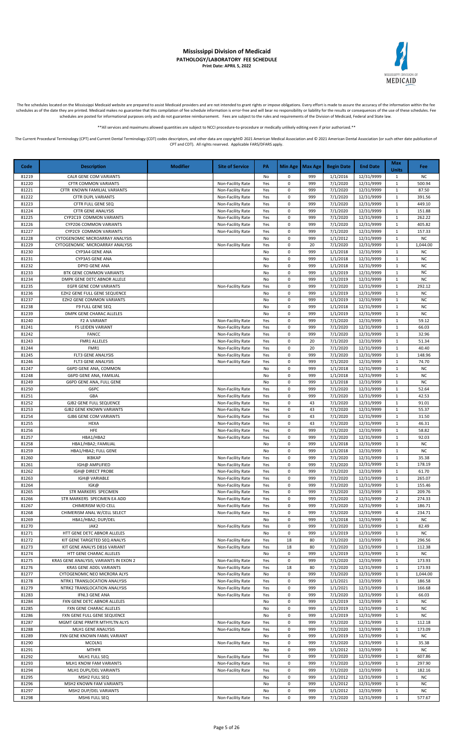

The fee schedules located on the Mississippi Medicaid website are prepared to assist Medicaid providers and are not intended to grant rights or impose obligations. Every effort is made to assure the accuracy of the informa

\*\*All services and maximums allowed quantities are subject to NCCI procedure-to-procedure or medically unlikely editing even if prior authorized.\*\*

| Code           | <b>Description</b>                                                 | <b>Modifier</b> | <b>Site of Service</b>                 | PA         |                        | Min Age   Max Age | <b>Begin Date</b>    | <b>End Date</b>          | <b>Max</b><br><b>Units</b>   | Fee                    |
|----------------|--------------------------------------------------------------------|-----------------|----------------------------------------|------------|------------------------|-------------------|----------------------|--------------------------|------------------------------|------------------------|
| 81219          | CALR GENE COM VARIANTS                                             |                 |                                        | No         | 0                      | 999               | 1/1/2016             | 12/31/9999               | $\mathbf{1}$                 | <b>NC</b>              |
| 81220          | CFTR COMMON VARIANTS                                               |                 | Non-Facility Rate                      | Yes        | $\pmb{0}$              | 999               | 7/1/2020             | 12/31/9999               | $\mathbf 1$                  | 500.94                 |
| 81221          | CFTR KNOWN FAMILIAL VARIANTS                                       |                 | Non-Facility Rate                      | Yes        | 0                      | 999               | 7/1/2020             | 12/31/9999<br>12/31/9999 | $\mathbf{1}$                 | 87.50                  |
| 81222<br>81223 | CFTR DUPL VARIANTS<br>CFTR FULL GENE SEQ                           |                 | Non-Facility Rate<br>Non-Facility Rate | Yes<br>Yes | $\pmb{0}$<br>0         | 999<br>999        | 7/1/2020<br>7/1/2020 | 12/31/9999               | $\mathbf{1}$<br>1            | 391.56<br>449.10       |
| 81224          | <b>CFTR GENE ANALYSIS</b>                                          |                 | Non-Facility Rate                      | Yes        | 0                      | 999               | 7/1/2020             | 12/31/9999               | $\mathbf{1}$                 | 151.88                 |
| 81225          | CYP2C19 COMMON VARIANTS                                            |                 | Non-Facility Rate                      | Yes        | 0                      | 999               | 7/1/2020             | 12/31/9999               | $\mathbf{1}$                 | 262.22                 |
| 81226          | CYP2D6 COMMON VARIANTS                                             |                 | Non-Facility Rate                      | Yes        | 0                      | 999               | 7/1/2020             | 12/31/9999               | $\mathbf 1$                  | 405.82                 |
| 81227          | CYP2C9 COMMON VARIANTS                                             |                 | Non-Facility Rate                      | Yes        | $\pmb{0}$              | 999               | 7/1/2020             | 12/31/9999               | 1                            | 157.33                 |
| 81228<br>81229 | CYTOGENOMIC MICROARRAY ANALYSIS<br>CYTOGENOMIC MICROARRAY ANALYSIS |                 | Non-Facility Rate                      | No<br>Yes  | $\pmb{0}$<br>$\pmb{0}$ | 999<br>20         | 1/1/2012<br>7/1/2020 | 12/31/9999<br>12/31/9999 | $\mathbf{1}$<br>$\mathbf{1}$ | <b>NC</b><br>1,044.00  |
| 81230          | CYP3A4 GENE ANA                                                    |                 |                                        | No         | $\pmb{0}$              | 999               | 1/1/2018             | 12/31/9999               | 1                            | <b>NC</b>              |
| 81231          | CYP3A5 GENE ANA                                                    |                 |                                        | No         | $\pmb{0}$              | 999               | 1/1/2018             | 12/31/9999               | $\mathbf{1}$                 | <b>NC</b>              |
| 81232          | <b>DPYD GENE ANA</b>                                               |                 |                                        | No         | $\pmb{0}$              | 999               | 1/1/2018             | 12/31/9999               | $\mathbf{1}$                 | <b>NC</b>              |
| 81233          | BTK GENE COMMON VARIANTS                                           |                 |                                        | No         | $\mathbf 0$            | 999               | 1/1/2019             | 12/31/9999               | $\mathbf{1}$                 | <b>NC</b>              |
| 81234          | DMPK GENE DETC ABNOR ALLELE                                        |                 |                                        | No         | $\pmb{0}$<br>0         | 999<br>999        | 1/1/2019             | 12/31/9999               | $\mathbf{1}$                 | <b>NC</b><br>292.12    |
| 81235<br>81236 | EGFR GENE COM VARIANTS<br>EZH2 GENE FULL GENE SEQUENCE             |                 | Non-Facility Rate                      | Yes<br>No  | 0                      | 999               | 7/1/2020<br>1/1/2019 | 12/31/9999<br>12/31/9999 | $\mathbf{1}$<br>$\mathbf{1}$ | <b>NC</b>              |
| 81237          | EZH2 GENE COMMON VARIANTS                                          |                 |                                        | No         | 0                      | 999               | 1/1/2019             | 12/31/9999               | $\mathbf{1}$                 | <b>NC</b>              |
| 81238          | F9 FULL GENE SEQ                                                   |                 |                                        | No         | 0                      | 999               | 1/1/2018             | 12/31/9999               | $\mathbf{1}$                 | <b>NC</b>              |
| 81239          | DMPK GENE CHARAC ALLELES                                           |                 |                                        | No         | 0                      | 999               | 1/1/2019             | 12/31/9999               | $\mathbf{1}$                 | <b>NC</b>              |
| 81240          | <b>F2 A VARIANT</b>                                                |                 | Non-Facility Rate                      | Yes        | $\pmb{0}$              | 999               | 7/1/2020             | 12/31/9999               | 1                            | 59.12                  |
| 81241<br>81242 | F5 LEIDEN VARIANT<br>FANCC                                         |                 | Non-Facility Rate<br>Non-Facility Rate | Yes<br>Yes | $\pmb{0}$<br>$\pmb{0}$ | 999<br>999        | 7/1/2020<br>7/1/2020 | 12/31/9999<br>12/31/9999 | $\mathbf{1}$<br>$\mathbf{1}$ | 66.03<br>32.96         |
| 81243          | <b>FMR1 ALLELES</b>                                                |                 | Non-Facility Rate                      | Yes        | $\pmb{0}$              | 20                | 7/1/2020             | 12/31/9999               | 1                            | 51.34                  |
| 81244          | FMR1                                                               |                 | Non-Facility Rate                      | Yes        | $\pmb{0}$              | 20                | 7/1/2020             | 12/31/9999               | $\mathbf{1}$                 | 40.40                  |
| 81245          | FLT3 GENE ANALYSIS                                                 |                 | Non-Facility Rate                      | Yes        | $\pmb{0}$              | 999               | 7/1/2020             | 12/31/9999               | $\mathbf{1}$                 | 148.96                 |
| 81246          | FLT3 GENE ANALYSIS                                                 |                 | Non-Facility Rate                      | Yes        | $\pmb{0}$              | 999               | 7/1/2020             | 12/31/9999               | $\mathbf{1}$                 | 74.70                  |
| 81247          | G6PD GENE ANA, COMMON                                              |                 |                                        | No         | $\pmb{0}$              | 999               | 1/1/2018             | 12/31/9999               | $\mathbf{1}$                 | <b>NC</b>              |
| 81248<br>81249 | G6PD GENE ANA, FAMILIAL<br>G6PD GENE ANA, FULL GENE                |                 |                                        | No<br>No   | 0<br>0                 | 999<br>999        | 1/1/2018<br>1/1/2018 | 12/31/9999<br>12/31/9999 | $\mathbf{1}$<br>$\mathbf{1}$ | <b>NC</b><br><b>NC</b> |
| 81250          | G6PC                                                               |                 | Non-Facility Rate                      | Yes        | 0                      | 999               | 7/1/2020             | 12/31/9999               | $\mathbf{1}$                 | 52.64                  |
| 81251          | GBA                                                                |                 | Non-Facility Rate                      | Yes        | 0                      | 999               | 7/1/2020             | 12/31/9999               | $\mathbf{1}$                 | 42.53                  |
| 81252          | <b>GJB2 GENE FULL SEQUENCE</b>                                     |                 | Non-Facility Rate                      | Yes        | 0                      | 43                | 7/1/2020             | 12/31/9999               | 1                            | 91.01                  |
| 81253          | <b>GJB2 GENE KNOWN VARIANTS</b>                                    |                 | Non-Facility Rate                      | Yes        | $\pmb{0}$              | 43                | 7/1/2020             | 12/31/9999               | $\mathbf{1}$                 | 55.37                  |
| 81254          | <b>GJB6 GENE COM VARIANTS</b>                                      |                 | Non-Facility Rate                      | Yes        | $\pmb{0}$              | 43                | 7/1/2020             | 12/31/9999               | $\mathbf{1}$                 | 31.50                  |
| 81255<br>81256 | <b>HEXA</b><br>HFE                                                 |                 | Non-Facility Rate<br>Non-Facility Rate | Yes<br>Yes | $\pmb{0}$<br>$\pmb{0}$ | 43<br>999         | 7/1/2020<br>7/1/2020 | 12/31/9999<br>12/31/9999 | $\mathbf{1}$<br>$\mathbf{1}$ | 46.31<br>58.82         |
| 81257          | HBA1/HBA2                                                          |                 | Non-Facility Rate                      | Yes        | $\pmb{0}$              | 999               | 7/1/2020             | 12/31/9999               | $\mathbf{1}$                 | 92.03                  |
| 81258          | HBA1/HBA2; FAMILIAL                                                |                 |                                        | No         | $\mathbf 0$            | 999               | 1/1/2018             | 12/31/9999               | 1                            | <b>NC</b>              |
| 81259          | HBA1/HBA2; FULL GENE                                               |                 |                                        | No         | $\pmb{0}$              | 999               | 1/1/2018             | 12/31/9999               | $\mathbf{1}$                 | <b>NC</b>              |
| 81260          | <b>IKBKAP</b>                                                      |                 | Non-Facility Rate                      | Yes        | 0                      | 999               | 7/1/2020             | 12/31/9999               | $\mathbf{1}$                 | 35.38                  |
| 81261          | IGH@ AMPLIFIED                                                     |                 | Non-Facility Rate                      | Yes        | 0                      | 999               | 7/1/2020             | 12/31/9999               | $\mathbf{1}$                 | 178.19                 |
| 81262<br>81263 | IGH@ DIRECT PROBE<br>IGH@ VARIABLE                                 |                 | Non-Facility Rate<br>Non-Facility Rate | Yes<br>Yes | 0<br>0                 | 999<br>999        | 7/1/2020<br>7/1/2020 | 12/31/9999<br>12/31/9999 | 1<br>$1\,$                   | 61.70<br>265.07        |
| 81264          | IGK@                                                               |                 | Non-Facility Rate                      | Yes        | $\pmb{0}$              | 999               | 7/1/2020             | 12/31/9999               | $\mathbf{1}$                 | 155.46                 |
| 81265          | STR MARKERS SPECIMEN                                               |                 | Non-Facility Rate                      | Yes        | $\Omega$               | 999               | 7/1/2020             | 12/31/9999               | $\mathbf{1}$                 | 209.76                 |
| 81266          | STR MARKERS SPECIMEN EA ADD                                        |                 | Non-Facility Rate                      | Yes        | 0                      | 999               | 7/1/2020             | 12/31/9999               | $\overline{2}$               | 274.33                 |
| 81267          | CHIMERISM W/O CELL                                                 |                 | Non-Facility Rate                      | Yes        | 0                      | 999               | 7/1/2020             | 12/31/9999               | 1                            | 186.71                 |
| 81268          | CHIMERISM ANAL W/CELL SELECT                                       |                 | Non-Facility Rate                      | Yes        | 0                      | 999               | 7/1/2020             | 12/31/9999               | 4                            | 234.71                 |
| 81269<br>81270 | HBA1/HBA2; DUP/DEL<br>JAK2                                         |                 | Non-Facility Rate                      | No<br>Yes  | $\pmb{0}$<br>$\pmb{0}$ | 999<br>999        | 1/1/2018<br>7/1/2020 | 12/31/9999<br>12/31/9999 | 1<br>$\mathbf{1}$            | <b>NC</b><br>82.49     |
| 81271          | HTT GENE DETC ABNOR ALLELES                                        |                 |                                        | No         | $\pmb{0}$              | 999               | 1/1/2019             | 12/31/9999               | 1                            | <b>NC</b>              |
| 81272          | KIT GENE TARGETED SEQ ANALYS                                       |                 | Non-Facility Rate                      | Yes        | 18                     | 80                | 7/1/2020             | 12/31/9999               | $\mathbf{1}$                 | 296.56                 |
| 81273          | KIT GENE ANALYS D816 VARIANT                                       |                 | Non-Facility Rate                      | Yes        | 18                     | 80                | 7/1/2020             | 12/31/9999               | 1                            | 112.38                 |
| 81274          | HTT GENE CHARAC ALLELES                                            |                 |                                        | No         | 0                      | 999               | 1/1/2019             | 12/31/9999               | $\mathbf{1}$                 | <b>NC</b>              |
| 81275<br>81276 | KRAS GENE ANALYSIS; VARIANTS IN EXON 2<br>KRAS GENE ADDL VARIANTS  |                 | Non-Facility Rate<br>Non-Facility Rate | Yes<br>Yes | 0<br>18                | 999<br>80         | 7/1/2020<br>7/1/2020 | 12/31/9999<br>12/31/9999 | 1<br>$\mathbf{1}$            | 173.93<br>173.93       |
| 81277          | CYTOGENOMIC NEO MICRORA ALYS                                       |                 | Non-Facility Rate                      | No         | 0                      | 999               | 7/1/2020             | 12/31/9999               | 1                            | 1,044.00               |
| 81278          | NTRK1 TRANSLOCATION ANALYSIS                                       |                 | Non-Facility Rate                      | Yes        | $\pmb{0}$              | 999               | 1/1/2021             | 12/31/9999               | $\mathbf{1}$                 | 186.58                 |
| 81279          | NTRK2 TRANSLOCATION ANALYSIS                                       |                 | Non-Facility Rate                      | Yes        | $\pmb{0}$              | 999               | 1/1/2021             | 12/31/9999               | $\mathbf{1}$                 | 166.68                 |
| 81283          | <b>IFNL3 GENE ANA</b>                                              |                 | Non-Facility Rate                      | Yes        | 0                      | 999               | 7/1/2020             | 12/31/9999               | 1                            | 66.03                  |
| 81284<br>81285 | FXN GENE DETC ABNOR ALLELES                                        |                 |                                        | No         | $\pmb{0}$<br>$\pmb{0}$ | 999<br>999        | 1/1/2019<br>1/1/2019 | 12/31/9999               | $\mathbf{1}$<br>$\mathbf{1}$ | <b>NC</b><br><b>NC</b> |
| 81286          | FXN GENE CHARAC ALLELES<br>FXN GENE FULL GENE SEQUENCE             |                 |                                        | No<br>No   | $\pmb{0}$              | 999               | 1/1/2019             | 12/31/9999<br>12/31/9999 | $\mathbf{1}$                 | <b>NC</b>              |
| 81287          | MGMT GENE PRMTR MTHYLTN ALYS                                       |                 | Non-Facility Rate                      | Yes        | 0                      | 999               | 7/1/2020             | 12/31/9999               | 1                            | 112.18                 |
| 81288          | MLH1 GENE ANALYSIS                                                 |                 | Non-Facility Rate                      | Yes        | 0                      | 999               | 7/1/2020             | 12/31/9999               | $\mathbf{1}$                 | 173.09                 |
| 81289          | FXN GENE KNOWN FAMIL VARIANT                                       |                 |                                        | No         | 0                      | 999               | 1/1/2019             | 12/31/9999               | 1                            | <b>NC</b>              |
| 81290          | MCOLN1                                                             |                 | Non-Facility Rate                      | Yes        | 0                      | 999               | 7/1/2020             | 12/31/9999               | $\mathbf{1}$                 | 35.38                  |
| 81291<br>81292 | <b>MTHFR</b><br>MLH1 FULL SEQ                                      |                 | Non-Facility Rate                      | No         | 0<br>0                 | 999<br>999        | 1/1/2012<br>7/1/2020 | 12/31/9999<br>12/31/9999 | $\mathbf{1}$<br>$\mathbf{1}$ | <b>NC</b><br>607.86    |
| 81293          | MLH1 KNOW FAM VARIANTS                                             |                 | Non-Facility Rate                      | Yes<br>Yes | 0                      | 999               | 7/1/2020             | 12/31/9999               | 1                            | 297.90                 |
| 81294          | MLH1 DUPL/DEL VARIANTS                                             |                 | Non-Facility Rate                      | Yes        | $\pmb{0}$              | 999               | 7/1/2020             | 12/31/9999               | $\mathbf{1}$                 | 182.16                 |
| 81295          | MSH2 FULL SEQ                                                      |                 |                                        | No         | $\pmb{0}$              | 999               | 1/1/2012             | 12/31/9999               | 1                            | <b>NC</b>              |
| 81296          | MSH2 KNOWN FAM VARIANTS                                            |                 |                                        | No         | 0                      | 999               | 1/1/2012             | 12/31/9999               | 1                            | <b>NC</b>              |
| 81297          | MSH2 DUP/DEL VARIANTS                                              |                 |                                        | No         | $\pmb{0}$              | 999               | 1/1/2012             | 12/31/9999               | $\mathbf{1}$                 | NC                     |
| 81298          | MSH6 FULL SEQ                                                      |                 | Non-Facility Rate                      | Yes        | $\pmb{0}$              | 999               | 7/1/2020             | 12/31/9999               | $\mathbf{1}$                 | 577.67                 |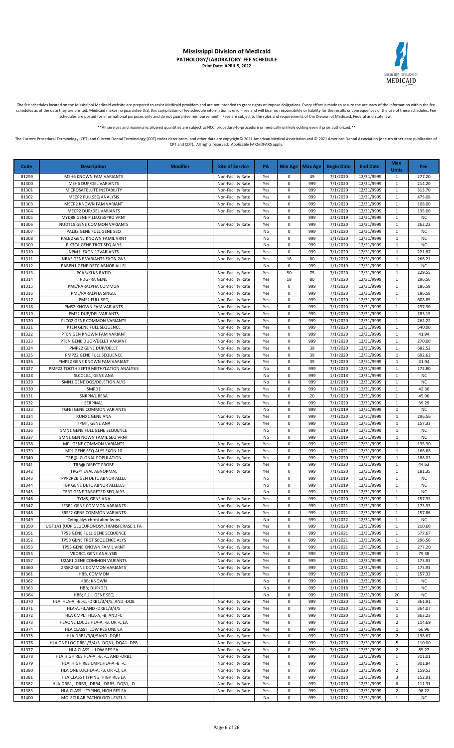

The fee schedules located on the Mississippi Medicaid website are prepared to assist Medicaid providers and are not intended to grant rights or impose obligations. Every effort is made to assure the accuracy of the informa

\*\*All services and maximums allowed quantities are subject to NCCI procedure-to-procedure or medically unlikely editing even if prior authorized.\*\*

| Code           | <b>Description</b>                                                      | <b>Modifier</b> | <b>Site of Service</b>                 | PA         |                | Min Age   Max Age | <b>Begin Date</b>    | <b>End Date</b>          | <b>Max</b><br><b>Units</b>     | Fee                    |
|----------------|-------------------------------------------------------------------------|-----------------|----------------------------------------|------------|----------------|-------------------|----------------------|--------------------------|--------------------------------|------------------------|
| 81299          | MSH6 KNOWN FAM VARIANTS                                                 |                 | Non-Facility Rate                      | Yes        | 0              | 49                | 7/1/2020             | 12/31/9999               | 1                              | 277.20                 |
| 81300          | MSH6 DUP/DEL VARIANTS                                                   |                 | Non-Facility Rate                      | Yes        | 0              | 999               | 7/1/2020             | 12/31/9999               | $\mathbf{1}$                   | 214.20                 |
| 81301          | MICROSATELLITE INSTABILITY<br>MECP2 FULLSEQ ANALYSIS                    |                 | Non-Facility Rate                      | Yes        | 0<br>$\pmb{0}$ | 999               | 7/1/2020             | 12/31/9999               | $\mathbf{1}$                   | 313.70                 |
| 81302<br>81303 | MECP2 KNOWN FAM VARIANT                                                 |                 | Non-Facility Rate<br>Non-Facility Rate | Yes<br>Yes | 0              | 999<br>999        | 7/1/2020<br>7/1/2020 | 12/31/9999<br>12/31/9999 | $\mathbf{1}$<br>$\mathbf{1}$   | 475.08<br>108.00       |
| 81304          | MECP2 DUP/DEL VARIANTS                                                  |                 | Non-Facility Rate                      | Yes        | 0              | 999               | 7/1/2020             | 12/31/9999               | $\mathbf{1}$                   | 135.00                 |
| 81305          | MYD88 GENE P.LEU265PRO VRNT                                             |                 |                                        | No         | $\pmb{0}$      | 999               | 1/1/2019             | 12/31/9999               | $\mathbf 1$                    | <b>NC</b>              |
| 81306          | NUDT15 GENE COMMON VARIANTS                                             |                 | Non-Facility Rate                      | Yes        | $\pmb{0}$      | 999               | 7/1/2020             | 12/31/9999               | $\mathbf{1}$                   | 262.22                 |
| 81307          | PALB2 GENE FULL GENE SEQ                                                |                 |                                        | No         | 0              | 999               | 1/1/2020             | 12/31/9999               | $\mathbf{1}$                   | <b>NC</b>              |
| 81308          | PALB2 GENE KNOWN FAMIL VRNT                                             |                 |                                        | No         | 0<br>0         | 999<br>999        | 1/1/2020             | 12/31/9999               | $\mathbf{1}$<br>$\mathbf{1}$   | <b>NC</b><br><b>NC</b> |
| 81309<br>81310 | PIK3CA GENE TRGT SEQ ALYS<br>NPM1 EXON 12VARIANTS                       |                 | Non-Facility Rate                      | No<br>Yes  | 0              | 999               | 1/1/2020<br>7/1/2020 | 12/31/9999<br>12/31/9999 | $\mathbf{1}$                   | 221.87                 |
| 81311          | NRAS GENE VARIANTS EXON 2&3                                             |                 | Non-Facility Rate                      | Yes        | 18             | 80                | 7/1/2020             | 12/31/9999               | $\mathbf{1}$                   | 266.21                 |
| 81312          | PABPN1 GENE DETC ABNOR ALLEL                                            |                 |                                        | No         | 0              | 999               | 1/1/2019             | 12/31/9999               | $\mathbf{1}$                   | <b>NC</b>              |
| 81313          | PCA3/KLK3 RATIO                                                         |                 | Non-Facility Rate                      | Yes        | 50             | 75                | 7/1/2020             | 12/31/9999               | $\mathbf{1}$                   | 229.55                 |
| 81314          | <b>PDGFRA GENE</b>                                                      |                 | Non-Facility Rate                      | Yes        | 18             | 80                | 7/1/2020             | 12/31/9999               | 1                              | 296.56                 |
| 81315<br>81316 | PML/RARALPHA COMMON<br>PML/RARALPHA SINGLE                              |                 | Non-Facility Rate<br>Non-Facility Rate | Yes<br>Yes | $\pmb{0}$<br>0 | 999<br>999        | 7/1/2020<br>7/1/2020 | 12/31/9999<br>12/31/9999 | $\mathbf{1}$<br>$\mathbf{1}$   | 186.58<br>186.58       |
| 81317          | PMS2 FULL SEQ                                                           |                 | Non-Facility Rate                      | Yes        | 0              | 999               | 7/1/2020             | 12/31/9999               | $\mathbf{1}$                   | 608.85                 |
| 81318          | PMS2 KNOWN FAM VARIANTS                                                 |                 | Non-Facility Rate                      | Yes        | 0              | 999               | 7/1/2020             | 12/31/9999               | $\mathbf{1}$                   | 297.90                 |
| 81319          | PMS2 DUP/DEL VARIANTS                                                   |                 | Non-Facility Rate                      | Yes        | 0              | 999               | 7/1/2020             | 12/31/9999               | $\mathbf{1}$                   | 183.15                 |
| 81320          | PLCG2 GENE COMMON VARIANTS                                              |                 | Non-Facility Rate                      | Yes        | 0              | 999               | 7/1/2020             | 12/31/9999               | $\mathbf{1}$                   | 262.22                 |
| 81321          | PTEN GENE FULL SEQUENCE                                                 |                 | Non-Facility Rate                      | Yes        | 0              | 999               | 7/1/2020             | 12/31/9999               | $\mathbf{1}$                   | 540.00                 |
| 81322<br>81323 | PTEN GEN KNOWN FAM VARIANT<br>PTEN GENE DUOP/DELET VARIANT              |                 | Non-Facility Rate<br>Non-Facility Rate | Yes<br>Yes | 0<br>0         | 999<br>999        | 7/1/2020<br>7/1/2020 | 12/31/9999<br>12/31/9999 | $\mathbf{1}$<br>$\mathbf{1}$   | 41.94<br>270.00        |
| 81324          | PMP22 GENE DUP/DELET                                                    |                 | Non-Facility Rate                      | Yes        | $\pmb{0}$      | 39                | 7/1/2020             | 12/31/9999               | $\mathbf{1}$                   | 682.52                 |
| 81325          | PMP22 GENE FULL SEQUENCE                                                |                 | Non-Facility Rate                      | Yes        | $\pmb{0}$      | 39                | 7/1/2020             | 12/31/9999               | $\mathbf{1}$                   | 692.62                 |
| 81326          | PMP22 GENE KNOWN FAM VARIANT                                            |                 | Non-Facility Rate                      | Yes        | 0              | 39                | 7/1/2020             | 12/31/9999               | $\mathbf{1}$                   | 41.94                  |
| 81327          | PMP22 TOOTH SEPT9 METHYLATION ANALYSIS                                  |                 | Non-Facility Rate                      | No         | $\pmb{0}$      | 999               | 7/1/2020             | 12/31/9999               | $\mathbf{1}$                   | 172.80                 |
| 81328          | SLCO1B1, GENE ANA                                                       |                 |                                        | No         | $\pmb{0}$      | 999               | 1/1/2018             | 12/31/9999               | $\mathbf{1}$                   | <b>NC</b>              |
| 81329<br>81330 | SMN1 GENE DOS/DELETION ALYS<br>SMPD1                                    |                 | Non-Facility Rate                      | No<br>Yes  | 0<br>$\pmb{0}$ | 999<br>999        | 1/1/2019<br>7/1/2020 | 12/31/9999<br>12/31/9999 | $\mathbf{1}$<br>$\mathbf{1}$   | <b>NC</b><br>42.30     |
| 81331          | SNRPN/UBE3A                                                             |                 | Non-Facility Rate                      | Yes        | 0              | 20                | 7/1/2020             | 12/31/9999               | $\mathbf{1}$                   | 45.96                  |
| 81332          | SERPINA1                                                                |                 | Non-Facility Rate                      | Yes        | 0              | 999               | 7/1/2020             | 12/31/9999               | $\mathbf{1}$                   | 39.29                  |
| 81333          | TGFBI GENE COMMON VARIANTS                                              |                 |                                        | No         | 0              | 999               | 1/1/2019             | 12/31/9999               | $\mathbf{1}$                   | <b>NC</b>              |
| 81334          | RUNX1 GENE ANA                                                          |                 | Non-Facility Rate                      | Yes        | 0              | 999               | 7/1/2020             | 12/31/9999               | $\mathbf{1}$                   | 296.56                 |
| 81335          | TPMT, GENE ANA                                                          |                 | Non-Facility Rate                      | Yes        | $\pmb{0}$      | 999               | 7/1/2020             | 12/31/9999               | $\mathbf{1}$                   | 157.33                 |
| 81336<br>81337 | SMN1 GENE FULL GENE SEQUENCE<br>SMN1 GEN NOWN FAMIL SEQ VRNT            |                 |                                        | No<br>No   | 0<br>0         | 999<br>999        | 1/1/2019<br>1/1/2019 | 12/31/9999<br>12/31/9999 | $\mathbf{1}$<br>$\mathbf{1}$   | <b>NC</b><br><b>NC</b> |
| 81338          | MPL GENE COMMON VARIANTS                                                |                 | Non-Facility Rate                      | Yes        | 0              | 999               | 1/1/2021             | 12/31/9999               | 1                              | 135.30                 |
| 81339          | MPL GENE SEQ ALYS EXON 10                                               |                 | Non-Facility Rate                      | Yes        | 0              | 999               | 1/1/2021             | 12/31/9999               | $\mathbf{1}$                   | 166.68                 |
| 81340          | TRB@ CLONAL POPULATION                                                  |                 | Non-Facility Rate                      | Yes        | $\pmb{0}$      | 999               | 7/1/2020             | 12/31/9999               | $\mathbf{1}$                   | 188.03                 |
| 81341          | TRB@ DIRECT PROBE                                                       |                 | Non-Facility Rate                      | Yes        | 0              | 999               | 7/1/2020             | 12/31/9999               | $\mathbf{1}$                   | 44.63                  |
| 81342<br>81343 | TRG@ EVAL ABNORMAL                                                      |                 | Non-Facility Rate                      | Yes<br>No  | $\pmb{0}$<br>0 | 999<br>999        | 7/1/2020<br>1/1/2019 | 12/31/9999<br>12/31/9999 | $\mathbf{1}$<br>$\mathbf{1}$   | 181.35<br><b>NC</b>    |
| 81344          | PPP2R2B GEN DETC ABNOR ALLEL<br>TBP GENE DETC ABNOR ALLELES             |                 |                                        | No         | 0              | 999               | 1/1/2019             | 12/31/9999               | $\mathbf{1}$                   | <b>NC</b>              |
| 81345          | TERT GENE TARGETED SEQ ALYS                                             |                 |                                        | No         | 0              | 999               | 1/1/2019             | 12/31/9999               | $\mathbf 1$                    | ${\sf NC}$             |
| 81346          | TYMS, GENE ANA                                                          |                 | Non-Facility Rate                      | Yes        | 0              | 999               | 7/1/2020             | 12/31/9999               | $\mathbf{1}$                   | 157.33                 |
| 81347          | SF3B1 GENE COMMON VARIANTS                                              |                 | Non-Facility Rate                      | Yes        | 0              | 999               | 1/1/2021             | 12/31/9999               | $\mathbf{1}$                   | 173.93                 |
| 81348          | SRSF2 GENE COMMON VARIANTS                                              |                 | Non-Facility Rate                      | Yes        | 0              | 999               | 1/1/2021             | 12/31/9999               | $\mathbf{1}$                   | 157.86                 |
| 81349<br>81350 | Cytog alys chrml abnr lw-ps<br>UGT1A1 (UDP GLUCURONOSYLTRANSFERASE 1 FA |                 | Non-Facility Rate                      | No<br>Yes  | 0<br>0         | 999<br>999        | 1/1/2022<br>7/1/2020 | 12/31/9999<br>12/31/9999 | $\mathbf{1}$<br>$\mathbf{1}$   | <b>NC</b><br>210.60    |
| 81351          | TP53 GENE FULL GENE SEQUENCE                                            |                 | Non-Facility Rate                      | Yes        | 0              | 999               | 1/1/2021             | 12/31/9999               | 1                              | 577.67                 |
| 81352          | TP53 GENE TRGT SEQUENCE ALYS                                            |                 | Non-Facility Rate                      | Yes        | 0              | 999               | 1/1/2021             | 12/31/9999               | $\mathbf{1}$                   | 296.56                 |
| 81353          | TP53 GENE KNOWN FAMIL VRNT                                              |                 | Non-Facility Rate                      | Yes        | 0              | 999               | 1/1/2021             | 12/31/9999               | $\mathbf{1}$                   | 277.20                 |
| 81355          | <b>VKORC1 GENE ANALYSIS</b>                                             |                 | Non-Facility Rate                      | Yes        | 0              | 999               | 7/1/2020             | 12/31/9999               | $\mathbf{1}$                   | 79.38                  |
| 81357<br>81360 | U2AF1 GENE COMMON VARIANTS<br>ZRSR2 GENE COMMON VARIANTS                |                 | Non-Facility Rate                      | Yes<br>Yes | $\pmb{0}$<br>0 | 999<br>999        | 1/1/2021<br>1/1/2021 | 12/31/9999               | $\mathbf{1}$<br>$\mathbf{1}$   | 173.93<br>173.93       |
| 81361          | HBB, COMMON                                                             |                 | Non-Facility Rate<br>Non-Facility Rate | Yes        | 0              | 999               | 7/1/2020             | 12/31/9999<br>12/31/9999 | $\mathbf{1}$                   | 157.33                 |
| 81362          | <b>HBB; KNOWN</b>                                                       |                 |                                        | No         | 0              | 999               | 1/1/2018             | 12/31/9999               | $\mathbf{1}$                   | <b>NC</b>              |
| 81363          | HBB; DUP/DEL                                                            |                 |                                        | No         | 0              | 999               | 1/1/2018             | 12/31/9999               | $\mathbf{1}$                   | <b>NC</b>              |
| 81364          | HBB; FULL GENE SEQ                                                      |                 |                                        | No         | 0              | 999               | 1/1/2018             | 12/31/9999               | 20                             | <b>NC</b>              |
| 81370          | HLA HLA-A, -B,-C, -DRB1/3/4/5, AND -DQB                                 |                 | Non-Facility Rate                      | Yes        | $\pmb{0}$      | 999               | 7/1/2020             | 12/31/9999               | $\mathbf{1}$                   | 361.91                 |
| 81371<br>81372 | HLA-A, -B, AND -DRB1/3/4/5<br>HLA CMPLT HLA-A, -B, AND -C               |                 | Non-Facility Rate<br>Non-Facility Rate | Yes        | $\pmb{0}$<br>0 | 999<br>999        | 7/1/2020<br>7/1/2020 | 12/31/9999<br>12/31/9999 | $\mathbf{1}$<br>1              | 364.07<br>363.23       |
| 81373          | HLAONE LOCUS HLA-A, -B, OR -C EA                                        |                 | Non-Facility Rate                      | Yes<br>Yes | 0              | 999               | 7/1/2020             | 12/31/9999               | $\overline{2}$                 | 114.69                 |
| 81374          | HLA CLASS I LOW RES ONE EA                                              |                 | Non-Facility Rate                      | Yes        | 0              | 999               | 7/1/2020             | 12/31/9999               | $\mathbf{1}$                   | 66.90                  |
| 81375          | HLA DRB1/3/4/5AND -DQB1                                                 |                 | Non-Facility Rate                      | Yes        | 0              | 999               | 7/1/2020             | 12/31/9999               | $\overline{2}$                 | 198.67                 |
| 81376          | HLA ONE LOC DRB1/3/4/5 -DQB1,-DQA1 -DPB                                 |                 | Non-Facility Rate                      | Yes        | 0              | 999               | 7/1/2020             | 12/31/9999               | 5                              | 110.00                 |
| 81377          | HLA CLASS II LOW RES EA                                                 |                 | Non-Facility Rate                      | Yes        | 0              | 999               | 7/1/2020             | 12/31/9999               | $\overline{2}$                 | 85.27                  |
| 81378          | HLA HIGH RES HLA-A, -B, -C, AND -DRB1                                   |                 | Non-Facility Rate                      | Yes        | 0              | 999               | 7/1/2020             | 12/31/9999               | $\mathbf{1}$                   | 311.01                 |
| 81379<br>81380 | HLA HIGH RES CMPL HLA-A -B -C<br>HLA ONE LOCHLA-A, -B, OR -C), EA       |                 | Non-Facility Rate                      | Yes<br>Yes | 0<br>0         | 999<br>999        | 7/1/2020<br>7/1/2020 | 12/31/9999<br>12/31/9999 | $\mathbf{1}$<br>$\overline{2}$ | 301.84<br>159.53       |
| 81381          | HLA CLASS I TYPING, HIGH RES EA                                         |                 | Non-Facility Rate<br>Non-Facility Rate | Yes        | 0              | 999               | 7/1/2020             | 12/31/9999               | 3                              | 152.91                 |
| 81382          | HLA-DRB1, -DRB3, -DRB4, -DRB5,-DQB1, -D                                 |                 | Non-Facility Rate                      | Yes        | 0              | 999               | 7/1/2020             | 12/31/9999               | 6                              | 111.31                 |
| 81383          | HLA CLASS II TYPING, HIGH RES EA                                        |                 | Non-Facility Rate                      | Yes        | 0              | 999               | 7/1/2020             | 12/31/9999               | $\overline{2}$                 | 98.22                  |
| 81400          | MOLECULAR PATHOLOGY LEVEL 1                                             |                 |                                        | No         | $\pmb{0}$      | 999               | 1/1/2012             | 12/31/9999               | $\mathbf{1}$                   | <b>NC</b>              |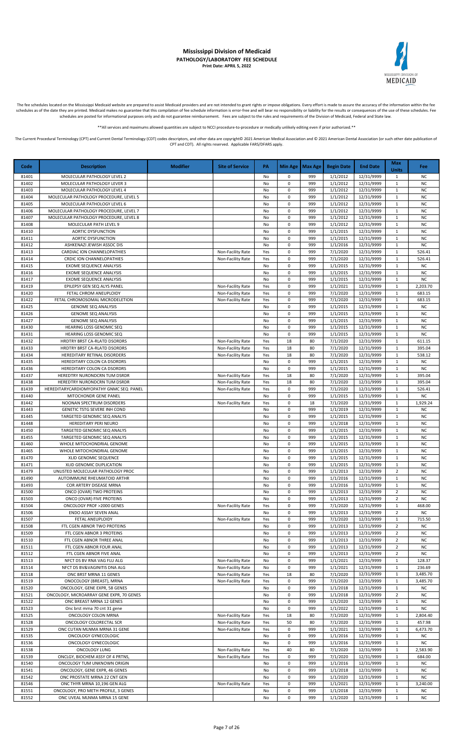

The fee schedules located on the Mississippi Medicaid website are prepared to assist Medicaid providers and are not intended to grant rights or impose obligations. Every effort is made to assure the accuracy of the informa schedules as of the date they are printed. Medicaid makes no guarantee that this compilation of fee schedule information is error-free and will bear no responsibility or liability for the results or consequences of the use schedules are posted for informational purposes only and do not guarantee reimbursement. Fees are subject to the rules and requirements of the Division of Medicaid, Federal and State law.

\*All services and maximums allowed quantities are subject to NCCI procedure-to-procedure or medically unlikely editing even if prior authorized

The Current Procedural Terminology (CPT) and Current Dental Terminology (CDT) codes descriptors, and other data are copyright@ 2021 American Medical Association and @ 2021 American Dental Association (or such other date pu CPT and CDT). All rights reserved. Applicable FARS/DFARS apply.

**Code Description Modifier Site of Service PA Min Age Max Age Begin Date End Date Max Units Fee** 81401 MOLECULAR PATHOLOGY LEVEL 2 No 0 999 1/1/2012 12/31/9999 1 M 81402 MOLECULAR PATHOLOGY LEVER 3 No 0 999 1/1/2012 12/31/9999 1 NO 81403 | MOLECULAR PATHOLOGY LEVEL 4 | NO | NO | 0 | 999 | 1/1/2012 | 12/31/9999 | 1 | NC 81404 MOLECULAR PATHOLOGY PROCEDURE, LEVEL 5 NO 1999 1/1/2012 12/31/9999 1 NO<br>81405 MOLECULAR PATHOLOGY LEVEL 6 NO 1999 1/1/2012 12/31/9999 1 NO MOLECULAR PATHOLOGY LEVEL 6 No 0 999 1/1/2012 12/31/9999 1 NO 81406 MOLECULAR PATHOLOGY PROCEDURE, LEVEL 7 NO 9 90 1/1/2012 12/31/9999 1 NO 999 1/1/2012 12/31/9999 1 NO 81407 | MOLECULAR PATHOLOGY PROCEDURE, LEVEL 8 | NO | NO | NO | 999 | 1/1/2012 | 12/31/9999 | 1 | NC 81408 | MOLECULAR PATH LEVEL 9 | NO | NO | 0 | 999 | 1/1/2012 | 12/31/9999 | 1 | NC 81410 | AORTIC DYSFUNCTION | NO | NO | 0 999 | 1/1/2015 | 12/31/9999 | 1 | NC 81411 AORTIC DYSFUNCTION No 0 999 1/1/2015 12/31/9999 1 NC 81412 | ASHKENAZI JEWISH ASSOC DIS | NO | NO | 0 | 999 | 1/1/2016 | 12/31/9999 | 1 | NC 81413 | CARDIAC ION CHANNELOPATHIES | Non-Facility Rate | Yes | 0 | 999 | 7/1/2020 | 12/31/9999 | 1 | 526.41 81414 CRDIC ION CHANNELOPATHIES Non-Facility Rate Yes 0 999 7/1/2020 12/31/9999 1 526.41 81415 | EXOME SEQUENCE ANALYSIS | NO | NO | 1999 | 1/1/2015 | 12/31/9999 | 1 | NC 81416 | EXOME SEQUENCE ANALYSIS | NO 0 999 | 1/1/2015 | 12/31/9999 | 1 | NC 81417 EXOME SEQUENCE ANALYSIS NO 0 999 1/1/2015 12/31/9999 1 NC<br>81419 BPILEPSY GEN SEQ ALYS PANEL NON-Facility Rate Yes 0 999 1/1/2021 12/31/9999 1 2.203.70 811119 EPILEPSY GEN SEQ ALYS PANEL NON-Facility Rate Yes 0 999 1/1/2021 12/31/9999 1 81420 FETAL CHROM ANEUPLOIDY Non-Facility Rate Yes 0 999 7/1/2020 12/31/9999 1 683.15 81422 FETAL CHROMOSOMAL MICRODELETION<br>81425 GENOME SEQ ANALYSIS GROME SEQ ANALYSIS NO 0 999 1/1/2015 12/31/9999 1 NC 81425 GENOME SEQ ANALYSIS NO CONSERVERSION CONSERVERSION OF SALLAR SERVERSION OF SALLAR SERVERSION OF SERVERSION 81426 GENOME SEQ ANALYSIS NO 0 999 1/1/2015 12/31/9999 1 NO 81427 GENOME SEQ ANALYSIS No 0 999 1/1/2015 12/31/9999 1 NC 81430 HEARING LOSS GENOMIC SEQ NO ORDER NO ORDER NO 0 999 1/1/2015 12/31/9999 1 NO 81431 HEARING LOSS GENOMIC SEQ NO 200 1/1/2015 12/31/9999 1 NO 81432 HRDTRY BRST CA-RLATD DSORDRS Non-Facility Rate Yes 18 80 7/1/2020 12/31/9999 1 611.15 81433 HRDTRY BRST CA-RLATD DSORDRS Non-Facility Rate Yes 18 80 7/1/2020 12/31/9999 1 395.04 81434 | HEREDITARY RETINAL DISORDERS | Non-Facility Rate Yes 18 80 7/1/2020 12/31/9999 1 538.12 81435 HEREDITARY COLON CA DSORDRS NO 2009 11/1/2015 12/31/9999 1 NO 81436 HEREDITARY COLON CA DSORDRS NO 2009 1/1/2015 12/31/9999 1 NO 1 999 1/1/2015 12/31/9999 1 NO 81437 HEREDTRY NURONDCRN TUM DSRDR NON-Facility Rate Yes 18 80 7/1/2020 12/31/9999 1 395.04 81438 HEREDTRY NURONDCRN TUM DSRDR None None Native Non-Facility Rate Yes 18 80 7/1/2020 12/31/9999 1 395.04 81439 HEREDITARYCARDIOMYOPATHY GNMC SEQ PANEL Non-Facility Rate Yes 0 999 7/1/2020 12/31/9999 1 526.41 81440 MITOCHONDR GENE PANEL NO 0 999 1/1/2015 12/31/9999 1 NC 81442 NOONAN SPECTRUM DISORDERS Non-Facility Rate Yes 0 18 7/1/2020 12/31/9999 1 1,929.24 81443 | GENETIC TSTG SEVERE INH COND | NO | NO | 10 | 999 | 1/1/2019 | 12/31/9999 | 1 | NC 81445 TARGETED GENOMIC SEQ ANALYS NO 2009 1/1/2015 12/31/9999 1 NO<br>81448 HEREDITARY PERI NEURO NO NO 0 999 1/1/2018 12/31/9999 1 NO 81448 HEREDITARY PERI NEURO NO 1999 1/1/2018 12/31/9999 1 NO 81450 TARGETED GENOMIC SEQ ANALYS NO CONSUMING NO ONLY NO 0 999 1/1/2015 12/31/9999 1 NO 81455 TARGETED GENOMIC SEQ ANALYS | ما 1 1/2/2015 12/31/9999 11 1/2015 12/31/9999 1 1 1/2015 12/31/9999 1 1 1<br>- 81460 WHOLE MITOCHONDRIAL GENOME | 1 1/2015 12/31/9999 1/1/2015 12/31/9999 1 1 1/2015 12/31/9999 1 1 1/2015 0 999 1/1/2015 12/31/9999 1 No 0 999 1/1/2015 12/31/9999 1 No 81465 WHOLE MITOCHONDRIAL GENOME NO 0 999 1/1/2015 12/31/9999 1 NO 81470 | XLID GENOMIC SEQUENCE | NO | NO | 0 | 999 | 1/1/2015 | 12/31/9999 | 1 | NC 81471 XLID GENOMIC DUPLICATION NO CONSULTED SERVER THE RELATION OF RELATIONS IN THE RELATION OF RELATIONS IN T 81479 UNLISTED MOLECULAR PATHOLOGY PROC No 0 999 1/1/2013 12/31/9999 2 NC AUTOIMMUNE RHEUMATOID ARTHR NO 1999 1/1/2016 12/31/9999 1 81493 COR ARTERY DISEASE MRNA No 2008 (No 2009 11/1/2016 12/31/9999 1 No 2009 11 No 2010 12/31/9999 1 NC 81500 ONCO (OVAR) TWO PROTEINS NO PROTEINS NO 2009 A 2 NO 2099 21/1/2013 22/31/9999 2 NO 81503 ONCO (OVAR) FIVE PROTEINS NO 0 999 1/1/2013 12/31/9999 2 NC<br>81504 ONCOLOGY PROF >2000 GENES Non-Facility Rate Yes 0 999 7/1/2020 12/31/9999 1 468.00 81504 ONCOLOGY PROF >2000 GENES Non-Facility Rate Yes 0 999 7/1/2020 12/31/9999 81506 ENDO ASSAY SEVEN ANAL No 0 999 1/1/2013 12/31/9999 2 NC 81507 FETAL ANEUPLOIDY Non-Facility Rate Yes 0 999 7/1/2020 12/31/9999 1 715.50 81508 FTL CGEN ABNOR TWO PROTEINS NO CONSULTED NO 0 999 1/1/2013 12/31/9999 2 NC 81509 FTL CGEN ABNOR 3 PROTEINS NO 0 999 1/1/2013 12/31/9999 2 NO 81510 FTL CGEN ABNOR THREE ANAL (NO 0 999 1/1/2013 12/31/9999 2 NC 81511 FTL CGEN ABNOR FOUR ANAL NO CONSUMER SERVICE RELATION OF A RELATION OF 11/1/2013 12/31/9999 2 NC 81512 FTL CGEN ABNOR FIVE ANAL 1999 11/1/2013 12/31/9999 2 NO 81513 NFCT DS BV RNA VAG FLU ALG NON-Facility Rate No 0 999 1/1/2021 12/31/9999 1 128.37 81514 NFCT DS BV&VAGINITIS DNA ALG Non-Facility Rate No 0 999 1/1/2021 12/31/9999 1 236.69 81518 | ONC BRST MRNA 11 GENES | Non-Facility Rate | Yes | 18 | 80 | 7/1/2020 | 12/31/9999 | 1 | 3,485.70 81519 ONOCOLOGY (BREAST), MRNA Non-Facility Rate Yes 0 999 7/1/2020 12/31/9999 1 3,485.70 81520 ONCOLOGY, GENE EXPR, 58 GENES No 1 999 1/1/2018 12/31/9999 1 NO 81521 ONCOLOGY, MICROARRAY GENE EXPR, 70 GENES NO 2000 10 999 11/1/2018 12/31/9999 2 NC 81522 ONC BREAST MRNA 12 GENES NO NO 1999 1/1/2020 12/31/9999 1 NO<br>81523 Onc brst mrna 70 cnt 31 gene No 1 No 0 999 1/1/2022 12/31/9999 1 NO ence brat mrna 70 cnt 31 gene No 0 999 12/31/2022 12/31/2022 12/31/2022 12/31/2022 12/31/2022 12/31/2022 12/31<br>- Non-Facility Rate Yes 18 81525 ONCOLOGY COLON MRNA Non-Facility Rate Yes 18 80 7/1/2020 12/31/9999 1 2,804.40 81528 ONCOLOGY COLORECTAL SCR Non-Facility Rate Yes 50 80 7/1/2020 12/31/9999 1 457.98 81529 ONC CUTAN MLNMA MRNA 31 GENE NON-Facility Rate Yes 0 999 1/1/2021 12/31/9999 1 6,473.70 81535 ONCOLOGY GYNECOLOGIC NO 299 1/1/2016 12/31/9999 1 NO 81536 ONCOLOGY GYNECOLOGIC NO 0 999 1/1/2016 12/31/9999 1 NO 81538 ONCOLOGY LUNG Non-Facility Rate Yes 40 80 7/1/2020 12/31/9999 1 2,583.90 81539 ONCLGY, BIOCHEM ASSY OF 4 PRTNS,<br>81540 ONCOLOGY TUM UNKNOWN ORIGIN NONER RESERVED NO 0 999 1/1/2016 12/31/9999 1 NC 81540 ONCOLOGY TUM UNKNOWN ORIGIN NO 2009 11/1/2016 12/31/9999 1 NO 81541 ONCOLOGY, GENE EXPR, 46 GENES NO 2009 1/1/2018 12/31/9999 1 NO 999 1/1/2018 12/31/9999 1 NO 81542 ONC PROSTATE MRNA 22 CNT GEN NO D NO D 999 1/1/2020 12/31/9999 1 NO 81546 ONC THYR MRNA 10,196 GEN ALG Non-Facility Rate Yes 0 999 1/1/2021 12/31/9999 1 3,240.00 81551 ONCOLOGY, PRO METH PROFILE, 3 GENES No 0 999 1/1/2018 12/31/9999 1 No 0 999 1/1/2018 12/31/9999 1 NC 81552 ONC UVEAL MLNMA MRNA 15 GENE NO 200 1/1/2020 12/31/9999 1 NO 4 999 1/1/2020 12/31/9999 1 NC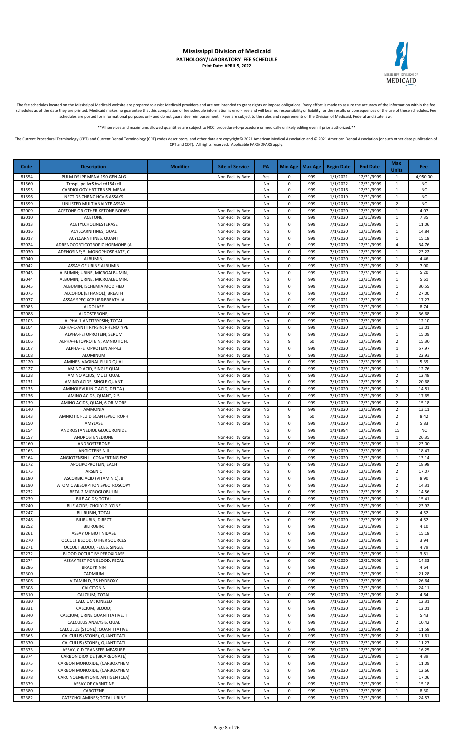

The fee schedules located on the Mississippi Medicaid website are prepared to assist Medicaid providers and are not intended to grant rights or impose obligations. Every effort is made to assure the accuracy of the informa

\*\*All services and maximums allowed quantities are subject to NCCI procedure-to-procedure or medically unlikely editing even if prior authorized.\*\*

| Code           | <b>Description</b>                                           | <b>Modifier</b> | <b>Site of Service</b>                 | PA                  |                          | Min Age   Max Age | <b>Begin Date</b>    | <b>End Date</b>          | <b>Max</b><br><b>Units</b>       | <b>Fee</b>             |
|----------------|--------------------------------------------------------------|-----------------|----------------------------------------|---------------------|--------------------------|-------------------|----------------------|--------------------------|----------------------------------|------------------------|
| 81554          | PULM DS IPF MRNA 190 GEN ALG                                 |                 | Non-Facility Rate                      | Yes                 | 0                        | 999               | 1/1/2021             | 12/31/9999               | 1                                | 4,950.00               |
| 81560          | Trnsplj pd lvr&bwl cd154+cll                                 |                 |                                        | No                  | $\pmb{0}$                | 999               | 1/1/2022             | 12/31/9999               | $\mathbf{1}$                     | <b>NC</b>              |
| 81595          | CARDIOLOGY HRT TRNSPL MRNA                                   |                 |                                        | No                  | 0                        | 999               | 1/1/2016             | 12/31/9999               | $\mathbf{1}$                     | <b>NC</b>              |
| 81596<br>81599 | NFCT DS CHRNC HCV 6 ASSAYS<br>UNLISTED MULTIANALYTE ASSAY    |                 |                                        | No<br>No            | 0<br>0                   | 999<br>999        | 1/1/2019<br>1/1/2013 | 12/31/9999<br>12/31/9999 | $\mathbf{1}$<br>$\overline{2}$   | <b>NC</b><br><b>NC</b> |
| 82009          | ACETONE OR OTHER KETONE BODIES                               |                 | Non-Facility Rate                      | No                  | 0                        | 999               | 7/1/2020             | 12/31/9999               | $\mathbf{1}$                     | 4.07                   |
| 82010          | ACETONE;                                                     |                 | Non-Facility Rate                      | No                  | 0                        | 999               | 7/1/2020             | 12/31/9999               | 1                                | 7.35                   |
| 82013          | ACETYLCHOLINESTERASE                                         |                 | Non-Facility Rate                      | No                  | $\pmb{0}$                | 999               | 7/1/2020             | 12/31/9999               | 1                                | 11.06                  |
| 82016          | ACYLCARNITINES, QUAL                                         |                 | Non-Facility Rate                      | No                  | $\pmb{0}$                | 999               | 7/1/2020             | 12/31/9999               | $\mathbf{1}$                     | 14.84                  |
| 82017<br>82024 | ACYLCARNITINES, QUANT<br>ADRENOCORTICOTROPIC HORMONE (A      |                 | Non-Facility Rate<br>Non-Facility Rate | No<br>No            | $\pmb{0}$<br>$\pmb{0}$   | 999<br>999        | 7/1/2020<br>7/1/2020 | 12/31/9999<br>12/31/9999 | $\mathbf{1}$<br>4                | 15.18<br>34.76         |
| 82030          | ADENOSINE; 5'-MONOPHOSPHATE, C                               |                 | Non-Facility Rate                      | No                  | $\pmb{0}$                | 999               | 7/1/2020             | 12/31/9999               | $\mathbf{1}$                     | 23.22                  |
| 82040          | ALBUMIN;                                                     |                 | Non-Facility Rate                      | No                  | $\pmb{0}$                | 999               | 7/1/2020             | 12/31/9999               | $\mathbf{1}$                     | 4.46                   |
| 82042          | ASSAY OF URINE ALBUMIN                                       |                 | Non-Facility Rate                      | No                  | 0                        | 999               | 7/1/2020             | 12/31/9999               | $\overline{2}$                   | 7.00                   |
| 82043          | ALBUMIN; URINE, MICROALBUMIN,                                |                 | Non-Facility Rate                      | No                  | $\pmb{0}$                | 999               | 7/1/2020             | 12/31/9999               | $\mathbf 1$                      | 5.20                   |
| 82044<br>82045 | ALBUMIN; URINE, MICROALBUMIN,<br>ALBUMIN, ISCHEMIA MODIFIED  |                 | Non-Facility Rate<br>Non-Facility Rate | No<br>No            | 0<br>0                   | 999<br>999        | 7/1/2020<br>7/1/2020 | 12/31/9999<br>12/31/9999 | $\mathbf{1}$<br>$\mathbf{1}$     | 5.61<br>30.55          |
| 82075          | ALCOHOL (ETHANOL); BREATH                                    |                 | Non-Facility Rate                      | No                  | 0                        | 999               | 7/1/2020             | 12/31/9999               | $\overline{2}$                   | 27.00                  |
| 82077          | ASSAY SPEC XCP UR&BREATH IA                                  |                 | Non-Facility Rate                      | No                  | 0                        | 999               | 1/1/2021             | 12/31/9999               | $\mathbf{1}$                     | 17.27                  |
| 82085          | ALDOLASE                                                     |                 | Non-Facility Rate                      | No                  | $\pmb{0}$                | 999               | 7/1/2020             | 12/31/9999               | 1                                | 8.74                   |
| 82088          | ALDOSTERONE;                                                 |                 | Non-Facility Rate                      | No                  | $\pmb{0}$                | 999               | 7/1/2020             | 12/31/9999               | $\overline{2}$                   | 36.68                  |
| 82103<br>82104 | ALPHA-1-ANTITRYPSIN; TOTAL<br>ALPHA-1-ANTITRYPSIN; PHENOTYPE |                 | Non-Facility Rate<br>Non-Facility Rate | No<br>No            | $\pmb{0}$<br>$\pmb{0}$   | 999<br>999        | 7/1/2020<br>7/1/2020 | 12/31/9999<br>12/31/9999 | $\mathbf{1}$<br>1                | 12.10<br>13.01         |
| 82105          | ALPHA-FETOPROTEIN; SERUM                                     |                 | Non-Facility Rate                      | No                  | $\pmb{0}$                | 999               | 7/1/2020             | 12/31/9999               | $\mathbf{1}$                     | 15.09                  |
| 82106          | ALPHA-FETOPROTEIN; AMNIOTIC FL                               |                 | Non-Facility Rate                      | No                  | 9                        | 60                | 7/1/2020             | 12/31/9999               | $\overline{2}$                   | 15.30                  |
| 82107          | ALPHA-FETOPROTEIN AFP-L3                                     |                 | Non-Facility Rate                      | No                  | $\pmb{0}$                | 999               | 7/1/2020             | 12/31/9999               | $\mathbf{1}$                     | 57.97                  |
| 82108          | ALUMINUM                                                     |                 | Non-Facility Rate                      | No                  | 0                        | 999               | 7/1/2020             | 12/31/9999               | 1                                | 22.93                  |
| 82120<br>82127 | AMINES, VAGINAL FLUID QUAL<br>AMINO ACID, SINGLE QUAL        |                 | Non-Facility Rate<br>Non-Facility Rate | No<br>No            | 0<br>0                   | 999<br>999        | 7/1/2020<br>7/1/2020 | 12/31/9999<br>12/31/9999 | $\mathbf{1}$<br>1                | 5.39<br>12.76          |
| 82128          | AMINO ACIDS, MULT QUAL                                       |                 | Non-Facility Rate                      | No                  | 0                        | 999               | 7/1/2020             | 12/31/9999               | $\overline{2}$                   | 12.48                  |
| 82131          | AMINO ACIDS, SINGLE QUANT                                    |                 | Non-Facility Rate                      | No                  | 0                        | 999               | 7/1/2020             | 12/31/9999               | $\overline{2}$                   | 20.68                  |
| 82135          | AMINOLEVULINIC ACID, DELTA (                                 |                 | Non-Facility Rate                      | No                  | 0                        | 999               | 7/1/2020             | 12/31/9999               | $\mathbf{1}$                     | 14.81                  |
| 82136          | AMINO ACIDS, QUANT, 2-5                                      |                 | Non-Facility Rate                      | No                  | $\pmb{0}$                | 999               | 7/1/2020             | 12/31/9999               | $\overline{2}$                   | 17.65                  |
| 82139<br>82140 | AMINO ACIDS, QUAN, 6 OR MORE<br>AMMONIA                      |                 | Non-Facility Rate<br>Non-Facility Rate | No<br>No            | $\pmb{0}$<br>$\pmb{0}$   | 999<br>999        | 7/1/2020<br>7/1/2020 | 12/31/9999<br>12/31/9999 | $\overline{2}$<br>$\overline{2}$ | 15.18<br>13.11         |
| 82143          | AMNIOTIC FLUID SCAN (SPECTROPH                               |                 | Non-Facility Rate                      | No                  | 9                        | 60                | 7/1/2020             | 12/31/9999               | $\overline{2}$                   | 8.42                   |
| 82150          | AMYLASE                                                      |                 | Non-Facility Rate                      | No                  | $\pmb{0}$                | 999               | 7/1/2020             | 12/31/9999               | $\overline{2}$                   | 5.83                   |
| 82154          | ANDROSTANEDIOL GLUCURONIDE                                   |                 |                                        | No                  | $\pmb{0}$                | 999               | 1/1/1994             | 12/31/9999               | 15                               | <b>NC</b>              |
| 82157          | ANDROSTENEDIONE                                              |                 | Non-Facility Rate                      | No                  | 0                        | 999               | 7/1/2020             | 12/31/9999               | $\mathbf{1}$                     | 26.35                  |
| 82160<br>82163 | ANDROSTERONE<br>ANGIOTENSIN II                               |                 | Non-Facility Rate<br>Non-Facility Rate | No<br>No            | $\pmb{0}$<br>0           | 999<br>999        | 7/1/2020<br>7/1/2020 | 12/31/9999<br>12/31/9999 | $\mathbf{1}$<br>$\mathbf{1}$     | 23.00<br>18.47         |
| 82164          | ANGIOTENSIN I - CONVERTING ENZ                               |                 | Non-Facility Rate                      | No                  | 0                        | 999               | 7/1/2020             | 12/31/9999               | 1                                | 13.14                  |
| 82172          | APOLIPOPROTEIN, EACH                                         |                 | Non-Facility Rate                      | No                  | 0                        | 999               | 7/1/2020             | 12/31/9999               | $\overline{2}$                   | 18.98                  |
| 82175          | ARSENIC                                                      |                 | Non-Facility Rate                      | No                  | 0                        | 999               | 7/1/2020             | 12/31/9999               | $\overline{2}$                   | 17.07                  |
| 82180          | ASCORBIC ACID (VITAMIN C), B                                 |                 | Non-Facility Rate                      | No                  | $\pmb{0}$                | 999               | 7/1/2020             | 12/31/9999               | $\mathbf{1}$                     | 8.90                   |
| 82190<br>82232 | ATOMIC ABSORPTION SPECTROSCOPY<br>BETA-2 MICROGLOBULIN       |                 | Non-Facility Rate                      | No<br>$\mathsf{No}$ | $\pmb{0}$<br>0           | 999<br>999        | 7/1/2020<br>7/1/2020 | 12/31/9999<br>12/31/9999 | $\overline{2}$<br>$\overline{2}$ | 14.31<br>14.56         |
| 82239          | <b>BILE ACIDS; TOTAL</b>                                     |                 | Non-Facility Rate<br>Non-Facility Rate | No                  | 0                        | 999               | 7/1/2020             | 12/31/9999               | 1                                | 15.41                  |
| 82240          | BILE ACIDS; CHOLYLGLYCINE                                    |                 | Non-Facility Rate                      | No                  | 0                        | 999               | 7/1/2020             | 12/31/9999               | 1                                | 23.92                  |
| 82247          | <b>BILIRUBIN, TOTAL</b>                                      |                 | Non-Facility Rate                      | No                  | $\pmb{0}$                | 999               | 7/1/2020             | 12/31/9999               | $\overline{2}$                   | 4.52                   |
| 82248          | <b>BILIRUBIN, DIRECT</b>                                     |                 | Non-Facility Rate                      | No                  | $\pmb{0}$                | 999               | 7/1/2020             | 12/31/9999               | $\overline{2}$                   | 4.52                   |
| 82252          | <b>BILIRUBIN;</b>                                            |                 | Non-Facility Rate                      | No                  | $\pmb{0}$                | 999               | 7/1/2020             | 12/31/9999               | $\mathbf{1}$                     | 4.10                   |
| 82261<br>82270 | ASSAY OF BIOTINIDASE<br>OCCULT BLOOD, OTHER SOURCES          |                 | Non-Facility Rate<br>Non-Facility Rate | No<br>No            | 0<br>0                   | 999<br>999        | 7/1/2020<br>7/1/2020 | 12/31/9999<br>12/31/9999 | $\mathbf{1}$<br>$\mathbf{1}$     | 15.18<br>3.94          |
| 82271          | OCCULT BLOOD, FECES, SINGLE                                  |                 | Non-Facility Rate                      | No                  | 0                        | 999               | 7/1/2020             | 12/31/9999               | 1                                | 4.79                   |
| 82272          | BLOOD OCCULT BY PEROXIDASE                                   |                 | Non-Facility Rate                      | No                  | 0                        | 999               | 7/1/2020             | 12/31/9999               | $\mathbf{1}$                     | 3.81                   |
| 82274          | ASSAY TEST FOR BLOOD, FECAL                                  |                 | Non-Facility Rate                      | No                  | 0                        | 999               | 7/1/2020             | 12/31/9999               | 1                                | 14.33                  |
| 82286          | BRADYKININ                                                   |                 | Non-Facility Rate                      | No                  | $\pmb{0}$                | 999               | 7/1/2020             | 12/31/9999               | 1                                | 4.64                   |
| 82300<br>82306 | CADMIUM<br>VITAMIN D, 25 HYDROXY                             |                 | Non-Facility Rate<br>Non-Facility Rate | No<br>No            | $\pmb{0}$<br>$\pmb{0}$   | 999<br>999        | 7/1/2020<br>7/1/2020 | 12/31/9999<br>12/31/9999 | $\mathbf{1}$<br>1                | 21.28<br>26.64         |
| 82308          | CALCITONIN                                                   |                 | Non-Facility Rate                      | No                  | $\pmb{0}$                | 999               | 7/1/2020             | 12/31/9999               | 1                                | 24.11                  |
| 82310          | CALCIUM; TOTAL                                               |                 | Non-Facility Rate                      | No                  | $\pmb{0}$                | 999               | 7/1/2020             | 12/31/9999               | $\overline{2}$                   | 4.64                   |
| 82330          | CALCIUM; IONIZED                                             |                 | Non-Facility Rate                      | No                  | $\pmb{0}$                | 999               | 7/1/2020             | 12/31/9999               | $\overline{2}$                   | 12.31                  |
| 82331          | CALCIUM, BLOOD;                                              |                 | Non-Facility Rate                      | No                  | 0                        | 999               | 7/1/2020             | 12/31/9999               | 1                                | 12.01                  |
| 82340<br>82355 | CALCIUM; URINE QUANTITATIVE, T<br>CALCULUS ANALYSIS, QUAL    |                 | Non-Facility Rate<br>Non-Facility Rate | No<br>No            | 0<br>0                   | 999<br>999        | 7/1/2020<br>7/1/2020 | 12/31/9999<br>12/31/9999 | $\mathbf{1}$<br>$\overline{2}$   | 5.43<br>10.42          |
| 82360          | CALCULUS (STONE); QUANTITATIVE                               |                 | Non-Facility Rate                      | No                  | 0                        | 999               | 7/1/2020             | 12/31/9999               | $\overline{2}$                   | 11.58                  |
| 82365          | CALCULUS (STONE), QUANTITATI                                 |                 | Non-Facility Rate                      | No                  | 0                        | 999               | 7/1/2020             | 12/31/9999               | $\overline{2}$                   | 11.61                  |
| 82370          | CALCULUS (STONE), QUANTITATI                                 |                 | Non-Facility Rate                      | No                  | 0                        | 999               | 7/1/2020             | 12/31/9999               | $\overline{2}$                   | 11.27                  |
| 82373          | ASSAY, C-D TRANSFER MEASURE                                  |                 | Non-Facility Rate                      | No                  | 0                        | 999               | 7/1/2020             | 12/31/9999               | 1                                | 16.25                  |
| 82374          | CARBON DIOXIDE (BICARBONATE)                                 |                 | Non-Facility Rate                      | No                  | $\mathsf 0$<br>$\pmb{0}$ | 999               | 7/1/2020             | 12/31/9999               | $\mathbf{1}$                     | 4.39                   |
| 82375<br>82376 | CARBON MONOXIDE, (CARBOXYHEM<br>CARBON MONOXIDE, (CARBOXYHEM |                 | Non-Facility Rate<br>Non-Facility Rate | No<br>No            | $\pmb{0}$                | 999<br>999        | 7/1/2020<br>7/1/2020 | 12/31/9999<br>12/31/9999 | $\mathbf{1}$<br>1                | 11.09<br>12.66         |
| 82378          | CARCINOEMBRYONIC ANTIGEN (CEA)                               |                 | Non-Facility Rate                      | No                  | 0                        | 999               | 7/1/2020             | 12/31/9999               | $\mathbf{1}$                     | 17.06                  |
| 82379          | ASSAY OF CARNITINE                                           |                 | Non-Facility Rate                      | No                  | $\pmb{0}$                | 999               | 7/1/2020             | 12/31/9999               | $\mathbf{1}$                     | 15.18                  |
| 82380          | CAROTENE                                                     |                 | Non-Facility Rate                      | No                  | $\pmb{0}$                | 999               | 7/1/2020             | 12/31/9999               | $\mathbf{1}$                     | 8.30                   |
| 82382          | CATECHOLAMINES; TOTAL URINE                                  |                 | Non-Facility Rate                      | No                  | 0                        | 999               | 7/1/2020             | 12/31/9999               | 1                                | 24.57                  |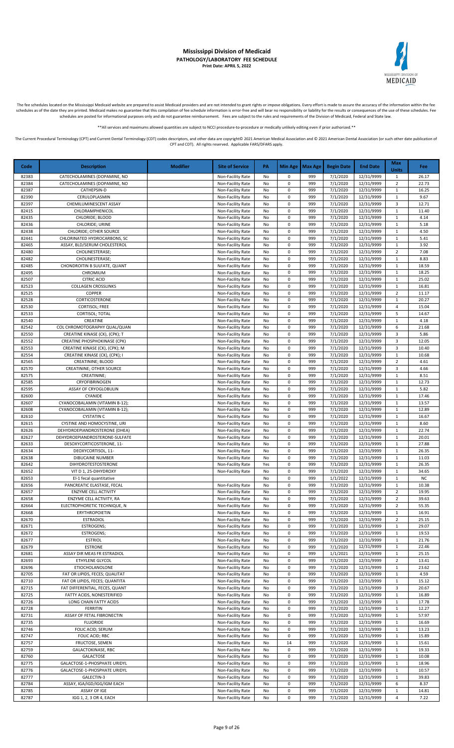

The fee schedules located on the Mississippi Medicaid website are prepared to assist Medicaid providers and are not intended to grant rights or impose obligations. Every effort is made to assure the accuracy of the informa

\*\*All services and maximums allowed quantities are subject to NCCI procedure-to-procedure or medically unlikely editing even if prior authorized.\*\*

| Code           | <b>Description</b>                                           | <b>Modifier</b> | <b>Site of Service</b>                 | PA       |                        | Min Age   Max Age | <b>Begin Date</b>    | <b>End Date</b>          | Max<br><b>Units</b>          | <b>Fee</b>     |
|----------------|--------------------------------------------------------------|-----------------|----------------------------------------|----------|------------------------|-------------------|----------------------|--------------------------|------------------------------|----------------|
| 82383          | CATECHOLAMINES (DOPAMINE, NO                                 |                 | Non-Facility Rate                      | No       | 0                      | 999               | 7/1/2020             | 12/31/9999               | 1                            | 26.17          |
| 82384          | CATECHOLAMINES (DOPAMINE, NO                                 |                 | Non-Facility Rate                      | No       | 0                      | 999               | 7/1/2020             | 12/31/9999               | $\overline{2}$               | 22.73          |
| 82387          | CATHEPSIN-D                                                  |                 | Non-Facility Rate                      | No       | 0                      | 999               | 7/1/2020             | 12/31/9999               | 1                            | 16.25          |
| 82390          | CERULOPLASMIN                                                |                 | Non-Facility Rate                      | No       | 0                      | 999               | 7/1/2020             | 12/31/9999               | $\mathbf{1}$                 | 9.67           |
| 82397          | CHEMILUMINESCENT ASSAY                                       |                 | Non-Facility Rate                      | No       | 0                      | 999               | 7/1/2020             | 12/31/9999               | 3                            | 12.71          |
| 82415<br>82435 | CHLORAMPHENICOL<br>CHLORIDE; BLOOD                           |                 | Non-Facility Rate<br>Non-Facility Rate | No<br>No | $\pmb{0}$<br>$\pmb{0}$ | 999<br>999        | 7/1/2020<br>7/1/2020 | 12/31/9999<br>12/31/9999 | $\mathbf{1}$<br>$\mathbf{1}$ | 11.40<br>4.14  |
| 82436          | CHLORIDE; URINE                                              |                 | Non-Facility Rate                      | No       | $\pmb{0}$              | 999               | 7/1/2020             | 12/31/9999               | $\mathbf{1}$                 | 5.18           |
| 82438          | CHLORIDE; OTHER SOURCE                                       |                 | Non-Facility Rate                      | No       | $\pmb{0}$              | 999               | 7/1/2020             | 12/31/9999               | $\mathbf{1}$                 | 4.50           |
| 82441          | CHLORINATED HYDROCARBONS, SC                                 |                 | Non-Facility Rate                      | No       | $\pmb{0}$              | 999               | 7/1/2020             | 12/31/9999               | $\mathbf{1}$                 | 5.41           |
| 82465          | ASSAY, BLD/SERUM CHOLESTEROL                                 |                 | Non-Facility Rate                      | No       | $\pmb{0}$              | 999               | 7/1/2020             | 12/31/9999               | $\mathbf 1$                  | 3.92           |
| 82480          | CHOLINESTERASE;                                              |                 | Non-Facility Rate                      | No       | $\pmb{0}$              | 999               | 7/1/2020             | 12/31/9999               | $\overline{2}$               | 7.08           |
| 82482          | CHOLINESTERASE;                                              |                 | Non-Facility Rate                      | No       | $\pmb{0}$              | 999               | 7/1/2020             | 12/31/9999               | $\mathbf 1$                  | 8.83           |
| 82485          | CHONDROITIN B SULFATE, QUANT                                 |                 | Non-Facility Rate                      | No       | 0                      | 999               | 7/1/2020             | 12/31/9999               | $\mathbf{1}$                 | 18.59          |
| 82495          | CHROMIUM                                                     |                 | Non-Facility Rate                      | No       | 0                      | 999               | 7/1/2020             | 12/31/9999               | $\mathbf{1}$                 | 18.25          |
| 82507<br>82523 | <b>CITRIC ACID</b>                                           |                 | Non-Facility Rate                      | No       | 0<br>0                 | 999<br>999        | 7/1/2020<br>7/1/2020 | 12/31/9999               | 1<br>$\mathbf{1}$            | 25.02<br>16.81 |
| 82525          | <b>COLLAGEN CROSSLINKS</b><br><b>COPPER</b>                  |                 | Non-Facility Rate<br>Non-Facility Rate | No<br>No | $\pmb{0}$              | 999               | 7/1/2020             | 12/31/9999<br>12/31/9999 | $\overline{2}$               | 11.17          |
| 82528          | CORTICOSTERONE                                               |                 | Non-Facility Rate                      | No       | $\pmb{0}$              | 999               | 7/1/2020             | 12/31/9999               | 1                            | 20.27          |
| 82530          | <b>CORTISOL; FREE</b>                                        |                 | Non-Facility Rate                      | No       | $\pmb{0}$              | 999               | 7/1/2020             | 12/31/9999               | $\overline{4}$               | 15.04          |
| 82533          | CORTISOL; TOTAL                                              |                 | Non-Facility Rate                      | No       | $\pmb{0}$              | 999               | 7/1/2020             | 12/31/9999               | 5                            | 14.67          |
| 82540          | CREATINE                                                     |                 | Non-Facility Rate                      | No       | $\pmb{0}$              | 999               | 7/1/2020             | 12/31/9999               | $\mathbf{1}$                 | 4.18           |
| 82542          | COL CHROMOTOGRAPHY QUAL/QUAN                                 |                 | Non-Facility Rate                      | No       | $\pmb{0}$              | 999               | 7/1/2020             | 12/31/9999               | 6                            | 21.68          |
| 82550          | CREATINE KINASE (CK), (CPK); T                               |                 | Non-Facility Rate                      | No       | $\pmb{0}$              | 999               | 7/1/2020             | 12/31/9999               | $\overline{3}$               | 5.86           |
| 82552          | CREATINE PHOSPHOKINASE (CPK)                                 |                 | Non-Facility Rate                      | No       | $\pmb{0}$              | 999               | 7/1/2020             | 12/31/9999               | $\overline{3}$               | 12.05          |
| 82553          | CREATINE KINASE (CK), (CPK); M                               |                 | Non-Facility Rate                      | No       | $\pmb{0}$              | 999               | 7/1/2020             | 12/31/9999               | 3                            | 10.40          |
| 82554          | CREATINE KINASE (CK), (CPK); I                               |                 | Non-Facility Rate                      | No       | 0                      | 999               | 7/1/2020             | 12/31/9999               | $\mathbf{1}$                 | 10.68          |
| 82565<br>82570 | CREATININE; BLOOD                                            |                 | Non-Facility Rate                      | No<br>No | 0<br>0                 | 999<br>999        | 7/1/2020<br>7/1/2020 | 12/31/9999<br>12/31/9999 | $\overline{2}$<br>3          | 4.61<br>4.66   |
| 82575          | CREATININE; OTHER SOURCE<br>CREATININE;                      |                 | Non-Facility Rate<br>Non-Facility Rate | No       | 0                      | 999               | 7/1/2020             | 12/31/9999               | $\mathbf{1}$                 | 8.51           |
| 82585          | CRYOFIBRINOGEN                                               |                 | Non-Facility Rate                      | No       | $\pmb{0}$              | 999               | 7/1/2020             | 12/31/9999               | 1                            | 12.73          |
| 82595          | ASSAY OF CRYOGLOBULIN                                        |                 | Non-Facility Rate                      | No       | $\mathsf 0$            | 999               | 7/1/2020             | 12/31/9999               | $\mathbf 1$                  | 5.82           |
| 82600          | CYANIDE                                                      |                 | Non-Facility Rate                      | No       | $\pmb{0}$              | 999               | 7/1/2020             | 12/31/9999               | $\mathbf{1}$                 | 17.46          |
| 82607          | CYANOCOBALAMIN (VITAMIN B-12);                               |                 | Non-Facility Rate                      | No       | $\pmb{0}$              | 999               | 7/1/2020             | 12/31/9999               | $\mathbf{1}$                 | 13.57          |
| 82608          | CYANOCOBALAMIN (VITAMIN B-12);                               |                 | Non-Facility Rate                      | No       | $\pmb{0}$              | 999               | 7/1/2020             | 12/31/9999               | $\mathbf{1}$                 | 12.89          |
| 82610          | <b>CYSTATIN C</b>                                            |                 | Non-Facility Rate                      | No       | $\pmb{0}$              | 999               | 7/1/2020             | 12/31/9999               | $\mathbf{1}$                 | 16.67          |
| 82615          | CYSTINE AND HOMOCYSTINE, URI                                 |                 | Non-Facility Rate                      | No       | $\pmb{0}$              | 999               | 7/1/2020             | 12/31/9999               | $\mathbf{1}$                 | 8.60           |
| 82626          | DEHYDROEPIANDROSTERONE (DHEA)                                |                 | Non-Facility Rate                      | No       | $\pmb{0}$              | 999               | 7/1/2020             | 12/31/9999               | $\mathbf{1}$                 | 22.74          |
| 82627          | DEHYDROEPIANDROSTERONE-SULFATE                               |                 | Non-Facility Rate                      | No       | 0                      | 999               | 7/1/2020             | 12/31/9999               | $\mathbf 1$                  | 20.01          |
| 82633<br>82634 | DESOXYCORTICOSTERONE, 11-<br>DEOXYCORTISOL, 11-              |                 | Non-Facility Rate<br>Non-Facility Rate | No<br>No | 0<br>0                 | 999<br>999        | 7/1/2020<br>7/1/2020 | 12/31/9999<br>12/31/9999 | 1<br>$\mathbf{1}$            | 27.88<br>26.35 |
| 82638          | DIBUCAINE NUMBER                                             |                 | Non-Facility Rate                      | No       | 0                      | 999               | 7/1/2020             | 12/31/9999               | $\mathbf{1}$                 | 11.03          |
| 82642          | DIHYDROTESTOSTERONE                                          |                 | Non-Facility Rate                      | Yes      | 0                      | 999               | 7/1/2020             | 12/31/9999               | $\mathbf{1}$                 | 26.35          |
| 82652          | VIT D 1, 25-DIHYDROXY                                        |                 | Non-Facility Rate                      | No       | $\pmb{0}$              | 999               | 7/1/2020             | 12/31/9999               | 1                            | 34.65          |
| 82653          | El-1 fecal quantitative                                      |                 |                                        | No       | $\pmb{0}$              | 999               | 1/1/2022             | 12/31/9999               | $\mathbf{1}$                 | <b>NC</b>      |
| 82656          | PANCREATIC ELASTASE, FECAL                                   |                 | Non-Facility Rate                      | No       | $\pmb{0}$              | 999               | 7/1/2020             | 12/31/9999               | $\mathbf{1}$                 | 10.38          |
| 82657          | <b>ENZYME CELL ACTIVITY</b>                                  |                 | Non-Facility Rate                      | No       | 0                      | 999               | 7/1/2020             | 12/31/9999               | $\mathbf 2$                  | 19.95          |
| 82658          | ENZYME CELL ACTIVITY, RA                                     |                 | Non-Facility Rate                      | No       | 0                      | 999               | 7/1/2020             | 12/31/9999               | $\overline{2}$               | 39.63          |
| 82664          | ELECTROPHORETIC TECHNIQUE, N                                 |                 | Non-Facility Rate                      | No       | 0                      | 999               | 7/1/2020             | 12/31/9999               | $\overline{2}$               | 55.35          |
| 82668          | ERYTHROPOIETIN                                               |                 | Non-Facility Rate                      | No       | $\pmb{0}$              | 999               | 7/1/2020             | 12/31/9999               | 1                            | 16.91          |
| 82670<br>82671 | <b>ESTRADIOL</b><br><b>ESTROGENS;</b>                        |                 | Non-Facility Rate<br>Non-Facility Rate | No<br>No | $\pmb{0}$<br>0         | 999<br>999        | 7/1/2020<br>7/1/2020 | 12/31/9999<br>12/31/9999 | 2<br>$\mathbf{1}$            | 25.15<br>29.07 |
| 82672          | ESTROGENS;                                                   |                 | Non-Facility Rate                      | No       | 0                      | 999               | 7/1/2020             | 12/31/9999               | 1                            | 19.53          |
| 82677          | <b>ESTRIOL</b>                                               |                 | Non-Facility Rate                      | No       | 0                      | 999               | 7/1/2020             | 12/31/9999               | $\mathbf{1}$                 | 21.76          |
| 82679          | <b>ESTRONE</b>                                               |                 | Non-Facility Rate                      | No       | 0                      | 999               | 7/1/2020             | 12/31/9999               | $\mathbf{1}$                 | 22.46          |
| 82681          | ASSAY DIR MEAS FR ESTRADIOL                                  |                 | Non-Facility Rate                      | No       | $\pmb{0}$              | 999               | 1/1/2021             | 12/31/9999               | 1                            | 25.15          |
| 82693          | ETHYLENE GLYCOL                                              |                 | Non-Facility Rate                      | No       | $\pmb{0}$              | 999               | 7/1/2020             | 12/31/9999               | $\overline{2}$               | 13.41          |
| 82696          | ETIOCHOLANOLONE                                              |                 | Non-Facility Rate                      | No       | $\pmb{0}$              | 999               | 7/1/2020             | 12/31/9999               | 1                            | 23.62          |
| 82705          | FAT OR LIPIDS, FECES; QUALITAT                               |                 | Non-Facility Rate                      | No       | $\pmb{0}$              | 999               | 7/1/2020             | 12/31/9999               | 1                            | 4.59           |
| 82710          | FAT OR LIPIDS, FECES; QUANTITA                               |                 | Non-Facility Rate                      | No       | $\pmb{0}$              | 999               | 7/1/2020             | 12/31/9999               | 1                            | 15.12          |
| 82715<br>82725 | FAT DIFFERENTIAL, FECES, QUANT<br>FATTY ACIDS, NONESTERIFIED |                 | Non-Facility Rate                      | No       | $\pmb{0}$<br>$\pmb{0}$ | 999<br>999        | 7/1/2020<br>7/1/2020 | 12/31/9999               | 3<br>1                       | 20.67<br>16.89 |
| 82726          | LONG CHAIN FATTY ACIDS                                       |                 | Non-Facility Rate<br>Non-Facility Rate | No<br>No | $\pmb{0}$              | 999               | 7/1/2020             | 12/31/9999<br>12/31/9999 | $\mathbf{1}$                 | 17.78          |
| 82728          | <b>FERRITIN</b>                                              |                 | Non-Facility Rate                      | No       | 0                      | 999               | 7/1/2020             | 12/31/9999               | 1                            | 12.27          |
| 82731          | ASSAY OF FETAL FIBRONECTIN                                   |                 | Non-Facility Rate                      | No       | 0                      | 999               | 7/1/2020             | 12/31/9999               | $\mathbf{1}$                 | 57.97          |
| 82735          | <b>FLUORIDE</b>                                              |                 | Non-Facility Rate                      | No       | 0                      | 999               | 7/1/2020             | 12/31/9999               | 1                            | 16.69          |
| 82746          | FOLIC ACID; SERUM                                            |                 | Non-Facility Rate                      | No       | 0                      | 999               | 7/1/2020             | 12/31/9999               | $\mathbf{1}$                 | 13.23          |
| 82747          | FOLIC ACID; RBC                                              |                 | Non-Facility Rate                      | No       | 0                      | 999               | 7/1/2020             | 12/31/9999               | 1                            | 15.89          |
| 82757          | FRUCTOSE, SEMEN                                              |                 | Non-Facility Rate                      | No       | 14                     | 999               | 7/1/2020             | 12/31/9999               | 1                            | 15.61          |
| 82759          | GALACTOKINASE, RBC                                           |                 | Non-Facility Rate                      | No       | $\pmb{0}$              | 999               | 7/1/2020             | 12/31/9999               | $\mathbf{1}$                 | 19.33          |
| 82760          | GALACTOSE                                                    |                 | Non-Facility Rate                      | No       | 0                      | 999               | 7/1/2020             | 12/31/9999               | 1                            | 10.08          |
| 82775          | GALACTOSE-1-PHOSPHATE URIDYL                                 |                 | Non-Facility Rate                      | No       | $\pmb{0}$              | 999               | 7/1/2020             | 12/31/9999               | 1                            | 18.96          |
| 82776          | GALACTOSE-1-PHOSPHATE URIDYL<br>GALECTIN-3                   |                 | Non-Facility Rate                      | No       | $\pmb{0}$<br>$\pmb{0}$ | 999               | 7/1/2020             | 12/31/9999               | $\mathbf{1}$                 | 10.57          |
| 82777<br>82784 | ASSAY, IGA/IGD/IGG/IGM EACH                                  |                 | Non-Facility Rate<br>Non-Facility Rate | No<br>No | $\pmb{0}$              | 999<br>999        | 7/1/2020<br>7/1/2020 | 12/31/9999<br>12/31/9999 | $\mathbf{1}$<br>6            | 39.83<br>8.37  |
| 82785          | ASSAY OF IGE                                                 |                 | Non-Facility Rate                      | No       | $\pmb{0}$              | 999               | 7/1/2020             | 12/31/9999               | $\mathbf{1}$                 | 14.81          |
| 82787          | IGG 1, 2, 3 OR 4, EACH                                       |                 | Non-Facility Rate                      | No       | 0                      | 999               | 7/1/2020             | 12/31/9999               | 4                            | 7.22           |
|                |                                                              |                 |                                        |          |                        |                   |                      |                          |                              |                |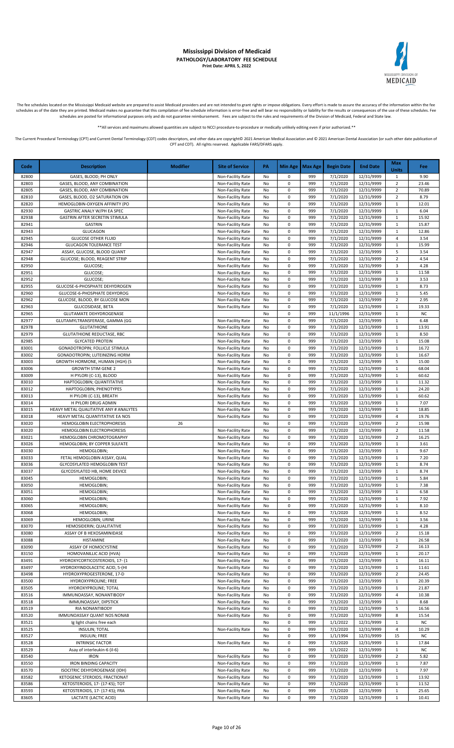

The fee schedules located on the Mississippi Medicaid website are prepared to assist Medicaid providers and are not intended to grant rights or impose obligations. Every effort is made to assure the accuracy of the informa

\*\*All services and maximums allowed quantities are subject to NCCI procedure-to-procedure or medically unlikely editing even if prior authorized.\*\*

| Code           | <b>Description</b>                                            | <b>Modifier</b> | <b>Site of Service</b>                 | PA       |                        | Min Age   Max Age | <b>Begin Date</b>    | <b>End Date</b>          | Max<br><b>Units</b>            | Fee                |
|----------------|---------------------------------------------------------------|-----------------|----------------------------------------|----------|------------------------|-------------------|----------------------|--------------------------|--------------------------------|--------------------|
| 82800          | GASES, BLOOD; PH ONLY                                         |                 | Non-Facility Rate                      | No       | 0                      | 999               | 7/1/2020             | 12/31/9999               | $\mathbf{1}$                   | 9.90               |
| 82803          | GASES, BLOOD, ANY COMBINATION                                 |                 | Non-Facility Rate                      | No       | $\pmb{0}$              | 999               | 7/1/2020             | 12/31/9999               | $\overline{2}$                 | 23.46              |
| 82805          | GASES, BLOOD, ANY COMBINATION                                 |                 | Non-Facility Rate                      | No       | 0                      | 999               | 7/1/2020             | 12/31/9999               | $\overline{2}$                 | 70.89              |
| 82810          | GASES, BLOOD, O2 SATURATION ON                                |                 | Non-Facility Rate                      | No       | $\pmb{0}$              | 999               | 7/1/2020             | 12/31/9999               | $\overline{2}$                 | 8.79               |
| 82820<br>82930 | HEMOGLOBIN-OXYGEN AFFINITY (PO<br>GASTRIC ANALY W/PH EA SPEC  |                 | Non-Facility Rate<br>Non-Facility Rate | No<br>No | $\pmb{0}$<br>$\pmb{0}$ | 999<br>999        | 7/1/2020<br>7/1/2020 | 12/31/9999<br>12/31/9999 | $\mathbf{1}$<br>$\mathbf{1}$   | 12.01<br>6.04      |
| 82938          | GASTRIN AFTER SECRETIN STIMULA                                |                 | Non-Facility Rate                      | No       | $\pmb{0}$              | 999               | 7/1/2020             | 12/31/9999               | $\mathbf{1}$                   | 15.92              |
| 82941          | <b>GASTRIN</b>                                                |                 | Non-Facility Rate                      | No       | $\pmb{0}$              | 999               | 7/1/2020             | 12/31/9999               | $\mathbf{1}$                   | 15.87              |
| 82943          | <b>GLUCAGON</b>                                               |                 | Non-Facility Rate                      | No       | $\Omega$               | 999               | 7/1/2020             | 12/31/9999               | $\mathbf{1}$                   | 12.86              |
| 82945          | <b>GLUCOSE OTHER FLUID</b>                                    |                 | Non-Facility Rate                      | No       | 0                      | 999               | 7/1/2020             | 12/31/9999               | $\overline{4}$                 | 3.54               |
| 82946<br>82947 | <b>GLUCAGON TOLERANCE TEST</b><br>ASSAY, GLUCOSE, BLOOD QUANT |                 | Non-Facility Rate<br>Non-Facility Rate | No<br>No | 0<br>$\pmb{0}$         | 999<br>999        | 7/1/2020<br>7/1/2020 | 12/31/9999<br>12/31/9999 | $\mathbf{1}$<br>5              | 15.99<br>3.54      |
| 82948          | GLUCOSE; BLOOD, REAGENT STRIP                                 |                 | Non-Facility Rate                      | No       | $\pmb{0}$              | 999               | 7/1/2020             | 12/31/9999               | $\overline{2}$                 | 4.54               |
| 82950          | GLUCOSE;                                                      |                 | Non-Facility Rate                      | No       | 0                      | 999               | 7/1/2020             | 12/31/9999               | $\overline{3}$                 | 4.28               |
| 82951          | GLUCOSE;                                                      |                 | Non-Facility Rate                      | No       | 0                      | 999               | 7/1/2020             | 12/31/9999               | $\mathbf{1}$                   | 11.58              |
| 82952<br>82955 | GLUCOSE;<br>GLUCOSE-6-PHOSPHATE DEHYDROGEN                    |                 | Non-Facility Rate<br>Non-Facility Rate | No<br>No | $\pmb{0}$<br>$\pmb{0}$ | 999<br>999        | 7/1/2020<br>7/1/2020 | 12/31/9999<br>12/31/9999 | 3<br>$\mathbf{1}$              | 3.53<br>8.73       |
| 82960          | GLUCOSE-6-PHOSPHATE DEHYDROG                                  |                 | Non-Facility Rate                      | No       | 0                      | 999               | 7/1/2020             | 12/31/9999               | $\mathbf{1}$                   | 5.45               |
| 82962          | GLUCOSE, BLOOD, BY GLUCOSE MON                                |                 | Non-Facility Rate                      | No       | 0                      | 999               | 7/1/2020             | 12/31/9999               | $\overline{2}$                 | 2.95               |
| 82963          | GLUCOSIDASE, BETA                                             |                 | Non-Facility Rate                      | No       | $\pmb{0}$              | 999               | 7/1/2020             | 12/31/9999               | $\mathbf{1}$                   | 19.33              |
| 82965          | <b>GLUTAMATE DEHYDROGENASE</b>                                |                 |                                        | No       | $\mathbf 0$            | 999               | 11/1/1996            | 12/31/9999               | $\mathbf{1}$                   | <b>NC</b>          |
| 82977<br>82978 | GLUTAMYLTRANSFERASE, GAMMA (GG<br><b>GLUTATHIONE</b>          |                 | Non-Facility Rate<br>Non-Facility Rate | No<br>No | 0<br>0                 | 999<br>999        | 7/1/2020<br>7/1/2020 | 12/31/9999<br>12/31/9999 | $\mathbf{1}$<br>$\mathbf{1}$   | 6.48<br>13.91      |
| 82979          | <b>GLUTATHIONE REDUCTASE, RBC</b>                             |                 | Non-Facility Rate                      | No       | 0                      | 999               | 7/1/2020             | 12/31/9999               | $\mathbf{1}$                   | 8.50               |
| 82985          | <b>GLYCATED PROTEIN</b>                                       |                 | Non-Facility Rate                      | No       | $\pmb{0}$              | 999               | 7/1/2020             | 12/31/9999               | $\mathbf{1}$                   | 15.08              |
| 83001          | GONADOTROPIN; FOLLICLE STIMULA                                |                 | Non-Facility Rate                      | No       | 0                      | 999               | 7/1/2020             | 12/31/9999               | $\mathbf{1}$                   | 16.72              |
| 83002          | GONADOTROPIN; LUTEINIZING HORM                                |                 | Non-Facility Rate<br>Non-Facility Rate | No       | 0<br>0                 | 999<br>999        | 7/1/2020             | 12/31/9999               | $\mathbf{1}$<br>5              | 16.67              |
| 83003<br>83006 | GROWTH HORMONE, HUMAN (HGH) (S<br><b>GROWTH STIM GENE 2</b>   |                 | Non-Facility Rate                      | No<br>No | $\pmb{0}$              | 999               | 7/1/2020<br>7/1/2020 | 12/31/9999<br>12/31/9999 | $\mathbf{1}$                   | 15.00<br>68.04     |
| 83009          | H PYLORI (C-13), BLOOD                                        |                 | Non-Facility Rate                      | No       | 0                      | 999               | 7/1/2020             | 12/31/9999               | $\mathbf{1}$                   | 60.62              |
| 83010          | HAPTOGLOBIN; QUANTITATIVE                                     |                 | Non-Facility Rate                      | No       | 0                      | 999               | 7/1/2020             | 12/31/9999               | $\mathbf{1}$                   | 11.32              |
| 83012          | HAPTOGLOBIN; PHENOTYPES                                       |                 | Non-Facility Rate                      | No       | $\pmb{0}$              | 999               | 7/1/2020             | 12/31/9999               | $\mathbf 1$                    | 24.20              |
| 83013<br>83014 | H PYLORI (C-13), BREATH<br>H PYLORI DRUG ADMIN                |                 | Non-Facility Rate<br>Non-Facility Rate | No<br>No | $\mathbf 0$<br>0       | 999<br>999        | 7/1/2020<br>7/1/2020 | 12/31/9999<br>12/31/9999 | $\mathbf{1}$<br>$\mathbf{1}$   | 60.62<br>7.07      |
| 83015          | HEAVY METAL QUALITATIVE ANY # ANALYTES                        |                 | Non-Facility Rate                      | No       | 0                      | 999               | 7/1/2020             | 12/31/9999               | $\mathbf{1}$                   | 18.85              |
| 83018          | HEAVY METAL QUANTITATIVE EA NOS                               |                 | Non-Facility Rate                      | No       | $\pmb{0}$              | 999               | 7/1/2020             | 12/31/9999               | $\overline{4}$                 | 19.76              |
| 83020          | HEMOGLOBIN ELECTROPHORESIS                                    | 26              |                                        | No       | 0                      | 999               | 7/1/2020             | 12/31/9999               | $\overline{2}$                 | 15.98              |
| 83020          | HEMOGLOBIN ELECTROPHORESIS                                    |                 | Non-Facility Rate                      | No       | 0                      | 999               | 7/1/2020             | 12/31/9999               | $\overline{2}$                 | 11.58              |
| 83021<br>83026 | HEMOGLOBIN CHROMOTOGRAPHY<br>HEMOGLOBIN; BY COPPER SULFATE    |                 | Non-Facility Rate<br>Non-Facility Rate | No<br>No | $\pmb{0}$<br>0         | 999<br>999        | 7/1/2020<br>7/1/2020 | 12/31/9999<br>12/31/9999 | $\overline{2}$<br>$\mathbf{1}$ | 16.25<br>3.61      |
| 83030          | HEMOGLOBIN;                                                   |                 | Non-Facility Rate                      | No       | 0                      | 999               | 7/1/2020             | 12/31/9999               | 1                              | 9.67               |
| 83033          | FETAL HEMOGLOBIN ASSAY, QUAL                                  |                 | Non-Facility Rate                      | No       | $\pmb{0}$              | 999               | 7/1/2020             | 12/31/9999               | $\mathbf{1}$                   | 7.20               |
| 83036          | <b>GLYCOSYLATED HEMOGLOBIN TEST</b>                           |                 | Non-Facility Rate                      | No       | 0                      | 999               | 7/1/2020             | 12/31/9999               | $\mathbf{1}$                   | 8.74               |
| 83037<br>83045 | GLYCOSYLATED HB, HOME DEVICE                                  |                 | Non-Facility Rate                      | No       | 0<br>0                 | 999<br>999        | 7/1/2020<br>7/1/2020 | 12/31/9999<br>12/31/9999 | $\mathbf{1}$<br>$\mathbf{1}$   | 8.74<br>5.84       |
| 83050          | HEMOGLOBIN;<br>HEMOGLOBIN;                                    |                 | Non-Facility Rate<br>Non-Facility Rate | No<br>No | $\Omega$               | 999               | 7/1/2020             | 12/31/9999               | $\mathbf{1}$                   | 7.38               |
| 83051          | HEMOGLOBIN;                                                   |                 | Non-Facility Rate                      | No       | $\Omega$               | 999               | 7/1/2020             | 12/31/9999               | $\mathbf{1}$                   | 6.58               |
| 83060          | HEMOGLOBIN;                                                   |                 | Non-Facility Rate                      | No       | 0                      | 999               | 7/1/2020             | 12/31/9999               | $\mathbf{1}$                   | 7.92               |
| 83065          | HEMOGLOBIN;                                                   |                 | Non-Facility Rate                      | No       | 0                      | 999               | 7/1/2020             | 12/31/9999               | $\mathbf{1}$                   | 8.10               |
| 83068<br>83069 | HEMOGLOBIN;<br>HEMOGLOBIN; URINE                              |                 | Non-Facility Rate<br>Non-Facility Rate | No<br>No | 0<br>0                 | 999<br>999        | 7/1/2020<br>7/1/2020 | 12/31/9999<br>12/31/9999 | $\mathbf{1}$<br>$\mathbf{1}$   | 8.52<br>3.56       |
| 83070          | HEMOSIDERIN; QUALITATIVE                                      |                 | Non-Facility Rate                      | No       | $\pmb{0}$              | 999               | 7/1/2020             | 12/31/9999               | $\mathbf{1}$                   | 4.28               |
| 83080          | ASSAY OF B HEXOSAMINIDASE                                     |                 | Non-Facility Rate                      | No       | $\pmb{0}$              | 999               | 7/1/2020             | 12/31/9999               | $\overline{2}$                 | 15.18              |
| 83088          | HISTAMINE                                                     |                 | Non-Facility Rate                      | No       | 0                      | 999               | 7/1/2020             | 12/31/9999               | $\mathbf{1}$                   | 26.58              |
| 83090<br>83150 | ASSAY OF HOMOCYSTINE<br>HOMOVANILLIC ACID (HVA)               |                 | Non-Facility Rate<br>Non-Facility Rate | No<br>No | 0<br>0                 | 999<br>999        | 7/1/2020<br>7/1/2020 | 12/31/9999<br>12/31/9999 | $\overline{2}$<br>$\mathbf{1}$ | 16.13<br>20.17     |
| 83491          | HYDROXYCORTICOSTEROIDS, 17- (1                                |                 | Non-Facility Rate                      | No       | $\pmb{0}$              | 999               | 7/1/2020             | 12/31/9999               | $\mathbf{1}$                   | 16.11              |
| 83497          | HYDROXYINDOLACETIC ACID, 5-(HI                                |                 | Non-Facility Rate                      | No       | 0                      | 999               | 7/1/2020             | 12/31/9999               | $\mathbf 1$                    | 11.61              |
| 83498          | HYDROXYPROGESTERONE, 17-D                                     |                 | Non-Facility Rate                      | No       | 0                      | 999               | 7/1/2020             | 12/31/9999               | $\overline{2}$                 | 24.45              |
| 83500<br>83505 | HYDROXYPROLINE; FREE                                          |                 | Non-Facility Rate                      | No       | 0<br>0                 | 999<br>999        | 7/1/2020<br>7/1/2020 | 12/31/9999               | $\mathbf{1}$                   | 20.39<br>21.87     |
| 83516          | HYDROXYPROLINE; TOTAL<br>IMMUNOASSAY, NONANTIBODY             |                 | Non-Facility Rate<br>Non-Facility Rate | No<br>No | $\pmb{0}$              | 999               | 7/1/2020             | 12/31/9999<br>12/31/9999 | $\mathbf{1}$<br>$\overline{4}$ | 10.38              |
| 83518          | IMMUNOASSAY, DIPSTICK                                         |                 | Non-Facility Rate                      | No       | $\pmb{0}$              | 999               | 7/1/2020             | 12/31/9999               | $\mathbf{1}$                   | 8.68               |
| 83519          | RIA NONANTIBODY                                               |                 | Non-Facility Rate                      | No       | 0                      | 999               | 7/1/2020             | 12/31/9999               | 5                              | 16.56              |
| 83520          | IMMUNOASSAY QUANT NOS NONAB                                   |                 | Non-Facility Rate                      | No       | 0                      | 999               | 7/1/2020             | 12/31/9999               | 8                              | 15.54              |
| 83521<br>83525 | Ig light chains free each<br><b>INSULIN; TOTAL</b>            |                 | Non-Facility Rate                      | No<br>No | 0<br>0                 | 999<br>999        | 1/1/2022<br>7/1/2020 | 12/31/9999<br>12/31/9999 | 1<br>$\overline{4}$            | <b>NC</b><br>10.29 |
| 83527          | INSULIN; FREE                                                 |                 |                                        | No       | 0                      | 999               | 1/1/1994             | 12/31/9999               | 15                             | <b>NC</b>          |
| 83528          | <b>INTRINSIC FACTOR</b>                                       |                 | Non-Facility Rate                      | No       | 0                      | 999               | 7/1/2020             | 12/31/9999               | $\mathbf{1}$                   | 17.84              |
| 83529          | Asay of interleukin-6 (il-6)                                  |                 |                                        | No       | 0                      | 999               | 1/1/2022             | 12/31/9999               | $\mathbf{1}$                   | <b>NC</b>          |
| 83540          | <b>IRON</b>                                                   |                 | Non-Facility Rate                      | No       | 0                      | 999               | 7/1/2020             | 12/31/9999               | $\overline{2}$                 | 5.82               |
| 83550<br>83570 | <b>IRON BINDING CAPACITY</b><br>ISOCITRIC DEHYDROGENASE (IDH) |                 | Non-Facility Rate<br>Non-Facility Rate | No<br>No | 0<br>0                 | 999<br>999        | 7/1/2020<br>7/1/2020 | 12/31/9999<br>12/31/9999 | $\mathbf{1}$<br>$\mathbf{1}$   | 7.87<br>7.97       |
| 83582          | KETOGENIC STEROIDS; FRACTIONAT                                |                 | Non-Facility Rate                      | No       | 0                      | 999               | 7/1/2020             | 12/31/9999               | $\mathbf{1}$                   | 13.92              |
| 83586          | KETOSTEROIDS, 17- (17-KS); TOT                                |                 | Non-Facility Rate                      | No       | $\pmb{0}$              | 999               | 7/1/2020             | 12/31/9999               | $\mathbf{1}$                   | 11.52              |
| 83593          | KETOSTEROIDS, 17- (17-KS); FRA                                |                 | Non-Facility Rate                      | No       | $\pmb{0}$              | 999               | 7/1/2020             | 12/31/9999               | $\mathbf{1}$                   | 25.65              |
| 83605          | LACTATE (LACTIC ACID)                                         |                 | Non-Facility Rate                      | No       | 0                      | 999               | 7/1/2020             | 12/31/9999               | $\mathbf{1}$                   | 10.41              |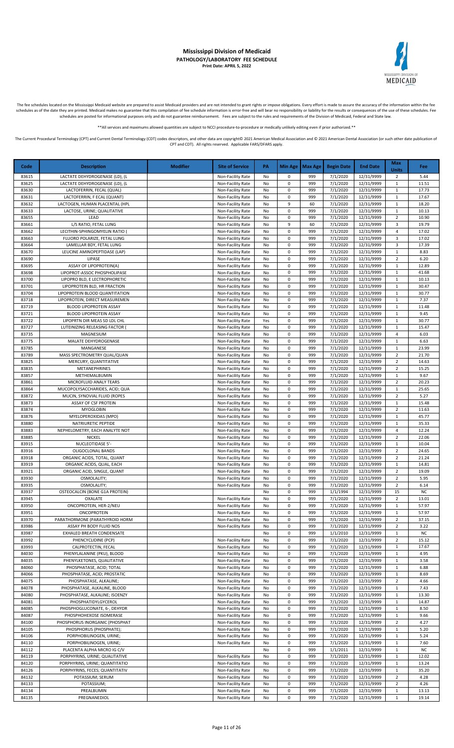## MEDICAID

#### **Mississippi Division of Medicaid PATHOLOGY/LABORATORY FEE SCHEDULE Print Date: APRIL 5, 2022**

The fee schedules located on the Mississippi Medicaid website are prepared to assist Medicaid providers and are not intended to grant rights or impose obligations. Every effort is made to assure the accuracy of the informa schedules as of the date they are printed. Medicaid makes no guarantee that this compilation of fee schedule information is error-free and will bear no responsibility or liability for the results or consequences of the use schedules are posted for informational purposes only and do not guarantee reimbursement. Fees are subject to the rules and requirements of the Division of Medicaid, Federal and State law.

\*All services and maximums allowed quantities are subject to NCCI procedure-to-procedure or medically unlikely editing even if prior authorized

The Current Procedural Terminology (CPT) and Current Dental Terminology (CDT) codes descriptors, and other data are copyright@ 2021 American Medical Association and @ 2021 American Dental Association (or such other date pu CPT and CDT). All rights reserved. Applicable FARS/DFARS apply.

**Code Description Modifier Site of Service PA Min Age Max Age Begin Date End Date Max Units Fee** 83615 LACTATE DEHYDROGENASE (LD), (L Non-Facility Rate No 0 999 7/1/2020 12/31/9999 2 5.44 83625 LACTATE DEHYDROGENASE (LD), (L Non-Facility Rate No 0 999 7/1/2020 12/31/9999 1 11.51 83630 | LACTOFERRIN, FECAL (QUAL) | Non-Facility Rate No 0 999 | 7/1/2020 | 12/31/9999 | 1 | 17.73 83631 LACTOFERRIN, F ECAL (QUANT) Non-Facility Rate No 0 999 7/1/2020 12/31/9999 1 1 17.67 83632 LACTOGEN, HUMAN PLACENTAL (HPL Non-Facility Rate No 9 60 7/1/2020 12/31/9999 1 18.20 83633 | LACTOSE, URINE; QUALITATIVE | Non-Facility Rate | No | 0 | 999 | 7/1/2020 | 12/31/9999 | 1 | 10.13 83655 LEAD Non-Facility Rate No 0 999 7/1/2020 12/31/9999 2 10.90 83661 | L/S RATIO, FETAL LUNG | Non-Facility Rate | No | 9 | 60 | 7/1/2020 | 12/31/9999 | 3 | 19.79 83662 LECITHIN-SPHINGOMYELIN RATIO ( Non-Facility Rate No 0 999 7/1/2020 12/31/9999 4 17.02 83663 FLUORO POLARIZE, FETAL LUNG Non-Facility Rate No 0 999 7/1/2020 12/31/9999 3 17.02 83664 | LAMELLAR BDY, FETAL LUNG | NON-Facility Rate No 0 999 | 7/1/2020 | 12/31/9999 | 3 | 17.39 83670 | LEUCINE AMINOPEPTIDASE (LAP) | Non-Facility Rate | No | 0 | 999 | 7/1/2020 | 12/31/9999 | 1 | 8.83 83690 LIPASE Non-Facility Rate No 0 999 7/1/2020 12/31/9999 2 6.20 83695 ASSAY OF LIPOPROTEIN(A) Non-Facility Rate No 0 999 7/1/2020 12/31/9999 1 12.89 83698 LIPOPROT-ASSOC PHOSPHOLIPASE Non-Facility Rate No 0 999 7/1/2020 12/31/9999 1 41.68<br>83700 LIPOPRO BLD, E LECTROPHORETIC Non-Facility Rate No 0 999 7/1/2020 12/31/9999 1 10.13 83700 LIPOPRO BLD, E LECTROPHORETIC NON-Facility Rate No 0 999 7/1/2020 12/31/9999 1 10.13<br>83701 LIPOPROTEIN BLD, HR FRACTION NON-Facility Rate No 0 999 7/1/2020 12/31/9999 1 30.47 LIPOPROTEIN BLD, HR FRACTION | NON-Facility Rate No 0 999 7/1/2020 12/31/9999 83704 LIPOPROTEIN BLOOD QUANTITATION NON-Facility Rate No 0 999 7/1/2020 12/31/9999 1 30.77 83718 LIPOPROTEIN, DIRECT MEASUREMEN NO NON-Facility Rate No 0 999 7/1/2020 12/31/9999 1 7.37<br>83719 BLOOD LIPOPROTEIN ASSAY NON-Facility Rate No 0 999 7/1/2020 12/31/9999 1 11.48 83719 BLOOD LIPOPROTEIN ASSAY Non-Facility Rate No 0 999 7/1/2020 12/31/9999 1 11.48<br>83721 BLOOD LIPOPROTEIN ASSAY Non-Facility Rate No 0 999 7/1/2020 12/31/9999 1 9.45 BLOOD LIPOPROTEIN ASSAY Non-Facility Rate No 0 999 7/1/2020 12/31/9999 1 83722 LIPOPRTN DIR MEAS SD LDL CHL NON-Facility Rate Yes 0 999 7/1/2020 12/31/9999 1 30.77 83727 LUTEINIZING RELEASING FACTOR ( Non-Facility Rate No 0 999 7/1/2020 12/31/9999 1 15.47<br>83735 MAGNESIUM ( Non-Facility Rate No 0 999 7/1/2020 12/31/9999 4 6.03 83735 MAGNESIUM Non-Facility Rate No 0 999 7/1/2020 12/31/9999 4 6.03 83775 MALATE DEHYDROGENASE NO 800 12/31/9999 1 6.63 83785 MANGANESE Non-Facility Rate No 0 999 7/1/2020 12/31/9999 1 23.99 83789 | MASS SPECTROMETRY QUAL/QUAN | Non-Facility Rate No 0 999 | 7/1/2020 | 12/31/9999 | 2 | 21.70 83825 MERCURY, QUANTITATIVE Non-Facility Rate No 0 999 7/1/2020 12/31/9999 2 14.63 83835 METANEPHRINES Non-Facility Rate No 0 999 7/1/2020 12/31/9999 2 15.25 83857 METHEMALBUMIN Non-Facility Rate No 0 999 7/1/2020 12/31/9999 1 9.67 83861 | MICROFLUID ANALY TEARS | Non-Facility Rate No 0 999 | 7/1/2020 | 12/31/9999 2 | 20.23 83864 MUCOPOLYSACCHARIDES, ACID; QUA Non-Facility Rate No 0 999 7/1/2020 12/31/9999 1 25.65 83872 MUCIN, SYNOVIAL FLUID (ROPES Non-Facility Rate No 0 999 7/1/2020 12/31/9999 2 5.27 83873 ASSAY OF CSF PROTEIN Non-Facility Rate No 0 999 7/1/2020 12/31/9999 1 15.48 83874 MYOGLOBIN Non-Facility Rate No 0 999 7/1/2020 12/31/9999 2 11.63 83876 MYELOPEROXIDAS (MPO) Non-Facility Rate No 0 999 7/1/2020 12/31/9999 1 45.77<br>83880 NATRIURETIC PEPTIDE NON-Facility Rate No 0 999 7/1/2020 12/31/9999 1 35.33 83880 NATRIURETIC PEPTIDE NON-Facility Rate No 0 999 7/1/2020 12/31/9999 1 35.33 83883 NEPHELOMETRY, EACH ANALYTE NOT NOT NOT NOT NOT Facility Rate No 0 999 7/1/2020 12/31/9999 4 12.24 83885 NICKEL Non-Facility Rate No 0 999 7/1/2020 12/31/9999 2 22.06 83915 NUCLEOTIDASE 5'- Non-Facility Rate No 0 999 7/1/2020 12/31/9999 1 10.04 83916 OLIGOCLONAL BANDS Non-Facility Rate No 0 999 7/1/2020 12/31/9999 2 24.65 83918 ORGANIC ACIDS, TOTAL, QUANT NO NON-Facility Rate No 0 999 7/1/2020 12/31/9999 2 21.24 83919 ORGANIC ACIDS, QUAL, EACH Non-Facility Rate No 0 999 7/1/2020 12/31/9999 1 1 14.81 83921 ORGANIC ACID, SINGLE, QUANT Non-Facility Rate No 0 999 7/1/2020 12/31/9999 2 19.09<br>83930 OSMOLALITY; Non-Facility Rate No 0 999 7/1/2020 12/31/9999 2 5.95 83930 OSMOLALITY; Non-Facility Rate No 0 999 7/1/2020 12/31/9999 2 5.95 83935 OSMOLALITY; Non-Facility Rate No 0 999 7/1/2020 12/31/9999 2 6.14 83937 OSTEOCALCIN (BONE G1A PROTEIN) No 0 999 1/1/1994 12/31/9999 15 NC<br>83945 OXALATE OXALATE NO NOn-Facility Rate No 0 999 7/1/2020 12/31/9999 2 13.01 83945 OXALATE Non-Facility Rate No 0 999 7/1/2020 12/31/9999 2 13.01 83950 ONCOPROTEIN, HER-2/NEU Non-Facility Rate No 0 999 7/1/2020 12/31/9999 1 57.97 83951 ONCOPROTEIN Non-Facility Rate No 0 999 7/1/2020 12/31/9999 1 57.97 83970 | PARATHORMONE (PARATHYROID HORM | Non-Facility Rate No 0 999 | 7/1/2020 | 12/31/9999 | 2 | 37.15 83986 ASSAY PH BODY FLUID NOS Non-Facility Rate No 0 999 7/1/2020 12/31/9999 2 3.22 83987 EXHALED BREATH CONDENSATE NO 0 999 1/1/2010 12/31/9999 1 NO 83992 PHENCYCLIDINE (PCP) Non-Facility Rate No 0 999 7/1/2020 12/31/9999 2 15.12 83993 CALPROTECTIN, FECAL Non-Facility Rate No 0 999 7/1/2020 12/31/9999 1 17.67 84030 PHENYLALANINE (PKU), BLOOD Non-Facility Rate No 0 999 7/1/2020 12/31/9999 1 4.95 84035 PHENYLKETONES, QUALITATIVE Non-Facility Rate No 0 999 7/1/2020 12/31/9999 1 3.58 84060 PHOSPHATASE, ACID; TOTAL Non-Facility Rate No 0 999 7/1/2020 12/31/9999 1 6.88 84066 PHOSPHATASE, ACID; PROSTATIC Noted The Superfact Non-Facility Rate No 0 999 7/1/2020 12/31/9999 1 8.69 84075 PHOSPHATASE, ALKALINE; Non-Facility Rate No 0 999 7/1/2020 12/31/9999 2 4.66 84078 PHOSPHATASE, ALKALINE, BLOOD Non-Facility Rate No 0 999 7/1/2020 12/31/9999 1 84080 PHOSPHATASE, ALKALINE; ISOENZY Non-Facility Rate No 0 999 7/1/2020 12/31/9999 1 13.30 84081 PHOSPHATIDYLGYCEROL Non-Facility Rate No 0 999 7/1/2020 12/31/9999 1 14.87<br>84085 PHOSPHOGLUCONATE, 6-, DEHYDR Non-Facility Rate No 0 999 7/1/2020 12/31/9999 1 8.50 84087 PHOSPHOGLUCONATE, 6-, DEHYDR NON-Facility Rate No 0 999 7/1/2020 12/31/9999 1 8.50<br>PHOSPHOHEXOSE ISOMERASE Non-Facility Rate No 0 999 7/1/2020 12/31/9999 1 9.66 84087 PHOSPHOHEXOSE ISOMERASE Non-Facility Rate No 0 999 7/1/2020 12/31/9999 1 84100 PHOSPHORUS INORGANIC (PHOSPHAT Non-Facility Rate No 0 999 7/1/2020 12/31/9999 2 4.27 84105 PHOSPHORUS (PHOSPHATE); Non-Facility Rate No 0 999 7/1/2020 12/31/9999 1 5.20 PORPHOBILINOGEN, URINE; Non-Facility Rate No 0 999 7/1/2020 12/31/9999 1 84110 PORPHOBILINOGEN, URINE; Non-Facility Rate No 0 999 7/1/2020 12/31/9999 1 7.60 R4112 PLACENTA ALPHA MICRO IG C/V NO 2000 I NO 0 999 1/1/2011 12/31/9999 1 NC 84119 PORPHYRINS, URINE; QUALITATIVE None Facility Rate No 0 999 7/1/2020 12/31/9999 1 2020 84120 PORPHYRINS, URINE; QUANTITATIO Non-Facility Rate No 0 999 7/1/2020 12/31/9999 1 13.24<br>84126 PORPHYRINS, FECES; QUANTITATIV Non-Facility Rate No 0 999 7/1/2020 12/31/9999 1 35.20 84126 PORPHYRINS, FECES; QUANTITATIV NON-Facility Rate No 0 999 7/1/2020 12/31/9999 1 84132 POTASSIUM; SERUM Non-Facility Rate No 0 999 7/1/2020 12/31/9999 2 4.28 84133 POTASSIUM; Non-Facility Rate No 0 999 7/1/2020 12/31/9999 2 4.26 84134 PREALBUMIN Non-Facility Rate No 0 999 7/1/2020 12/31/9999 1 13.13 84135 PREGNANEDIOL Non-Facility Rate No 0 999 7/1/2020 12/31/9999 1 19.14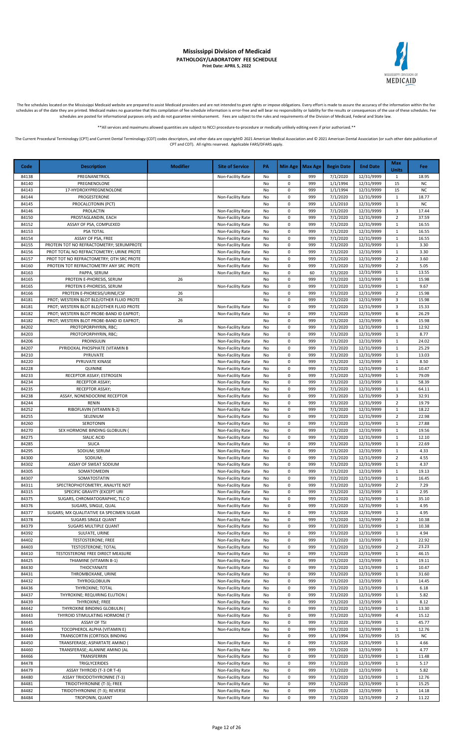

The fee schedules located on the Mississippi Medicaid website are prepared to assist Medicaid providers and are not intended to grant rights or impose obligations. Every effort is made to assure the accuracy of the informa

\*\*All services and maximums allowed quantities are subject to NCCI procedure-to-procedure or medically unlikely editing even if prior authorized.\*\*

| Code           | <b>Description</b>                                     | <b>Modifier</b> | <b>Site of Service</b>                 | PA       |                | Min Age   Max Age | <b>Begin Date</b>    | <b>End Date</b>          | Max<br><b>Units</b>          | <b>Fee</b>     |
|----------------|--------------------------------------------------------|-----------------|----------------------------------------|----------|----------------|-------------------|----------------------|--------------------------|------------------------------|----------------|
| 84138          | PREGNANETRIOL                                          |                 | Non-Facility Rate                      | No       | 0              | 999               | 7/1/2020             | 12/31/9999               | 1                            | 18.95          |
| 84140          | PREGNENOLONE                                           |                 |                                        | No       | 0              | 999               | 1/1/1994             | 12/31/9999               | 15                           | <b>NC</b>      |
| 84143          | 17-HYDROXYPREGNENOLONE                                 |                 |                                        | No       | 0              | 999               | 1/1/1994             | 12/31/9999               | 15                           | <b>NC</b>      |
| 84144          | PROGESTERONE                                           |                 | Non-Facility Rate                      | No       | 0              | 999               | 7/1/2020             | 12/31/9999               | $\mathbf{1}$                 | 18.77          |
| 84145          | PROCALCITONIN (PCT)                                    |                 |                                        | No       | 0              | 999               | 1/1/2010             | 12/31/9999               | $\mathbf{1}$                 | <b>NC</b>      |
| 84146<br>84150 | PROLACTIN<br>PROSTAGLANDIN, EACH                       |                 | Non-Facility Rate<br>Non-Facility Rate | No<br>No | 0<br>0         | 999<br>999        | 7/1/2020<br>7/1/2020 | 12/31/9999<br>12/31/9999 | 3<br>$\overline{2}$          | 17.44<br>37.59 |
| 84152          | ASSAY OF PSA, COMPLEXED                                |                 | Non-Facility Rate                      | No       | $\pmb{0}$      | 999               | 7/1/2020             | 12/31/9999               | $\mathbf{1}$                 | 16.55          |
| 84153          | PSA TOTAL                                              |                 | Non-Facility Rate                      | No       | $\pmb{0}$      | 999               | 7/1/2020             | 12/31/9999               | $\mathbf{1}$                 | 16.55          |
| 84154          | ASSAY OF PSA, FREE                                     |                 | Non-Facility Rate                      | No       | 0              | 999               | 7/1/2020             | 12/31/9999               | $\mathbf{1}$                 | 16.55          |
| 84155          | PROTEIN TOT NO REFRACTOMETRY; SERUMPROTE               |                 | Non-Facility Rate                      | No       | 0              | 999               | 7/1/2020             | 12/31/9999               | $\mathbf 1$                  | 3.30           |
| 84156          | PROT TOTAL NO REFRACTOMETRY; URINE PROTE               |                 | Non-Facility Rate                      | No       | $\pmb{0}$      | 999               | 7/1/2020             | 12/31/9999               | 1                            | 3.30           |
| 84157          | PROT TOT NO REFRACTOMETRY; OTH SRC PROTE               |                 | Non-Facility Rate                      | No       | $\pmb{0}$      | 999               | 7/1/2020             | 12/31/9999               | $\overline{2}$               | 3.60           |
| 84160          | PROTEIN TOT REFRACTOMETRY ANY SRC PROTE                |                 | Non-Facility Rate                      | No       | 0              | 999               | 7/1/2020             | 12/31/9999               | $\overline{2}$               | 5.05           |
| 84163          | PAPPA, SERUM                                           |                 | Non-Facility Rate                      | No       | 0              | 60                | 7/1/2020             | 12/31/9999               | $\mathbf{1}$                 | 13.55          |
| 84165<br>84165 | PROTEIN E-PHORESIS, SERUM<br>PROTEIN E-PHORESIS, SERUM | 26              |                                        | No<br>No | 0<br>0         | 999<br>999        | 7/1/2020<br>7/1/2020 | 12/31/9999<br>12/31/9999 | 1<br>$\mathbf{1}$            | 15.98<br>9.67  |
| 84166          | PROTEIN E-PHORESIS/URINE/CSF                           | 26              | Non-Facility Rate                      | No       | $\mathbf 0$    | 999               | 7/1/2020             | 12/31/9999               | $\overline{2}$               | 15.98          |
| 84181          | PROT; WESTERN BLOT BLD/OTHER FLUID PROTE               | 26              |                                        | No       | 0              | 999               | 7/1/2020             | 12/31/9999               | 3                            | 15.98          |
| 84181          | PROT; WESTERN BLOT BLD/OTHER FLUID PROTE               |                 | Non-Facility Rate                      | No       | $\pmb{0}$      | 999               | 7/1/2020             | 12/31/9999               | 3                            | 15.33          |
| 84182          | PROT; WESTERN BLOT PROBE-BAND ID EAPROT;               |                 | Non-Facility Rate                      | No       | $\pmb{0}$      | 999               | 7/1/2020             | 12/31/9999               | 6                            | 26.29          |
| 84182          | PROT; WESTERN BLOT PROBE-BAND ID EAPROT;               | 26              |                                        | No       | $\pmb{0}$      | 999               | 7/1/2020             | 12/31/9999               | 6                            | 15.98          |
| 84202          | PROTOPORPHYRIN, RBC;                                   |                 | Non-Facility Rate                      | No       | 0              | 999               | 7/1/2020             | 12/31/9999               | $\mathbf{1}$                 | 12.92          |
| 84203          | PROTOPORPHYRIN, RBC;                                   |                 | Non-Facility Rate                      | No       | 0              | 999               | 7/1/2020             | 12/31/9999               | $\mathbf{1}$                 | 8.77           |
| 84206          | <b>PROINSULIN</b>                                      |                 | Non-Facility Rate                      | No       | $\pmb{0}$      | 999               | 7/1/2020             | 12/31/9999               | 1                            | 24.02          |
| 84207          | PYRIDOXAL PHOSPHATE (VITAMIN B                         |                 | Non-Facility Rate                      | No       | 0              | 999               | 7/1/2020             | 12/31/9999               | $\mathbf 1$                  | 25.29          |
| 84210          | PYRUVATE                                               |                 | Non-Facility Rate                      | No       | 0<br>0         | 999<br>999        | 7/1/2020<br>7/1/2020 | 12/31/9999               | $\mathbf{1}$<br>$\mathbf{1}$ | 13.03<br>8.50  |
| 84220<br>84228 | PYRUVATE KINASE<br><b>QUININE</b>                      |                 | Non-Facility Rate<br>Non-Facility Rate | No<br>No | 0              | 999               | 7/1/2020             | 12/31/9999<br>12/31/9999 | $\mathbf{1}$                 | 10.47          |
| 84233          | RECEPTOR ASSAY; ESTROGEN                               |                 | Non-Facility Rate                      | No       | 0              | 999               | 7/1/2020             | 12/31/9999               | $\mathbf{1}$                 | 79.09          |
| 84234          | RECEPTOR ASSAY;                                        |                 | Non-Facility Rate                      | No       | 0              | 999               | 7/1/2020             | 12/31/9999               | 1                            | 58.39          |
| 84235          | RECEPTOR ASSAY;                                        |                 | Non-Facility Rate                      | No       | $\pmb{0}$      | 999               | 7/1/2020             | 12/31/9999               | $\mathbf{1}$                 | 64.11          |
| 84238          | ASSAY, NONENDOCRINE RECEPTOR                           |                 | Non-Facility Rate                      | No       | $\pmb{0}$      | 999               | 7/1/2020             | 12/31/9999               | 3                            | 32.91          |
| 84244          | <b>RENIN</b>                                           |                 | Non-Facility Rate                      | No       | $\pmb{0}$      | 999               | 7/1/2020             | 12/31/9999               | $\overline{2}$               | 19.79          |
| 84252          | RIBOFLAVIN (VITAMIN B-2)                               |                 | Non-Facility Rate                      | No       | 0              | 999               | 7/1/2020             | 12/31/9999               | $\mathbf{1}$                 | 18.22          |
| 84255          | SELENIUM                                               |                 | Non-Facility Rate                      | No       | 0              | 999               | 7/1/2020             | 12/31/9999               | $\overline{2}$               | 22.98          |
| 84260          | <b>SEROTONIN</b>                                       |                 | Non-Facility Rate                      | No       | $\pmb{0}$      | 999               | 7/1/2020             | 12/31/9999               | $\mathbf{1}$                 | 27.88          |
| 84270          | SEX HORMONE BINDING GLOBULIN (                         |                 | Non-Facility Rate                      | No       | $\pmb{0}$      | 999               | 7/1/2020             | 12/31/9999               | $\mathbf{1}$                 | 19.56          |
| 84275          | SIALIC ACID                                            |                 | Non-Facility Rate                      | No       | 0              | 999               | 7/1/2020             | 12/31/9999               | $\mathbf 1$                  | 12.10          |
| 84285<br>84295 | SILICA<br>SODIUM; SERUM                                |                 | Non-Facility Rate<br>Non-Facility Rate | No<br>No | 0<br>0         | 999<br>999        | 7/1/2020<br>7/1/2020 | 12/31/9999<br>12/31/9999 | $\mathbf{1}$<br>$\mathbf{1}$ | 22.69<br>4.33  |
| 84300          | SODIUM;                                                |                 | Non-Facility Rate                      | No       | 0              | 999               | 7/1/2020             | 12/31/9999               | $\overline{2}$               | 4.55           |
| 84302          | ASSAY OF SWEAT SODIUM                                  |                 | Non-Facility Rate                      | No       | 0              | 999               | 7/1/2020             | 12/31/9999               | $\mathbf{1}$                 | 4.37           |
| 84305          | SOMATOMEDIN                                            |                 | Non-Facility Rate                      | No       | $\pmb{0}$      | 999               | 7/1/2020             | 12/31/9999               | 1                            | 19.13          |
| 84307          | SOMATOSTATIN                                           |                 | Non-Facility Rate                      | No       | $\pmb{0}$      | 999               | 7/1/2020             | 12/31/9999               | $\mathbf{1}$                 | 16.45          |
| 84311          | SPECTROPHOTOMETRY, ANALYTE NOT                         |                 | Non-Facility Rate                      | No       | $\pmb{0}$      | 999               | 7/1/2020             | 12/31/9999               | $\overline{2}$               | 7.29           |
| 84315          | SPECIFIC GRAVITY (EXCEPT URI                           |                 | Non-Facility Rate                      | No       | 0              | 999               | 7/1/2020             | 12/31/9999               | $\mathbf{1}$                 | 2.95           |
| 84375          | SUGARS, CHROMATOGRAPHIC, TLC O                         |                 | Non-Facility Rate                      | No       | 0              | 999               | 7/1/2020             | 12/31/9999               | 1                            | 35.10          |
| 84376          | SUGARS, SINGLE, QUAL                                   |                 | Non-Facility Rate                      | No       | 0              | 999               | 7/1/2020             | 12/31/9999               | 1                            | 4.95           |
| 84377          | SUGARS; MX QUALITATIVE EA SPECIMEN SUGAR               |                 | Non-Facility Rate                      | No       | $\pmb{0}$      | 999               | 7/1/2020             | 12/31/9999               | 1                            | 4.95           |
| 84378<br>84379 | <b>SUGARS SINGLE QUANT</b><br>SUGARS MULTIPLE QUANT    |                 | Non-Facility Rate<br>Non-Facility Rate | No<br>No | $\pmb{0}$<br>0 | 999<br>999        | 7/1/2020<br>7/1/2020 | 12/31/9999<br>12/31/9999 | 2<br>$\mathbf{1}$            | 10.38<br>10.38 |
| 84392          | SULFATE, URINE                                         |                 | Non-Facility Rate                      | No       | 0              | 999               | 7/1/2020             | 12/31/9999               | 1                            | 4.94           |
| 84402          | <b>TESTOSTERONE; FREE</b>                              |                 | Non-Facility Rate                      | No       | 0              | 999               | 7/1/2020             | 12/31/9999               | $\mathbf{1}$                 | 22.92          |
| 84403          | <b>TESTOSTERONE; TOTAL</b>                             |                 | Non-Facility Rate                      | No       | 0              | 999               | 7/1/2020             | 12/31/9999               | $\overline{2}$               | 23.23          |
| 84410          | TESTOSTERONE FREE DIRECT MEASURE                       |                 | Non-Facility Rate                      | No       | 0              | 999               | 7/1/2020             | 12/31/9999               | 1                            | 46.15          |
| 84425          | THIAMINE (VITAMIN B-1)                                 |                 | Non-Facility Rate                      | No       | 0              | 999               | 7/1/2020             | 12/31/9999               | 1                            | 19.11          |
| 84430          | THIOCYANATE                                            |                 | Non-Facility Rate                      | No       | $\pmb{0}$      | 999               | 7/1/2020             | 12/31/9999               | 1                            | 10.47          |
| 84431          | THROMBOXANE, URINE                                     |                 | Non-Facility Rate                      | No       | $\pmb{0}$      | 999               | 7/1/2020             | 12/31/9999               | 1                            | 31.60          |
| 84432          | THYROGLOBULIN                                          |                 | Non-Facility Rate                      | No       | 0              | 999               | 7/1/2020             | 12/31/9999               | 1                            | 14.45          |
| 84436          | THYROXINE; TOTAL                                       |                 | Non-Facility Rate                      | No       | 0              | 999               | 7/1/2020             | 12/31/9999               | $\mathbf{1}$                 | 6.18           |
| 84437          | THYROXINE; REQUIRING ELUTION (                         |                 | Non-Facility Rate                      | No       | 0              | 999               | 7/1/2020             | 12/31/9999               | 1                            | 5.82           |
| 84439<br>84442 | THYROXINE; FREE<br>THYROXINE BINDING GLOBULIN (        |                 | Non-Facility Rate                      | No       | $\pmb{0}$<br>0 | 999<br>999        | 7/1/2020<br>7/1/2020 | 12/31/9999<br>12/31/9999 | $\mathbf{1}$<br>1            | 8.12<br>13.30  |
| 84443          | THYROID STIMULATING HORMONE (T                         |                 | Non-Facility Rate<br>Non-Facility Rate | No<br>No | 0              | 999               | 7/1/2020             | 12/31/9999               | 4                            | 15.12          |
| 84445          | <b>ASSAY OF TSI</b>                                    |                 | Non-Facility Rate                      | No       | 0              | 999               | 7/1/2020             | 12/31/9999               | 1                            | 45.77          |
| 84446          | TOCOPHEROL ALPHA (VITAMIN E)                           |                 | Non-Facility Rate                      | No       | 0              | 999               | 7/1/2020             | 12/31/9999               | $\mathbf{1}$                 | 12.76          |
| 84449          | TRANSCORTIN (CORTISOL BINDING                          |                 |                                        | No       | 0              | 999               | 1/1/1994             | 12/31/9999               | 15                           | <b>NC</b>      |
| 84450          | TRANSFERASE; ASPARTATE AMINO                           |                 | Non-Facility Rate                      | No       | 0              | 999               | 7/1/2020             | 12/31/9999               | 1                            | 4.66           |
| 84460          | TRANSFERASE; ALANINE AMINO (AL                         |                 | Non-Facility Rate                      | No       | $\pmb{0}$      | 999               | 7/1/2020             | 12/31/9999               | $\mathbf{1}$                 | 4.77           |
| 84466          | TRANSFERRIN                                            |                 | Non-Facility Rate                      | No       | 0              | 999               | 7/1/2020             | 12/31/9999               | 1                            | 11.48          |
| 84478          | TRIGLYCERIDES                                          |                 | Non-Facility Rate                      | No       | $\pmb{0}$      | 999               | 7/1/2020             | 12/31/9999               | 1                            | 5.17           |
| 84479          | ASSAY THYROID (T-3 OR T-4)                             |                 | Non-Facility Rate                      | No       | 0              | 999               | 7/1/2020             | 12/31/9999               | 1                            | 5.82           |
| 84480          | <b>ASSAY TRIIODOTHYRONINE (T-3)</b>                    |                 | Non-Facility Rate                      | No       | $\pmb{0}$      | 999               | 7/1/2020             | 12/31/9999               | $\mathbf{1}$                 | 12.76          |
| 84481          | TRIDOTHYRONINE (T-3); FREE                             |                 | Non-Facility Rate                      | No       | 0              | 999<br>999        | 7/1/2020             | 12/31/9999               | 1                            | 15.25          |
| 84482<br>84484 | TRIDOTHYRONINE (T-3); REVERSE<br>TROPONIN, QUANT       |                 | Non-Facility Rate<br>Non-Facility Rate | No<br>No | $\pmb{0}$<br>0 | 999               | 7/1/2020<br>7/1/2020 | 12/31/9999<br>12/31/9999 | $\mathbf{1}$<br>2            | 14.18<br>11.22 |
|                |                                                        |                 |                                        |          |                |                   |                      |                          |                              |                |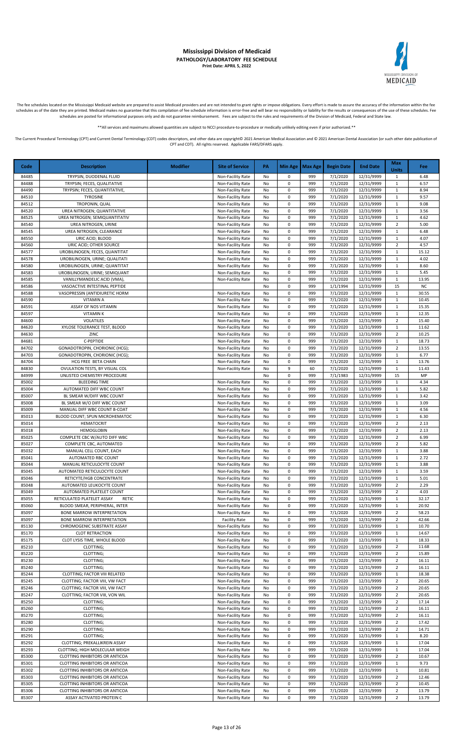

The fee schedules located on the Mississippi Medicaid website are prepared to assist Medicaid providers and are not intended to grant rights or impose obligations. Every effort is made to assure the accuracy of the informa

\*\*All services and maximums allowed quantities are subject to NCCI procedure-to-procedure or medically unlikely editing even if prior authorized.\*\*

| 84485<br>TRYPSIN, DUODENAL FLUID<br>999<br>7/1/2020<br>12/31/9999<br>1<br>Non-Facility Rate<br>No<br>0<br>6.48<br>TRYPSIN; FECES, QUALITATIVE<br>0<br>7/1/2020<br>12/31/9999<br>$\mathbf 1$<br>84488<br>Non-Facility Rate<br>999<br>6.57<br>No<br>7/1/2020<br>84490<br>TRYPSIN; FECES, QUANTITATIVE,<br>Non-Facility Rate<br>0<br>999<br>12/31/9999<br>8.94<br>No<br>1<br>84510<br>0<br>999<br>7/1/2020<br>12/31/9999<br>9.57<br><b>TYROSINE</b><br>Non-Facility Rate<br>No<br>$\mathbf{1}$<br>84512<br>0<br>7/1/2020<br>12/31/9999<br>TROPONIN, QUAL<br>Non-Facility Rate<br>999<br>9.08<br>No<br>1<br>84520<br>0<br>999<br>7/1/2020<br>12/31/9999<br>UREA NITROGEN; QUANTITATIVE<br>Non-Facility Rate<br>$\mathbf{1}$<br>3.56<br>No<br>84525<br>7/1/2020<br>12/31/9999<br>UREA NITROGEN; SEMIQUANTITATIV<br>0<br>999<br>$\mathbf{1}$<br>4.62<br>Non-Facility Rate<br>No<br>0<br>7/1/2020<br>12/31/9999<br>$\overline{2}$<br>5.00<br>84540<br>UREA NITROGEN, URINE<br>Non-Facility Rate<br>999<br>No<br>84545<br>UREA NITROGEN, CLEARANCE<br>Non-Facility Rate<br>0<br>999<br>7/1/2020<br>12/31/9999<br>6.48<br>No<br>1<br>84550<br>0<br>999<br>7/1/2020<br>12/31/9999<br>4.07<br>URIC ACID; BLOOD<br>Non-Facility Rate<br>No<br>$\mathbf{1}$<br>$\pmb{0}$<br>7/1/2020<br>$\overline{2}$<br>4.57<br>84560<br>URIC ACID; OTHER SOURCE<br>Non-Facility Rate<br>No<br>999<br>12/31/9999<br>84577<br>UROBILINOGEN, FECES, QUANTITAT<br>$\pmb{0}$<br>999<br>7/1/2020<br>12/31/9999<br>15.12<br>Non-Facility Rate<br>$\mathbf{1}$<br>No<br>84578<br>UROBILINOGEN, URINE; QUALITATI<br>0<br>999<br>7/1/2020<br>12/31/9999<br>4.02<br>Non-Facility Rate<br>$\mathbf{1}$<br>No<br>0<br>7/1/2020<br>8.60<br>84580<br>UROBILINOGEN, URINE; QUANTITAT<br>Non-Facility Rate<br>No<br>999<br>12/31/9999<br>$\mathbf{1}$<br>$\mathbf 0$<br>7/1/2020<br>84583<br>UROBILINOGEN, URINE; SEMIQUANT<br>Non-Facility Rate<br>999<br>12/31/9999<br>$\mathbf{1}$<br>5.45<br>No<br>84585<br>VANILLYMANDELIC ACID (VMA),<br>0<br>999<br>7/1/2020<br>12/31/9999<br>13.95<br>Non-Facility Rate<br>No<br>1<br>84586<br>VASOACTIVE INTESTINAL PEPTIDE<br>0<br>999<br>1/1/1994<br>12/31/9999<br>15<br><b>NC</b><br>No<br>7/1/2020<br>12/31/9999<br>30.55<br>84588<br>VASOPRESSIN (ANTIDIURETIC HORM<br>0<br>999<br>Non-Facility Rate<br>No<br>1<br>7/1/2020<br>12/31/9999<br>84590<br><b>VITAMIN A</b><br>0<br>999<br>$\mathbf{1}$<br>10.45<br>Non-Facility Rate<br>No<br>0<br>7/1/2020<br>84591<br>ASSAY OF NOS VITAMIN<br>999<br>12/31/9999<br>$\mathbf{1}$<br>15.35<br>Non-Facility Rate<br>No<br>7/1/2020<br>84597<br>0<br>999<br>12/31/9999<br>$\mathbf{1}$<br>12.35<br>VITAMIN K<br>Non-Facility Rate<br>No<br>84600<br><b>VOLATILES</b><br>Non-Facility Rate<br>0<br>999<br>7/1/2020<br>12/31/9999<br>$\overline{2}$<br>15.40<br>No<br>XYLOSE TOLERANCE TEST, BLOOD<br>$\pmb{0}$<br>7/1/2020<br>12/31/9999<br>11.62<br>84620<br>Non-Facility Rate<br>No<br>999<br>$\mathbf{1}$<br>$\pmb{0}$<br>7/1/2020<br>12/31/9999<br>10.25<br>84630<br>ZINC<br>Non-Facility Rate<br>No<br>999<br>$\overline{2}$<br>84681<br>C-PEPTIDE<br>0<br>999<br>7/1/2020<br>12/31/9999<br>18.73<br>Non-Facility Rate<br>No<br>1<br>0<br>7/1/2020<br>12/31/9999<br>$\overline{2}$<br>84702<br>GONADOTROPIN, CHORIONIC (HCG);<br>Non-Facility Rate<br>No<br>999<br>13.55<br>84703<br>0<br>7/1/2020<br>12/31/9999<br>6.77<br>GONADOTROPIN, CHORIONIC (HCG);<br>Non-Facility Rate<br>No<br>999<br>$\mathbf{1}$<br>7/1/2020<br>84704<br>HCG FREE BETA CHAIN<br>Non-Facility Rate<br>0<br>999<br>12/31/9999<br>13.76<br>No<br>1<br>84830<br>9<br>7/1/2020<br>12/31/9999<br>11.43<br>OVULATION TESTS, BY VISUAL COL<br>Non-Facility Rate<br>60<br>$\mathbf{1}$<br>No<br>84999<br>UNLISTED CHEMISTRY PROCEDURE<br>0<br>999<br>7/1/1983<br>12/31/9999<br>15<br>No<br>MP<br>999<br>7/1/2020<br>85002<br><b>BLEEDING TIME</b><br>0<br>12/31/9999<br>4.34<br>Non-Facility Rate<br>No<br>1<br>7/1/2020<br>85004<br>AUTOMATED DIFF WBC COUNT<br>0<br>999<br>12/31/9999<br>5.82<br>Non-Facility Rate<br>$\mathbf{1}$<br>No<br>0<br>7/1/2020<br>85007<br>BL SMEAR W/DIFF WBC COUNT<br>999<br>12/31/9999<br>$\mathbf{1}$<br>3.42<br>Non-Facility Rate<br>No<br>0<br>7/1/2020<br>85008<br>BL SMEAR W/O DIFF WBC COUNT<br>Non-Facility Rate<br>999<br>12/31/9999<br>3.09<br>No<br>1<br>0<br>7/1/2020<br>85009<br>MANUAL DIFF WBC COUNT B-COAT<br>Non-Facility Rate<br>999<br>12/31/9999<br>$\mathbf{1}$<br>4.56<br>No<br>85013<br>BLOOD COUNT; SPUN MICROHEMATOC<br>$\pmb{0}$<br>999<br>7/1/2020<br>12/31/9999<br>6.30<br>Non-Facility Rate<br>No<br>$\mathbf{1}$<br>85014<br>$\pmb{0}$<br>7/1/2020<br>12/31/9999<br>$\overline{2}$<br><b>HEMATOCRIT</b><br>Non-Facility Rate<br>999<br>2.13<br>No<br>85018<br><b>HEMOGLOBIN</b><br>0<br>999<br>7/1/2020<br>12/31/9999<br>$\overline{2}$<br>2.13<br>Non-Facility Rate<br>No<br>85025<br>COMPLETE CBC W/AUTO DIFF WBC<br>0<br>7/1/2020<br>$\overline{2}$<br>6.99<br>Non-Facility Rate<br>No<br>999<br>12/31/9999<br>85027<br>COMPLETE CBC, AUTOMATED<br>Non-Facility Rate<br>0<br>999<br>7/1/2020<br>12/31/9999<br>2<br>5.82<br>No<br>85032<br>$\pmb{0}$<br>7/1/2020<br>MANUAL CELL COUNT, EACH<br>Non-Facility Rate<br>999<br>12/31/9999<br>$\mathbf{1}$<br>3.88<br>No<br>85041<br>0<br>7/1/2020<br>12/31/9999<br>2.72<br>AUTOMATED RBC COUNT<br>999<br>Non-Facility Rate<br>No<br>1<br>85044<br>0<br>999<br>7/1/2020<br>12/31/9999<br>3.88<br>MANUAL RETICULOCYTE COUNT<br>$\mathbf{1}$<br>Non-Facility Rate<br>No<br>7/1/2020<br>85045<br>AUTOMATED RETICULOCYTE COUNT<br>0<br>999<br>12/31/9999<br>3.59<br>Non-Facility Rate<br>No<br>1<br>0<br>7/1/2020<br>12/31/9999<br>$\mathbf{1}$<br>85046<br>RETICYTE/HGB CONCENTRATE<br>Non-Facility Rate<br>999<br>5.01<br>No<br>$\overline{2}$<br>85048<br>AUTOMATED LEUKOCYTE COUNT<br>0<br>999<br>7/1/2020<br>12/31/9999<br>2.29<br>Non-Facility Rate<br>No<br>999<br>85049<br>$\Omega$<br>7/1/2020<br>12/31/9999<br>$\overline{2}$<br>4.03<br>AUTOMATED PLATELET COUNT<br>Non-Facility Rate<br>No<br>12/31/9999<br>85055<br>RETICULATED PLATELET ASSAY<br><b>RETIC</b><br>Non-Facility Rate<br>0<br>999<br>7/1/2020<br>32.17<br>No<br>1<br>85060<br>7/1/2020<br>12/31/9999<br>20.92<br>BLOOD SMEAR, PERIPHERAL, INTER<br>Non-Facility Rate<br>No<br>0<br>999<br>1<br>85097<br><b>BONE MARROW INTERPRETATION</b><br>0<br>999<br>7/1/2020<br>12/31/9999<br>58.23<br>Non-Facility Rate<br>$\overline{2}$<br>No<br>0<br>7/1/2020<br>12/31/9999<br>$\overline{2}$<br>42.66<br>85097<br>BONE MARROW INTERPRETATION<br><b>Facility Rate</b><br>No<br>999<br>CHROMOGENIC SUBSTRATE ASSAY<br>0<br>7/1/2020<br>12/31/9999<br>85130<br>Non-Facility Rate<br>999<br>$\mathbf{1}$<br>10.70<br>No<br>85170<br>$\pmb{0}$<br>7/1/2020<br><b>CLOT RETRACTION</b><br>Non-Facility Rate<br>999<br>12/31/9999<br>14.67<br>No<br>1<br>85175<br>0<br>999<br>7/1/2020<br>12/31/9999<br>CLOT LYSIS TIME, WHOLE BLOOD<br>Non-Facility Rate<br>$\mathbf{1}$<br>18.33<br>No<br>85210<br>0<br>7/1/2020<br>12/31/9999<br>CLOTTING;<br>Non-Facility Rate<br>999<br>$\overline{2}$<br>11.68<br>No<br>85220<br>CLOTTING;<br>0<br>999<br>7/1/2020<br>12/31/9999<br>$\overline{2}$<br>15.89<br>Non-Facility Rate<br>No<br>85230<br>CLOTTING;<br>7/1/2020<br>12/31/9999<br>0<br>999<br>$\overline{2}$<br>16.11<br>Non-Facility Rate<br>No<br>85240<br>CLOTTING;<br>0<br>7/1/2020<br>12/31/9999<br>$\overline{2}$<br>16.11<br>Non-Facility Rate<br>999<br>No<br>85244<br>CLOTTING; FACTOR VIII RELATED<br>Non-Facility Rate<br>0<br>999<br>7/1/2020<br>12/31/9999<br>18.38<br>No<br>1<br>$\pmb{0}$<br>999<br>7/1/2020<br>12/31/9999<br>20.65<br>85245<br>CLOTTING; FACTOR VIII, VW FACT<br>Non-Facility Rate<br>No<br>$\overline{2}$<br>0<br>7/1/2020<br>85246<br>CLOTTING; FACTOR VIII, VW FACT<br>Non-Facility Rate<br>999<br>12/31/9999<br>$\overline{2}$<br>20.65<br>No<br>85247<br>CLOTTING; FACTOR VIII, VON WIL<br>0<br>999<br>7/1/2020<br>12/31/9999<br>20.65<br>Non-Facility Rate<br>$\overline{2}$<br>No<br>85250<br>0<br>999<br>7/1/2020<br>12/31/9999<br>$\overline{2}$<br>17.14<br>CLOTTING;<br>Non-Facility Rate<br>No<br>0<br>7/1/2020<br>$\overline{2}$<br>85260<br>CLOTTING;<br>No<br>999<br>12/31/9999<br>16.11<br>Non-Facility Rate<br>0<br>7/1/2020<br>$\mathbf 2$<br>85270<br>CLOTTING;<br>Non-Facility Rate<br>999<br>12/31/9999<br>16.11<br>No<br>85280<br>CLOTTING;<br>0<br>999<br>7/1/2020<br>12/31/9999<br>$\overline{2}$<br>17.42<br>Non-Facility Rate<br>No<br>85290<br>CLOTTING;<br>0<br>999<br>7/1/2020<br>12/31/9999<br>$\overline{2}$<br>14.71<br>Non-Facility Rate<br>No<br>85291<br>7/1/2020<br>12/31/9999<br>CLOTTING;<br>0<br>999<br>8.20<br>Non-Facility Rate<br>No<br>1<br>85292<br>7/1/2020<br>12/31/9999<br>CLOTTING; PREKALLIKREIN ASSAY<br>0<br>999<br>$\mathbf{1}$<br>17.04<br>Non-Facility Rate<br>No<br>7/1/2020<br>85293<br>CLOTTING; HIGH MOLECULAR WEIGH<br>0<br>999<br>12/31/9999<br>$\mathbf{1}$<br>17.04<br>Non-Facility Rate<br>No<br>85300<br>0<br>999<br>7/1/2020<br>12/31/9999<br>$\overline{2}$<br>10.67<br><b>CLOTTING INHIBITORS OR ANTICOA</b><br>Non-Facility Rate<br>No<br>0<br>85301<br>CLOTTING INHIBITORS OR ANTICOA<br>Non-Facility Rate<br>999<br>7/1/2020<br>12/31/9999<br>9.73<br>No<br>1<br>0<br>7/1/2020<br>85302<br><b>CLOTTING INHIBITORS OR ANTICOA</b><br>Non-Facility Rate<br>No<br>999<br>12/31/9999<br>10.81<br>1<br>0<br>7/1/2020<br>12/31/9999<br>85303<br><b>CLOTTING INHIBITORS OR ANTICOA</b><br>Non-Facility Rate<br>No<br>999<br>$\overline{2}$<br>12.46<br>85305<br>7/1/2020<br><b>CLOTTING INHIBITORS OR ANTICOA</b><br>0<br>999<br>12/31/9999<br>$\overline{2}$<br>10.45<br>Non-Facility Rate<br>No<br>CLOTTING INHIBITORS OR ANTICOA<br>0<br>7/1/2020<br>12/31/9999<br>$\overline{2}$<br>85306<br>Non-Facility Rate<br>No<br>999<br>13.79<br>85307<br>ASSAY ACTIVATED PROTEIN C<br>7/1/2020<br>12/31/9999<br>$\overline{2}$<br>Non-Facility Rate<br>No<br>0<br>999<br>13.79 | Code | <b>Description</b> | <b>Modifier</b> | <b>Site of Service</b> | PA | Min Age   Max Age | <b>Begin Date</b> | <b>End Date</b> | <b>Max</b><br><b>Units</b> | Fee |
|----------------------------------------------------------------------------------------------------------------------------------------------------------------------------------------------------------------------------------------------------------------------------------------------------------------------------------------------------------------------------------------------------------------------------------------------------------------------------------------------------------------------------------------------------------------------------------------------------------------------------------------------------------------------------------------------------------------------------------------------------------------------------------------------------------------------------------------------------------------------------------------------------------------------------------------------------------------------------------------------------------------------------------------------------------------------------------------------------------------------------------------------------------------------------------------------------------------------------------------------------------------------------------------------------------------------------------------------------------------------------------------------------------------------------------------------------------------------------------------------------------------------------------------------------------------------------------------------------------------------------------------------------------------------------------------------------------------------------------------------------------------------------------------------------------------------------------------------------------------------------------------------------------------------------------------------------------------------------------------------------------------------------------------------------------------------------------------------------------------------------------------------------------------------------------------------------------------------------------------------------------------------------------------------------------------------------------------------------------------------------------------------------------------------------------------------------------------------------------------------------------------------------------------------------------------------------------------------------------------------------------------------------------------------------------------------------------------------------------------------------------------------------------------------------------------------------------------------------------------------------------------------------------------------------------------------------------------------------------------------------------------------------------------------------------------------------------------------------------------------------------------------------------------------------------------------------------------------------------------------------------------------------------------------------------------------------------------------------------------------------------------------------------------------------------------------------------------------------------------------------------------------------------------------------------------------------------------------------------------------------------------------------------------------------------------------------------------------------------------------------------------------------------------------------------------------------------------------------------------------------------------------------------------------------------------------------------------------------------------------------------------------------------------------------------------------------------------------------------------------------------------------------------------------------------------------------------------------------------------------------------------------------------------------------------------------------------------------------------------------------------------------------------------------------------------------------------------------------------------------------------------------------------------------------------------------------------------------------------------------------------------------------------------------------------------------------------------------------------------------------------------------------------------------------------------------------------------------------------------------------------------------------------------------------------------------------------------------------------------------------------------------------------------------------------------------------------------------------------------------------------------------------------------------------------------------------------------------------------------------------------------------------------------------------------------------------------------------------------------------------------------------------------------------------------------------------------------------------------------------------------------------------------------------------------------------------------------------------------------------------------------------------------------------------------------------------------------------------------------------------------------------------------------------------------------------------------------------------------------------------------------------------------------------------------------------------------------------------------------------------------------------------------------------------------------------------------------------------------------------------------------------------------------------------------------------------------------------------------------------------------------------------------------------------------------------------------------------------------------------------------------------------------------------------------------------------------------------------------------------------------------------------------------------------------------------------------------------------------------------------------------------------------------------------------------------------------------------------------------------------------------------------------------------------------------------------------------------------------------------------------------------------------------------------------------------------------------------------------------------------------------------------------------------------------------------------------------------------------------------------------------------------------------------------------------------------------------------------------------------------------------------------------------------------------------------------------------------------------------------------------------------------------------------------------------------------------------------------------------------------------------------------------------------------------------------------------------------------------------------------------------------------------------------------------------------------------------------------------------------------------------------------------------------------------------------------------------------------------------------------------------------------------------------------------------------------------------------------------------------------------------------------------------------------------------------------------------------------------------------------------------------------------------------------------------------------------------------------------------------------------------------------------------------------------------------------------------------------------------------------------------------------------------------------------------------------------------------------------------------------------------------------------------------------------------------------------------------------------------------------------------------------------------------------------------------------------------------------------------------------------------------------------------------------------------------------------------------------------------------------------------------------------------------------------------------------------------------------------------------------------------------------------------------------------------------------------------------------------------------------------------------------------------------------------------------------------------------------------------------------------------------------------------------------------------------------------------------------------------------------------------------------------------------------------------------------------------------------------------------------------------------------------------------------------------------------------------------------------------------------------------------------------------------------------------------------------------------------------------------------------------------------------------------------------------------------------------------------------------------------------------------------------------------------------------------------------------|------|--------------------|-----------------|------------------------|----|-------------------|-------------------|-----------------|----------------------------|-----|
|                                                                                                                                                                                                                                                                                                                                                                                                                                                                                                                                                                                                                                                                                                                                                                                                                                                                                                                                                                                                                                                                                                                                                                                                                                                                                                                                                                                                                                                                                                                                                                                                                                                                                                                                                                                                                                                                                                                                                                                                                                                                                                                                                                                                                                                                                                                                                                                                                                                                                                                                                                                                                                                                                                                                                                                                                                                                                                                                                                                                                                                                                                                                                                                                                                                                                                                                                                                                                                                                                                                                                                                                                                                                                                                                                                                                                                                                                                                                                                                                                                                                                                                                                                                                                                                                                                                                                                                                                                                                                                                                                                                                                                                                                                                                                                                                                                                                                                                                                                                                                                                                                                                                                                                                                                                                                                                                                                                                                                                                                                                                                                                                                                                                                                                                                                                                                                                                                                                                                                                                                                                                                                                                                                                                                                                                                                                                                                                                                                                                                                                                                                                                                                                                                                                                                                                                                                                                                                                                                                                                                                                                                                                                                                                                                                                                                                                                                                                                                                                                                                                                                                                                                                                                                                                                                                                                                                                                                                                                                                                                                                                                                                                                                                                                                                                                                                                                                                                                                                                                                                                                                                                                                                                                                                                                                                                                                                                                                                                                                                                                                                                                                                                                                                                                                                                                                                                                                                                                                                                                                                                                                                                                                                                                                                                                                                                                                                                                                                                                                                |      |                    |                 |                        |    |                   |                   |                 |                            |     |
|                                                                                                                                                                                                                                                                                                                                                                                                                                                                                                                                                                                                                                                                                                                                                                                                                                                                                                                                                                                                                                                                                                                                                                                                                                                                                                                                                                                                                                                                                                                                                                                                                                                                                                                                                                                                                                                                                                                                                                                                                                                                                                                                                                                                                                                                                                                                                                                                                                                                                                                                                                                                                                                                                                                                                                                                                                                                                                                                                                                                                                                                                                                                                                                                                                                                                                                                                                                                                                                                                                                                                                                                                                                                                                                                                                                                                                                                                                                                                                                                                                                                                                                                                                                                                                                                                                                                                                                                                                                                                                                                                                                                                                                                                                                                                                                                                                                                                                                                                                                                                                                                                                                                                                                                                                                                                                                                                                                                                                                                                                                                                                                                                                                                                                                                                                                                                                                                                                                                                                                                                                                                                                                                                                                                                                                                                                                                                                                                                                                                                                                                                                                                                                                                                                                                                                                                                                                                                                                                                                                                                                                                                                                                                                                                                                                                                                                                                                                                                                                                                                                                                                                                                                                                                                                                                                                                                                                                                                                                                                                                                                                                                                                                                                                                                                                                                                                                                                                                                                                                                                                                                                                                                                                                                                                                                                                                                                                                                                                                                                                                                                                                                                                                                                                                                                                                                                                                                                                                                                                                                                                                                                                                                                                                                                                                                                                                                                                                                                                                                                |      |                    |                 |                        |    |                   |                   |                 |                            |     |
|                                                                                                                                                                                                                                                                                                                                                                                                                                                                                                                                                                                                                                                                                                                                                                                                                                                                                                                                                                                                                                                                                                                                                                                                                                                                                                                                                                                                                                                                                                                                                                                                                                                                                                                                                                                                                                                                                                                                                                                                                                                                                                                                                                                                                                                                                                                                                                                                                                                                                                                                                                                                                                                                                                                                                                                                                                                                                                                                                                                                                                                                                                                                                                                                                                                                                                                                                                                                                                                                                                                                                                                                                                                                                                                                                                                                                                                                                                                                                                                                                                                                                                                                                                                                                                                                                                                                                                                                                                                                                                                                                                                                                                                                                                                                                                                                                                                                                                                                                                                                                                                                                                                                                                                                                                                                                                                                                                                                                                                                                                                                                                                                                                                                                                                                                                                                                                                                                                                                                                                                                                                                                                                                                                                                                                                                                                                                                                                                                                                                                                                                                                                                                                                                                                                                                                                                                                                                                                                                                                                                                                                                                                                                                                                                                                                                                                                                                                                                                                                                                                                                                                                                                                                                                                                                                                                                                                                                                                                                                                                                                                                                                                                                                                                                                                                                                                                                                                                                                                                                                                                                                                                                                                                                                                                                                                                                                                                                                                                                                                                                                                                                                                                                                                                                                                                                                                                                                                                                                                                                                                                                                                                                                                                                                                                                                                                                                                                                                                                                                                |      |                    |                 |                        |    |                   |                   |                 |                            |     |
|                                                                                                                                                                                                                                                                                                                                                                                                                                                                                                                                                                                                                                                                                                                                                                                                                                                                                                                                                                                                                                                                                                                                                                                                                                                                                                                                                                                                                                                                                                                                                                                                                                                                                                                                                                                                                                                                                                                                                                                                                                                                                                                                                                                                                                                                                                                                                                                                                                                                                                                                                                                                                                                                                                                                                                                                                                                                                                                                                                                                                                                                                                                                                                                                                                                                                                                                                                                                                                                                                                                                                                                                                                                                                                                                                                                                                                                                                                                                                                                                                                                                                                                                                                                                                                                                                                                                                                                                                                                                                                                                                                                                                                                                                                                                                                                                                                                                                                                                                                                                                                                                                                                                                                                                                                                                                                                                                                                                                                                                                                                                                                                                                                                                                                                                                                                                                                                                                                                                                                                                                                                                                                                                                                                                                                                                                                                                                                                                                                                                                                                                                                                                                                                                                                                                                                                                                                                                                                                                                                                                                                                                                                                                                                                                                                                                                                                                                                                                                                                                                                                                                                                                                                                                                                                                                                                                                                                                                                                                                                                                                                                                                                                                                                                                                                                                                                                                                                                                                                                                                                                                                                                                                                                                                                                                                                                                                                                                                                                                                                                                                                                                                                                                                                                                                                                                                                                                                                                                                                                                                                                                                                                                                                                                                                                                                                                                                                                                                                                                                                |      |                    |                 |                        |    |                   |                   |                 |                            |     |
|                                                                                                                                                                                                                                                                                                                                                                                                                                                                                                                                                                                                                                                                                                                                                                                                                                                                                                                                                                                                                                                                                                                                                                                                                                                                                                                                                                                                                                                                                                                                                                                                                                                                                                                                                                                                                                                                                                                                                                                                                                                                                                                                                                                                                                                                                                                                                                                                                                                                                                                                                                                                                                                                                                                                                                                                                                                                                                                                                                                                                                                                                                                                                                                                                                                                                                                                                                                                                                                                                                                                                                                                                                                                                                                                                                                                                                                                                                                                                                                                                                                                                                                                                                                                                                                                                                                                                                                                                                                                                                                                                                                                                                                                                                                                                                                                                                                                                                                                                                                                                                                                                                                                                                                                                                                                                                                                                                                                                                                                                                                                                                                                                                                                                                                                                                                                                                                                                                                                                                                                                                                                                                                                                                                                                                                                                                                                                                                                                                                                                                                                                                                                                                                                                                                                                                                                                                                                                                                                                                                                                                                                                                                                                                                                                                                                                                                                                                                                                                                                                                                                                                                                                                                                                                                                                                                                                                                                                                                                                                                                                                                                                                                                                                                                                                                                                                                                                                                                                                                                                                                                                                                                                                                                                                                                                                                                                                                                                                                                                                                                                                                                                                                                                                                                                                                                                                                                                                                                                                                                                                                                                                                                                                                                                                                                                                                                                                                                                                                                                                |      |                    |                 |                        |    |                   |                   |                 |                            |     |
|                                                                                                                                                                                                                                                                                                                                                                                                                                                                                                                                                                                                                                                                                                                                                                                                                                                                                                                                                                                                                                                                                                                                                                                                                                                                                                                                                                                                                                                                                                                                                                                                                                                                                                                                                                                                                                                                                                                                                                                                                                                                                                                                                                                                                                                                                                                                                                                                                                                                                                                                                                                                                                                                                                                                                                                                                                                                                                                                                                                                                                                                                                                                                                                                                                                                                                                                                                                                                                                                                                                                                                                                                                                                                                                                                                                                                                                                                                                                                                                                                                                                                                                                                                                                                                                                                                                                                                                                                                                                                                                                                                                                                                                                                                                                                                                                                                                                                                                                                                                                                                                                                                                                                                                                                                                                                                                                                                                                                                                                                                                                                                                                                                                                                                                                                                                                                                                                                                                                                                                                                                                                                                                                                                                                                                                                                                                                                                                                                                                                                                                                                                                                                                                                                                                                                                                                                                                                                                                                                                                                                                                                                                                                                                                                                                                                                                                                                                                                                                                                                                                                                                                                                                                                                                                                                                                                                                                                                                                                                                                                                                                                                                                                                                                                                                                                                                                                                                                                                                                                                                                                                                                                                                                                                                                                                                                                                                                                                                                                                                                                                                                                                                                                                                                                                                                                                                                                                                                                                                                                                                                                                                                                                                                                                                                                                                                                                                                                                                                                                                |      |                    |                 |                        |    |                   |                   |                 |                            |     |
|                                                                                                                                                                                                                                                                                                                                                                                                                                                                                                                                                                                                                                                                                                                                                                                                                                                                                                                                                                                                                                                                                                                                                                                                                                                                                                                                                                                                                                                                                                                                                                                                                                                                                                                                                                                                                                                                                                                                                                                                                                                                                                                                                                                                                                                                                                                                                                                                                                                                                                                                                                                                                                                                                                                                                                                                                                                                                                                                                                                                                                                                                                                                                                                                                                                                                                                                                                                                                                                                                                                                                                                                                                                                                                                                                                                                                                                                                                                                                                                                                                                                                                                                                                                                                                                                                                                                                                                                                                                                                                                                                                                                                                                                                                                                                                                                                                                                                                                                                                                                                                                                                                                                                                                                                                                                                                                                                                                                                                                                                                                                                                                                                                                                                                                                                                                                                                                                                                                                                                                                                                                                                                                                                                                                                                                                                                                                                                                                                                                                                                                                                                                                                                                                                                                                                                                                                                                                                                                                                                                                                                                                                                                                                                                                                                                                                                                                                                                                                                                                                                                                                                                                                                                                                                                                                                                                                                                                                                                                                                                                                                                                                                                                                                                                                                                                                                                                                                                                                                                                                                                                                                                                                                                                                                                                                                                                                                                                                                                                                                                                                                                                                                                                                                                                                                                                                                                                                                                                                                                                                                                                                                                                                                                                                                                                                                                                                                                                                                                                                                |      |                    |                 |                        |    |                   |                   |                 |                            |     |
|                                                                                                                                                                                                                                                                                                                                                                                                                                                                                                                                                                                                                                                                                                                                                                                                                                                                                                                                                                                                                                                                                                                                                                                                                                                                                                                                                                                                                                                                                                                                                                                                                                                                                                                                                                                                                                                                                                                                                                                                                                                                                                                                                                                                                                                                                                                                                                                                                                                                                                                                                                                                                                                                                                                                                                                                                                                                                                                                                                                                                                                                                                                                                                                                                                                                                                                                                                                                                                                                                                                                                                                                                                                                                                                                                                                                                                                                                                                                                                                                                                                                                                                                                                                                                                                                                                                                                                                                                                                                                                                                                                                                                                                                                                                                                                                                                                                                                                                                                                                                                                                                                                                                                                                                                                                                                                                                                                                                                                                                                                                                                                                                                                                                                                                                                                                                                                                                                                                                                                                                                                                                                                                                                                                                                                                                                                                                                                                                                                                                                                                                                                                                                                                                                                                                                                                                                                                                                                                                                                                                                                                                                                                                                                                                                                                                                                                                                                                                                                                                                                                                                                                                                                                                                                                                                                                                                                                                                                                                                                                                                                                                                                                                                                                                                                                                                                                                                                                                                                                                                                                                                                                                                                                                                                                                                                                                                                                                                                                                                                                                                                                                                                                                                                                                                                                                                                                                                                                                                                                                                                                                                                                                                                                                                                                                                                                                                                                                                                                                                                |      |                    |                 |                        |    |                   |                   |                 |                            |     |
|                                                                                                                                                                                                                                                                                                                                                                                                                                                                                                                                                                                                                                                                                                                                                                                                                                                                                                                                                                                                                                                                                                                                                                                                                                                                                                                                                                                                                                                                                                                                                                                                                                                                                                                                                                                                                                                                                                                                                                                                                                                                                                                                                                                                                                                                                                                                                                                                                                                                                                                                                                                                                                                                                                                                                                                                                                                                                                                                                                                                                                                                                                                                                                                                                                                                                                                                                                                                                                                                                                                                                                                                                                                                                                                                                                                                                                                                                                                                                                                                                                                                                                                                                                                                                                                                                                                                                                                                                                                                                                                                                                                                                                                                                                                                                                                                                                                                                                                                                                                                                                                                                                                                                                                                                                                                                                                                                                                                                                                                                                                                                                                                                                                                                                                                                                                                                                                                                                                                                                                                                                                                                                                                                                                                                                                                                                                                                                                                                                                                                                                                                                                                                                                                                                                                                                                                                                                                                                                                                                                                                                                                                                                                                                                                                                                                                                                                                                                                                                                                                                                                                                                                                                                                                                                                                                                                                                                                                                                                                                                                                                                                                                                                                                                                                                                                                                                                                                                                                                                                                                                                                                                                                                                                                                                                                                                                                                                                                                                                                                                                                                                                                                                                                                                                                                                                                                                                                                                                                                                                                                                                                                                                                                                                                                                                                                                                                                                                                                                                                                |      |                    |                 |                        |    |                   |                   |                 |                            |     |
|                                                                                                                                                                                                                                                                                                                                                                                                                                                                                                                                                                                                                                                                                                                                                                                                                                                                                                                                                                                                                                                                                                                                                                                                                                                                                                                                                                                                                                                                                                                                                                                                                                                                                                                                                                                                                                                                                                                                                                                                                                                                                                                                                                                                                                                                                                                                                                                                                                                                                                                                                                                                                                                                                                                                                                                                                                                                                                                                                                                                                                                                                                                                                                                                                                                                                                                                                                                                                                                                                                                                                                                                                                                                                                                                                                                                                                                                                                                                                                                                                                                                                                                                                                                                                                                                                                                                                                                                                                                                                                                                                                                                                                                                                                                                                                                                                                                                                                                                                                                                                                                                                                                                                                                                                                                                                                                                                                                                                                                                                                                                                                                                                                                                                                                                                                                                                                                                                                                                                                                                                                                                                                                                                                                                                                                                                                                                                                                                                                                                                                                                                                                                                                                                                                                                                                                                                                                                                                                                                                                                                                                                                                                                                                                                                                                                                                                                                                                                                                                                                                                                                                                                                                                                                                                                                                                                                                                                                                                                                                                                                                                                                                                                                                                                                                                                                                                                                                                                                                                                                                                                                                                                                                                                                                                                                                                                                                                                                                                                                                                                                                                                                                                                                                                                                                                                                                                                                                                                                                                                                                                                                                                                                                                                                                                                                                                                                                                                                                                                                                |      |                    |                 |                        |    |                   |                   |                 |                            |     |
|                                                                                                                                                                                                                                                                                                                                                                                                                                                                                                                                                                                                                                                                                                                                                                                                                                                                                                                                                                                                                                                                                                                                                                                                                                                                                                                                                                                                                                                                                                                                                                                                                                                                                                                                                                                                                                                                                                                                                                                                                                                                                                                                                                                                                                                                                                                                                                                                                                                                                                                                                                                                                                                                                                                                                                                                                                                                                                                                                                                                                                                                                                                                                                                                                                                                                                                                                                                                                                                                                                                                                                                                                                                                                                                                                                                                                                                                                                                                                                                                                                                                                                                                                                                                                                                                                                                                                                                                                                                                                                                                                                                                                                                                                                                                                                                                                                                                                                                                                                                                                                                                                                                                                                                                                                                                                                                                                                                                                                                                                                                                                                                                                                                                                                                                                                                                                                                                                                                                                                                                                                                                                                                                                                                                                                                                                                                                                                                                                                                                                                                                                                                                                                                                                                                                                                                                                                                                                                                                                                                                                                                                                                                                                                                                                                                                                                                                                                                                                                                                                                                                                                                                                                                                                                                                                                                                                                                                                                                                                                                                                                                                                                                                                                                                                                                                                                                                                                                                                                                                                                                                                                                                                                                                                                                                                                                                                                                                                                                                                                                                                                                                                                                                                                                                                                                                                                                                                                                                                                                                                                                                                                                                                                                                                                                                                                                                                                                                                                                                                                |      |                    |                 |                        |    |                   |                   |                 |                            |     |
|                                                                                                                                                                                                                                                                                                                                                                                                                                                                                                                                                                                                                                                                                                                                                                                                                                                                                                                                                                                                                                                                                                                                                                                                                                                                                                                                                                                                                                                                                                                                                                                                                                                                                                                                                                                                                                                                                                                                                                                                                                                                                                                                                                                                                                                                                                                                                                                                                                                                                                                                                                                                                                                                                                                                                                                                                                                                                                                                                                                                                                                                                                                                                                                                                                                                                                                                                                                                                                                                                                                                                                                                                                                                                                                                                                                                                                                                                                                                                                                                                                                                                                                                                                                                                                                                                                                                                                                                                                                                                                                                                                                                                                                                                                                                                                                                                                                                                                                                                                                                                                                                                                                                                                                                                                                                                                                                                                                                                                                                                                                                                                                                                                                                                                                                                                                                                                                                                                                                                                                                                                                                                                                                                                                                                                                                                                                                                                                                                                                                                                                                                                                                                                                                                                                                                                                                                                                                                                                                                                                                                                                                                                                                                                                                                                                                                                                                                                                                                                                                                                                                                                                                                                                                                                                                                                                                                                                                                                                                                                                                                                                                                                                                                                                                                                                                                                                                                                                                                                                                                                                                                                                                                                                                                                                                                                                                                                                                                                                                                                                                                                                                                                                                                                                                                                                                                                                                                                                                                                                                                                                                                                                                                                                                                                                                                                                                                                                                                                                                                                |      |                    |                 |                        |    |                   |                   |                 |                            |     |
|                                                                                                                                                                                                                                                                                                                                                                                                                                                                                                                                                                                                                                                                                                                                                                                                                                                                                                                                                                                                                                                                                                                                                                                                                                                                                                                                                                                                                                                                                                                                                                                                                                                                                                                                                                                                                                                                                                                                                                                                                                                                                                                                                                                                                                                                                                                                                                                                                                                                                                                                                                                                                                                                                                                                                                                                                                                                                                                                                                                                                                                                                                                                                                                                                                                                                                                                                                                                                                                                                                                                                                                                                                                                                                                                                                                                                                                                                                                                                                                                                                                                                                                                                                                                                                                                                                                                                                                                                                                                                                                                                                                                                                                                                                                                                                                                                                                                                                                                                                                                                                                                                                                                                                                                                                                                                                                                                                                                                                                                                                                                                                                                                                                                                                                                                                                                                                                                                                                                                                                                                                                                                                                                                                                                                                                                                                                                                                                                                                                                                                                                                                                                                                                                                                                                                                                                                                                                                                                                                                                                                                                                                                                                                                                                                                                                                                                                                                                                                                                                                                                                                                                                                                                                                                                                                                                                                                                                                                                                                                                                                                                                                                                                                                                                                                                                                                                                                                                                                                                                                                                                                                                                                                                                                                                                                                                                                                                                                                                                                                                                                                                                                                                                                                                                                                                                                                                                                                                                                                                                                                                                                                                                                                                                                                                                                                                                                                                                                                                                                                |      |                    |                 |                        |    |                   |                   |                 |                            |     |
|                                                                                                                                                                                                                                                                                                                                                                                                                                                                                                                                                                                                                                                                                                                                                                                                                                                                                                                                                                                                                                                                                                                                                                                                                                                                                                                                                                                                                                                                                                                                                                                                                                                                                                                                                                                                                                                                                                                                                                                                                                                                                                                                                                                                                                                                                                                                                                                                                                                                                                                                                                                                                                                                                                                                                                                                                                                                                                                                                                                                                                                                                                                                                                                                                                                                                                                                                                                                                                                                                                                                                                                                                                                                                                                                                                                                                                                                                                                                                                                                                                                                                                                                                                                                                                                                                                                                                                                                                                                                                                                                                                                                                                                                                                                                                                                                                                                                                                                                                                                                                                                                                                                                                                                                                                                                                                                                                                                                                                                                                                                                                                                                                                                                                                                                                                                                                                                                                                                                                                                                                                                                                                                                                                                                                                                                                                                                                                                                                                                                                                                                                                                                                                                                                                                                                                                                                                                                                                                                                                                                                                                                                                                                                                                                                                                                                                                                                                                                                                                                                                                                                                                                                                                                                                                                                                                                                                                                                                                                                                                                                                                                                                                                                                                                                                                                                                                                                                                                                                                                                                                                                                                                                                                                                                                                                                                                                                                                                                                                                                                                                                                                                                                                                                                                                                                                                                                                                                                                                                                                                                                                                                                                                                                                                                                                                                                                                                                                                                                                                                |      |                    |                 |                        |    |                   |                   |                 |                            |     |
|                                                                                                                                                                                                                                                                                                                                                                                                                                                                                                                                                                                                                                                                                                                                                                                                                                                                                                                                                                                                                                                                                                                                                                                                                                                                                                                                                                                                                                                                                                                                                                                                                                                                                                                                                                                                                                                                                                                                                                                                                                                                                                                                                                                                                                                                                                                                                                                                                                                                                                                                                                                                                                                                                                                                                                                                                                                                                                                                                                                                                                                                                                                                                                                                                                                                                                                                                                                                                                                                                                                                                                                                                                                                                                                                                                                                                                                                                                                                                                                                                                                                                                                                                                                                                                                                                                                                                                                                                                                                                                                                                                                                                                                                                                                                                                                                                                                                                                                                                                                                                                                                                                                                                                                                                                                                                                                                                                                                                                                                                                                                                                                                                                                                                                                                                                                                                                                                                                                                                                                                                                                                                                                                                                                                                                                                                                                                                                                                                                                                                                                                                                                                                                                                                                                                                                                                                                                                                                                                                                                                                                                                                                                                                                                                                                                                                                                                                                                                                                                                                                                                                                                                                                                                                                                                                                                                                                                                                                                                                                                                                                                                                                                                                                                                                                                                                                                                                                                                                                                                                                                                                                                                                                                                                                                                                                                                                                                                                                                                                                                                                                                                                                                                                                                                                                                                                                                                                                                                                                                                                                                                                                                                                                                                                                                                                                                                                                                                                                                                                                |      |                    |                 |                        |    |                   |                   |                 |                            |     |
|                                                                                                                                                                                                                                                                                                                                                                                                                                                                                                                                                                                                                                                                                                                                                                                                                                                                                                                                                                                                                                                                                                                                                                                                                                                                                                                                                                                                                                                                                                                                                                                                                                                                                                                                                                                                                                                                                                                                                                                                                                                                                                                                                                                                                                                                                                                                                                                                                                                                                                                                                                                                                                                                                                                                                                                                                                                                                                                                                                                                                                                                                                                                                                                                                                                                                                                                                                                                                                                                                                                                                                                                                                                                                                                                                                                                                                                                                                                                                                                                                                                                                                                                                                                                                                                                                                                                                                                                                                                                                                                                                                                                                                                                                                                                                                                                                                                                                                                                                                                                                                                                                                                                                                                                                                                                                                                                                                                                                                                                                                                                                                                                                                                                                                                                                                                                                                                                                                                                                                                                                                                                                                                                                                                                                                                                                                                                                                                                                                                                                                                                                                                                                                                                                                                                                                                                                                                                                                                                                                                                                                                                                                                                                                                                                                                                                                                                                                                                                                                                                                                                                                                                                                                                                                                                                                                                                                                                                                                                                                                                                                                                                                                                                                                                                                                                                                                                                                                                                                                                                                                                                                                                                                                                                                                                                                                                                                                                                                                                                                                                                                                                                                                                                                                                                                                                                                                                                                                                                                                                                                                                                                                                                                                                                                                                                                                                                                                                                                                                                                |      |                    |                 |                        |    |                   |                   |                 |                            |     |
|                                                                                                                                                                                                                                                                                                                                                                                                                                                                                                                                                                                                                                                                                                                                                                                                                                                                                                                                                                                                                                                                                                                                                                                                                                                                                                                                                                                                                                                                                                                                                                                                                                                                                                                                                                                                                                                                                                                                                                                                                                                                                                                                                                                                                                                                                                                                                                                                                                                                                                                                                                                                                                                                                                                                                                                                                                                                                                                                                                                                                                                                                                                                                                                                                                                                                                                                                                                                                                                                                                                                                                                                                                                                                                                                                                                                                                                                                                                                                                                                                                                                                                                                                                                                                                                                                                                                                                                                                                                                                                                                                                                                                                                                                                                                                                                                                                                                                                                                                                                                                                                                                                                                                                                                                                                                                                                                                                                                                                                                                                                                                                                                                                                                                                                                                                                                                                                                                                                                                                                                                                                                                                                                                                                                                                                                                                                                                                                                                                                                                                                                                                                                                                                                                                                                                                                                                                                                                                                                                                                                                                                                                                                                                                                                                                                                                                                                                                                                                                                                                                                                                                                                                                                                                                                                                                                                                                                                                                                                                                                                                                                                                                                                                                                                                                                                                                                                                                                                                                                                                                                                                                                                                                                                                                                                                                                                                                                                                                                                                                                                                                                                                                                                                                                                                                                                                                                                                                                                                                                                                                                                                                                                                                                                                                                                                                                                                                                                                                                                                                |      |                    |                 |                        |    |                   |                   |                 |                            |     |
|                                                                                                                                                                                                                                                                                                                                                                                                                                                                                                                                                                                                                                                                                                                                                                                                                                                                                                                                                                                                                                                                                                                                                                                                                                                                                                                                                                                                                                                                                                                                                                                                                                                                                                                                                                                                                                                                                                                                                                                                                                                                                                                                                                                                                                                                                                                                                                                                                                                                                                                                                                                                                                                                                                                                                                                                                                                                                                                                                                                                                                                                                                                                                                                                                                                                                                                                                                                                                                                                                                                                                                                                                                                                                                                                                                                                                                                                                                                                                                                                                                                                                                                                                                                                                                                                                                                                                                                                                                                                                                                                                                                                                                                                                                                                                                                                                                                                                                                                                                                                                                                                                                                                                                                                                                                                                                                                                                                                                                                                                                                                                                                                                                                                                                                                                                                                                                                                                                                                                                                                                                                                                                                                                                                                                                                                                                                                                                                                                                                                                                                                                                                                                                                                                                                                                                                                                                                                                                                                                                                                                                                                                                                                                                                                                                                                                                                                                                                                                                                                                                                                                                                                                                                                                                                                                                                                                                                                                                                                                                                                                                                                                                                                                                                                                                                                                                                                                                                                                                                                                                                                                                                                                                                                                                                                                                                                                                                                                                                                                                                                                                                                                                                                                                                                                                                                                                                                                                                                                                                                                                                                                                                                                                                                                                                                                                                                                                                                                                                                                                |      |                    |                 |                        |    |                   |                   |                 |                            |     |
|                                                                                                                                                                                                                                                                                                                                                                                                                                                                                                                                                                                                                                                                                                                                                                                                                                                                                                                                                                                                                                                                                                                                                                                                                                                                                                                                                                                                                                                                                                                                                                                                                                                                                                                                                                                                                                                                                                                                                                                                                                                                                                                                                                                                                                                                                                                                                                                                                                                                                                                                                                                                                                                                                                                                                                                                                                                                                                                                                                                                                                                                                                                                                                                                                                                                                                                                                                                                                                                                                                                                                                                                                                                                                                                                                                                                                                                                                                                                                                                                                                                                                                                                                                                                                                                                                                                                                                                                                                                                                                                                                                                                                                                                                                                                                                                                                                                                                                                                                                                                                                                                                                                                                                                                                                                                                                                                                                                                                                                                                                                                                                                                                                                                                                                                                                                                                                                                                                                                                                                                                                                                                                                                                                                                                                                                                                                                                                                                                                                                                                                                                                                                                                                                                                                                                                                                                                                                                                                                                                                                                                                                                                                                                                                                                                                                                                                                                                                                                                                                                                                                                                                                                                                                                                                                                                                                                                                                                                                                                                                                                                                                                                                                                                                                                                                                                                                                                                                                                                                                                                                                                                                                                                                                                                                                                                                                                                                                                                                                                                                                                                                                                                                                                                                                                                                                                                                                                                                                                                                                                                                                                                                                                                                                                                                                                                                                                                                                                                                                                                |      |                    |                 |                        |    |                   |                   |                 |                            |     |
|                                                                                                                                                                                                                                                                                                                                                                                                                                                                                                                                                                                                                                                                                                                                                                                                                                                                                                                                                                                                                                                                                                                                                                                                                                                                                                                                                                                                                                                                                                                                                                                                                                                                                                                                                                                                                                                                                                                                                                                                                                                                                                                                                                                                                                                                                                                                                                                                                                                                                                                                                                                                                                                                                                                                                                                                                                                                                                                                                                                                                                                                                                                                                                                                                                                                                                                                                                                                                                                                                                                                                                                                                                                                                                                                                                                                                                                                                                                                                                                                                                                                                                                                                                                                                                                                                                                                                                                                                                                                                                                                                                                                                                                                                                                                                                                                                                                                                                                                                                                                                                                                                                                                                                                                                                                                                                                                                                                                                                                                                                                                                                                                                                                                                                                                                                                                                                                                                                                                                                                                                                                                                                                                                                                                                                                                                                                                                                                                                                                                                                                                                                                                                                                                                                                                                                                                                                                                                                                                                                                                                                                                                                                                                                                                                                                                                                                                                                                                                                                                                                                                                                                                                                                                                                                                                                                                                                                                                                                                                                                                                                                                                                                                                                                                                                                                                                                                                                                                                                                                                                                                                                                                                                                                                                                                                                                                                                                                                                                                                                                                                                                                                                                                                                                                                                                                                                                                                                                                                                                                                                                                                                                                                                                                                                                                                                                                                                                                                                                                                                |      |                    |                 |                        |    |                   |                   |                 |                            |     |
|                                                                                                                                                                                                                                                                                                                                                                                                                                                                                                                                                                                                                                                                                                                                                                                                                                                                                                                                                                                                                                                                                                                                                                                                                                                                                                                                                                                                                                                                                                                                                                                                                                                                                                                                                                                                                                                                                                                                                                                                                                                                                                                                                                                                                                                                                                                                                                                                                                                                                                                                                                                                                                                                                                                                                                                                                                                                                                                                                                                                                                                                                                                                                                                                                                                                                                                                                                                                                                                                                                                                                                                                                                                                                                                                                                                                                                                                                                                                                                                                                                                                                                                                                                                                                                                                                                                                                                                                                                                                                                                                                                                                                                                                                                                                                                                                                                                                                                                                                                                                                                                                                                                                                                                                                                                                                                                                                                                                                                                                                                                                                                                                                                                                                                                                                                                                                                                                                                                                                                                                                                                                                                                                                                                                                                                                                                                                                                                                                                                                                                                                                                                                                                                                                                                                                                                                                                                                                                                                                                                                                                                                                                                                                                                                                                                                                                                                                                                                                                                                                                                                                                                                                                                                                                                                                                                                                                                                                                                                                                                                                                                                                                                                                                                                                                                                                                                                                                                                                                                                                                                                                                                                                                                                                                                                                                                                                                                                                                                                                                                                                                                                                                                                                                                                                                                                                                                                                                                                                                                                                                                                                                                                                                                                                                                                                                                                                                                                                                                                                                |      |                    |                 |                        |    |                   |                   |                 |                            |     |
|                                                                                                                                                                                                                                                                                                                                                                                                                                                                                                                                                                                                                                                                                                                                                                                                                                                                                                                                                                                                                                                                                                                                                                                                                                                                                                                                                                                                                                                                                                                                                                                                                                                                                                                                                                                                                                                                                                                                                                                                                                                                                                                                                                                                                                                                                                                                                                                                                                                                                                                                                                                                                                                                                                                                                                                                                                                                                                                                                                                                                                                                                                                                                                                                                                                                                                                                                                                                                                                                                                                                                                                                                                                                                                                                                                                                                                                                                                                                                                                                                                                                                                                                                                                                                                                                                                                                                                                                                                                                                                                                                                                                                                                                                                                                                                                                                                                                                                                                                                                                                                                                                                                                                                                                                                                                                                                                                                                                                                                                                                                                                                                                                                                                                                                                                                                                                                                                                                                                                                                                                                                                                                                                                                                                                                                                                                                                                                                                                                                                                                                                                                                                                                                                                                                                                                                                                                                                                                                                                                                                                                                                                                                                                                                                                                                                                                                                                                                                                                                                                                                                                                                                                                                                                                                                                                                                                                                                                                                                                                                                                                                                                                                                                                                                                                                                                                                                                                                                                                                                                                                                                                                                                                                                                                                                                                                                                                                                                                                                                                                                                                                                                                                                                                                                                                                                                                                                                                                                                                                                                                                                                                                                                                                                                                                                                                                                                                                                                                                                                                |      |                    |                 |                        |    |                   |                   |                 |                            |     |
|                                                                                                                                                                                                                                                                                                                                                                                                                                                                                                                                                                                                                                                                                                                                                                                                                                                                                                                                                                                                                                                                                                                                                                                                                                                                                                                                                                                                                                                                                                                                                                                                                                                                                                                                                                                                                                                                                                                                                                                                                                                                                                                                                                                                                                                                                                                                                                                                                                                                                                                                                                                                                                                                                                                                                                                                                                                                                                                                                                                                                                                                                                                                                                                                                                                                                                                                                                                                                                                                                                                                                                                                                                                                                                                                                                                                                                                                                                                                                                                                                                                                                                                                                                                                                                                                                                                                                                                                                                                                                                                                                                                                                                                                                                                                                                                                                                                                                                                                                                                                                                                                                                                                                                                                                                                                                                                                                                                                                                                                                                                                                                                                                                                                                                                                                                                                                                                                                                                                                                                                                                                                                                                                                                                                                                                                                                                                                                                                                                                                                                                                                                                                                                                                                                                                                                                                                                                                                                                                                                                                                                                                                                                                                                                                                                                                                                                                                                                                                                                                                                                                                                                                                                                                                                                                                                                                                                                                                                                                                                                                                                                                                                                                                                                                                                                                                                                                                                                                                                                                                                                                                                                                                                                                                                                                                                                                                                                                                                                                                                                                                                                                                                                                                                                                                                                                                                                                                                                                                                                                                                                                                                                                                                                                                                                                                                                                                                                                                                                                                                |      |                    |                 |                        |    |                   |                   |                 |                            |     |
|                                                                                                                                                                                                                                                                                                                                                                                                                                                                                                                                                                                                                                                                                                                                                                                                                                                                                                                                                                                                                                                                                                                                                                                                                                                                                                                                                                                                                                                                                                                                                                                                                                                                                                                                                                                                                                                                                                                                                                                                                                                                                                                                                                                                                                                                                                                                                                                                                                                                                                                                                                                                                                                                                                                                                                                                                                                                                                                                                                                                                                                                                                                                                                                                                                                                                                                                                                                                                                                                                                                                                                                                                                                                                                                                                                                                                                                                                                                                                                                                                                                                                                                                                                                                                                                                                                                                                                                                                                                                                                                                                                                                                                                                                                                                                                                                                                                                                                                                                                                                                                                                                                                                                                                                                                                                                                                                                                                                                                                                                                                                                                                                                                                                                                                                                                                                                                                                                                                                                                                                                                                                                                                                                                                                                                                                                                                                                                                                                                                                                                                                                                                                                                                                                                                                                                                                                                                                                                                                                                                                                                                                                                                                                                                                                                                                                                                                                                                                                                                                                                                                                                                                                                                                                                                                                                                                                                                                                                                                                                                                                                                                                                                                                                                                                                                                                                                                                                                                                                                                                                                                                                                                                                                                                                                                                                                                                                                                                                                                                                                                                                                                                                                                                                                                                                                                                                                                                                                                                                                                                                                                                                                                                                                                                                                                                                                                                                                                                                                                                                |      |                    |                 |                        |    |                   |                   |                 |                            |     |
|                                                                                                                                                                                                                                                                                                                                                                                                                                                                                                                                                                                                                                                                                                                                                                                                                                                                                                                                                                                                                                                                                                                                                                                                                                                                                                                                                                                                                                                                                                                                                                                                                                                                                                                                                                                                                                                                                                                                                                                                                                                                                                                                                                                                                                                                                                                                                                                                                                                                                                                                                                                                                                                                                                                                                                                                                                                                                                                                                                                                                                                                                                                                                                                                                                                                                                                                                                                                                                                                                                                                                                                                                                                                                                                                                                                                                                                                                                                                                                                                                                                                                                                                                                                                                                                                                                                                                                                                                                                                                                                                                                                                                                                                                                                                                                                                                                                                                                                                                                                                                                                                                                                                                                                                                                                                                                                                                                                                                                                                                                                                                                                                                                                                                                                                                                                                                                                                                                                                                                                                                                                                                                                                                                                                                                                                                                                                                                                                                                                                                                                                                                                                                                                                                                                                                                                                                                                                                                                                                                                                                                                                                                                                                                                                                                                                                                                                                                                                                                                                                                                                                                                                                                                                                                                                                                                                                                                                                                                                                                                                                                                                                                                                                                                                                                                                                                                                                                                                                                                                                                                                                                                                                                                                                                                                                                                                                                                                                                                                                                                                                                                                                                                                                                                                                                                                                                                                                                                                                                                                                                                                                                                                                                                                                                                                                                                                                                                                                                                                                                |      |                    |                 |                        |    |                   |                   |                 |                            |     |
|                                                                                                                                                                                                                                                                                                                                                                                                                                                                                                                                                                                                                                                                                                                                                                                                                                                                                                                                                                                                                                                                                                                                                                                                                                                                                                                                                                                                                                                                                                                                                                                                                                                                                                                                                                                                                                                                                                                                                                                                                                                                                                                                                                                                                                                                                                                                                                                                                                                                                                                                                                                                                                                                                                                                                                                                                                                                                                                                                                                                                                                                                                                                                                                                                                                                                                                                                                                                                                                                                                                                                                                                                                                                                                                                                                                                                                                                                                                                                                                                                                                                                                                                                                                                                                                                                                                                                                                                                                                                                                                                                                                                                                                                                                                                                                                                                                                                                                                                                                                                                                                                                                                                                                                                                                                                                                                                                                                                                                                                                                                                                                                                                                                                                                                                                                                                                                                                                                                                                                                                                                                                                                                                                                                                                                                                                                                                                                                                                                                                                                                                                                                                                                                                                                                                                                                                                                                                                                                                                                                                                                                                                                                                                                                                                                                                                                                                                                                                                                                                                                                                                                                                                                                                                                                                                                                                                                                                                                                                                                                                                                                                                                                                                                                                                                                                                                                                                                                                                                                                                                                                                                                                                                                                                                                                                                                                                                                                                                                                                                                                                                                                                                                                                                                                                                                                                                                                                                                                                                                                                                                                                                                                                                                                                                                                                                                                                                                                                                                                                                |      |                    |                 |                        |    |                   |                   |                 |                            |     |
|                                                                                                                                                                                                                                                                                                                                                                                                                                                                                                                                                                                                                                                                                                                                                                                                                                                                                                                                                                                                                                                                                                                                                                                                                                                                                                                                                                                                                                                                                                                                                                                                                                                                                                                                                                                                                                                                                                                                                                                                                                                                                                                                                                                                                                                                                                                                                                                                                                                                                                                                                                                                                                                                                                                                                                                                                                                                                                                                                                                                                                                                                                                                                                                                                                                                                                                                                                                                                                                                                                                                                                                                                                                                                                                                                                                                                                                                                                                                                                                                                                                                                                                                                                                                                                                                                                                                                                                                                                                                                                                                                                                                                                                                                                                                                                                                                                                                                                                                                                                                                                                                                                                                                                                                                                                                                                                                                                                                                                                                                                                                                                                                                                                                                                                                                                                                                                                                                                                                                                                                                                                                                                                                                                                                                                                                                                                                                                                                                                                                                                                                                                                                                                                                                                                                                                                                                                                                                                                                                                                                                                                                                                                                                                                                                                                                                                                                                                                                                                                                                                                                                                                                                                                                                                                                                                                                                                                                                                                                                                                                                                                                                                                                                                                                                                                                                                                                                                                                                                                                                                                                                                                                                                                                                                                                                                                                                                                                                                                                                                                                                                                                                                                                                                                                                                                                                                                                                                                                                                                                                                                                                                                                                                                                                                                                                                                                                                                                                                                                                                |      |                    |                 |                        |    |                   |                   |                 |                            |     |
|                                                                                                                                                                                                                                                                                                                                                                                                                                                                                                                                                                                                                                                                                                                                                                                                                                                                                                                                                                                                                                                                                                                                                                                                                                                                                                                                                                                                                                                                                                                                                                                                                                                                                                                                                                                                                                                                                                                                                                                                                                                                                                                                                                                                                                                                                                                                                                                                                                                                                                                                                                                                                                                                                                                                                                                                                                                                                                                                                                                                                                                                                                                                                                                                                                                                                                                                                                                                                                                                                                                                                                                                                                                                                                                                                                                                                                                                                                                                                                                                                                                                                                                                                                                                                                                                                                                                                                                                                                                                                                                                                                                                                                                                                                                                                                                                                                                                                                                                                                                                                                                                                                                                                                                                                                                                                                                                                                                                                                                                                                                                                                                                                                                                                                                                                                                                                                                                                                                                                                                                                                                                                                                                                                                                                                                                                                                                                                                                                                                                                                                                                                                                                                                                                                                                                                                                                                                                                                                                                                                                                                                                                                                                                                                                                                                                                                                                                                                                                                                                                                                                                                                                                                                                                                                                                                                                                                                                                                                                                                                                                                                                                                                                                                                                                                                                                                                                                                                                                                                                                                                                                                                                                                                                                                                                                                                                                                                                                                                                                                                                                                                                                                                                                                                                                                                                                                                                                                                                                                                                                                                                                                                                                                                                                                                                                                                                                                                                                                                                                                |      |                    |                 |                        |    |                   |                   |                 |                            |     |
|                                                                                                                                                                                                                                                                                                                                                                                                                                                                                                                                                                                                                                                                                                                                                                                                                                                                                                                                                                                                                                                                                                                                                                                                                                                                                                                                                                                                                                                                                                                                                                                                                                                                                                                                                                                                                                                                                                                                                                                                                                                                                                                                                                                                                                                                                                                                                                                                                                                                                                                                                                                                                                                                                                                                                                                                                                                                                                                                                                                                                                                                                                                                                                                                                                                                                                                                                                                                                                                                                                                                                                                                                                                                                                                                                                                                                                                                                                                                                                                                                                                                                                                                                                                                                                                                                                                                                                                                                                                                                                                                                                                                                                                                                                                                                                                                                                                                                                                                                                                                                                                                                                                                                                                                                                                                                                                                                                                                                                                                                                                                                                                                                                                                                                                                                                                                                                                                                                                                                                                                                                                                                                                                                                                                                                                                                                                                                                                                                                                                                                                                                                                                                                                                                                                                                                                                                                                                                                                                                                                                                                                                                                                                                                                                                                                                                                                                                                                                                                                                                                                                                                                                                                                                                                                                                                                                                                                                                                                                                                                                                                                                                                                                                                                                                                                                                                                                                                                                                                                                                                                                                                                                                                                                                                                                                                                                                                                                                                                                                                                                                                                                                                                                                                                                                                                                                                                                                                                                                                                                                                                                                                                                                                                                                                                                                                                                                                                                                                                                                                |      |                    |                 |                        |    |                   |                   |                 |                            |     |
|                                                                                                                                                                                                                                                                                                                                                                                                                                                                                                                                                                                                                                                                                                                                                                                                                                                                                                                                                                                                                                                                                                                                                                                                                                                                                                                                                                                                                                                                                                                                                                                                                                                                                                                                                                                                                                                                                                                                                                                                                                                                                                                                                                                                                                                                                                                                                                                                                                                                                                                                                                                                                                                                                                                                                                                                                                                                                                                                                                                                                                                                                                                                                                                                                                                                                                                                                                                                                                                                                                                                                                                                                                                                                                                                                                                                                                                                                                                                                                                                                                                                                                                                                                                                                                                                                                                                                                                                                                                                                                                                                                                                                                                                                                                                                                                                                                                                                                                                                                                                                                                                                                                                                                                                                                                                                                                                                                                                                                                                                                                                                                                                                                                                                                                                                                                                                                                                                                                                                                                                                                                                                                                                                                                                                                                                                                                                                                                                                                                                                                                                                                                                                                                                                                                                                                                                                                                                                                                                                                                                                                                                                                                                                                                                                                                                                                                                                                                                                                                                                                                                                                                                                                                                                                                                                                                                                                                                                                                                                                                                                                                                                                                                                                                                                                                                                                                                                                                                                                                                                                                                                                                                                                                                                                                                                                                                                                                                                                                                                                                                                                                                                                                                                                                                                                                                                                                                                                                                                                                                                                                                                                                                                                                                                                                                                                                                                                                                                                                                                                |      |                    |                 |                        |    |                   |                   |                 |                            |     |
|                                                                                                                                                                                                                                                                                                                                                                                                                                                                                                                                                                                                                                                                                                                                                                                                                                                                                                                                                                                                                                                                                                                                                                                                                                                                                                                                                                                                                                                                                                                                                                                                                                                                                                                                                                                                                                                                                                                                                                                                                                                                                                                                                                                                                                                                                                                                                                                                                                                                                                                                                                                                                                                                                                                                                                                                                                                                                                                                                                                                                                                                                                                                                                                                                                                                                                                                                                                                                                                                                                                                                                                                                                                                                                                                                                                                                                                                                                                                                                                                                                                                                                                                                                                                                                                                                                                                                                                                                                                                                                                                                                                                                                                                                                                                                                                                                                                                                                                                                                                                                                                                                                                                                                                                                                                                                                                                                                                                                                                                                                                                                                                                                                                                                                                                                                                                                                                                                                                                                                                                                                                                                                                                                                                                                                                                                                                                                                                                                                                                                                                                                                                                                                                                                                                                                                                                                                                                                                                                                                                                                                                                                                                                                                                                                                                                                                                                                                                                                                                                                                                                                                                                                                                                                                                                                                                                                                                                                                                                                                                                                                                                                                                                                                                                                                                                                                                                                                                                                                                                                                                                                                                                                                                                                                                                                                                                                                                                                                                                                                                                                                                                                                                                                                                                                                                                                                                                                                                                                                                                                                                                                                                                                                                                                                                                                                                                                                                                                                                                                                |      |                    |                 |                        |    |                   |                   |                 |                            |     |
|                                                                                                                                                                                                                                                                                                                                                                                                                                                                                                                                                                                                                                                                                                                                                                                                                                                                                                                                                                                                                                                                                                                                                                                                                                                                                                                                                                                                                                                                                                                                                                                                                                                                                                                                                                                                                                                                                                                                                                                                                                                                                                                                                                                                                                                                                                                                                                                                                                                                                                                                                                                                                                                                                                                                                                                                                                                                                                                                                                                                                                                                                                                                                                                                                                                                                                                                                                                                                                                                                                                                                                                                                                                                                                                                                                                                                                                                                                                                                                                                                                                                                                                                                                                                                                                                                                                                                                                                                                                                                                                                                                                                                                                                                                                                                                                                                                                                                                                                                                                                                                                                                                                                                                                                                                                                                                                                                                                                                                                                                                                                                                                                                                                                                                                                                                                                                                                                                                                                                                                                                                                                                                                                                                                                                                                                                                                                                                                                                                                                                                                                                                                                                                                                                                                                                                                                                                                                                                                                                                                                                                                                                                                                                                                                                                                                                                                                                                                                                                                                                                                                                                                                                                                                                                                                                                                                                                                                                                                                                                                                                                                                                                                                                                                                                                                                                                                                                                                                                                                                                                                                                                                                                                                                                                                                                                                                                                                                                                                                                                                                                                                                                                                                                                                                                                                                                                                                                                                                                                                                                                                                                                                                                                                                                                                                                                                                                                                                                                                                                                |      |                    |                 |                        |    |                   |                   |                 |                            |     |
|                                                                                                                                                                                                                                                                                                                                                                                                                                                                                                                                                                                                                                                                                                                                                                                                                                                                                                                                                                                                                                                                                                                                                                                                                                                                                                                                                                                                                                                                                                                                                                                                                                                                                                                                                                                                                                                                                                                                                                                                                                                                                                                                                                                                                                                                                                                                                                                                                                                                                                                                                                                                                                                                                                                                                                                                                                                                                                                                                                                                                                                                                                                                                                                                                                                                                                                                                                                                                                                                                                                                                                                                                                                                                                                                                                                                                                                                                                                                                                                                                                                                                                                                                                                                                                                                                                                                                                                                                                                                                                                                                                                                                                                                                                                                                                                                                                                                                                                                                                                                                                                                                                                                                                                                                                                                                                                                                                                                                                                                                                                                                                                                                                                                                                                                                                                                                                                                                                                                                                                                                                                                                                                                                                                                                                                                                                                                                                                                                                                                                                                                                                                                                                                                                                                                                                                                                                                                                                                                                                                                                                                                                                                                                                                                                                                                                                                                                                                                                                                                                                                                                                                                                                                                                                                                                                                                                                                                                                                                                                                                                                                                                                                                                                                                                                                                                                                                                                                                                                                                                                                                                                                                                                                                                                                                                                                                                                                                                                                                                                                                                                                                                                                                                                                                                                                                                                                                                                                                                                                                                                                                                                                                                                                                                                                                                                                                                                                                                                                                                                |      |                    |                 |                        |    |                   |                   |                 |                            |     |
|                                                                                                                                                                                                                                                                                                                                                                                                                                                                                                                                                                                                                                                                                                                                                                                                                                                                                                                                                                                                                                                                                                                                                                                                                                                                                                                                                                                                                                                                                                                                                                                                                                                                                                                                                                                                                                                                                                                                                                                                                                                                                                                                                                                                                                                                                                                                                                                                                                                                                                                                                                                                                                                                                                                                                                                                                                                                                                                                                                                                                                                                                                                                                                                                                                                                                                                                                                                                                                                                                                                                                                                                                                                                                                                                                                                                                                                                                                                                                                                                                                                                                                                                                                                                                                                                                                                                                                                                                                                                                                                                                                                                                                                                                                                                                                                                                                                                                                                                                                                                                                                                                                                                                                                                                                                                                                                                                                                                                                                                                                                                                                                                                                                                                                                                                                                                                                                                                                                                                                                                                                                                                                                                                                                                                                                                                                                                                                                                                                                                                                                                                                                                                                                                                                                                                                                                                                                                                                                                                                                                                                                                                                                                                                                                                                                                                                                                                                                                                                                                                                                                                                                                                                                                                                                                                                                                                                                                                                                                                                                                                                                                                                                                                                                                                                                                                                                                                                                                                                                                                                                                                                                                                                                                                                                                                                                                                                                                                                                                                                                                                                                                                                                                                                                                                                                                                                                                                                                                                                                                                                                                                                                                                                                                                                                                                                                                                                                                                                                                                                |      |                    |                 |                        |    |                   |                   |                 |                            |     |
|                                                                                                                                                                                                                                                                                                                                                                                                                                                                                                                                                                                                                                                                                                                                                                                                                                                                                                                                                                                                                                                                                                                                                                                                                                                                                                                                                                                                                                                                                                                                                                                                                                                                                                                                                                                                                                                                                                                                                                                                                                                                                                                                                                                                                                                                                                                                                                                                                                                                                                                                                                                                                                                                                                                                                                                                                                                                                                                                                                                                                                                                                                                                                                                                                                                                                                                                                                                                                                                                                                                                                                                                                                                                                                                                                                                                                                                                                                                                                                                                                                                                                                                                                                                                                                                                                                                                                                                                                                                                                                                                                                                                                                                                                                                                                                                                                                                                                                                                                                                                                                                                                                                                                                                                                                                                                                                                                                                                                                                                                                                                                                                                                                                                                                                                                                                                                                                                                                                                                                                                                                                                                                                                                                                                                                                                                                                                                                                                                                                                                                                                                                                                                                                                                                                                                                                                                                                                                                                                                                                                                                                                                                                                                                                                                                                                                                                                                                                                                                                                                                                                                                                                                                                                                                                                                                                                                                                                                                                                                                                                                                                                                                                                                                                                                                                                                                                                                                                                                                                                                                                                                                                                                                                                                                                                                                                                                                                                                                                                                                                                                                                                                                                                                                                                                                                                                                                                                                                                                                                                                                                                                                                                                                                                                                                                                                                                                                                                                                                                                                |      |                    |                 |                        |    |                   |                   |                 |                            |     |
|                                                                                                                                                                                                                                                                                                                                                                                                                                                                                                                                                                                                                                                                                                                                                                                                                                                                                                                                                                                                                                                                                                                                                                                                                                                                                                                                                                                                                                                                                                                                                                                                                                                                                                                                                                                                                                                                                                                                                                                                                                                                                                                                                                                                                                                                                                                                                                                                                                                                                                                                                                                                                                                                                                                                                                                                                                                                                                                                                                                                                                                                                                                                                                                                                                                                                                                                                                                                                                                                                                                                                                                                                                                                                                                                                                                                                                                                                                                                                                                                                                                                                                                                                                                                                                                                                                                                                                                                                                                                                                                                                                                                                                                                                                                                                                                                                                                                                                                                                                                                                                                                                                                                                                                                                                                                                                                                                                                                                                                                                                                                                                                                                                                                                                                                                                                                                                                                                                                                                                                                                                                                                                                                                                                                                                                                                                                                                                                                                                                                                                                                                                                                                                                                                                                                                                                                                                                                                                                                                                                                                                                                                                                                                                                                                                                                                                                                                                                                                                                                                                                                                                                                                                                                                                                                                                                                                                                                                                                                                                                                                                                                                                                                                                                                                                                                                                                                                                                                                                                                                                                                                                                                                                                                                                                                                                                                                                                                                                                                                                                                                                                                                                                                                                                                                                                                                                                                                                                                                                                                                                                                                                                                                                                                                                                                                                                                                                                                                                                                                                |      |                    |                 |                        |    |                   |                   |                 |                            |     |
|                                                                                                                                                                                                                                                                                                                                                                                                                                                                                                                                                                                                                                                                                                                                                                                                                                                                                                                                                                                                                                                                                                                                                                                                                                                                                                                                                                                                                                                                                                                                                                                                                                                                                                                                                                                                                                                                                                                                                                                                                                                                                                                                                                                                                                                                                                                                                                                                                                                                                                                                                                                                                                                                                                                                                                                                                                                                                                                                                                                                                                                                                                                                                                                                                                                                                                                                                                                                                                                                                                                                                                                                                                                                                                                                                                                                                                                                                                                                                                                                                                                                                                                                                                                                                                                                                                                                                                                                                                                                                                                                                                                                                                                                                                                                                                                                                                                                                                                                                                                                                                                                                                                                                                                                                                                                                                                                                                                                                                                                                                                                                                                                                                                                                                                                                                                                                                                                                                                                                                                                                                                                                                                                                                                                                                                                                                                                                                                                                                                                                                                                                                                                                                                                                                                                                                                                                                                                                                                                                                                                                                                                                                                                                                                                                                                                                                                                                                                                                                                                                                                                                                                                                                                                                                                                                                                                                                                                                                                                                                                                                                                                                                                                                                                                                                                                                                                                                                                                                                                                                                                                                                                                                                                                                                                                                                                                                                                                                                                                                                                                                                                                                                                                                                                                                                                                                                                                                                                                                                                                                                                                                                                                                                                                                                                                                                                                                                                                                                                                                                |      |                    |                 |                        |    |                   |                   |                 |                            |     |
|                                                                                                                                                                                                                                                                                                                                                                                                                                                                                                                                                                                                                                                                                                                                                                                                                                                                                                                                                                                                                                                                                                                                                                                                                                                                                                                                                                                                                                                                                                                                                                                                                                                                                                                                                                                                                                                                                                                                                                                                                                                                                                                                                                                                                                                                                                                                                                                                                                                                                                                                                                                                                                                                                                                                                                                                                                                                                                                                                                                                                                                                                                                                                                                                                                                                                                                                                                                                                                                                                                                                                                                                                                                                                                                                                                                                                                                                                                                                                                                                                                                                                                                                                                                                                                                                                                                                                                                                                                                                                                                                                                                                                                                                                                                                                                                                                                                                                                                                                                                                                                                                                                                                                                                                                                                                                                                                                                                                                                                                                                                                                                                                                                                                                                                                                                                                                                                                                                                                                                                                                                                                                                                                                                                                                                                                                                                                                                                                                                                                                                                                                                                                                                                                                                                                                                                                                                                                                                                                                                                                                                                                                                                                                                                                                                                                                                                                                                                                                                                                                                                                                                                                                                                                                                                                                                                                                                                                                                                                                                                                                                                                                                                                                                                                                                                                                                                                                                                                                                                                                                                                                                                                                                                                                                                                                                                                                                                                                                                                                                                                                                                                                                                                                                                                                                                                                                                                                                                                                                                                                                                                                                                                                                                                                                                                                                                                                                                                                                                                                                |      |                    |                 |                        |    |                   |                   |                 |                            |     |
|                                                                                                                                                                                                                                                                                                                                                                                                                                                                                                                                                                                                                                                                                                                                                                                                                                                                                                                                                                                                                                                                                                                                                                                                                                                                                                                                                                                                                                                                                                                                                                                                                                                                                                                                                                                                                                                                                                                                                                                                                                                                                                                                                                                                                                                                                                                                                                                                                                                                                                                                                                                                                                                                                                                                                                                                                                                                                                                                                                                                                                                                                                                                                                                                                                                                                                                                                                                                                                                                                                                                                                                                                                                                                                                                                                                                                                                                                                                                                                                                                                                                                                                                                                                                                                                                                                                                                                                                                                                                                                                                                                                                                                                                                                                                                                                                                                                                                                                                                                                                                                                                                                                                                                                                                                                                                                                                                                                                                                                                                                                                                                                                                                                                                                                                                                                                                                                                                                                                                                                                                                                                                                                                                                                                                                                                                                                                                                                                                                                                                                                                                                                                                                                                                                                                                                                                                                                                                                                                                                                                                                                                                                                                                                                                                                                                                                                                                                                                                                                                                                                                                                                                                                                                                                                                                                                                                                                                                                                                                                                                                                                                                                                                                                                                                                                                                                                                                                                                                                                                                                                                                                                                                                                                                                                                                                                                                                                                                                                                                                                                                                                                                                                                                                                                                                                                                                                                                                                                                                                                                                                                                                                                                                                                                                                                                                                                                                                                                                                                                                |      |                    |                 |                        |    |                   |                   |                 |                            |     |
|                                                                                                                                                                                                                                                                                                                                                                                                                                                                                                                                                                                                                                                                                                                                                                                                                                                                                                                                                                                                                                                                                                                                                                                                                                                                                                                                                                                                                                                                                                                                                                                                                                                                                                                                                                                                                                                                                                                                                                                                                                                                                                                                                                                                                                                                                                                                                                                                                                                                                                                                                                                                                                                                                                                                                                                                                                                                                                                                                                                                                                                                                                                                                                                                                                                                                                                                                                                                                                                                                                                                                                                                                                                                                                                                                                                                                                                                                                                                                                                                                                                                                                                                                                                                                                                                                                                                                                                                                                                                                                                                                                                                                                                                                                                                                                                                                                                                                                                                                                                                                                                                                                                                                                                                                                                                                                                                                                                                                                                                                                                                                                                                                                                                                                                                                                                                                                                                                                                                                                                                                                                                                                                                                                                                                                                                                                                                                                                                                                                                                                                                                                                                                                                                                                                                                                                                                                                                                                                                                                                                                                                                                                                                                                                                                                                                                                                                                                                                                                                                                                                                                                                                                                                                                                                                                                                                                                                                                                                                                                                                                                                                                                                                                                                                                                                                                                                                                                                                                                                                                                                                                                                                                                                                                                                                                                                                                                                                                                                                                                                                                                                                                                                                                                                                                                                                                                                                                                                                                                                                                                                                                                                                                                                                                                                                                                                                                                                                                                                                                                |      |                    |                 |                        |    |                   |                   |                 |                            |     |
|                                                                                                                                                                                                                                                                                                                                                                                                                                                                                                                                                                                                                                                                                                                                                                                                                                                                                                                                                                                                                                                                                                                                                                                                                                                                                                                                                                                                                                                                                                                                                                                                                                                                                                                                                                                                                                                                                                                                                                                                                                                                                                                                                                                                                                                                                                                                                                                                                                                                                                                                                                                                                                                                                                                                                                                                                                                                                                                                                                                                                                                                                                                                                                                                                                                                                                                                                                                                                                                                                                                                                                                                                                                                                                                                                                                                                                                                                                                                                                                                                                                                                                                                                                                                                                                                                                                                                                                                                                                                                                                                                                                                                                                                                                                                                                                                                                                                                                                                                                                                                                                                                                                                                                                                                                                                                                                                                                                                                                                                                                                                                                                                                                                                                                                                                                                                                                                                                                                                                                                                                                                                                                                                                                                                                                                                                                                                                                                                                                                                                                                                                                                                                                                                                                                                                                                                                                                                                                                                                                                                                                                                                                                                                                                                                                                                                                                                                                                                                                                                                                                                                                                                                                                                                                                                                                                                                                                                                                                                                                                                                                                                                                                                                                                                                                                                                                                                                                                                                                                                                                                                                                                                                                                                                                                                                                                                                                                                                                                                                                                                                                                                                                                                                                                                                                                                                                                                                                                                                                                                                                                                                                                                                                                                                                                                                                                                                                                                                                                                                                |      |                    |                 |                        |    |                   |                   |                 |                            |     |
|                                                                                                                                                                                                                                                                                                                                                                                                                                                                                                                                                                                                                                                                                                                                                                                                                                                                                                                                                                                                                                                                                                                                                                                                                                                                                                                                                                                                                                                                                                                                                                                                                                                                                                                                                                                                                                                                                                                                                                                                                                                                                                                                                                                                                                                                                                                                                                                                                                                                                                                                                                                                                                                                                                                                                                                                                                                                                                                                                                                                                                                                                                                                                                                                                                                                                                                                                                                                                                                                                                                                                                                                                                                                                                                                                                                                                                                                                                                                                                                                                                                                                                                                                                                                                                                                                                                                                                                                                                                                                                                                                                                                                                                                                                                                                                                                                                                                                                                                                                                                                                                                                                                                                                                                                                                                                                                                                                                                                                                                                                                                                                                                                                                                                                                                                                                                                                                                                                                                                                                                                                                                                                                                                                                                                                                                                                                                                                                                                                                                                                                                                                                                                                                                                                                                                                                                                                                                                                                                                                                                                                                                                                                                                                                                                                                                                                                                                                                                                                                                                                                                                                                                                                                                                                                                                                                                                                                                                                                                                                                                                                                                                                                                                                                                                                                                                                                                                                                                                                                                                                                                                                                                                                                                                                                                                                                                                                                                                                                                                                                                                                                                                                                                                                                                                                                                                                                                                                                                                                                                                                                                                                                                                                                                                                                                                                                                                                                                                                                                                                |      |                    |                 |                        |    |                   |                   |                 |                            |     |
|                                                                                                                                                                                                                                                                                                                                                                                                                                                                                                                                                                                                                                                                                                                                                                                                                                                                                                                                                                                                                                                                                                                                                                                                                                                                                                                                                                                                                                                                                                                                                                                                                                                                                                                                                                                                                                                                                                                                                                                                                                                                                                                                                                                                                                                                                                                                                                                                                                                                                                                                                                                                                                                                                                                                                                                                                                                                                                                                                                                                                                                                                                                                                                                                                                                                                                                                                                                                                                                                                                                                                                                                                                                                                                                                                                                                                                                                                                                                                                                                                                                                                                                                                                                                                                                                                                                                                                                                                                                                                                                                                                                                                                                                                                                                                                                                                                                                                                                                                                                                                                                                                                                                                                                                                                                                                                                                                                                                                                                                                                                                                                                                                                                                                                                                                                                                                                                                                                                                                                                                                                                                                                                                                                                                                                                                                                                                                                                                                                                                                                                                                                                                                                                                                                                                                                                                                                                                                                                                                                                                                                                                                                                                                                                                                                                                                                                                                                                                                                                                                                                                                                                                                                                                                                                                                                                                                                                                                                                                                                                                                                                                                                                                                                                                                                                                                                                                                                                                                                                                                                                                                                                                                                                                                                                                                                                                                                                                                                                                                                                                                                                                                                                                                                                                                                                                                                                                                                                                                                                                                                                                                                                                                                                                                                                                                                                                                                                                                                                                                                |      |                    |                 |                        |    |                   |                   |                 |                            |     |
|                                                                                                                                                                                                                                                                                                                                                                                                                                                                                                                                                                                                                                                                                                                                                                                                                                                                                                                                                                                                                                                                                                                                                                                                                                                                                                                                                                                                                                                                                                                                                                                                                                                                                                                                                                                                                                                                                                                                                                                                                                                                                                                                                                                                                                                                                                                                                                                                                                                                                                                                                                                                                                                                                                                                                                                                                                                                                                                                                                                                                                                                                                                                                                                                                                                                                                                                                                                                                                                                                                                                                                                                                                                                                                                                                                                                                                                                                                                                                                                                                                                                                                                                                                                                                                                                                                                                                                                                                                                                                                                                                                                                                                                                                                                                                                                                                                                                                                                                                                                                                                                                                                                                                                                                                                                                                                                                                                                                                                                                                                                                                                                                                                                                                                                                                                                                                                                                                                                                                                                                                                                                                                                                                                                                                                                                                                                                                                                                                                                                                                                                                                                                                                                                                                                                                                                                                                                                                                                                                                                                                                                                                                                                                                                                                                                                                                                                                                                                                                                                                                                                                                                                                                                                                                                                                                                                                                                                                                                                                                                                                                                                                                                                                                                                                                                                                                                                                                                                                                                                                                                                                                                                                                                                                                                                                                                                                                                                                                                                                                                                                                                                                                                                                                                                                                                                                                                                                                                                                                                                                                                                                                                                                                                                                                                                                                                                                                                                                                                                                                |      |                    |                 |                        |    |                   |                   |                 |                            |     |
|                                                                                                                                                                                                                                                                                                                                                                                                                                                                                                                                                                                                                                                                                                                                                                                                                                                                                                                                                                                                                                                                                                                                                                                                                                                                                                                                                                                                                                                                                                                                                                                                                                                                                                                                                                                                                                                                                                                                                                                                                                                                                                                                                                                                                                                                                                                                                                                                                                                                                                                                                                                                                                                                                                                                                                                                                                                                                                                                                                                                                                                                                                                                                                                                                                                                                                                                                                                                                                                                                                                                                                                                                                                                                                                                                                                                                                                                                                                                                                                                                                                                                                                                                                                                                                                                                                                                                                                                                                                                                                                                                                                                                                                                                                                                                                                                                                                                                                                                                                                                                                                                                                                                                                                                                                                                                                                                                                                                                                                                                                                                                                                                                                                                                                                                                                                                                                                                                                                                                                                                                                                                                                                                                                                                                                                                                                                                                                                                                                                                                                                                                                                                                                                                                                                                                                                                                                                                                                                                                                                                                                                                                                                                                                                                                                                                                                                                                                                                                                                                                                                                                                                                                                                                                                                                                                                                                                                                                                                                                                                                                                                                                                                                                                                                                                                                                                                                                                                                                                                                                                                                                                                                                                                                                                                                                                                                                                                                                                                                                                                                                                                                                                                                                                                                                                                                                                                                                                                                                                                                                                                                                                                                                                                                                                                                                                                                                                                                                                                                                                |      |                    |                 |                        |    |                   |                   |                 |                            |     |
|                                                                                                                                                                                                                                                                                                                                                                                                                                                                                                                                                                                                                                                                                                                                                                                                                                                                                                                                                                                                                                                                                                                                                                                                                                                                                                                                                                                                                                                                                                                                                                                                                                                                                                                                                                                                                                                                                                                                                                                                                                                                                                                                                                                                                                                                                                                                                                                                                                                                                                                                                                                                                                                                                                                                                                                                                                                                                                                                                                                                                                                                                                                                                                                                                                                                                                                                                                                                                                                                                                                                                                                                                                                                                                                                                                                                                                                                                                                                                                                                                                                                                                                                                                                                                                                                                                                                                                                                                                                                                                                                                                                                                                                                                                                                                                                                                                                                                                                                                                                                                                                                                                                                                                                                                                                                                                                                                                                                                                                                                                                                                                                                                                                                                                                                                                                                                                                                                                                                                                                                                                                                                                                                                                                                                                                                                                                                                                                                                                                                                                                                                                                                                                                                                                                                                                                                                                                                                                                                                                                                                                                                                                                                                                                                                                                                                                                                                                                                                                                                                                                                                                                                                                                                                                                                                                                                                                                                                                                                                                                                                                                                                                                                                                                                                                                                                                                                                                                                                                                                                                                                                                                                                                                                                                                                                                                                                                                                                                                                                                                                                                                                                                                                                                                                                                                                                                                                                                                                                                                                                                                                                                                                                                                                                                                                                                                                                                                                                                                                                                |      |                    |                 |                        |    |                   |                   |                 |                            |     |
|                                                                                                                                                                                                                                                                                                                                                                                                                                                                                                                                                                                                                                                                                                                                                                                                                                                                                                                                                                                                                                                                                                                                                                                                                                                                                                                                                                                                                                                                                                                                                                                                                                                                                                                                                                                                                                                                                                                                                                                                                                                                                                                                                                                                                                                                                                                                                                                                                                                                                                                                                                                                                                                                                                                                                                                                                                                                                                                                                                                                                                                                                                                                                                                                                                                                                                                                                                                                                                                                                                                                                                                                                                                                                                                                                                                                                                                                                                                                                                                                                                                                                                                                                                                                                                                                                                                                                                                                                                                                                                                                                                                                                                                                                                                                                                                                                                                                                                                                                                                                                                                                                                                                                                                                                                                                                                                                                                                                                                                                                                                                                                                                                                                                                                                                                                                                                                                                                                                                                                                                                                                                                                                                                                                                                                                                                                                                                                                                                                                                                                                                                                                                                                                                                                                                                                                                                                                                                                                                                                                                                                                                                                                                                                                                                                                                                                                                                                                                                                                                                                                                                                                                                                                                                                                                                                                                                                                                                                                                                                                                                                                                                                                                                                                                                                                                                                                                                                                                                                                                                                                                                                                                                                                                                                                                                                                                                                                                                                                                                                                                                                                                                                                                                                                                                                                                                                                                                                                                                                                                                                                                                                                                                                                                                                                                                                                                                                                                                                                                                                |      |                    |                 |                        |    |                   |                   |                 |                            |     |
|                                                                                                                                                                                                                                                                                                                                                                                                                                                                                                                                                                                                                                                                                                                                                                                                                                                                                                                                                                                                                                                                                                                                                                                                                                                                                                                                                                                                                                                                                                                                                                                                                                                                                                                                                                                                                                                                                                                                                                                                                                                                                                                                                                                                                                                                                                                                                                                                                                                                                                                                                                                                                                                                                                                                                                                                                                                                                                                                                                                                                                                                                                                                                                                                                                                                                                                                                                                                                                                                                                                                                                                                                                                                                                                                                                                                                                                                                                                                                                                                                                                                                                                                                                                                                                                                                                                                                                                                                                                                                                                                                                                                                                                                                                                                                                                                                                                                                                                                                                                                                                                                                                                                                                                                                                                                                                                                                                                                                                                                                                                                                                                                                                                                                                                                                                                                                                                                                                                                                                                                                                                                                                                                                                                                                                                                                                                                                                                                                                                                                                                                                                                                                                                                                                                                                                                                                                                                                                                                                                                                                                                                                                                                                                                                                                                                                                                                                                                                                                                                                                                                                                                                                                                                                                                                                                                                                                                                                                                                                                                                                                                                                                                                                                                                                                                                                                                                                                                                                                                                                                                                                                                                                                                                                                                                                                                                                                                                                                                                                                                                                                                                                                                                                                                                                                                                                                                                                                                                                                                                                                                                                                                                                                                                                                                                                                                                                                                                                                                                                                |      |                    |                 |                        |    |                   |                   |                 |                            |     |
|                                                                                                                                                                                                                                                                                                                                                                                                                                                                                                                                                                                                                                                                                                                                                                                                                                                                                                                                                                                                                                                                                                                                                                                                                                                                                                                                                                                                                                                                                                                                                                                                                                                                                                                                                                                                                                                                                                                                                                                                                                                                                                                                                                                                                                                                                                                                                                                                                                                                                                                                                                                                                                                                                                                                                                                                                                                                                                                                                                                                                                                                                                                                                                                                                                                                                                                                                                                                                                                                                                                                                                                                                                                                                                                                                                                                                                                                                                                                                                                                                                                                                                                                                                                                                                                                                                                                                                                                                                                                                                                                                                                                                                                                                                                                                                                                                                                                                                                                                                                                                                                                                                                                                                                                                                                                                                                                                                                                                                                                                                                                                                                                                                                                                                                                                                                                                                                                                                                                                                                                                                                                                                                                                                                                                                                                                                                                                                                                                                                                                                                                                                                                                                                                                                                                                                                                                                                                                                                                                                                                                                                                                                                                                                                                                                                                                                                                                                                                                                                                                                                                                                                                                                                                                                                                                                                                                                                                                                                                                                                                                                                                                                                                                                                                                                                                                                                                                                                                                                                                                                                                                                                                                                                                                                                                                                                                                                                                                                                                                                                                                                                                                                                                                                                                                                                                                                                                                                                                                                                                                                                                                                                                                                                                                                                                                                                                                                                                                                                                                                |      |                    |                 |                        |    |                   |                   |                 |                            |     |
|                                                                                                                                                                                                                                                                                                                                                                                                                                                                                                                                                                                                                                                                                                                                                                                                                                                                                                                                                                                                                                                                                                                                                                                                                                                                                                                                                                                                                                                                                                                                                                                                                                                                                                                                                                                                                                                                                                                                                                                                                                                                                                                                                                                                                                                                                                                                                                                                                                                                                                                                                                                                                                                                                                                                                                                                                                                                                                                                                                                                                                                                                                                                                                                                                                                                                                                                                                                                                                                                                                                                                                                                                                                                                                                                                                                                                                                                                                                                                                                                                                                                                                                                                                                                                                                                                                                                                                                                                                                                                                                                                                                                                                                                                                                                                                                                                                                                                                                                                                                                                                                                                                                                                                                                                                                                                                                                                                                                                                                                                                                                                                                                                                                                                                                                                                                                                                                                                                                                                                                                                                                                                                                                                                                                                                                                                                                                                                                                                                                                                                                                                                                                                                                                                                                                                                                                                                                                                                                                                                                                                                                                                                                                                                                                                                                                                                                                                                                                                                                                                                                                                                                                                                                                                                                                                                                                                                                                                                                                                                                                                                                                                                                                                                                                                                                                                                                                                                                                                                                                                                                                                                                                                                                                                                                                                                                                                                                                                                                                                                                                                                                                                                                                                                                                                                                                                                                                                                                                                                                                                                                                                                                                                                                                                                                                                                                                                                                                                                                                                                |      |                    |                 |                        |    |                   |                   |                 |                            |     |
|                                                                                                                                                                                                                                                                                                                                                                                                                                                                                                                                                                                                                                                                                                                                                                                                                                                                                                                                                                                                                                                                                                                                                                                                                                                                                                                                                                                                                                                                                                                                                                                                                                                                                                                                                                                                                                                                                                                                                                                                                                                                                                                                                                                                                                                                                                                                                                                                                                                                                                                                                                                                                                                                                                                                                                                                                                                                                                                                                                                                                                                                                                                                                                                                                                                                                                                                                                                                                                                                                                                                                                                                                                                                                                                                                                                                                                                                                                                                                                                                                                                                                                                                                                                                                                                                                                                                                                                                                                                                                                                                                                                                                                                                                                                                                                                                                                                                                                                                                                                                                                                                                                                                                                                                                                                                                                                                                                                                                                                                                                                                                                                                                                                                                                                                                                                                                                                                                                                                                                                                                                                                                                                                                                                                                                                                                                                                                                                                                                                                                                                                                                                                                                                                                                                                                                                                                                                                                                                                                                                                                                                                                                                                                                                                                                                                                                                                                                                                                                                                                                                                                                                                                                                                                                                                                                                                                                                                                                                                                                                                                                                                                                                                                                                                                                                                                                                                                                                                                                                                                                                                                                                                                                                                                                                                                                                                                                                                                                                                                                                                                                                                                                                                                                                                                                                                                                                                                                                                                                                                                                                                                                                                                                                                                                                                                                                                                                                                                                                                                                |      |                    |                 |                        |    |                   |                   |                 |                            |     |
|                                                                                                                                                                                                                                                                                                                                                                                                                                                                                                                                                                                                                                                                                                                                                                                                                                                                                                                                                                                                                                                                                                                                                                                                                                                                                                                                                                                                                                                                                                                                                                                                                                                                                                                                                                                                                                                                                                                                                                                                                                                                                                                                                                                                                                                                                                                                                                                                                                                                                                                                                                                                                                                                                                                                                                                                                                                                                                                                                                                                                                                                                                                                                                                                                                                                                                                                                                                                                                                                                                                                                                                                                                                                                                                                                                                                                                                                                                                                                                                                                                                                                                                                                                                                                                                                                                                                                                                                                                                                                                                                                                                                                                                                                                                                                                                                                                                                                                                                                                                                                                                                                                                                                                                                                                                                                                                                                                                                                                                                                                                                                                                                                                                                                                                                                                                                                                                                                                                                                                                                                                                                                                                                                                                                                                                                                                                                                                                                                                                                                                                                                                                                                                                                                                                                                                                                                                                                                                                                                                                                                                                                                                                                                                                                                                                                                                                                                                                                                                                                                                                                                                                                                                                                                                                                                                                                                                                                                                                                                                                                                                                                                                                                                                                                                                                                                                                                                                                                                                                                                                                                                                                                                                                                                                                                                                                                                                                                                                                                                                                                                                                                                                                                                                                                                                                                                                                                                                                                                                                                                                                                                                                                                                                                                                                                                                                                                                                                                                                                                                |      |                    |                 |                        |    |                   |                   |                 |                            |     |
|                                                                                                                                                                                                                                                                                                                                                                                                                                                                                                                                                                                                                                                                                                                                                                                                                                                                                                                                                                                                                                                                                                                                                                                                                                                                                                                                                                                                                                                                                                                                                                                                                                                                                                                                                                                                                                                                                                                                                                                                                                                                                                                                                                                                                                                                                                                                                                                                                                                                                                                                                                                                                                                                                                                                                                                                                                                                                                                                                                                                                                                                                                                                                                                                                                                                                                                                                                                                                                                                                                                                                                                                                                                                                                                                                                                                                                                                                                                                                                                                                                                                                                                                                                                                                                                                                                                                                                                                                                                                                                                                                                                                                                                                                                                                                                                                                                                                                                                                                                                                                                                                                                                                                                                                                                                                                                                                                                                                                                                                                                                                                                                                                                                                                                                                                                                                                                                                                                                                                                                                                                                                                                                                                                                                                                                                                                                                                                                                                                                                                                                                                                                                                                                                                                                                                                                                                                                                                                                                                                                                                                                                                                                                                                                                                                                                                                                                                                                                                                                                                                                                                                                                                                                                                                                                                                                                                                                                                                                                                                                                                                                                                                                                                                                                                                                                                                                                                                                                                                                                                                                                                                                                                                                                                                                                                                                                                                                                                                                                                                                                                                                                                                                                                                                                                                                                                                                                                                                                                                                                                                                                                                                                                                                                                                                                                                                                                                                                                                                                                                |      |                    |                 |                        |    |                   |                   |                 |                            |     |
|                                                                                                                                                                                                                                                                                                                                                                                                                                                                                                                                                                                                                                                                                                                                                                                                                                                                                                                                                                                                                                                                                                                                                                                                                                                                                                                                                                                                                                                                                                                                                                                                                                                                                                                                                                                                                                                                                                                                                                                                                                                                                                                                                                                                                                                                                                                                                                                                                                                                                                                                                                                                                                                                                                                                                                                                                                                                                                                                                                                                                                                                                                                                                                                                                                                                                                                                                                                                                                                                                                                                                                                                                                                                                                                                                                                                                                                                                                                                                                                                                                                                                                                                                                                                                                                                                                                                                                                                                                                                                                                                                                                                                                                                                                                                                                                                                                                                                                                                                                                                                                                                                                                                                                                                                                                                                                                                                                                                                                                                                                                                                                                                                                                                                                                                                                                                                                                                                                                                                                                                                                                                                                                                                                                                                                                                                                                                                                                                                                                                                                                                                                                                                                                                                                                                                                                                                                                                                                                                                                                                                                                                                                                                                                                                                                                                                                                                                                                                                                                                                                                                                                                                                                                                                                                                                                                                                                                                                                                                                                                                                                                                                                                                                                                                                                                                                                                                                                                                                                                                                                                                                                                                                                                                                                                                                                                                                                                                                                                                                                                                                                                                                                                                                                                                                                                                                                                                                                                                                                                                                                                                                                                                                                                                                                                                                                                                                                                                                                                                                                |      |                    |                 |                        |    |                   |                   |                 |                            |     |
|                                                                                                                                                                                                                                                                                                                                                                                                                                                                                                                                                                                                                                                                                                                                                                                                                                                                                                                                                                                                                                                                                                                                                                                                                                                                                                                                                                                                                                                                                                                                                                                                                                                                                                                                                                                                                                                                                                                                                                                                                                                                                                                                                                                                                                                                                                                                                                                                                                                                                                                                                                                                                                                                                                                                                                                                                                                                                                                                                                                                                                                                                                                                                                                                                                                                                                                                                                                                                                                                                                                                                                                                                                                                                                                                                                                                                                                                                                                                                                                                                                                                                                                                                                                                                                                                                                                                                                                                                                                                                                                                                                                                                                                                                                                                                                                                                                                                                                                                                                                                                                                                                                                                                                                                                                                                                                                                                                                                                                                                                                                                                                                                                                                                                                                                                                                                                                                                                                                                                                                                                                                                                                                                                                                                                                                                                                                                                                                                                                                                                                                                                                                                                                                                                                                                                                                                                                                                                                                                                                                                                                                                                                                                                                                                                                                                                                                                                                                                                                                                                                                                                                                                                                                                                                                                                                                                                                                                                                                                                                                                                                                                                                                                                                                                                                                                                                                                                                                                                                                                                                                                                                                                                                                                                                                                                                                                                                                                                                                                                                                                                                                                                                                                                                                                                                                                                                                                                                                                                                                                                                                                                                                                                                                                                                                                                                                                                                                                                                                                                                |      |                    |                 |                        |    |                   |                   |                 |                            |     |
|                                                                                                                                                                                                                                                                                                                                                                                                                                                                                                                                                                                                                                                                                                                                                                                                                                                                                                                                                                                                                                                                                                                                                                                                                                                                                                                                                                                                                                                                                                                                                                                                                                                                                                                                                                                                                                                                                                                                                                                                                                                                                                                                                                                                                                                                                                                                                                                                                                                                                                                                                                                                                                                                                                                                                                                                                                                                                                                                                                                                                                                                                                                                                                                                                                                                                                                                                                                                                                                                                                                                                                                                                                                                                                                                                                                                                                                                                                                                                                                                                                                                                                                                                                                                                                                                                                                                                                                                                                                                                                                                                                                                                                                                                                                                                                                                                                                                                                                                                                                                                                                                                                                                                                                                                                                                                                                                                                                                                                                                                                                                                                                                                                                                                                                                                                                                                                                                                                                                                                                                                                                                                                                                                                                                                                                                                                                                                                                                                                                                                                                                                                                                                                                                                                                                                                                                                                                                                                                                                                                                                                                                                                                                                                                                                                                                                                                                                                                                                                                                                                                                                                                                                                                                                                                                                                                                                                                                                                                                                                                                                                                                                                                                                                                                                                                                                                                                                                                                                                                                                                                                                                                                                                                                                                                                                                                                                                                                                                                                                                                                                                                                                                                                                                                                                                                                                                                                                                                                                                                                                                                                                                                                                                                                                                                                                                                                                                                                                                                                                                |      |                    |                 |                        |    |                   |                   |                 |                            |     |
|                                                                                                                                                                                                                                                                                                                                                                                                                                                                                                                                                                                                                                                                                                                                                                                                                                                                                                                                                                                                                                                                                                                                                                                                                                                                                                                                                                                                                                                                                                                                                                                                                                                                                                                                                                                                                                                                                                                                                                                                                                                                                                                                                                                                                                                                                                                                                                                                                                                                                                                                                                                                                                                                                                                                                                                                                                                                                                                                                                                                                                                                                                                                                                                                                                                                                                                                                                                                                                                                                                                                                                                                                                                                                                                                                                                                                                                                                                                                                                                                                                                                                                                                                                                                                                                                                                                                                                                                                                                                                                                                                                                                                                                                                                                                                                                                                                                                                                                                                                                                                                                                                                                                                                                                                                                                                                                                                                                                                                                                                                                                                                                                                                                                                                                                                                                                                                                                                                                                                                                                                                                                                                                                                                                                                                                                                                                                                                                                                                                                                                                                                                                                                                                                                                                                                                                                                                                                                                                                                                                                                                                                                                                                                                                                                                                                                                                                                                                                                                                                                                                                                                                                                                                                                                                                                                                                                                                                                                                                                                                                                                                                                                                                                                                                                                                                                                                                                                                                                                                                                                                                                                                                                                                                                                                                                                                                                                                                                                                                                                                                                                                                                                                                                                                                                                                                                                                                                                                                                                                                                                                                                                                                                                                                                                                                                                                                                                                                                                                                                                |      |                    |                 |                        |    |                   |                   |                 |                            |     |
|                                                                                                                                                                                                                                                                                                                                                                                                                                                                                                                                                                                                                                                                                                                                                                                                                                                                                                                                                                                                                                                                                                                                                                                                                                                                                                                                                                                                                                                                                                                                                                                                                                                                                                                                                                                                                                                                                                                                                                                                                                                                                                                                                                                                                                                                                                                                                                                                                                                                                                                                                                                                                                                                                                                                                                                                                                                                                                                                                                                                                                                                                                                                                                                                                                                                                                                                                                                                                                                                                                                                                                                                                                                                                                                                                                                                                                                                                                                                                                                                                                                                                                                                                                                                                                                                                                                                                                                                                                                                                                                                                                                                                                                                                                                                                                                                                                                                                                                                                                                                                                                                                                                                                                                                                                                                                                                                                                                                                                                                                                                                                                                                                                                                                                                                                                                                                                                                                                                                                                                                                                                                                                                                                                                                                                                                                                                                                                                                                                                                                                                                                                                                                                                                                                                                                                                                                                                                                                                                                                                                                                                                                                                                                                                                                                                                                                                                                                                                                                                                                                                                                                                                                                                                                                                                                                                                                                                                                                                                                                                                                                                                                                                                                                                                                                                                                                                                                                                                                                                                                                                                                                                                                                                                                                                                                                                                                                                                                                                                                                                                                                                                                                                                                                                                                                                                                                                                                                                                                                                                                                                                                                                                                                                                                                                                                                                                                                                                                                                                                                |      |                    |                 |                        |    |                   |                   |                 |                            |     |
|                                                                                                                                                                                                                                                                                                                                                                                                                                                                                                                                                                                                                                                                                                                                                                                                                                                                                                                                                                                                                                                                                                                                                                                                                                                                                                                                                                                                                                                                                                                                                                                                                                                                                                                                                                                                                                                                                                                                                                                                                                                                                                                                                                                                                                                                                                                                                                                                                                                                                                                                                                                                                                                                                                                                                                                                                                                                                                                                                                                                                                                                                                                                                                                                                                                                                                                                                                                                                                                                                                                                                                                                                                                                                                                                                                                                                                                                                                                                                                                                                                                                                                                                                                                                                                                                                                                                                                                                                                                                                                                                                                                                                                                                                                                                                                                                                                                                                                                                                                                                                                                                                                                                                                                                                                                                                                                                                                                                                                                                                                                                                                                                                                                                                                                                                                                                                                                                                                                                                                                                                                                                                                                                                                                                                                                                                                                                                                                                                                                                                                                                                                                                                                                                                                                                                                                                                                                                                                                                                                                                                                                                                                                                                                                                                                                                                                                                                                                                                                                                                                                                                                                                                                                                                                                                                                                                                                                                                                                                                                                                                                                                                                                                                                                                                                                                                                                                                                                                                                                                                                                                                                                                                                                                                                                                                                                                                                                                                                                                                                                                                                                                                                                                                                                                                                                                                                                                                                                                                                                                                                                                                                                                                                                                                                                                                                                                                                                                                                                                                                |      |                    |                 |                        |    |                   |                   |                 |                            |     |
|                                                                                                                                                                                                                                                                                                                                                                                                                                                                                                                                                                                                                                                                                                                                                                                                                                                                                                                                                                                                                                                                                                                                                                                                                                                                                                                                                                                                                                                                                                                                                                                                                                                                                                                                                                                                                                                                                                                                                                                                                                                                                                                                                                                                                                                                                                                                                                                                                                                                                                                                                                                                                                                                                                                                                                                                                                                                                                                                                                                                                                                                                                                                                                                                                                                                                                                                                                                                                                                                                                                                                                                                                                                                                                                                                                                                                                                                                                                                                                                                                                                                                                                                                                                                                                                                                                                                                                                                                                                                                                                                                                                                                                                                                                                                                                                                                                                                                                                                                                                                                                                                                                                                                                                                                                                                                                                                                                                                                                                                                                                                                                                                                                                                                                                                                                                                                                                                                                                                                                                                                                                                                                                                                                                                                                                                                                                                                                                                                                                                                                                                                                                                                                                                                                                                                                                                                                                                                                                                                                                                                                                                                                                                                                                                                                                                                                                                                                                                                                                                                                                                                                                                                                                                                                                                                                                                                                                                                                                                                                                                                                                                                                                                                                                                                                                                                                                                                                                                                                                                                                                                                                                                                                                                                                                                                                                                                                                                                                                                                                                                                                                                                                                                                                                                                                                                                                                                                                                                                                                                                                                                                                                                                                                                                                                                                                                                                                                                                                                                                                |      |                    |                 |                        |    |                   |                   |                 |                            |     |
|                                                                                                                                                                                                                                                                                                                                                                                                                                                                                                                                                                                                                                                                                                                                                                                                                                                                                                                                                                                                                                                                                                                                                                                                                                                                                                                                                                                                                                                                                                                                                                                                                                                                                                                                                                                                                                                                                                                                                                                                                                                                                                                                                                                                                                                                                                                                                                                                                                                                                                                                                                                                                                                                                                                                                                                                                                                                                                                                                                                                                                                                                                                                                                                                                                                                                                                                                                                                                                                                                                                                                                                                                                                                                                                                                                                                                                                                                                                                                                                                                                                                                                                                                                                                                                                                                                                                                                                                                                                                                                                                                                                                                                                                                                                                                                                                                                                                                                                                                                                                                                                                                                                                                                                                                                                                                                                                                                                                                                                                                                                                                                                                                                                                                                                                                                                                                                                                                                                                                                                                                                                                                                                                                                                                                                                                                                                                                                                                                                                                                                                                                                                                                                                                                                                                                                                                                                                                                                                                                                                                                                                                                                                                                                                                                                                                                                                                                                                                                                                                                                                                                                                                                                                                                                                                                                                                                                                                                                                                                                                                                                                                                                                                                                                                                                                                                                                                                                                                                                                                                                                                                                                                                                                                                                                                                                                                                                                                                                                                                                                                                                                                                                                                                                                                                                                                                                                                                                                                                                                                                                                                                                                                                                                                                                                                                                                                                                                                                                                                                                |      |                    |                 |                        |    |                   |                   |                 |                            |     |
|                                                                                                                                                                                                                                                                                                                                                                                                                                                                                                                                                                                                                                                                                                                                                                                                                                                                                                                                                                                                                                                                                                                                                                                                                                                                                                                                                                                                                                                                                                                                                                                                                                                                                                                                                                                                                                                                                                                                                                                                                                                                                                                                                                                                                                                                                                                                                                                                                                                                                                                                                                                                                                                                                                                                                                                                                                                                                                                                                                                                                                                                                                                                                                                                                                                                                                                                                                                                                                                                                                                                                                                                                                                                                                                                                                                                                                                                                                                                                                                                                                                                                                                                                                                                                                                                                                                                                                                                                                                                                                                                                                                                                                                                                                                                                                                                                                                                                                                                                                                                                                                                                                                                                                                                                                                                                                                                                                                                                                                                                                                                                                                                                                                                                                                                                                                                                                                                                                                                                                                                                                                                                                                                                                                                                                                                                                                                                                                                                                                                                                                                                                                                                                                                                                                                                                                                                                                                                                                                                                                                                                                                                                                                                                                                                                                                                                                                                                                                                                                                                                                                                                                                                                                                                                                                                                                                                                                                                                                                                                                                                                                                                                                                                                                                                                                                                                                                                                                                                                                                                                                                                                                                                                                                                                                                                                                                                                                                                                                                                                                                                                                                                                                                                                                                                                                                                                                                                                                                                                                                                                                                                                                                                                                                                                                                                                                                                                                                                                                                                                |      |                    |                 |                        |    |                   |                   |                 |                            |     |
|                                                                                                                                                                                                                                                                                                                                                                                                                                                                                                                                                                                                                                                                                                                                                                                                                                                                                                                                                                                                                                                                                                                                                                                                                                                                                                                                                                                                                                                                                                                                                                                                                                                                                                                                                                                                                                                                                                                                                                                                                                                                                                                                                                                                                                                                                                                                                                                                                                                                                                                                                                                                                                                                                                                                                                                                                                                                                                                                                                                                                                                                                                                                                                                                                                                                                                                                                                                                                                                                                                                                                                                                                                                                                                                                                                                                                                                                                                                                                                                                                                                                                                                                                                                                                                                                                                                                                                                                                                                                                                                                                                                                                                                                                                                                                                                                                                                                                                                                                                                                                                                                                                                                                                                                                                                                                                                                                                                                                                                                                                                                                                                                                                                                                                                                                                                                                                                                                                                                                                                                                                                                                                                                                                                                                                                                                                                                                                                                                                                                                                                                                                                                                                                                                                                                                                                                                                                                                                                                                                                                                                                                                                                                                                                                                                                                                                                                                                                                                                                                                                                                                                                                                                                                                                                                                                                                                                                                                                                                                                                                                                                                                                                                                                                                                                                                                                                                                                                                                                                                                                                                                                                                                                                                                                                                                                                                                                                                                                                                                                                                                                                                                                                                                                                                                                                                                                                                                                                                                                                                                                                                                                                                                                                                                                                                                                                                                                                                                                                                                                |      |                    |                 |                        |    |                   |                   |                 |                            |     |
|                                                                                                                                                                                                                                                                                                                                                                                                                                                                                                                                                                                                                                                                                                                                                                                                                                                                                                                                                                                                                                                                                                                                                                                                                                                                                                                                                                                                                                                                                                                                                                                                                                                                                                                                                                                                                                                                                                                                                                                                                                                                                                                                                                                                                                                                                                                                                                                                                                                                                                                                                                                                                                                                                                                                                                                                                                                                                                                                                                                                                                                                                                                                                                                                                                                                                                                                                                                                                                                                                                                                                                                                                                                                                                                                                                                                                                                                                                                                                                                                                                                                                                                                                                                                                                                                                                                                                                                                                                                                                                                                                                                                                                                                                                                                                                                                                                                                                                                                                                                                                                                                                                                                                                                                                                                                                                                                                                                                                                                                                                                                                                                                                                                                                                                                                                                                                                                                                                                                                                                                                                                                                                                                                                                                                                                                                                                                                                                                                                                                                                                                                                                                                                                                                                                                                                                                                                                                                                                                                                                                                                                                                                                                                                                                                                                                                                                                                                                                                                                                                                                                                                                                                                                                                                                                                                                                                                                                                                                                                                                                                                                                                                                                                                                                                                                                                                                                                                                                                                                                                                                                                                                                                                                                                                                                                                                                                                                                                                                                                                                                                                                                                                                                                                                                                                                                                                                                                                                                                                                                                                                                                                                                                                                                                                                                                                                                                                                                                                                                                                |      |                    |                 |                        |    |                   |                   |                 |                            |     |
|                                                                                                                                                                                                                                                                                                                                                                                                                                                                                                                                                                                                                                                                                                                                                                                                                                                                                                                                                                                                                                                                                                                                                                                                                                                                                                                                                                                                                                                                                                                                                                                                                                                                                                                                                                                                                                                                                                                                                                                                                                                                                                                                                                                                                                                                                                                                                                                                                                                                                                                                                                                                                                                                                                                                                                                                                                                                                                                                                                                                                                                                                                                                                                                                                                                                                                                                                                                                                                                                                                                                                                                                                                                                                                                                                                                                                                                                                                                                                                                                                                                                                                                                                                                                                                                                                                                                                                                                                                                                                                                                                                                                                                                                                                                                                                                                                                                                                                                                                                                                                                                                                                                                                                                                                                                                                                                                                                                                                                                                                                                                                                                                                                                                                                                                                                                                                                                                                                                                                                                                                                                                                                                                                                                                                                                                                                                                                                                                                                                                                                                                                                                                                                                                                                                                                                                                                                                                                                                                                                                                                                                                                                                                                                                                                                                                                                                                                                                                                                                                                                                                                                                                                                                                                                                                                                                                                                                                                                                                                                                                                                                                                                                                                                                                                                                                                                                                                                                                                                                                                                                                                                                                                                                                                                                                                                                                                                                                                                                                                                                                                                                                                                                                                                                                                                                                                                                                                                                                                                                                                                                                                                                                                                                                                                                                                                                                                                                                                                                                                                |      |                    |                 |                        |    |                   |                   |                 |                            |     |
|                                                                                                                                                                                                                                                                                                                                                                                                                                                                                                                                                                                                                                                                                                                                                                                                                                                                                                                                                                                                                                                                                                                                                                                                                                                                                                                                                                                                                                                                                                                                                                                                                                                                                                                                                                                                                                                                                                                                                                                                                                                                                                                                                                                                                                                                                                                                                                                                                                                                                                                                                                                                                                                                                                                                                                                                                                                                                                                                                                                                                                                                                                                                                                                                                                                                                                                                                                                                                                                                                                                                                                                                                                                                                                                                                                                                                                                                                                                                                                                                                                                                                                                                                                                                                                                                                                                                                                                                                                                                                                                                                                                                                                                                                                                                                                                                                                                                                                                                                                                                                                                                                                                                                                                                                                                                                                                                                                                                                                                                                                                                                                                                                                                                                                                                                                                                                                                                                                                                                                                                                                                                                                                                                                                                                                                                                                                                                                                                                                                                                                                                                                                                                                                                                                                                                                                                                                                                                                                                                                                                                                                                                                                                                                                                                                                                                                                                                                                                                                                                                                                                                                                                                                                                                                                                                                                                                                                                                                                                                                                                                                                                                                                                                                                                                                                                                                                                                                                                                                                                                                                                                                                                                                                                                                                                                                                                                                                                                                                                                                                                                                                                                                                                                                                                                                                                                                                                                                                                                                                                                                                                                                                                                                                                                                                                                                                                                                                                                                                                                                |      |                    |                 |                        |    |                   |                   |                 |                            |     |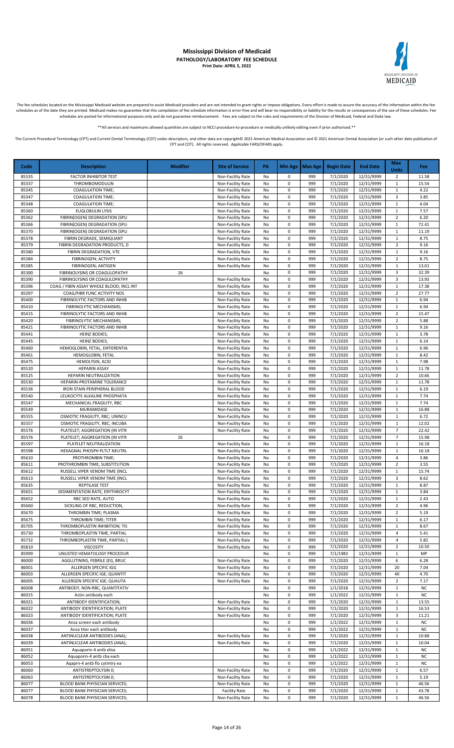

The fee schedules located on the Mississippi Medicaid website are prepared to assist Medicaid providers and are not intended to grant rights or impose obligations. Every effort is made to assure the accuracy of the informa schedules as of the date they are printed. Medicaid makes no guarantee that this compilation of fee schedule information is error-free and will bear no responsibility or liability for the results or consequences of the use schedules are posted for informational purposes only and do not guarantee reimbursement. Fees are subject to the rules and requirements of the Division of Medicaid, Federal and State law.

\*All services and maximums allowed quantities are subject to NCCI procedure-to-procedure or medically unlikely editing even if prior authorized

The Current Procedural Terminology (CPT) and Current Dental Terminology (CDT) codes descriptors, and other data are copyright@ 2021 American Medical Association and @ 2021 American Dental Association (or such other date pu CPT and CDT). All rights reserved. Applicable FARS/DFARS apply.

**Code Description Modifier Site of Service PA Min Age Max Age Begin Date End Date Max Units Fee** 85335 FACTOR INHIBITOR TEST Non-Facility Rate No 0 999 7/1/2020 12/31/9999 2 11.58 85337 THROMBOMODULIN Non-Facility Rate No 0 999 7/1/2020 12/31/9999 1 15.54 85345 COAGULATION TIME; Non-Facility Rate No 0 999 7/1/2020 12/31/9999 1 4.22 85347 COAGULATION TIME; Non-Facility Rate No 0 999 7/1/2020 12/31/9999 3 3.85 85348 COAGULATION TIME; | | Non-Facility Rate | No | 0 | 999 | 7/1/2020 | 12/31/9999 | 1 | 4.04 85360 EUGLOBULIN LYSIS Non-Facility Rate No 0 999 7/1/2020 12/31/9999 1 7.57 85362 | FIBRIN(OGEN) DEGRADATION (SPLI | Nonella Calchity Rate | No | 0 | 999 | 7/1/2020 | 12/31/9999 | 2 | 6.20 85366 | FIBRIN(OGEN) DEGRADATION (SPLI | Non-Facility Rate | No | 0 | 999 | 7/1/2020 | 12/31/9999 | 1 | 72.41 85370 FIBRIN(OGEN) DEGRADATION (SPLI NON-Facility Rate No 0 999 7/1/2020 12/31/9999 1 11.19 85378 FIBRIN DEGRADE, SEMIQUANT Non-Facility Rate No 0 999 7/1/2020 12/31/9999 1 8.75 85379 | FIBRIN DEGRADATION PRODUCTS, D | Non-Facility Rate | No | 0 | 999 | 7/1/2020 | 12/31/9999 | 2 | 9.16 85380 | FIBRIN DEGRADATION, VTE | Non-Facility Rate | No | 0 | 999 | 7/1/2020 | 12/31/9999 | 1 | 9.16 85384 FIBRINOGEN; ACTIVITY NON-Facility Rate No 0 999 7/1/2020 12/31/9999 2 8.75 85385 FIBRINOGEN; ANTIGEN Non-Facility Rate No 0 999 7/1/2020 12/31/9999 1 13.01 85390 FIBRINOLYSINS OR COAGULOPATHY 26 No 0 999 7/1/2020 12/31/9999 3 32.39<br>85390 FIBRINOLYSINS OR COAGULOPATHY 20 Non-Facility Rate No 0 999 7/1/2020 12/31/9999 3 13.93 85390 FIBRINOLYSINS OR COAGULOPATHY<br>85396 COAG / FIBIN ASSAY WHOLE BLOOD; INCL INT Non-Facility Rate No 0 999 7/1/2020 12/31/9999 1 17.38 COAG / FIBIN ASSAY WHOLE BLOOD; INCL INT NON-Facility Rate No 0 999 7/1/2020 12/31/9999 1 85397 COAG/FIBR FUNC ACTIVITY NOS Non-Facility Rate No 0 999 7/1/2020 12/31/9999 2 27.77 85400 FIBRINOLYTIC FACTORS AND INHIB NO NON-Facility Rate No 0 999 7/1/2020 12/31/9999 1 6.94 85410 FIBRINOLYTIC MECHANISMS; Non-Facility Rate No 0 999 7/1/2020 12/31/9999 1 6.94<br>85415 FIBRINOLYTIC FACTORS AND INHIB Non-Facility Rate No 0 999 7/1/2020 12/31/9999 2 15.47 **FIBRINOLYTIC FACTORS AND INHIB** 2 85420 FIBRINOLYTIC MECHANISMS; None Facility Rate No 0 999 7/1/2020 12/31/9999 2 5.88 85421 | FIBRINOLYTIC FACTORS AND INHIB | Non-Facility Rate | No | 0 | 999 | 7/1/2020 | 12/31/9999 | 1 | 9.16 85441 HEINZ BODIES; Non-Facility Rate No 0 999 7/1/2020 12/31/9999 1 3.78 85445 HEINZ BODIES; Non-Facility Rate No 0 999 7/1/2020 12/31/9999 1 6.14 85460 HEMOGLOBIN, FETAL, DIFFERENTIA | Non-Facility Rate No 0 999 7/1/2020 12/31/9999 1 6.96 85461 HEMOGLOBIN, FETAL Non-Facility Rate No 0 999 7/1/2020 12/31/9999 1 8.42 85475 HEMOLYSIN, ACID Non-Facility Rate No 0 999 7/1/2020 12/31/9999 1 7.98 85520 HEPARIN ASSAY Non-Facility Rate No 0 999 7/1/2020 12/31/9999 1 11.78 85525 | HEPARIN NEUTRALIZATION | Non-Facility Rate | No | 0 | 999 | 7/1/2020 | 12/31/9999 | 2 | 10.66 85530 HEPARIN-PROTAMINE TOLERANCE | Non-Facility Rate No 0 999 7/1/2020 12/31/9999 1 2017 85536 IRON STAIN PERIPHERAL BLOOD Non-Facility Rate No 0 999 7/1/2020 12/31/9999 1 6.19 85540 LEUKOCYTE ALKALINE PHOSPHATA (Non-Facility Rate No 0 999 7/1/2020 12/31/9999 1 7.74 85547 | MECHANICAL FRAGILITY, RBC | Non-Facility Rate | No | 0 | 999 | 7/1/2020 | 12/31/9999 | 1 | 7.74 85549 MURAMIDASE Non-Facility Rate No 0 999 7/1/2020 12/31/9999 1 16.88 8555 OSMOTIC FRAGILITY, RBC; UNINCU<br>1999 85557 OSMOTIC FRAGILITY. RBC: INCUBA Non-Facility Rate No 0 999 7/1/2020 12/31/9999 1 1 12.02 85557 OSMOTIC FRAGILITY, RBC; INCUBA Non-Facility Rate No 0 999 7/1/2020 12/31/9999 1 1.02.02 85576 PLATELET; AGGREGATION (IN VITR None Facility Rate No 0 999 7/1/2020 12/31/9999 7 22.42 85576 PLATELET; AGGREGATION (IN VITR 26 No 0 999 7/1/2020 12/31/9999 7 15.98 85597 PLATELET NEUTRALIZATION Non-Facility Rate No 0 999 7/1/2020 12/31/9999 1 16.18 85598 HEXAGNAL PHOSPH PLTLT NEUTRL NON-Facility Rate No 0 999 7/1/2020 12/31/9999 1 1 16.18 85610 PROTHROMBIN TIME; Non-Facility Rate No 0 999 7/1/2020 12/31/9999 4 3.86 85611 PROTHROMBIN TIME; SUBSTITUTION Non-Facility Rate No 0 999 7/1/2020 12/31/9999 2 3.55 85612 RUSSELL VIPER VENOM TIME (INCL Non-Facility Rate No 0 999 7/1/2020 12/31/9999 1 15.74<br>85613 RUSSELL VIPER VENOM TIME (INCL Non-Facility Rate No 0 999 7/1/2020 12/31/9999 3 8.62 RUSSELL VIPER VENOM TIME (INCL Non-Facility Rate No 0 999 7/1/2020 12/31/9999 3 85635 REPTILASE TEST Non-Facility Rate No 0 999 7/1/2020 12/31/9999 1 8.87 85651 SEDIMENTATION RATE, ERYTHROCYT NO 2009 1000 2009 12/31/9999 1 3.84 85652 RBC SED RATE, AUTO NON-Facility Rate No 0 999 7/1/2020 12/31/9999 1 2.43 85660 SICKLING OF RBC, REDUCTION, NON-Facility Rate No 0 999 7/1/2020 12/31/9999 2 4.96 85670 | THROMBIN TIME; PLASMA | Non-Facility Rate | No | 0 | 999 | 7/1/2020 | 12/31/9999 | 2 | 5.19 85675 | THROMBIN TIME; TITER | Non-Facility Rate | No | 0 | 999 | 7/1/2020 | 12/31/9999 | 1 | 6.17 85705 THROMBOPLASTIN INHIBITION; TIS Non-Facility Rate No 0 999 7/1/2020 12/31/9999 1 8.67 85730 THROMBOPLASTIN TIME, PARTIAL Non-Facility Rate No 0 999 7/1/2020 12/31/9999 4 5.41 85732 THROMBOPLASTIN TIME, PARTIAL ( None-Facility Rate No 0 999 7/1/2020 12/31/9999 4 5.82 85810 VISCOSITY Non-Facility Rate No 0 999 7/1/2020 12/31/9999 2 10.50 85999 UNLISTED HEMATOLOGY PROCEDUR NO 1999 7/1/1983 12/31/9999 1 MP 86000 AGGLUTININS, FEBRILE (EG, BRUC Non-Facility Rate No 0 999 7/1/2020 12/31/9999 6 6.28 86001 ALLERGEN SPECIFIC IGG Non-Facility Rate No 0 999 7/1/2020 12/31/9999 20 7.04 86003 ALLERGEN SPECIFIC IGE; QUANTIT None Facility Rate No 0 999 7/1/2020 12/31/9999 40 4.70 86005 ALLERGEN SPECIFIC IGE; QUALITA Non-Facility Rate No 0 999 7/1/2020 12/31/9999 2 7.17 86008 ANTIBODY, NON-RBC, QUANTITATIV **No 90 1/1/2018** 12/31/9999 1 NC 86015 Actin antibody each No 0 999 1/1/2022 12/31/9999 1 NC 86021 ANTIBODY IDENTIFICATION; NON-Facility Rate No 0 999 7/1/2020 12/31/9999 1 13.55<br>86022 ANTIBODY IDENTIFICATION; PLATE 16.53 ANTIBODY IDENTIFICATION; PLATE NO NON-Facility Rate No 0 999 7/1/2020 12/31/9999 1 16.53<br>ANTIBODY IDENTIFICATION; PLATE Non-Facility Rate No 0 999 7/1/2020 12/31/9999 3 11.21 86023 ANTIBODY IDENTIFICATION; PLATE Non-Facility Rate No 0 999 7/1/2020 12/31/9999 3 86036 Anca screen each antibody No 2009 1/1/2022 12/31/9999 1 No 30 999 1/1/2022 12/31/9999 1 NC 86037 Anca titer each antibody No 0 999 1/1/2022 12/31/9999 1 NC 86038 ANTINUCLEAR ANTIBODIES (ANA); Non-Facility Rate No 0 999 7/1/2020 12/31/9999 1 10.88 86039 ANTINUCLEAR ANTIBODIES (ANA); Non-Facility Rate No 0 999 7/1/2020 12/31/9999 1 10.04 86051 Aquaporin-4 antb elisa No 0 999 1/1/2022 12/31/9999 1 NC 86052 | Aquaporin-4 antb cba each | No | No | 0 | 999 | 1/1/2022 | 12/31/9999 | 1 | NC 86053 Aqaprn-4 antb flo cytmtry ea No 10 999 1/1/2022 12/31/9999 1 NC<br>86060 ANTISTREPTOLYSIN 0; Non-Facility Rate No 0 999 7/1/2020 12/31/9999 1 6.57 86060 ANTISTREPTOLYSIN 0; Non-Facility Rate No 0 999 7/1/2020 12/31/9999 1 6.57 86063 ANTISTREPTOLYSIN 0; Non-Facility Rate No 0 999 7/1/2020 12/31/9999 1 5.19 86077 BLOOD BANK PHYSICIAN SERVICES; Non-Facility Rate No 0 999 7/1/2020 12/31/9999 1 46.56 BLOOD BANK PHYSICIAN SERVICES; **Facility Rate** No 0 999 7/1/2020 12/31/9999 1 43.78 86078 BLOOD BANK PHYSICIAN SERVICES; None Facility Rate No 0 999 7/1/2020 12/31/9999 1 46.56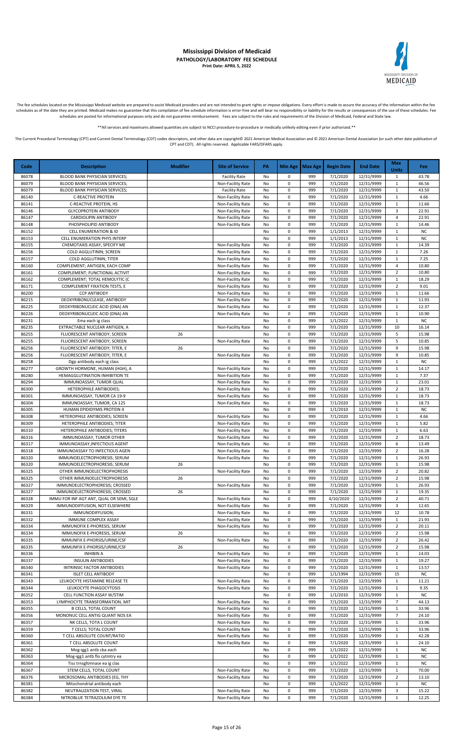

The fee schedules located on the Mississippi Medicaid website are prepared to assist Medicaid providers and are not intended to grant rights or impose obligations. Every effort is made to assure the accuracy of the informa

\*\*All services and maximums allowed quantities are subject to NCCI procedure-to-procedure or medically unlikely editing even if prior authorized.\*\*

| Code           | <b>Description</b>                                                         | <b>Modifier</b> | <b>Site of Service</b>                 | PA       |                  | Min Age   Max Age | <b>Begin Date</b>     | <b>End Date</b>          | Max<br><b>Units</b>            | <b>Fee</b>         |
|----------------|----------------------------------------------------------------------------|-----------------|----------------------------------------|----------|------------------|-------------------|-----------------------|--------------------------|--------------------------------|--------------------|
| 86078          | BLOOD BANK PHYSICIAN SERVICES;                                             |                 | <b>Facility Rate</b>                   | No       | 0                | 999               | 7/1/2020              | 12/31/9999               | -1                             | 43.78              |
| 86079          | BLOOD BANK PHYSICIAN SERVICES;                                             |                 | Non-Facility Rate                      | No       | 0                | 999               | 7/1/2020              | 12/31/9999               | $\mathbf{1}$                   | 46.56              |
| 86079          | BLOOD BANK PHYSICIAN SERVICES;                                             |                 | <b>Facility Rate</b>                   | No       | 0                | 999               | 7/1/2020              | 12/31/9999               | 1                              | 43.50              |
| 86140          | <b>C-REACTIVE PROTEIN</b>                                                  |                 | Non-Facility Rate                      | No       | 0                | 999               | 7/1/2020              | 12/31/9999               | $\mathbf{1}$                   | 4.66               |
| 86141          | C-REACTIVE PROTEIN, HS                                                     |                 | Non-Facility Rate                      | No       | 0                | 999               | 7/1/2020              | 12/31/9999               | $\mathbf{1}$                   | 11.66              |
| 86146<br>86147 | <b>GLYCOPROTEIN ANTIBODY</b>                                               |                 | Non-Facility Rate                      | No<br>No | 0<br>$\mathbf 0$ | 999<br>999        | 7/1/2020<br>7/1/2020  | 12/31/9999               | 3<br>$\overline{4}$            | 22.91<br>22.91     |
| 86148          | CARDIOLIPIN ANTIBODY<br>PHOSPHOLIPID ANTIBODY                              |                 | Non-Facility Rate<br>Non-Facility Rate | No       | $\pmb{0}$        | 999               | 7/1/2020              | 12/31/9999<br>12/31/9999 | $\mathbf{1}$                   | 14.46              |
| 86152          | <b>CELL ENUMERATION &amp; ID</b>                                           |                 |                                        | No       | $\pmb{0}$        | 999               | 1/1/2013              | 12/31/9999               | $\mathbf{1}$                   | <b>NC</b>          |
| 86153          | CELL ENUMERATION PHYS INTERP                                               |                 |                                        | No       | 0                | 999               | 1/1/2013              | 12/31/9999               | $\mathbf{1}$                   | <b>NC</b>          |
| 86155          | CHEMOTAXIS ASSAY, SPECIFY ME                                               |                 | Non-Facility Rate                      | No       | 0                | 999               | 7/1/2020              | 12/31/9999               | $1\,$                          | 14.39              |
| 86156          | COLD AGGLUTININ; SCREEN                                                    |                 | Non-Facility Rate                      | No       | 0                | 999               | 7/1/2020              | 12/31/9999               | 1                              | 7.26               |
| 86157          | COLD AGGLUTININ; TITER                                                     |                 | Non-Facility Rate                      | No       | 0                | 999               | 7/1/2020              | 12/31/9999               | $\mathbf{1}$                   | 7.25               |
| 86160          | COMPLEMENT; ANTIGEN, EACH COMP                                             |                 | Non-Facility Rate                      | No       | 0                | 999               | 7/1/2020              | 12/31/9999               | 4                              | 10.80              |
| 86161          | COMPLEMENT; FUNCTIONAL ACTIVIT                                             |                 | Non-Facility Rate                      | No       | 0                | 999               | 7/1/2020              | 12/31/9999               | $\overline{2}$                 | 10.80              |
| 86162          | COMPLEMENT; TOTAL HEMOLYTIC (C                                             |                 | Non-Facility Rate                      | No       | 0                | 999               | 7/1/2020              | 12/31/9999               | 1                              | 18.29              |
| 86171<br>86200 | COMPLEMENT FIXATION TESTS, E<br><b>CCP ANTIBODY</b>                        |                 | Non-Facility Rate<br>Non-Facility Rate | No<br>No | 0<br>0           | 999<br>999        | 7/1/2020<br>7/1/2020  | 12/31/9999<br>12/31/9999 | $\overline{2}$<br>1            | 9.01<br>11.66      |
| 86215          | DEOXYRIBONUCLEASE, ANTIBODY                                                |                 | Non-Facility Rate                      | No       | 0                | 999               | 7/1/2020              | 12/31/9999               | 1                              | 11.93              |
| 86225          | DEOXYRIBONUCLEIC ACID (DNA) AN                                             |                 | Non-Facility Rate                      | No       | $\pmb{0}$        | 999               | 7/1/2020              | 12/31/9999               | $\mathbf{1}$                   | 12.37              |
| 86226          | DEOXYRIBONUCLEIC ACID (DNA) AN                                             |                 | Non-Facility Rate                      | No       | $\pmb{0}$        | 999               | 7/1/2020              | 12/31/9999               | 1                              | 10.90              |
| 86231          | Ema each ig class                                                          |                 |                                        | No       | $\pmb{0}$        | 999               | 1/1/2022              | 12/31/9999               | 1                              | <b>NC</b>          |
| 86235          | EXTRACTABLE NUCLEAR ANTIGEN, A                                             |                 | Non-Facility Rate                      | No       | 0                | 999               | 7/1/2020              | 12/31/9999               | 10                             | 16.14              |
| 86255          | FLUORESCENT ANTIBODY; SCREEN                                               | 26              |                                        | No       | 0                | 999               | 7/1/2020              | 12/31/9999               | 5                              | 15.98              |
| 86255          | FLUORESCENT ANTIBODY; SCREEN                                               |                 | Non-Facility Rate                      | No       | 0                | 999               | 7/1/2020              | 12/31/9999               | 5                              | 10.85              |
| 86256          | FLUORESCENT ANTIBODY; TITER, E                                             | 26              |                                        | No       | 0                | 999               | 7/1/2020              | 12/31/9999               | 9                              | 15.98              |
| 86256<br>86258 | FLUORESCENT ANTIBODY; TITER, E<br>Dgp antibody each ig class               |                 | Non-Facility Rate                      | No<br>No | 0<br>0           | 999<br>999        | 7/1/2020<br>1/1/2022  | 12/31/9999<br>12/31/9999 | 9<br>$\mathbf{1}$              | 10.85<br><b>NC</b> |
| 86277          | GROWTH HORMONE, HUMAN (HGH), A                                             |                 | Non-Facility Rate                      | No       | 0                | 999               | 7/1/2020              | 12/31/9999               | $\mathbf{1}$                   | 14.17              |
| 86280          | HEMAGGLUTINATION INHIBITION TE                                             |                 | Non-Facility Rate                      | No       | 0                | 999               | 7/1/2020              | 12/31/9999               | $1\,$                          | 7.37               |
| 86294          | IMMUNOASSAY, TUMOR QUAL                                                    |                 | Non-Facility Rate                      | No       | 0                | 999               | 7/1/2020              | 12/31/9999               | 1                              | 23.01              |
| 86300          | HETEROPHILE ANTIBODIES;                                                    |                 | Non-Facility Rate                      | No       | 0                | 999               | 7/1/2020              | 12/31/9999               | $\overline{2}$                 | 18.73              |
| 86301          | IMMUNOASSAY, TUMOR CA 19-9                                                 |                 | Non-Facility Rate                      | No       | $\pmb{0}$        | 999               | 7/1/2020              | 12/31/9999               | $\mathbf{1}$                   | 18.73              |
| 86304          | IMMUNOASSAY, TUMOR, CA 125                                                 |                 | Non-Facility Rate                      | No       | 0                | 999               | 7/1/2020              | 12/31/9999               | 1                              | 18.73              |
| 86305          | HUMAN EPIDIDYMIS PROTEIN 4                                                 |                 |                                        | No       | 0                | 999               | 1/1/2010              | 12/31/9999               | $\mathbf{1}$                   | <b>NC</b>          |
| 86308          | HETEROPHILE ANTIBODIES; SCREEN                                             |                 | Non-Facility Rate                      | No       | 0                | 999               | 7/1/2020              | 12/31/9999               | $\mathbf{1}$                   | 4.66               |
| 86309<br>86310 | HETEROPHILE ANTIBODIES; TITER                                              |                 | Non-Facility Rate                      | No       | 0<br>$\pmb{0}$   | 999<br>999        | 7/1/2020<br>7/1/2020  | 12/31/9999<br>12/31/9999 | $\mathbf{1}$<br>$\mathbf{1}$   | 5.82<br>6.63       |
| 86316          | HETEROPHILE ANTIBODIES; TITERS<br>IMMUNOASSAY, TUMOR OTHER                 |                 | Non-Facility Rate<br>Non-Facility Rate | No<br>No | 0                | 999               | 7/1/2020              | 12/31/9999               | $\overline{2}$                 | 18.73              |
| 86317          | IMMUNOASSAY, INFECTIOUS AGENT                                              |                 | Non-Facility Rate                      | No       | 0                | 999               | 7/1/2020              | 12/31/9999               | 6                              | 13.49              |
| 86318          | IMMUNOASSAY TO INFECTIOUS AGEN                                             |                 | Non-Facility Rate                      | No       | 0                | 999               | 7/1/2020              | 12/31/9999               | $\overline{2}$                 | 16.28              |
| 86320          | IMMUNOELECTROPHORESIS; SERUM                                               |                 | Non-Facility Rate                      | No       | 0                | 999               | 7/1/2020              | 12/31/9999               | $\mathbf{1}$                   | 26.93              |
| 86320          | IMMUNOELECTROPHORESIS; SERUM                                               | 26              |                                        | No       | 0                | 999               | 7/1/2020              | 12/31/9999               | 1                              | 15.98              |
| 86325          | OTHER IMMUNOELECTROPHORESIS                                                |                 | Non-Facility Rate                      | No       | 0                | 999               | 7/1/2020              | 12/31/9999               | $\overline{2}$                 | 20.82              |
| 86325          | OTHER IMMUNOELECTROPHORESIS                                                | 26              |                                        | No       | $\pmb{0}$        | 999               | 7/1/2020              | 12/31/9999               | $\overline{2}$                 | 15.98              |
| 86327<br>86327 | IMMUNOELECTROPHORESIS; CROSSED                                             |                 | Non-Facility Rate                      | No       | $\pmb{0}$        | 999<br>999        | 7/1/2020              | 12/31/9999               | $\mathbf{1}$                   | 26.93              |
| 86328          | IMMUNOELECTROPHORESIS; CROSSED<br>IMMU FOR INF AGT ANT, QUAL OR SEMI, SGLE | 26              | Non-Facility Rate                      | No<br>No | 0<br>0           | 999               | 7/1/2020<br>4/10/2020 | 12/31/9999<br>12/31/9999 | $\mathbf{1}$<br>$\overline{2}$ | 19.35<br>40.71     |
| 86329          | IMMUNODIFFUSION, NOT ELSEWHERE                                             |                 | Non-Facility Rate                      | No       | 0                | 999               | 7/1/2020              | 12/31/9999               | 3                              | 12.65              |
| 86331          | IMMUNODIFFUSION;                                                           |                 | Non-Facility Rate                      | No       | $\pmb{0}$        | 999               | 7/1/2020              | 12/31/9999               | 12                             | 10.78              |
| 86332          | <b>IMMUNE COMPLEX ASSAY</b>                                                |                 | Non-Facility Rate                      | No       | 0                | 999               | 7/1/2020              | 12/31/9999               | 1                              | 21.93              |
| 86334          | IMMUNOFIX E-PHORESIS, SERUM                                                |                 | Non-Facility Rate                      | No       | 0                | 999               | 7/1/2020              | 12/31/9999               | $\overline{2}$                 | 20.11              |
| 86334          | IMMUNOFIX E-PHORESIS, SERUM                                                | 26              |                                        | No       | 0                | 999               | 7/1/2020              | 12/31/9999               | $\overline{2}$                 | 15.98              |
| 86335          | IMMUNFIX E-PHORSIS/URINE/CSF                                               |                 | Non-Facility Rate                      | No       | 0                | 999               | 7/1/2020              | 12/31/9999               | $\overline{2}$                 | 26.42              |
| 86335          | IMMUNFIX E-PHORSIS/URINE/CSF                                               | 26              |                                        | No       | 0                | 999               | 7/1/2020              | 12/31/9999               | $\overline{2}$                 | 15.98              |
| 86336<br>86337 | <b>INHIBIN A</b><br><b>INSULIN ANTIBODIES</b>                              |                 | Non-Facility Rate<br>Non-Facility Rate | No<br>No | 0<br>0           | 999<br>999        | 7/1/2020<br>7/1/2020  | 12/31/9999<br>12/31/9999 | 1<br>$\mathbf{1}$              | 14.03<br>19.27     |
| 86340          | INTRINSIC FACTOR ANTIBODIES                                                |                 | Non-Facility Rate                      | No       | $\pmb{0}$        | 999               | 7/1/2020              | 12/31/9999               | $\mathbf{1}$                   | 13.57              |
| 86341          | <b>ISLET CELL ANTIBODY</b>                                                 |                 |                                        | No       | 0                | 999               | 1/1/1994              | 12/31/9999               | 15                             | <b>NC</b>          |
| 86343          | LEUKOCYTE HISTAMINE RELEASE TE                                             |                 | Non-Facility Rate                      | No       | 0                | 999               | 7/1/2020              | 12/31/9999               | $\mathbf{1}$                   | 11.21              |
| 86344          | LEUKOCYTE PHAGOCYTOSIS                                                     |                 | Non-Facility Rate                      | No       | 0                | 999               | 7/1/2020              | 12/31/9999               | $\mathbf 1$                    | 9.35               |
| 86352          | CELL FUNCTION ASSAY W/STIM                                                 |                 |                                        | No       | $\pmb{0}$        | 999               | 1/1/2010              | 12/31/9999               | 1                              | <b>NC</b>          |
| 86353          | LYMPHOCYTE TRANSFORMATION, MIT                                             |                 | Non-Facility Rate                      | No       | $\pmb{0}$        | 999               | 7/1/2020              | 12/31/9999               | $\overline{7}$                 | 44.13              |
| 86355          | <b>B CELLS, TOTAL COUNT</b>                                                |                 | Non-Facility Rate                      | No       | 0                | 999               | 7/1/2020              | 12/31/9999               | $\mathbf{1}$                   | 33.96              |
| 86356          | MONONUC CELL ANTIG QUANT NOS EA                                            |                 | Non-Facility Rate                      | No       | 0                | 999               | 7/1/2020              | 12/31/9999               | $\overline{7}$                 | 24.10              |
| 86357<br>86359 | NK CELLS, TOTA L COUNT<br>T CELLS; TOTAL COUNT                             |                 | Non-Facility Rate<br>Non-Facility Rate | No<br>No | 0<br>0           | 999<br>999        | 7/1/2020<br>7/1/2020  | 12/31/9999<br>12/31/9999 | 1<br>$\mathbf{1}$              | 33.96<br>33.96     |
| 86360          | T CELL ABSOLUTE COUNT/RATIO                                                |                 | Non-Facility Rate                      | No       | 0                | 999               | 7/1/2020              | 12/31/9999               | 1                              | 42.28              |
| 86361          | T CELL ABSOLUTE COUNT                                                      |                 | Non-Facility Rate                      | No       | $\pmb{0}$        | 999               | 7/1/2020              | 12/31/9999               | 1                              | 24.10              |
| 86362          | Mog-igg1 antb cba each                                                     |                 |                                        | No       | $\pmb{0}$        | 999               | 1/1/2022              | 12/31/9999               | $\mathbf{1}$                   | <b>NC</b>          |
| 86363          | Mog-igg1 antb flo cytmtry ea                                               |                 |                                        | No       | $\pmb{0}$        | 999               | 1/1/2022              | 12/31/9999               | 1                              | <b>NC</b>          |
| 86364          | Tiss trnsgltmnase ea ig clas                                               |                 |                                        | No       | 0                | 999               | 1/1/2022              | 12/31/9999               | $\mathbf{1}$                   | <b>NC</b>          |
| 86367          | STEM CELLS, TOTAL COUNT                                                    |                 | Non-Facility Rate                      | No       | 0                | 999               | 7/1/2020              | 12/31/9999               | $\mathbf{1}$                   | 70.00              |
| 86376          | MICROSOMAL ANTIBODIES (EG, THY                                             |                 | Non-Facility Rate                      | No       | 0                | 999               | 7/1/2020              | 12/31/9999               | $\mathbf 2$                    | 13.10              |
| 86381          | Mitochondrial antibody each                                                |                 |                                        | No       | 0                | 999               | 1/1/2022              | 12/31/9999               | 1                              | <b>NC</b>          |
| 86382          | NEUTRALIZATION TEST, VIRAL                                                 |                 | Non-Facility Rate                      | No       | $\pmb{0}$        | 999               | 7/1/2020              | 12/31/9999               | 3                              | 15.22              |
| 86384          | NITROBLUE TETRAZOLIUM DYE TE                                               |                 | Non-Facility Rate                      | No       | 0                | 999               | 7/1/2020              | 12/31/9999               | $\mathbf{1}$                   | 12.25              |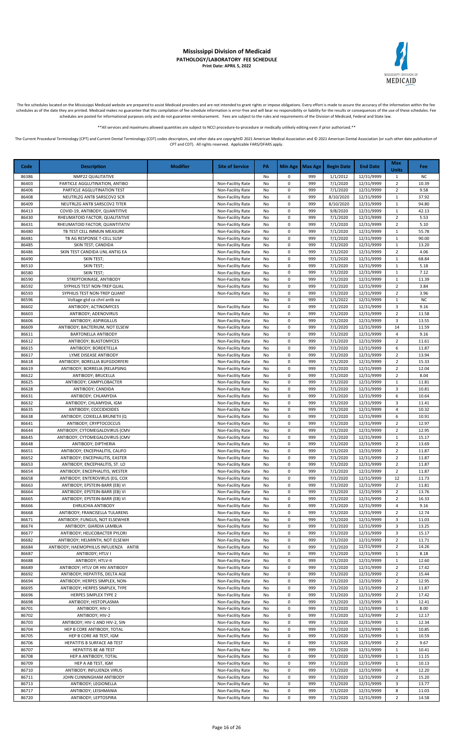

The fee schedules located on the Mississippi Medicaid website are prepared to assist Medicaid providers and are not intended to grant rights or impose obligations. Every effort is made to assure the accuracy of the informa

\*\*All services and maximums allowed quantities are subject to NCCI procedure-to-procedure or medically unlikely editing even if prior authorized.\*\*

| Code           | <b>Description</b>                                               | <b>Modifier</b> | <b>Site of Service</b>                 | PA       |                        | Min Age   Max Age | <b>Begin Date</b>      | <b>End Date</b>          | <b>Max</b><br><b>Units</b>       | Fee               |
|----------------|------------------------------------------------------------------|-----------------|----------------------------------------|----------|------------------------|-------------------|------------------------|--------------------------|----------------------------------|-------------------|
| 86386          | NMP22 QUALITATIVE                                                |                 |                                        | No       | 0                      | 999               | 1/1/2012               | 12/31/9999               | $\mathbf{1}$                     | ΝC                |
| 86403          | PARTICLE AGGLUTINATION, ANTIBO                                   |                 | Non-Facility Rate                      | No       | $\pmb{0}$              | 999               | 7/1/2020               | 12/31/9999               | $\overline{2}$                   | 10.39             |
| 86406          | PARTICLE AGGLUTINATION TEST                                      |                 | Non-Facility Rate                      | No       | 0                      | 999               | 7/1/2020               | 12/31/9999               | $\overline{2}$                   | 9.58              |
| 86408<br>86409 | NEUTRLZG ANTB SARSCOV2 SCR<br>NEUTRLZG ANTB SARSCOV2 TITER       |                 | Non-Facility Rate<br>Non-Facility Rate | No<br>No | $\pmb{0}$<br>0         | 999<br>999        | 8/10/2020<br>8/10/2020 | 12/31/9999<br>12/31/9999 | $\mathbf{1}$<br>1                | 37.92<br>94.80    |
| 86413          | COVID-19, ANTIBODY, QUANTITIVE                                   |                 | Non-Facility Rate                      | No       | 0                      | 999               | 9/8/2020               | 12/31/9999               | $\mathbf{1}$                     | 42.13             |
| 86430          | RHEUMATOID FACTOR; QUALITATIVE                                   |                 | Non-Facility Rate                      | No       | 0                      | 999               | 7/1/2020               | 12/31/9999               | $\overline{2}$                   | 5.53              |
| 86431          | RHEUMATOID FACTOR; QUANTITATIV                                   |                 | Non-Facility Rate                      | No       | 0                      | 999               | 7/1/2020               | 12/31/9999               | $\overline{2}$                   | 5.10              |
| 86480          | TB TEST CELL IMMUN MEASURE                                       |                 | Non-Facility Rate                      | No       | 0                      | 999               | 7/1/2020               | 12/31/9999               | 1                                | 55.78             |
| 86481          | TB AG RESPONSE T-CELL SUSP                                       |                 | Non-Facility Rate                      | No       | $\pmb{0}$              | 999               | 7/1/2020               | 12/31/9999               | $\mathbf{1}$                     | 90.00             |
| 86485<br>86486 | SKIN TEST; CANDIDA<br>SKIN TEST CANDIDA UNL ANTIG EA             |                 | Non-Facility Rate<br>Non-Facility Rate | No<br>No | $\pmb{0}$<br>$\pmb{0}$ | 999<br>999        | 7/1/2020<br>7/1/2020   | 12/31/9999<br>12/31/9999 | $\mathbf{1}$<br>$\overline{2}$   | 13.20<br>4.06     |
| 86490          | <b>SKIN TEST;</b>                                                |                 | Non-Facility Rate                      | No       | $\pmb{0}$              | 999               | 7/1/2020               | 12/31/9999               | $\mathbf{1}$                     | 68.84             |
| 86510          | SKIN TEST;                                                       |                 | Non-Facility Rate                      | No       | $\pmb{0}$              | 999               | 7/1/2020               | 12/31/9999               | $\mathbf{1}$                     | 5.18              |
| 86580          | SKIN TEST;                                                       |                 | Non-Facility Rate                      | No       | $\mathbf 0$            | 999               | 7/1/2020               | 12/31/9999               | $\mathbf{1}$                     | 7.12              |
| 86590          | STREPTOKINASE, ANTIBODY                                          |                 | Non-Facility Rate                      | No       | $\pmb{0}$              | 999               | 7/1/2020               | 12/31/9999               | 1                                | 11.39             |
| 86592          | SYPHILIS TEST NON-TREP QUAL                                      |                 | Non-Facility Rate                      | No       | 0                      | 999               | 7/1/2020               | 12/31/9999               | $\overline{2}$                   | 3.84              |
| 86593<br>86596 | SYPHILIS TEST NON-TREP QUANT<br>Voltage-gtd ca chnl antb ea      |                 | Non-Facility Rate                      | No<br>No | 0<br>0                 | 999<br>999        | 7/1/2020<br>1/1/2022   | 12/31/9999<br>12/31/9999 | $\overline{2}$<br>$\mathbf{1}$   | 3.96<br><b>NC</b> |
| 86602          | ANTIBODY; ACTINOMYCES                                            |                 | Non-Facility Rate                      | No       | 0                      | 999               | 7/1/2020               | 12/31/9999               | 3                                | 9.16              |
| 86603          | ANTIBODY; ADENOVIRUS                                             |                 | Non-Facility Rate                      | No       | 0                      | 999               | 7/1/2020               | 12/31/9999               | $\overline{2}$                   | 11.58             |
| 86606          | ANTIBODY; ASPIRGILLUS                                            |                 | Non-Facility Rate                      | No       | 0                      | 999               | 7/1/2020               | 12/31/9999               | 3                                | 13.55             |
| 86609          | ANTIBODY; BACTERIUM, NOT ELSEW                                   |                 | Non-Facility Rate                      | No       | $\pmb{0}$              | 999               | 7/1/2020               | 12/31/9999               | 14                               | 11.59             |
| 86611          | <b>BARTONELLA ANTIBODY</b>                                       |                 | Non-Facility Rate                      | No       | $\pmb{0}$              | 999               | 7/1/2020               | 12/31/9999               | 4                                | 9.16              |
| 86612<br>86615 | ANTIBODY; BLASTOMYCES<br>ANTIBODY; BORDETELLA                    |                 | Non-Facility Rate<br>Non-Facility Rate | No<br>No | 0<br>$\pmb{0}$         | 999<br>999        | 7/1/2020<br>7/1/2020   | 12/31/9999<br>12/31/9999 | $\overline{2}$<br>6              | 11.61<br>11.87    |
| 86617          | LYME DISEASE ANTIBODY                                            |                 | Non-Facility Rate                      | No       | $\pmb{0}$              | 999               | 7/1/2020               | 12/31/9999               | $\overline{2}$                   | 13.94             |
| 86618          | ANTIBODY; BORELLIA BUFGDORFERI                                   |                 | Non-Facility Rate                      | No       | $\pmb{0}$              | 999               | 7/1/2020               | 12/31/9999               | $\overline{2}$                   | 15.33             |
| 86619          | ANTIBODY; BORRELIA (RELAPSING                                    |                 | Non-Facility Rate                      | No       | $\pmb{0}$              | 999               | 7/1/2020               | 12/31/9999               | $\overline{2}$                   | 12.04             |
| 86622          | ANTIBODY; BRUCELLA                                               |                 | Non-Facility Rate                      | No       | 0                      | 999               | 7/1/2020               | 12/31/9999               | $\overline{2}$                   | 8.04              |
| 86625          | ANTIBODY; CAMPYLOBACTER                                          |                 | Non-Facility Rate                      | No       | 0                      | 999               | 7/1/2020               | 12/31/9999               | 1                                | 11.81             |
| 86628<br>86631 | ANTIBODY; CANDIDA<br>ANTIBODY; CHLAMYDIA                         |                 | Non-Facility Rate                      | No<br>No | 0<br>0                 | 999<br>999        | 7/1/2020<br>7/1/2020   | 12/31/9999<br>12/31/9999 | 3<br>6                           | 10.81<br>10.64    |
| 86632          | ANTIBODY; CHLAMYDIA, IGM                                         |                 | Non-Facility Rate<br>Non-Facility Rate | No       | $\pmb{0}$              | 999               | 7/1/2020               | 12/31/9999               | 3                                | 11.41             |
| 86635          | ANTIBODY; COCCIDIOIDES                                           |                 | Non-Facility Rate                      | No       | $\pmb{0}$              | 999               | 7/1/2020               | 12/31/9999               | $\overline{4}$                   | 10.32             |
| 86638          | ANTIBODY; COXIELLA BRUNETII (Q                                   |                 | Non-Facility Rate                      | No       | $\pmb{0}$              | 999               | 7/1/2020               | 12/31/9999               | 6                                | 10.91             |
| 86641          | ANTIBODY; CRYPTOCOCCUS                                           |                 | Non-Facility Rate                      | No       | $\pmb{0}$              | 999               | 7/1/2020               | 12/31/9999               | $\overline{2}$                   | 12.97             |
| 86644          | ANTIBODY; CYTOMEGALOVIRUS (CMV                                   |                 | Non-Facility Rate                      | No       | $\pmb{0}$              | 999               | 7/1/2020               | 12/31/9999               | $\overline{2}$                   | 12.95             |
| 86645<br>86648 | ANTIBODY; CYTOMEGALOVIRUS (CMV<br>ANTIBODY; DIPTHERIA            |                 | Non-Facility Rate<br>Non-Facility Rate | No<br>No | $\pmb{0}$<br>0         | 999<br>999        | 7/1/2020<br>7/1/2020   | 12/31/9999<br>12/31/9999 | $\mathbf{1}$<br>2                | 15.17<br>13.69    |
| 86651          | ANTIBODY; ENCEPHALITIS, CALIFO                                   |                 | Non-Facility Rate                      | No       | $\pmb{0}$              | 999               | 7/1/2020               | 12/31/9999               | $\overline{2}$                   | 11.87             |
| 86652          | ANTIBODY; ENCEPHALITIS, EASTER                                   |                 | Non-Facility Rate                      | No       | 0                      | 999               | 7/1/2020               | 12/31/9999               | $\overline{2}$                   | 11.87             |
| 86653          | ANTIBODY; ENCEPHALITIS, ST. LO                                   |                 | Non-Facility Rate                      | No       | 0                      | 999               | 7/1/2020               | 12/31/9999               | $\overline{2}$                   | 11.87             |
| 86654          | ANTIBODY; ENCEPHALITIS, WESTER                                   |                 | Non-Facility Rate                      | No       | 0                      | 999               | 7/1/2020               | 12/31/9999               | $\overline{2}$                   | 11.87             |
| 86658          | ANTIBODY; ENTEROVIRUS (EG, COX                                   |                 | Non-Facility Rate                      | No       | 0                      | 999               | 7/1/2020               | 12/31/9999               | 12                               | 11.73             |
| 86663<br>86664 | ANTIBODY; EPSTEIN-BARR (EB) VI<br>ANTIBODY; EPSTEIN-BARR (EB) VI |                 | Non-Facility Rate<br>Non-Facility Rate | No<br>No | 0<br>$\Omega$          | 999<br>999        | 7/1/2020<br>7/1/2020   | 12/31/9999<br>12/31/9999 | $\overline{2}$<br>$\overline{2}$ | 11.81<br>13.76    |
| 86665          | ANTIBODY; EPSTEIN-BARR (EB) VI                                   |                 | Non-Facility Rate                      | No       | 0                      | 999               | 7/1/2020               | 12/31/9999               | $\overline{2}$                   | 16.33             |
| 86666          | EHRLICHIA ANTIBODY                                               |                 | Non-Facility Rate                      | No       | 0                      | 999               | 7/1/2020               | 12/31/9999               | 4                                | 9.16              |
| 86668          | ANTIBODY; FRANCISELLA TULARENS                                   |                 | Non-Facility Rate                      | No       | 0                      | 999               | 7/1/2020               | 12/31/9999               | 2                                | 12.74             |
| 86671          | ANTIBODY; FUNGUS, NOT ELSEWHER                                   |                 | Non-Facility Rate                      | No       | 0                      | 999               | 7/1/2020               | 12/31/9999               | 3                                | 11.03             |
| 86674          | ANTIBODY; GIARDIA LAMBLIA                                        |                 | Non-Facility Rate                      | No       | $\pmb{0}$              | 999               | 7/1/2020               | 12/31/9999               | $\overline{3}$                   | 13.25             |
| 86677<br>86682 | ANTIBODY; HELICOBACTER PYLORI<br>ANTIBODY; HELMINTH, NOT ELSEWH  |                 | Non-Facility Rate<br>Non-Facility Rate | No<br>No | 0<br>$\pmb{0}$         | 999<br>999        | 7/1/2020<br>7/1/2020   | 12/31/9999<br>12/31/9999 | 3<br>2                           | 15.17<br>11.71    |
| 86684          | ANTIBODY; HAEMOPHILUS INFLUENZA ANTIB                            |                 | Non-Facility Rate                      | No       | 0                      | 999               | 7/1/2020               | 12/31/9999               | 2                                | 14.26             |
| 86687          | ANTIBODY; HTLV I                                                 |                 | Non-Facility Rate                      | No       | 0                      | 999               | 7/1/2020               | 12/31/9999               | 1                                | 8.18              |
| 86688          | ANTIBODY; HTLV-II                                                |                 | Non-Facility Rate                      | No       | 0                      | 999               | 7/1/2020               | 12/31/9999               | 1                                | 12.60             |
| 86689          | ANTIBODY; HTLV OR HIV ANTIBODY                                   |                 | Non-Facility Rate                      | No       | 0                      | 999               | 7/1/2020               | 12/31/9999               | $\overline{2}$                   | 17.42             |
| 86692          | ANTIBODY; HEPATITIS, DELTA AGE<br>ANTIBODY; HERPES SIMPLEX, NON- |                 | Non-Facility Rate                      | No       | 0<br>$\pmb{0}$         | 999               | 7/1/2020               | 12/31/9999<br>12/31/9999 | 2<br>$\overline{2}$              | 15.44<br>12.95    |
| 86694<br>86695 | ANTIBODY; HERPES SIMPLEX, TYPE                                   |                 | Non-Facility Rate<br>Non-Facility Rate | No<br>No | $\pmb{0}$              | 999<br>999        | 7/1/2020<br>7/1/2020   | 12/31/9999               | $\overline{2}$                   | 11.87             |
| 86696          | HERPES SIMPLEX TYPE 2                                            |                 | Non-Facility Rate                      | No       | 0                      | 999               | 7/1/2020               | 12/31/9999               | $\overline{2}$                   | 17.42             |
| 86698          | ANTIBODY; HISTOPLASMA                                            |                 | Non-Facility Rate                      | No       | 0                      | 999               | 7/1/2020               | 12/31/9999               | 3                                | 12.41             |
| 86701          | ANTIBODY; HIV-1                                                  |                 | Non-Facility Rate                      | No       | $\pmb{0}$              | 999               | 7/1/2020               | 12/31/9999               | $\mathbf{1}$                     | 8.00              |
| 86702          | ANTIBODY; HIV-2                                                  |                 | Non-Facility Rate                      | No       | 0                      | 999               | 7/1/2020               | 12/31/9999               | $\overline{2}$                   | 12.17             |
| 86703          | ANTIBODY; HIV-1 AND HIV-2, SIN                                   |                 | Non-Facility Rate                      | No       | 0                      | 999               | 7/1/2020               | 12/31/9999               | 1                                | 12.34             |
| 86704<br>86705 | HEP B CORE ANTIBODY, TOTAL<br>HEP B CORE AB TEST, IGM            |                 | Non-Facility Rate<br>Non-Facility Rate | No<br>No | 0<br>0                 | 999<br>999        | 7/1/2020<br>7/1/2020   | 12/31/9999<br>12/31/9999 | $\mathbf{1}$<br>1                | 10.85<br>10.59    |
| 86706          | HEPATITIS B SURFACE AB TEST                                      |                 | Non-Facility Rate                      | No       | 0                      | 999               | 7/1/2020               | 12/31/9999               | $\overline{2}$                   | 9.67              |
| 86707          | HEPATITIS BE AB TEST                                             |                 | Non-Facility Rate                      | No       | 0                      | 999               | 7/1/2020               | 12/31/9999               | 1                                | 10.41             |
| 86708          | HEP A ANTIBODY, TOTAL                                            |                 | Non-Facility Rate                      | No       | 0                      | 999               | 7/1/2020               | 12/31/9999               | 1                                | 11.15             |
| 86709          | HEP A AB TEST, IGM                                               |                 | Non-Facility Rate                      | No       | 0                      | 999               | 7/1/2020               | 12/31/9999               | 1                                | 10.13             |
| 86710          | ANTIBODY; INFLUENZA VIRUS                                        |                 | Non-Facility Rate                      | No       | $\pmb{0}$              | 999               | 7/1/2020               | 12/31/9999               | 4                                | 12.20             |
| 86711          | JOHN CUNNINGHAM ANTIBODY                                         |                 | Non-Facility Rate                      | No       | 0<br>0                 | 999<br>999        | 7/1/2020<br>7/1/2020   | 12/31/9999               | $\overline{2}$                   | 15.20             |
| 86713<br>86717 | ANTIBODY; LEGIONELLA<br>ANTIBODY; LEISHMANIA                     |                 | Non-Facility Rate<br>Non-Facility Rate | No<br>No | $\pmb{0}$              | 999               | 7/1/2020               | 12/31/9999<br>12/31/9999 | 3<br>8                           | 13.77<br>11.03    |
| 86720          | ANTIBODY; LEPTOSPIRA                                             |                 | Non-Facility Rate                      | No       | 0                      | 999               | 7/1/2020               | 12/31/9999               | $\overline{2}$                   | 14.58             |
|                |                                                                  |                 |                                        |          |                        |                   |                        |                          |                                  |                   |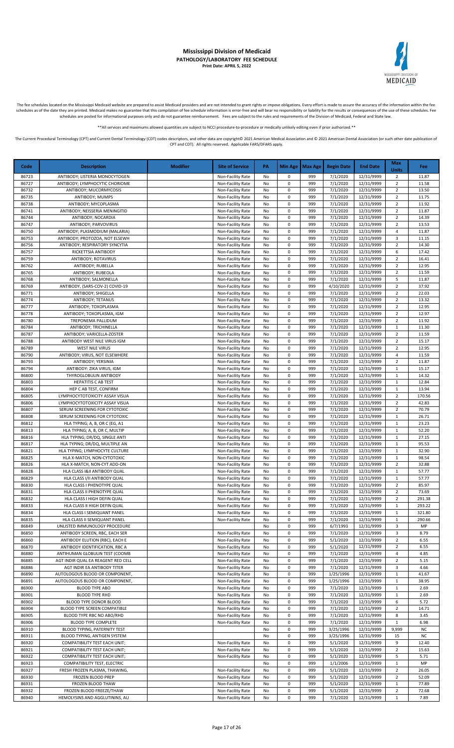

The fee schedules located on the Mississippi Medicaid website are prepared to assist Medicaid providers and are not intended to grant rights or impose obligations. Every effort is made to assure the accuracy of the informa

\*\*All services and maximums allowed quantities are subject to NCCI procedure-to-procedure or medically unlikely editing even if prior authorized.\*\*

| Code           | <b>Description</b>                                                | <b>Modifier</b> | <b>Site of Service</b>                 | PA       |                        | Min Age   Max Age | <b>Begin Date</b>     | <b>End Date</b>          | Max<br><b>Units</b>              | Fee            |
|----------------|-------------------------------------------------------------------|-----------------|----------------------------------------|----------|------------------------|-------------------|-----------------------|--------------------------|----------------------------------|----------------|
| 86723          | ANTIBODY; LISTERIA MONOCYTOGEN                                    |                 | Non-Facility Rate                      | No       | 0                      | 999               | 7/1/2020              | 12/31/9999               | $\overline{2}$                   | 11.87          |
| 86727          | ANTIBODY; LYMPHOCYTIC CHORIOME                                    |                 | Non-Facility Rate                      | No       | $\pmb{0}$              | 999               | 7/1/2020              | 12/31/9999               | $\overline{2}$                   | 11.58          |
| 86732          | ANTIBODY; MUCORMYCOSIS                                            |                 | Non-Facility Rate<br>Non-Facility Rate | No       | 0<br>$\pmb{0}$         | 999<br>999        | 7/1/2020              | 12/31/9999               | $\overline{2}$                   | 13.50          |
| 86735<br>86738 | ANTIBODY; MUMPS<br>ANTIBODY; MYCOPLASMA                           |                 | Non-Facility Rate                      | No<br>No | 0                      | 999               | 7/1/2020<br>7/1/2020  | 12/31/9999<br>12/31/9999 | $\mathbf 2$<br>$\overline{2}$    | 11.75<br>11.92 |
| 86741          | ANTIBODY; NEISSERIA MENINGITID                                    |                 | Non-Facility Rate                      | No       | 0                      | 999               | 7/1/2020              | 12/31/9999               | $\overline{2}$                   | 11.87          |
| 86744          | ANTIBODY; NOCARDIA                                                |                 | Non-Facility Rate                      | No       | 0                      | 999               | 7/1/2020              | 12/31/9999               | $\overline{2}$                   | 14.39          |
| 86747          | ANTIBODY; PARVOVIRUS                                              |                 | Non-Facility Rate                      | No       | 0                      | 999               | 7/1/2020              | 12/31/9999               | $\overline{2}$                   | 13.53          |
| 86750          | ANTIBODY; PLASMODIUM (MALARIA)                                    |                 | Non-Facility Rate                      | No       | 0                      | 999               | 7/1/2020              | 12/31/9999               | $\overline{4}$                   | 11.87          |
| 86753<br>86756 | ANTIBODY; PROTOZOA, NOT ELSEWH<br>ANTIBODY; RESPIRATORY SYNCYTIA  |                 | Non-Facility Rate<br>Non-Facility Rate | No<br>No | $\pmb{0}$<br>$\pmb{0}$ | 999<br>999        | 7/1/2020<br>7/1/2020  | 12/31/9999<br>12/31/9999 | 3<br>$\overline{2}$              | 11.15<br>14.30 |
| 86757          | RICKETTSIA ANTIBODY                                               |                 | Non-Facility Rate                      | No       | $\pmb{0}$              | 999               | 7/1/2020              | 12/31/9999               | 6                                | 17.42          |
| 86759          | ANTIBODY; ROTAVIRUS                                               |                 | Non-Facility Rate                      | No       | $\pmb{0}$              | 999               | 7/1/2020              | 12/31/9999               | $\overline{2}$                   | 16.41          |
| 86762          | ANTIBODY; RUBELLA                                                 |                 | Non-Facility Rate                      | No       | $\pmb{0}$              | 999               | 7/1/2020              | 12/31/9999               | $\overline{2}$                   | 12.95          |
| 86765          | ANTIBODY; RUBEOLA                                                 |                 | Non-Facility Rate                      | No       | $\mathbf 0$            | 999               | 7/1/2020              | 12/31/9999               | $\overline{2}$                   | 11.59          |
| 86768          | ANTIBODY; SALMONELLA                                              |                 | Non-Facility Rate                      | No       | $\pmb{0}$              | 999               | 7/1/2020              | 12/31/9999               | 5                                | 11.87          |
| 86769<br>86771 | ANTIBODY, (SARS-COV-2) COVID-19<br>ANTIBODY; SHIGELLA             |                 | Non-Facility Rate<br>Non-Facility Rate | No<br>No | 0<br>0                 | 999<br>999        | 4/10/2020<br>7/1/2020 | 12/31/9999<br>12/31/9999 | $\overline{2}$<br>$\overline{2}$ | 37.92<br>22.03 |
| 86774          | ANTIBODY; TETANUS                                                 |                 | Non-Facility Rate                      | No       | 0                      | 999               | 7/1/2020              | 12/31/9999               | $\overline{2}$                   | 13.32          |
| 86777          | ANTIBODY; TOXOPLASMA                                              |                 | Non-Facility Rate                      | No       | 0                      | 999               | 7/1/2020              | 12/31/9999               | $\overline{2}$                   | 12.95          |
| 86778          | ANTIBODY; TOXOPLASMA, IGM                                         |                 | Non-Facility Rate                      | No       | 0                      | 999               | 7/1/2020              | 12/31/9999               | $\overline{2}$                   | 12.97          |
| 86780          | TREPONEMA PALLIDUM                                                |                 | Non-Facility Rate                      | No       | 0                      | 999               | 7/1/2020              | 12/31/9999               | $\overline{2}$                   | 11.92          |
| 86784          | ANTIBODY; TRICHINELLA                                             |                 | Non-Facility Rate                      | No       | $\pmb{0}$<br>$\pmb{0}$ | 999               | 7/1/2020              | 12/31/9999               | $\mathbf{1}$                     | 11.30          |
| 86787<br>86788 | ANTIBODY; VARICELLA-ZOSTER<br>ANTIBODY WEST NILE VIRUS IGM        |                 | Non-Facility Rate<br>Non-Facility Rate | No<br>No | 0                      | 999<br>999        | 7/1/2020<br>7/1/2020  | 12/31/9999<br>12/31/9999 | $\overline{2}$<br>$\overline{2}$ | 11.59<br>15.17 |
| 86789          | <b>WEST NILE VIRUS</b>                                            |                 | Non-Facility Rate                      | No       | $\pmb{0}$              | 999               | 7/1/2020              | 12/31/9999               | $\overline{2}$                   | 12.95          |
| 86790          | ANTIBODY; VIRUS, NOT ELSEWHERE                                    |                 | Non-Facility Rate                      | No       | $\pmb{0}$              | 999               | 7/1/2020              | 12/31/9999               | $\overline{4}$                   | 11.59          |
| 86793          | ANTIBODY; YERSINIA                                                |                 | Non-Facility Rate                      | No       | $\pmb{0}$              | 999               | 7/1/2020              | 12/31/9999               | $\overline{2}$                   | 11.87          |
| 86794          | ANTIBODY: ZIKA VIRUS, IGM                                         |                 | Non-Facility Rate                      | No       | $\pmb{0}$              | 999               | 7/1/2020              | 12/31/9999               | 1                                | 15.17          |
| 86800          | THYROGLOBULIN ANTIBODY                                            |                 | Non-Facility Rate                      | No       | 0                      | 999               | 7/1/2020              | 12/31/9999               | $\mathbf{1}$                     | 14.32          |
| 86803<br>86804 | <b>HEPATITIS C AB TEST</b><br>HEP C AB TEST, CONFIRM              |                 | Non-Facility Rate<br>Non-Facility Rate | No<br>No | 0<br>0                 | 999<br>999        | 7/1/2020<br>7/1/2020  | 12/31/9999<br>12/31/9999 | 1<br>$\mathbf{1}$                | 12.84<br>13.94 |
| 86805          | LYMPHOCYTOTOXICITY ASSAY VISUA                                    |                 | Non-Facility Rate                      | No       | 0                      | 999               | 7/1/2020              | 12/31/9999               | $\overline{2}$                   | 170.56         |
| 86806          | LYMPHOCYTOTOXICITY ASSAY VISUA                                    |                 | Non-Facility Rate                      | No       | $\pmb{0}$              | 999               | 7/1/2020              | 12/31/9999               | $\overline{2}$                   | 42.83          |
| 86807          | SERUM SCREENING FOR CYTOTOXIC                                     |                 | Non-Facility Rate                      | No       | $\pmb{0}$              | 999               | 7/1/2020              | 12/31/9999               | $\overline{2}$                   | 70.79          |
| 86808          | SERUM SCREENING FOR CYTOTOXIC                                     |                 | Non-Facility Rate                      | No       | $\pmb{0}$              | 999               | 7/1/2020              | 12/31/9999               | $\mathbf{1}$                     | 26.71          |
| 86812<br>86813 | HLA TYPING; A, B, OR C (EG, A1                                    |                 | Non-Facility Rate                      | No<br>No | $\pmb{0}$<br>$\pmb{0}$ | 999<br>999        | 7/1/2020<br>7/1/2020  | 12/31/9999<br>12/31/9999 | 1<br>$\mathbf{1}$                | 23.23<br>52.20 |
| 86816          | HLA TYPING; A, B, OR C, MULTIP<br>HLA TYPING; DR/DQ, SINGLE ANTI  |                 | Non-Facility Rate<br>Non-Facility Rate | No       | $\pmb{0}$              | 999               | 7/1/2020              | 12/31/9999               | $\mathbf{1}$                     | 27.15          |
| 86817          | HLA TYPING; DR/DQ, MULTIPLE AN                                    |                 | Non-Facility Rate                      | No       | 0                      | 999               | 7/1/2020              | 12/31/9999               | 1                                | 95.53          |
| 86821          | HLA TYPING; LYMPHOCYTE CULTURE                                    |                 | Non-Facility Rate                      | No       | $\pmb{0}$              | 999               | 7/1/2020              | 12/31/9999               | $\mathbf{1}$                     | 32.90          |
| 86825          | HLA X-MATCH, NON-CYTOTOXIC                                        |                 | Non-Facility Rate                      | No       | 0                      | 999               | 7/1/2020              | 12/31/9999               | 1                                | 98.54          |
| 86826          | HLA X-MATCH, NON-CYT ADD-ON                                       |                 | Non-Facility Rate                      | No       | 0                      | 999               | 7/1/2020              | 12/31/9999               | $\overline{2}$                   | 32.88          |
| 86828<br>86829 | HLA CLASS I&II ANTIBODY QUAL<br>HLA CLASS I/II ANTIBODY QUAL      |                 | Non-Facility Rate<br>Non-Facility Rate | No<br>No | 0<br>0                 | 999<br>999        | 7/1/2020<br>7/1/2020  | 12/31/9999<br>12/31/9999 | 1<br>$\mathbf{1}$                | 57.77<br>57.77 |
| 86830          | HLA CLASS I PHENOTYPE QUAL                                        |                 | Non-Facility Rate                      | No       | $\pmb{0}$              | 999               | 7/1/2020              | 12/31/9999               | $\overline{2}$                   | 85.97          |
| 86831          | HLA CLASS II PHENOTYPE QUAL                                       |                 | Non-Facility Rate                      | No       | $\Omega$               | 999               | 7/1/2020              | 12/31/9999               | $\overline{2}$                   | 73.69          |
| 86832          | HLA CLASS I HIGH DEFIN QUAL                                       |                 | Non-Facility Rate                      | No       | 0                      | 999               | 7/1/2020              | 12/31/9999               | $\overline{2}$                   | 291.38         |
| 86833          | HLA CLASS II HIGH DEFIN QUAL                                      |                 | Non-Facility Rate                      | No       | 0                      | 999               | 7/1/2020              | 12/31/9999               | 1                                | 293.22         |
| 86834          | HLA CLASS I SEMIQUANT PANEL                                       |                 | Non-Facility Rate                      | No       | 0                      | 999               | 7/1/2020              | 12/31/9999               | 1                                | 321.80         |
| 86835<br>86849 | HLA CLASS II SEMIQUANT PANEL<br>UNLISTED IMMUNOLOGY PROCEDURE     |                 | Non-Facility Rate                      | No<br>No | 0<br>$\pmb{0}$         | 999<br>999        | 7/1/2020<br>6/7/1993  | 12/31/9999<br>12/31/9999 | 1<br>3                           | 290.66<br>MP   |
| 86850          | ANTIBODY SCREEN, RBC, EACH SER                                    |                 | Non-Facility Rate                      | No       | 0                      | 999               | 7/1/2020              | 12/31/9999               | 3                                | 8.79           |
| 86860          | ANTIBODY ELUTION (RBC), EACH E                                    |                 | Non-Facility Rate                      | No       | 0                      | 999               | 5/1/2020              | 12/31/9999               | 2                                | 6.55           |
| 86870          | ANTIBODY IDENTIFICATION, RBC A                                    |                 | Non-Facility Rate                      | No       | 0                      | 999               | 5/1/2020              | 12/31/9999               | $\overline{2}$                   | 6.55           |
| 86880          | ANTIHUMAN GLOBULIN TEST (COOMB                                    |                 | Non-Facility Rate                      | No       | 0                      | 999               | 7/1/2020              | 12/31/9999               | 4                                | 4.85           |
| 86885          | AGT INDIR QUAL EA REAGENT RED CELL<br>AGT INDIR EA ANTIBODY TITER |                 | Non-Facility Rate<br>Non-Facility Rate | No       | 0<br>0                 | 999<br>999        | 7/1/2020<br>7/1/2020  | 12/31/9999<br>12/31/9999 | $\overline{2}$<br>3              | 5.15<br>4.66   |
| 86886<br>86890 | AUTOLOGOUS BLOOD OR COMPONENT,                                    |                 | Non-Facility Rate                      | No<br>No | 0                      | 999               | 1/25/1996             | 12/31/9999               | 1                                | 41.67          |
| 86891          | AUTOLOGOUS BLOOD OR COMPONENT,                                    |                 | Non-Facility Rate                      | No       | 0                      | 999               | 1/25/1996             | 12/31/9999               | $\mathbf{1}$                     | 38.95          |
| 86900          | <b>BLOOD TYPE ABO</b>                                             |                 | Non-Facility Rate                      | No       | $\pmb{0}$              | 999               | 7/1/2020              | 12/31/9999               | $\mathbf{1}$                     | 2.69           |
| 86901          | <b>BLOOD TYPE RHD</b>                                             |                 | Non-Facility Rate                      | No       | 0                      | 999               | 7/1/2020              | 12/31/9999               | 1                                | 2.69           |
| 86902          | BLOOD TYPE DONOR BLOOD                                            |                 | Non-Facility Rate                      | No       | 0                      | 999               | 7/1/2020              | 12/31/9999               | 6                                | 5.72           |
| 86904<br>86905 | BLOOD TYPE SCREEN COMPATIBLE<br>BLOOD TYPE RBC NO ABO/RHD         |                 | Non-Facility Rate<br>Non-Facility Rate | No       | $\pmb{0}$<br>$\pmb{0}$ | 999<br>999        | 7/1/2020<br>7/1/2020  | 12/31/9999<br>12/31/9999 | $\overline{2}$<br>8              | 14.71<br>3.45  |
| 86906          | BLOOD TYPE COMPLETE                                               |                 | Non-Facility Rate                      | No<br>No | 0                      | 999               | 7/1/2020              | 12/31/9999               | 1                                | 6.98           |
| 86910          | BLOOD TYPING, PATERNITY TEST                                      |                 |                                        | No       | 0                      | 999               | 3/25/1996             | 12/31/9999               | 9,999                            | NC             |
| 86911          | BLOOD TYPING, ANTIGEN SYSTEM                                      |                 |                                        | No       | 0                      | 999               | 3/25/1996             | 12/31/9999               | 15                               | <b>NC</b>      |
| 86920          | COMPATIBILITY TEST EACH UNIT;                                     |                 | Non-Facility Rate                      | No       | 0                      | 999               | 5/1/2020              | 12/31/9999               | 9                                | 12.40          |
| 86921          | COMPATIBILITY TEST EACH UNIT;                                     |                 | Non-Facility Rate                      | No       | 0                      | 999               | 5/1/2020              | 12/31/9999               | $\overline{2}$                   | 15.63          |
| 86922          | COMPATIBILITY TEST EACH UNIT;                                     |                 | Non-Facility Rate                      | No       | 0                      | 999               | 5/1/2020              | 12/31/9999               | 5                                | 5.71           |
| 86923<br>86927 | COMPATIBILITY TEST, ELECTRIC<br>FRESH FROZEN PLASMA, THAWING,     |                 | Non-Facility Rate                      | No<br>No | 0<br>$\pmb{0}$         | 999<br>999        | 1/1/2006<br>5/1/2020  | 12/31/9999<br>12/31/9999 | 1<br>$\overline{2}$              | MP<br>26.05    |
| 86930          | FROZEN BLOOD PREP                                                 |                 | Non-Facility Rate                      | No       | 0                      | 999               | 5/1/2020              | 12/31/9999               | $\overline{2}$                   | 52.09          |
| 86931          | FROZEN BLOOD THAW                                                 |                 | Non-Facility Rate                      | No       | 0                      | 999               | 5/1/2020              | 12/31/9999               | 1                                | 77.89          |
| 86932          | FROZEN BLOOD FREEZE/THAW                                          |                 | Non-Facility Rate                      | No       | $\pmb{0}$              | 999               | 5/1/2020              | 12/31/9999               | $\overline{2}$                   | 72.68          |
| 86940          | HEMOLYSINS AND AGGLUTININS, AU                                    |                 | Non-Facility Rate                      | No       | 0                      | 999               | 7/1/2020              | 12/31/9999               | $\mathbf{1}$                     | 7.89           |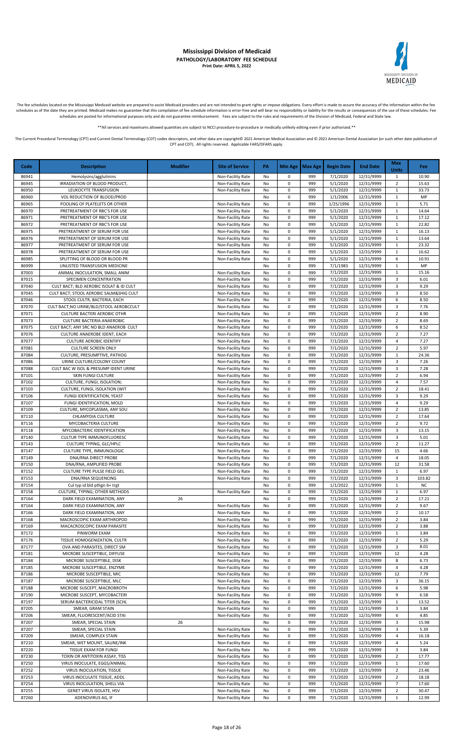

The fee schedules located on the Mississippi Medicaid website are prepared to assist Medicaid providers and are not intended to grant rights or impose obligations. Every effort is made to assure the accuracy of the informa schedules as of the date they are printed. Medicaid makes no guarantee that this compilation of fee schedule information is error-free and will bear no responsibility or liability for the results or consequences of the use schedules are posted for informational purposes only and do not guarantee reimbursement. Fees are subject to the rules and requirements of the Division of Medicaid, Federal and State law.

\*All services and maximums allowed quantities are subject to NCCI procedure-to-procedure or medically unlikely editing even if prior authorized

The Current Procedural Terminology (CPT) and Current Dental Terminology (CDT) codes descriptors, and other data are copyright@ 2021 American Medical Association and @ 2021 American Dental Association (or such other date pu CPT and CDT). All rights reserved. Applicable FARS/DFARS apply.

**Code Description Modifier Site of Service PA Min Age Max Age Begin Date End Date Max Units Fee** 86941 | Hemolysins/agglutinins | Non-Facility Rate No 0 999 7/1/2020 12/31/9999 1 | 10.90 86945 | IRRADIATION OF BLOOD PRODUCT, | Non-Facility Rate No 0 999 5/1/2020 12/31/9999 2 15.63 86950 | LEUKOCYTE TRANSFUSION | Non-Facility Rate | No | 0 | 999 | 5/1/2020 | 12/31/9999 | 1 | 33.73 869 VOL REDUCTION OF BLOOD/PROD NO 2012 11/2006 22/31/9999 1 MP<br>POOLING OF PLATELETS OR OTHER No 2013 1/25/1999 12/31/9999 1 5.71 86965 POOLING OF PLATELETS OR OTHER Non-Facility Rate No 0 999 1/25/1996 12/31/9999 1 86970 PRETREATMENT OF RBC'S FOR USE Non-Facility Rate No 0 999 5/1/2020 12/31/9999 1 14.64 86971 | PRETREATMENT OF RBC'S FOR USE | Non-Facility Rate | No | 0 | 999 | 5/1/2020 | 12/31/9999 | 1 | 17.12 86972 PRETREATMENT OF RBC'S FOR USE Non-Facility Rate No 0 999 5/1/2020 12/31/9999 1 22.82 86975 PRETREATMENT OF SERUM FOR USE Non-Facility Rate No 0 999 5/1/2020 12/31/9999 1 1 16.13 86976 PRETREATMENT OF SERUM FOR USE Non-Facility Rate No 0 999 5/1/2020 12/31/9999 1 1 13.64 86977 | PRETREATMENT OF SERUM FOR USE | NON-Facility Rate | No | 0 | 999 | 5/1/2020 | 12/31/9999 | 1 | 23.32 86978 PRETREATMENT OF SERUM FOR USE Non-Facility Rate No 0 999 5/1/2020 12/31/9999 1 1 16.62 86985 SPLITTING OF BLOOD OR BLOOD PR Non-Facility Rate No 0 999 5/1/2020 12/31/9999 6 10.91 86999 UNLISTED TRANSFUSION MEDICINE NO CONTROL NO 1 999 1 7/1/1983 12/31/9999 1 MP MP 87003 ANIMAL INOCULATION, SMALL ANIM NON-CHILL ANIM NON-Facility Rate No 0 999 7/1/2020 12/31/9999 1 1 15.16 87015 SPECIMEN CONCENTRATION NON-Facility Rate No 0 999 7/1/2020 12/31/9999 3 6.01<br>87040 CULT BACT; BLD AEROBIC ISOLAT & ID CULT Non-Facility Rate No 0 999 7/1/2020 12/31/9999 3 9.29 REACT; BLD AEROBIC ISOLAT & ID CULT Non-Facility Rate No 0 999 7/1/2020 12/31/9999 3 87045 CULT BACT: STOOL AEROBIC SALM&SHIG CULT NO DONE Facility Rate No 0 999 7/1/2020 12/31/9999 3 8.50 87046 STOOL CULTR, BACTERIA, EACH NON-Facility Rate No 0 999 7/1/2020 12/31/9999 6 8.50<br>87070 CULT BACT;NO URINE/BLD/STOOL AEROBCCULT NO NON-Facility Rate No 0 999 7/1/2020 12/31/9999 3 7.76 87070 CULT BACT;NO URINE/BLD/STOOL AEROBCCULT Non-Facility Rate No 0 999 7/1/2020 12/31/9999 3 7.76<br>87071 CULTURE BACTERI AEROBIC OTHR Non-Facility Rate No 0 999 7/1/2020 12/31/9999 2 8.90 87071 CULTURE BACTERI AEROBIC OTHR NON-Facility Rate No 0 999 7/1/2020 12/31/9999 2 87073 CULTURE BACTERIA ANAEROBIC Non-Facility Rate No 0 999 7/1/2020 12/31/9999 2 8.69 87075 CULT BACT; ANY SRC NO BLD ANAEROB CULT<br>1987 - STOTE CULTURE ANAEROBE IDENT, EACH CULT NON-Facility Rate No 0 999 7/1/2020 12/31/9999 2 7.27 87076 CULTURE ANAEROBE IDENT, EACH Non-Facility Rate No 0 999 7/1/2020 12/31/9999 2 87077 CULTURE AEROBIC IDENTIFY **CULTURE AEROBIC IDENTIFY Non-Facility Rate** No 0 999 7/1/2020 12/31/9999 4 7.27 87081 CULTURE SCREEN ONLY Non-Facility Rate No 0 999 7/1/2020 12/31/9999 2 5.97 87084 CULTURE, PRESUMPTIVE, PATHOG No CULTURE, PATHOG No DI ROM-Facility Rate No 0 999 7/1/2020 12/31/9999 1 24.36 87086 URINE CULTURE/COLONY COUNT Non-Facility Rate No 0 999 7/1/2020 12/31/9999 3 7.26 87088 CULT BAC W ISOL & PRESUMP IDENT URINE Non-Facility Rate No 0 999 7/1/2020 12/31/9999 3 7.28 87101 SKIN FUNGI CULTURE Non-Facility Rate No 0 999 7/1/2020 12/31/9999 2 6.94 87102 CULTURE, FUNGI, ISOLATION; None Alternative Non-Facility Rate No 0 999 7/1/2020 12/31/9999 4 7.57 87103 CULTURE, FUNGI, ISOLATION (WIT Non-Facility Rate No 0 999 7/1/2020 12/31/9999 2 18.41 87106 FUNGI IDENTIFICATION, YEAST NON-Facility Rate No 0 999 7/1/2020 12/31/9999 3 9.29 87107 | FUNGI IDENTIFICATION, MOLD | Non-Facility Rate | No | 0 | 999 | 7/1/2020 | 12/31/9999 | 4 | 9.29 87109 CULTURE, MYCOPLASMA, ANY SOU | NON-Facility Rate | No | 0 | 999 | 7/1/2020 | 12/31/9999 | 2 | 13.85 87110 CHLAMYDIA CULTURE Non-Facility Rate No 0 999 7/1/2020 12/31/9999 2 17.64 87116 MYCOBACTERIA CULTURE Non-Facility Rate No 0 999 7/1/2020 12/31/9999 2 87118 MYCOBACTERIC IDENTIFICATION Non-Facility Rate No 0 999 7/1/2020 12/31/9999 3 13.15 87140 CULTUR TYPE IMMUNOFLUORESC Non-Facility Rate No 0 999 7/1/2020 12/31/9999 3 5.01<br>87143 CULTURE TYPING. GLC/HPLC Non-Facility Rate No 0 999 7/1/2020 12/31/9999 2 11.27 87143 CULTURE TYPING, GLC/HPLC Non-Facility Rate No 0 999 7/1/2020 12/31/9999 2 11.27 87147 CULTURE TYPE, IMMUNOLOGIC Non-Facility Rate No 0 999 7/1/2020 12/31/9999 15 4.66 87149 | DNA/RNA DIRECT PROBE | Non-Facility Rate | No | 0 | 999 | 7/1/2020 | 12/31/9999 | 4 | 18.05 87150 DNA/RNA, AMPLIFIED PROBE Non-Facility Rate No 0 999 7/1/2020 12/31/9999 12 31.58 87152 CULTURE TYPE PULSE FIELD GEL NON-Facility Rate No 0 999 7/1/2020 12/31/9999 1 6.97<br>87153 DNA/RNA SEQUENCING Non-Facility Rate No 0 999 7/1/2020 12/31/9999 3 103.82 87153 DNA/RNA SEQUENCING Non-Facility Rate No 0 999 7/1/2020 12/31/9999 3 87154 Cul typ id bld pthgn 6+ trgt No 1 0 999 1/1/2022 12/31/9999 1 No 87158 CULTURE, TYPING; OTHER METHODS Non-Facility Rate No 0 999 7/1/2020 12/31/9999 1 6.97<br>87164 DARK FIELD EXAMINATION, ANY 26 26 No 0 999 7/1/2020 12/31/9999 2 17.21 0 0 12/31/9999 2 17.21 DARK FIELD EXAMINATION, ANY 26 26 21 22/31/9999 2 17.21 DARK FIELD EXAMINATION, ANY 26 2012 87164 DARK FIELD EXAMINATION, ANY Non-Facility Rate No 0 999 7/1/2020 12/31/9999 2 87166 DARK FIELD EXAMINATION, ANY Non-Facility Rate No 0 999 7/1/2020 12/31/9999 2 10.17 87168 | MACROSCOPIC EXAM ARTHROPOD | MONETALLY Rate | No | 0 | 999 | 7/1/2020 | 12/31/9999 | 2 | 3.84 87169 MACACROSCOPIC EXAM PARASITE (None Facility Rate No 0 999 7/1/2020 12/31/9999 2 3.88 87172 PINWORM EXAM Non-Facility Rate No 0 999 7/1/2020 12/31/9999 1 3.84 87176 TISSUE HOMOGENIZATION, CULTR None Facility Rate No 0 999 7/1/2020 12/31/9999 2 5.29 87177 OVA AND PARASITES, DIRECT SM NON-Facility Rate No 0 999 7/1/2020 12/31/9999 3 8.01<br>87181 MICROBE SUSCEPTIBLE, DIFFUSE RATE: Non-Facility Rate No 0 999 7/1/2020 12/31/9999 12 4.28 MICROBE SUSCEPTIBLE, DIFFUSE **Non-Facility Rate** No 0 999 7/1/2020 12/31/9999 12 4.28 87184 MICROBE SUSCEPTIBLE, DISK None Facility Rate No 0 999 7/1/2020 12/31/9999 8 6.73 87185 MICROBE SUSCEPTIBLE, ENZYME | Non-Facility Rate No 0 999 7/1/2020 12/31/9999 4 4.28 87186 MICROBE SUSCEPTIBLE, MIC Non-Facility Rate No 0 999 7/1/2020 12/31/9999 12 7.79 87187 MICROBE SUSCEPTIBLE, MLC Non-Facility Rate No 0 999 7/1/2020 12/31/9999 3 36.15 87188 MICROBE SUSCEPT, MACROBROTH Non-Facility Rate No 0 999 7/1/2020 12/31/9999 6 5.98 87190 MICROBE SUSCEPT, MYCOBACTERI NO Non-Facility Rate No 0 999 7/1/2020 12/31/9999 9 6.58 87197 SERUM BACTERICIDAL TITER (SCHL Non-Facility Rate No 0 999 7/1/2020 12/31/9999 1 13.52 87205 SMEAR, GRAM STAIN Non-Facility Rate No 0 999 7/1/2020 12/31/9999 3 3.84 87206 SMEAR, FLUORESCENT/ACID STAI NO NON-Facility Rate No 0 999 7/1/2020 12/31/9999 6 4.85 87207 | SMEAR, SPECIAL STAIN | 26 | No | 0 | 999 | 7/1/2020 | 12/31/9999 | 3 | 15.98 87207 | SMEAR, SPECIAL STAIN | Non-Facility Rate | No | 0 | 999 | 7/1/2020 | 12/31/9999 | 3 | 5.39 87209 SMEAR, COMPLEX STAIN 16.18 87210 SMEAR, WET MOUNT, SALINE/INK | Non-Facility Rate No 0 999 7/1/2020 12/31/9999 4 5.24 87220 TISSUE EXAM FOR FUNGI Non-Facility Rate No 0 999 7/1/2020 12/31/9999 3 3.84 87230 TOXIN OR ANTITOXIN ASSAY, TISS None Facility Rate No 0 999 7/1/2020 12/31/9999 2 17.77 87250 VIRUS INOCULATE, EGGS/ANIMAL NON-Facility Rate No 0 999 7/1/2020 12/31/9999 1 17.60<br>87252 VIRUS INOCULATION, TISSUE Non-Facility Rate No 0 999 7/1/2020 12/31/9999 2 23.46 87252 VIRUS INOCULATION, TISSUE NO CONTRACTION NON-Facility Rate No 0 999 7/1/2020 12/31/9999 2 87253 VIRUS INOCULATE TISSUE, ADDL NO VIRTUALE NO NON-Facility Rate No 0 999 7/1/2020 12/31/9999 2 18.18 87254 | VIRUS INOCULATION, SHELL VIA | None Facility Rate | No | 0 | 999 | 7/1/2020 | 12/31/9999 | 7 | 17.60 87255 GENET VIRUS ISOLATE, HSV **CONTENT ASSESS AND THE RATE OF A SOLAT CONTENT ASSESS GENET VIRUS ISOLATE**, HSV 87260 ADENOVIRUS AG, IF Non-Facility Rate No 0 999 7/1/2020 12/31/9999 1 12.99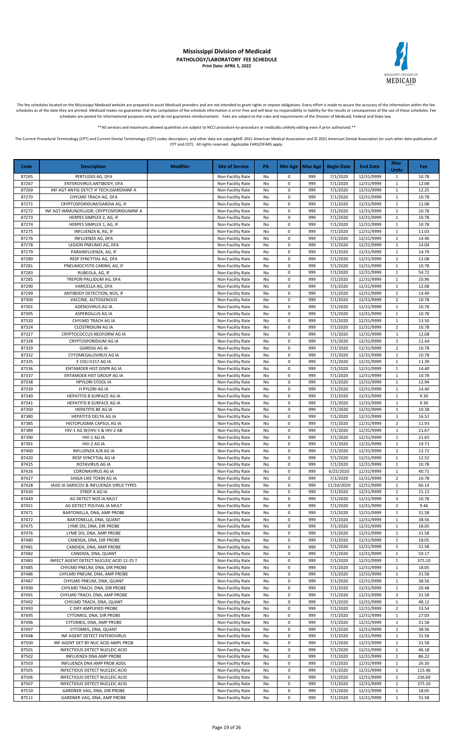

The fee schedules located on the Mississippi Medicaid website are prepared to assist Medicaid providers and are not intended to grant rights or impose obligations. Every effort is made to assure the accuracy of the informa schedules as of the date they are printed. Medicaid makes no guarantee that this compilation of fee schedule information is error-free and will bear no responsibility or liability for the results or consequences of the use schedules are posted for informational purposes only and do not guarantee reimbursement. Fees are subject to the rules and requirements of the Division of Medicaid, Federal and State law.

\*All services and maximums allowed quantities are subject to NCCI procedure-to-procedure or medically unlikely editing even if prior authorized

The Current Procedural Terminology (CPT) and Current Dental Terminology (CDT) codes descriptors, and other data are copyright@ 2021 American Medical Association and @ 2021 American Dental Association (or such other date pu CPT and CDT). All rights reserved. Applicable FARS/DFARS apply.

**Code Description Modifier Site of Service PA Min Age Max Age Begin Date End Date Max Units Fee** 87265 PERTUSSIS AG, DFA Non-Facility Rate No 0 999 7/1/2020 12/31/9999 1 10.78 87267 | ENTEROVIRUS ANTIBODY, DFA | Non-Facility Rate | No | 0 | 999 | 7/1/2020 | 12/31/9999 | 1 | 12.08 87269 | INF AGT ANTIG DETCT IF TECH;GIARDIAINF A | None Facility Rate | No | 0 | 999 | 7/1/2020 | 12/31/9999 | 1 | 12.25 87270 CHYLMD TRACH AG, DFA Non-Facility Rate No 0 999 7/1/2020 12/31/9999 1 10.78<br>87271 CRYPTOSPORIDUM/GARDIA AG, IF Non-Facility Rate No 0 999 7/1/2020 12/31/9999 1 12.08 87271 CRYPTOSPORIDUM/GARDIA AG, IF Non-Facility Rate No 0 999 7/1/2020 12/31/9999 1 12.08 87272 INF AGT-IMMUNOFLUOR: CRYPTOSPORIDUMINF A No Non-Facility Rate No 0 999 7/1/2020 12/31/9999 1 10.78 87273 HERPES SIMPLEX 2, AG, IF None All Non-Facility Rate No 0 999 7/1/2020 12/31/9999 1 1 10.78 87274 HERPES SIMPLEX 1, AG, IF Non-Facility Rate No 0 999 7/1/2020 12/31/9999 1 10.78 87275 INFLUENZA B, AG, IF Non-Facility Rate No 0 999 7/1/2020 12/31/9999 1 11.03 87276 INFLUENZA AG, DFA Non-Facility Rate No 0 999 7/1/2020 12/31/9999 1 14.46 87278 LEGION PNEUMO AG, DFA NON-FACILITY Rate No 0 999 7/1/2020 12/31/9999 1 1 14.04 87279 PARAINFLUENZA, AG, IF Non-Facility Rate No 0 999 7/1/2020 12/31/9999 1 14.79 87280 RESP SYNCYTIAL AG, DFA NON-Facility Rate No 0 999 7/1/2020 12/31/9999 1 20.08 87281 PNEUMOCYSTIS CARINII, AG, IF NO 2001 PACINII NON-Facility Rate No 0 999 7/1/2020 12/31/9999 1 1 10.78 87283 RUBEOLA, AG, IF Non-Facility Rate No 0 999 7/1/2020 12/31/9999 1 54.72 87285 TREPON PALLIDUM AG, DFA Non-Facility Rate No 0 999 7/1/2020 12/31/9999 1 10.96<br>87290 VARICELLA AG. DFA Non-Facility Rate No 0 999 7/1/2020 12/31/9999 1 12.08 87290 VARICELLA AG, DFA Non-Facility Rate No 0 999 7/1/2020 12/31/9999 1 12.08 87299 | ANTIBODY DETECTION, NOS, IF | Non-Facility Rate | No | 0 | 999 | 7/1/2020 | 12/31/9999 | 1 | 14.49 87300 VACCINE, AUTOGENOUS Non-Facility Rate No 0 999 7/1/2020 12/31/9999 2 10.78 87301 ADENOVIRUS AG IA Non-Facility Rate No 0 999 7/1/2020 12/31/9999 1 10.78 87305 ASPERGILLUS AG IA Non-Facility Rate No 0 999 7/1/2020 12/31/9999 1 10.78 87320 CHYLMD TRACH AG IA Non-Facility Rate No 0 999 7/1/2020 12/31/9999 1 13.50 87324 CLOSTRIDIUM AG IA Non-Facility Rate No 0 999 7/1/2020 12/31/9999 2 10.78 87327 CRYPTOCOCCUS NEOFORM AG IA Non-Facility Rate No 0 999 7/1/2020 12/31/9999 1 12.08 87328 CRYPTOSPORIDIUM AG IA Non-Facility Rate No 0 999 7/1/2020 12/31/9999 2 12.44 87329 GIARDIA AG IA Non-Facility Rate No 0 999 7/1/2020 12/31/9999 2 10.78 87332 CYTOMEGALOVIRUS AG IA NO NON-Facility Rate No 0 999 7/1/2020 12/31/9999 1 20.78 87335 E COLI 0157 AG IA Non-Facility Rate No 0 999 7/1/2020 12/31/9999 1 11.39 87336 ENTAMOEB HIST DISPR AG IA NON-Facility Rate No 0 999 7/1/2020 12/31/9999 1 14.40 87337 ENTAMOEB HIST GROUP AG IA NO NON-Facility Rate No 0 999 7/1/2020 12/31/9999 1 10.78 87338 HPYLORI STOOL IA Non-Facility Rate No 0 999 7/1/2020 12/31/9999 1 12.94 87339 H PYLORI AG IA Non-Facility Rate No 0 999 7/1/2020 12/31/9999 1 14.40 87340 HEPATITIS B SURFACE AG IA Non-Facility Rate No 0 999 7/1/2020 12/31/9999 1 9.30 87341 | HEPATITIS B SURFACE AG IA | Non-Facility Rate | No | 0 | 999 | 7/1/2020 | 12/31/9999 | 1 | 9.30 87350 HEPATITIS BE AG IA Non-Facility Rate No 0 999 7/1/2020 12/31/9999 1 10.38 87380 HEPATITIS DELTA AG IA NON-Facility Rate No 0 999 7/1/2020 12/31/9999 1 16.52<br>187385 HISTOPLASMA CAPSULAG IA Non-Facility Rate No 0 999 7/1/2020 12/31/9999 2 11.93 87385 HISTOPLASMA CAPSUL AG IA NON-Facility Rate No 0 999 7/1/2020 12/31/9999 2 11.93 87389 HIV-1 AG W/HIV-1 & HIV-2 AB NON-Facility Rate No 0 999 7/1/2020 12/31/9999 1 21.67 87390 HIV-1 AG IA Non-Facility Rate No 0 999 7/1/2020 12/31/9999 1 21.65 87391 HIV-2 AG IA Non-Facility Rate No 0 999 7/1/2020 12/31/9999 1 19.71 87400 INFLUENZA A/B AG IA Non-Facility Rate No 0 999 7/1/2020 12/31/9999 2 12.72 87420 RESP SYNCYTIAL AG IA NON-Facility Rate No 0 999 7/1/2020 12/31/9999 1 1 12.52 87425 ROTAVIRUS AG IA Non-Facility Rate No 0 999 7/1/2020 12/31/9999 1 10.78 87426 CORONAVIRUS AG IA Non-Facility Rate No 0 999 6/25/2020 12/31/9999 1 40.71 87427 SHIGA-LIKE TOXIN AG IA Non-Facility Rate No 0 999 7/1/2020 12/31/9999 2 10.78 87428 IAAD IA SARSCOV & INFLUENZA VIRUS TYPES Non-Facility Rate No 0 999 11/10/2020 12/31/9999 1 66.14 87430 STREP A AG IA Non-Facility Rate No 0 999 7/1/2020 12/31/9999 1 15.13 87449 AG DETECT NOS IA MULT Non-Facility Rate No 0 999 7/1/2020 12/31/9999 3 10.78 87451 AG DETECT POLYVAL IA MULT Non-Facility Rate No 0 999 7/1/2020 12/31/9999 2 9.46 87471 BARTONELLA, DNA, AMP PROBE Non-Facility Rate No 0 999 7/1/2020 12/31/9999 1 31.58 87472 | BARTONELLA, DNA, QUANT | Non-Facility Rate No 0 999 7/1/2020 12/31/9999 1 | 38.56 87475 LYME DIS, DNA, DIR PROBE None State Non-Facility Rate No 0 999 7/1/2020 12/31/9999 1 1 18.05 87476 LYME DIS, DNA, AMP PROBE Non-Facility Rate No 0 999 7/1/2020 12/31/9999 1 31.58 87480 | CANDIDA, DNA, DIR PROBE | Non-Facility Rate | No | 0 | 999 | 7/1/2020 | 12/31/9999 | 1 | 18.05 87481 CANDIDA, DNA, AMP PROBE Non-Facility Rate No 0 999 7/1/2020 12/31/9999 5 31.58 87482 CANDIDA, DNA, QUANT Non-Facility Rate No 0 999 7/1/2020 12/31/9999 1 50.17 87483 INFECT AGENT DETECT NUCLEIC ACID 12-25 T Non-Facility Rate No 0 999 7/1/2020 12/31/9999 1 375.10 87485 CHYLMD PNEUM, DNA, DIR PROBE Non-Facility Rate No 0 999 7/1/2020 12/31/9999 1 18.05 87486 | CHYLMD PNEUM, DNA, AMP PROBE | Non-Facility Rate | No | 0 | 999 | 7/1/2020 | 12/31/9999 | 1 | 31.58 87487 CHYLMD PNEUM, DNA, QUANT Non-Facility Rate No 0 999 7/1/2020 12/31/9999 1 38.56 87490 CHYLMD TRACH, DNA, DIR PROBE Non-Facility Rate No 0 999 7/1/2020 12/31/9999 1 20.48 87491 CHYLMD TRACH, DNA, AMP PROBE Non-Facility Rate No 0 999 7/1/2020 12/31/9999 3 31.58 87492 CHYLMD TRACH, DNA, QUANT Non-Facility Rate No 0 999 7/1/2020 12/31/9999 1 48.12<br>87493 CDIFF AMPLIFIED PROBE NON-Facility Rate No 0 999 7/1/2020 12/31/9999 2 33.54 87493 | C DIFF AMPLIFIED PROBE | Non-Facility Rate | No | 0 | 999 | 7/1/2020 | 12/31/9999 | 2 | 33.54 87495 CYTOMEG, DNA, DIR PROBE Non-Facility Rate No 0 999 7/1/2020 12/31/9999 1 27.03 87496 CYTOMEG, DNA, AMP PROBE None Facility Rate No 0 999 7/1/2020 12/31/9999 1 31.58 87497 CYTOMEG, DNA, QUANT Non-Facility Rate No 0 999 7/1/2020 12/31/9999 2 38.56 87498 INF AGENT DETECT ENTEROVIRUS Non-Facility Rate No 0 999 7/1/2020 12/31/9999 1 31.58 87500 INF AGENT DET BY NUC ACID AMPL PROB 87501 INFECTIOUS DETECT NUCLEIC ACID NO NON-Facility Rate No 0 999 7/1/2020 12/31/9999 1 46.18 87502 INFLUENZA DNA AMP PROBE Non-Facility Rate No 0 999 7/1/2020 12/31/9999 1 86.22 87503 INFLUENZA DNA AMP PROB ADDL<br>87505 INFECTIOUS DETECT NUCLEIC ACID Non-Facility Rate No 0 999 7/1/2020 12/31/9999 1 15.46 87505 INFECTIOUS DETECT NUCLEIC ACID Non-Facility Rate No 0 999 7/1/2020 12/31/9999 1 87506 INFECTIOUS DETECT NUCLEIC ACID NO NOn-Facility Rate No 0 999 7/1/2020 12/31/9999 1 236.69 87507 | INFECTIOUS DETECT NUCLEIC ACID | None Facility Rate | No | 0 | 999 | 7/1/2020 | 12/31/9999 | 1 | 375.10 87510 GARDNER VAG, DNA, DIR PROBE NONE NON-Facility Rate No 0 999 7/1/2020 12/31/9999 1 18.05 87511 GARDNER VAG, DNA, AMP PROBE NO 1990 1999 7/1/2020 12/31/9999 1 31.58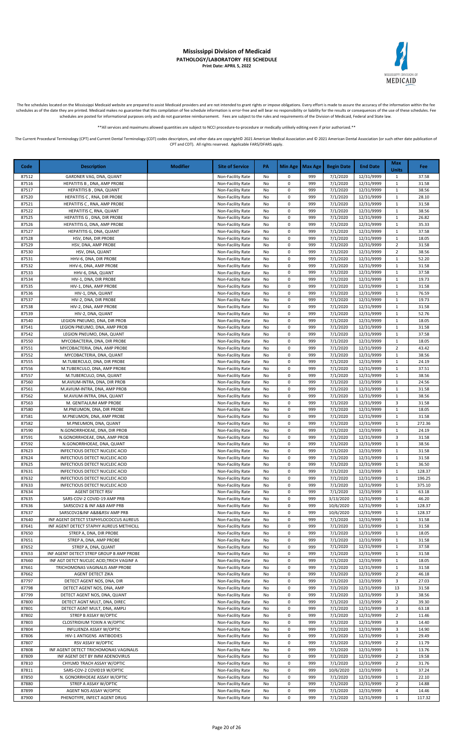

The fee schedules located on the Mississippi Medicaid website are prepared to assist Medicaid providers and are not intended to grant rights or impose obligations. Every effort is made to assure the accuracy of the informa

\*\*All services and maximums allowed quantities are subject to NCCI procedure-to-procedure or medically unlikely editing even if prior authorized.\*\*

| Code           | <b>Description</b>                                                        | <b>Modifier</b> | <b>Site of Service</b>                 | <b>PA</b> |                | Min Age   Max Age | <b>Begin Date</b>    | <b>End Date</b>          | <b>Max</b><br><b>Units</b>     | Fee             |
|----------------|---------------------------------------------------------------------------|-----------------|----------------------------------------|-----------|----------------|-------------------|----------------------|--------------------------|--------------------------------|-----------------|
| 87512          | GARDNER VAG, DNA, QUANT                                                   |                 | Non-Facility Rate                      | No        | 0              | 999               | 7/1/2020             | 12/31/9999               | $\mathbf{1}$                   | 37.58           |
| 87516          | HEPATITIS B. DNA. AMP PROBE                                               |                 | Non-Facility Rate                      | No        | $\pmb{0}$      | 999               | 7/1/2020             | 12/31/9999               | $\mathbf{1}$                   | 31.58           |
| 87517          | HEPATITIS B, DNA, QUANT<br>HEPATITIS C, RNA, DIR PROBE                    |                 | Non-Facility Rate                      | No        | 0              | 999<br>999        | 7/1/2020             | 12/31/9999               | $\mathbf{1}$<br>$\mathbf{1}$   | 38.56           |
| 87520<br>87521 | HEPATITIS C, RNA, AMP PROBE                                               |                 | Non-Facility Rate<br>Non-Facility Rate | No<br>No  | 0<br>0         | 999               | 7/1/2020<br>7/1/2020 | 12/31/9999<br>12/31/9999 | $\mathbf{1}$                   | 28.10<br>31.58  |
| 87522          | HEPATITIS C, RNA, QUANT                                                   |                 | Non-Facility Rate                      | No        | $\pmb{0}$      | 999               | 7/1/2020             | 12/31/9999               | $\mathbf{1}$                   | 38.56           |
| 87525          | HEPATITIS G, DNA, DIR PROBE                                               |                 | Non-Facility Rate                      | No        | 0              | 999               | 7/1/2020             | 12/31/9999               | $\mathbf{1}$                   | 26.82           |
| 87526          | HEPATITIS G, DNA, AMP PROBE                                               |                 | Non-Facility Rate                      | No        | 0              | 999               | 7/1/2020             | 12/31/9999               | $\mathbf{1}$                   | 35.33           |
| 87527          | HEPATITIS G, DNA, QUANT                                                   |                 | Non-Facility Rate                      | No        | 0<br>$\pmb{0}$ | 999<br>999        | 7/1/2020             | 12/31/9999               | 1<br>$\mathbf{1}$              | 37.58<br>18.05  |
| 87528<br>87529 | HSV, DNA, DIR PROBE<br>HSV, DNA, AMP PROBE                                |                 | Non-Facility Rate<br>Non-Facility Rate | No<br>No  | $\pmb{0}$      | 999               | 7/1/2020<br>7/1/2020 | 12/31/9999<br>12/31/9999 | $\overline{2}$                 | 31.58           |
| 87530          | HSV, DNA, QUANT                                                           |                 | Non-Facility Rate                      | No        | 0              | 999               | 7/1/2020             | 12/31/9999               | $\overline{2}$                 | 38.56           |
| 87531          | HHV-6, DNA, DIR PROBE                                                     |                 | Non-Facility Rate                      | No        | $\pmb{0}$      | 999               | 7/1/2020             | 12/31/9999               | $\mathbf{1}$                   | 52.20           |
| 87532          | HHV-6, DNA, AMP PROBE                                                     |                 | Non-Facility Rate                      | No        | $\pmb{0}$      | 999               | 7/1/2020             | 12/31/9999               | $\mathbf{1}$                   | 31.58           |
| 87533<br>87534 | HHV-6, DNA, QUANT                                                         |                 | Non-Facility Rate                      | No        | 0<br>0         | 999<br>999        | 7/1/2020             | 12/31/9999               | $\mathbf{1}$<br>$\mathbf{1}$   | 37.58<br>19.73  |
| 87535          | HIV-1, DNA, DIR PROBE<br>HIV-1, DNA, AMP PROBE                            |                 | Non-Facility Rate<br>Non-Facility Rate | No<br>No  | 0              | 999               | 7/1/2020<br>7/1/2020 | 12/31/9999<br>12/31/9999 | $\mathbf{1}$                   | 31.58           |
| 87536          | HIV-1, DNA, QUANT                                                         |                 | Non-Facility Rate                      | No        | 0              | 999               | 7/1/2020             | 12/31/9999               | $\mathbf{1}$                   | 76.59           |
| 87537          | HIV-2, DNA, DIR PROBE                                                     |                 | Non-Facility Rate                      | No        | 0              | 999               | 7/1/2020             | 12/31/9999               | $\mathbf{1}$                   | 19.73           |
| 87538          | HIV-2, DNA, AMP PROBE                                                     |                 | Non-Facility Rate                      | No        | 0              | 999               | 7/1/2020             | 12/31/9999               | $\mathbf{1}$                   | 31.58           |
| 87539          | HIV-2, DNA, QUANT                                                         |                 | Non-Facility Rate                      | No        | 0              | 999               | 7/1/2020             | 12/31/9999               | $\mathbf{1}$                   | 52.76           |
| 87540<br>87541 | LEGION PNEUMO, DNA, DIR PROB<br>LEGION PNEUMO, DNA, AMP PROB              |                 | Non-Facility Rate<br>Non-Facility Rate | No<br>No  | 0<br>$\pmb{0}$ | 999<br>999        | 7/1/2020<br>7/1/2020 | 12/31/9999<br>12/31/9999 | 1<br>$\mathbf{1}$              | 18.05<br>31.58  |
| 87542          | LEGION PNEUMO, DNA, QUANT                                                 |                 | Non-Facility Rate                      | No        | 0              | 999               | 7/1/2020             | 12/31/9999               | $\mathbf{1}$                   | 37.58           |
| 87550          | MYCOBACTERIA, DNA, DIR PROBE                                              |                 | Non-Facility Rate                      | No        | 0              | 999               | 7/1/2020             | 12/31/9999               | $\mathbf{1}$                   | 18.05           |
| 87551          | MYCOBACTERIA, DNA, AMP PROBE                                              |                 | Non-Facility Rate                      | No        | $\pmb{0}$      | 999               | 7/1/2020             | 12/31/9999               | $\overline{2}$                 | 43.42           |
| 87552          | MYCOBACTERIA, DNA, QUANT                                                  |                 | Non-Facility Rate                      | No        | $\pmb{0}$      | 999               | 7/1/2020             | 12/31/9999               | $\mathbf{1}$                   | 38.56           |
| 87555<br>87556 | M.TUBERCULO, DNA, DIR PROBE<br>M.TUBERCULO, DNA, AMP PROBE                |                 | Non-Facility Rate<br>Non-Facility Rate | No<br>No  | 0<br>0         | 999<br>999        | 7/1/2020<br>7/1/2020 | 12/31/9999<br>12/31/9999 | $\mathbf{1}$<br>$\mathbf{1}$   | 24.19<br>37.51  |
| 87557          | M.TUBERCULO, DNA, QUANT                                                   |                 | Non-Facility Rate                      | No        | 0              | 999               | 7/1/2020             | 12/31/9999               | $\mathbf{1}$                   | 38.56           |
| 87560          | M.AVIUM-INTRA, DNA, DIR PROB                                              |                 | Non-Facility Rate                      | No        | 0              | 999               | 7/1/2020             | 12/31/9999               | $\mathbf{1}$                   | 24.56           |
| 87561          | M.AVIUM-INTRA, DNA, AMP PROB                                              |                 | Non-Facility Rate                      | No        | 0              | 999               | 7/1/2020             | 12/31/9999               | $\mathbf{1}$                   | 31.58           |
| 87562          | M.AVIUM-INTRA, DNA, QUANT                                                 |                 | Non-Facility Rate                      | No        | $\pmb{0}$      | 999               | 7/1/2020             | 12/31/9999               | $\mathbf{1}$                   | 38.56           |
| 87563<br>87580 | M. GENITALIUM AMP PROBE<br>M.PNEUMON, DNA, DIR PROBE                      |                 | Non-Facility Rate<br>Non-Facility Rate | No<br>No  | $\pmb{0}$<br>0 | 999<br>999        | 7/1/2020<br>7/1/2020 | 12/31/9999<br>12/31/9999 | 3<br>$\mathbf{1}$              | 31.58<br>18.05  |
| 87581          | M.PNEUMON, DNA, AMP PROBE                                                 |                 | Non-Facility Rate                      | No        | $\pmb{0}$      | 999               | 7/1/2020             | 12/31/9999               | $\mathbf{1}$                   | 31.58           |
| 87582          | M.PNEUMON, DNA, QUANT                                                     |                 | Non-Facility Rate                      | No        | 0              | 999               | 7/1/2020             | 12/31/9999               | $\mathbf{1}$                   | 272.36          |
| 87590          | N.GONORRHOEAE, DNA, DIR PROB                                              |                 | Non-Facility Rate                      | No        | 0              | 999               | 7/1/2020             | 12/31/9999               | $\mathbf{1}$                   | 24.19           |
| 87591          | N.GONORRHOEAE, DNA, AMP PROB                                              |                 | Non-Facility Rate                      | No        | $\pmb{0}$      | 999               | 7/1/2020             | 12/31/9999               | 3                              | 31.58           |
| 87592<br>87623 | N.GONORRHOEAE, DNA, QUANT<br>INFECTIOUS DETECT NUCLEIC ACID               |                 | Non-Facility Rate<br>Non-Facility Rate | No<br>No  | 0<br>0         | 999<br>999        | 7/1/2020<br>7/1/2020 | 12/31/9999<br>12/31/9999 | $\mathbf{1}$<br>$\mathbf{1}$   | 38.56<br>31.58  |
| 87624          | INFECTIOUS DETECT NUCLEIC ACID                                            |                 | Non-Facility Rate                      | No        | 0              | 999               | 7/1/2020             | 12/31/9999               | $\mathbf{1}$                   | 31.58           |
| 87625          | INFECTIOUS DETECT NUCLEIC ACID                                            |                 | Non-Facility Rate                      | No        | 0              | 999               | 7/1/2020             | 12/31/9999               | $\mathbf{1}$                   | 36.50           |
| 87631          | INFECTIOUS DETECT NUCLEIC ACID                                            |                 | Non-Facility Rate                      | No        | 0              | 999               | 7/1/2020             | 12/31/9999               | $\mathbf{1}$                   | 128.37          |
| 87632          | INFECTIOUS DETECT NUCLEIC ACID                                            |                 | Non-Facility Rate                      | No        | $\pmb{0}$      | 999               | 7/1/2020             | 12/31/9999               | $\mathbf{1}$                   | 196.25          |
| 87633<br>87634 | INFECTIOUS DETECT NUCLEIC ACID<br>AGENT DETECT RSV                        |                 | Non-Facility Rate<br>Non-Facility Rate | No<br>No  | 0<br>$\Omega$  | 999<br>999        | 7/1/2020<br>7/1/2020 | 12/31/9999<br>12/31/9999 | $\mathbf{1}$<br>$\mathbf{1}$   | 375.10<br>63.18 |
| 87635          | SARS-COV-2 COVID-19 AMP PRB                                               |                 | Non-Facility Rate                      | No        | 0              | 999               | 3/13/2020            | 12/31/9999               | 1                              | 46.20           |
| 87636          | SARSCOV2 & INF A&B AMP PRB                                                |                 | Non-Facility Rate                      | No        | 0              | 999               | 10/6/2020            | 12/31/9999               | $\mathbf{1}$                   | 128.37          |
| 87637          | SARSCOV2&INF A&B&RSV AMP PRB                                              |                 | Non-Facility Rate                      | No        | 0              | 999               | 10/6/2020            | 12/31/9999               | $\mathbf{1}$                   | 128.37          |
| 87640          | INF AGENT DETECT STAPHYLOCOCCUS AUREUS                                    |                 | Non-Facility Rate                      | No        | 0              | 999               | 7/1/2020             | 12/31/9999               | $\mathbf{1}$                   | 31.58           |
| 87641<br>87650 | INF AGENT DETECT STAPHY AUREUS METHICILL<br>STREP A, DNA, DIR PROBE       |                 | Non-Facility Rate<br>Non-Facility Rate | No<br>No  | 0<br>0         | 999<br>999        | 7/1/2020<br>7/1/2020 | 12/31/9999<br>12/31/9999 | $\mathbf{1}$<br>$\mathbf{1}$   | 31.58<br>18.05  |
| 87651          | STREP A, DNA, AMP PROBE                                                   |                 | Non-Facility Rate                      | No        | 0              | 999               | 7/1/2020             | 12/31/9999               | $\mathbf{1}$                   | 31.58           |
| 87652          | STREP A, DNA, QUANT                                                       |                 | Non-Facility Rate                      | No        | 0              | 999               | 7/1/2020             | 12/31/9999               | $\mathbf{1}$                   | 37.58           |
| 87653          | INF AGENT DETECT STREP GROUP B AMP PROBE                                  |                 | Non-Facility Rate                      | No        | 0              | 999               | 7/1/2020             | 12/31/9999               | $\mathbf{1}$                   | 31.58           |
| 87660          | INF AGT DETCT NUCLEC ACID; TRICH VAGINF A                                 |                 | Non-Facility Rate                      | No        | 0              | 999               | 7/1/2020             | 12/31/9999               | 1                              | 18.05           |
| 87661<br>87662 | TRICHOMONAS VAGINALIS AMP PROBE<br>AGENT DETECT ZIKA                      |                 | Non-Facility Rate<br>Non-Facility Rate | No<br>No  | 0<br>0         | 999<br>999        | 7/1/2020<br>7/1/2020 | 12/31/9999<br>12/31/9999 | $\mathbf{1}$<br>2              | 31.58<br>46.18  |
| 87797          | DETECT AGENT NOS, DNA, DIR                                                |                 | Non-Facility Rate                      | No        | 0              | 999               | 7/1/2020             | 12/31/9999               | 3                              | 27.03           |
| 87798          | DETECT AGENT NOS, DNA, AMP                                                |                 | Non-Facility Rate                      | No        | 0              | 999               | 7/1/2020             | 12/31/9999               | 13                             | 31.58           |
| 87799          | DETECT AGENT NOS, DNA, QUANT                                              |                 | Non-Facility Rate                      | No        | 0              | 999               | 7/1/2020             | 12/31/9999               | 3                              | 38.56           |
| 87800          | DETECT AGNT MULT, DNA, DIREC                                              |                 | Non-Facility Rate                      | No        | 0              | 999               | 7/1/2020             | 12/31/9999               | $\overline{2}$                 | 39.30           |
| 87801<br>87802 | DETECT AGNT MULT, DNA, AMPLI<br>STREP B ASSAY W/OPTIC                     |                 | Non-Facility Rate<br>Non-Facility Rate | No<br>No  | 0<br>0         | 999<br>999        | 7/1/2020<br>7/1/2020 | 12/31/9999<br>12/31/9999 | 3<br>$\overline{2}$            | 63.18<br>11.46  |
| 87803          | CLOSTRIDIUM TOXIN A W/OPTIC                                               |                 | Non-Facility Rate                      | No        | 0              | 999               | 7/1/2020             | 12/31/9999               | 3                              | 14.40           |
| 87804          | INFLUENZA ASSAY W/OPTIC                                                   |                 | Non-Facility Rate                      | No        | 0              | 999               | 7/1/2020             | 12/31/9999               | 3                              | 14.90           |
| 87806          | HIV-1 ANTIGENS ANTIBODIES                                                 |                 | Non-Facility Rate                      | No        | 0              | 999               | 7/1/2020             | 12/31/9999               | 1                              | 29.49           |
| 87807          | RSV ASSAY W/OPTIC                                                         |                 | Non-Facility Rate                      | No        | 0              | 999               | 7/1/2020             | 12/31/9999               | $\overline{2}$                 | 11.79           |
| 87808<br>87809 | INF AGENT DETECT TRICHOMONAS VAGINALIS<br>INF AGENT DET BY IMM ADENOVIRUS |                 | Non-Facility Rate<br>Non-Facility Rate | No<br>No  | 0<br>0         | 999<br>999        | 7/1/2020<br>7/1/2020 | 12/31/9999<br>12/31/9999 | $\mathbf{1}$<br>$\overline{2}$ | 13.76<br>19.58  |
| 87810          | CHYLMD TRACH ASSAY W/OPTIC                                                |                 | Non-Facility Rate                      | No        | 0              | 999               | 7/1/2020             | 12/31/9999               | $\overline{2}$                 | 31.76           |
| 87811          | SARS-COV-2 COVID19 W/OPTIC                                                |                 | Non-Facility Rate                      | No        | 0              | 999               | 10/6/2020            | 12/31/9999               | $\mathbf{1}$                   | 37.24           |
| 87850          | N. GONORRHOEAE ASSAY W/OPTIC                                              |                 | Non-Facility Rate                      | No        | 0              | 999               | 7/1/2020             | 12/31/9999               | $\mathbf{1}$                   | 22.10           |
| 87880          | STREP A ASSAY W/OPTIC                                                     |                 | Non-Facility Rate                      | No        | 0              | 999               | 7/1/2020             | 12/31/9999               | $\overline{2}$                 | 14.88           |
| 87899          | AGENT NOS ASSAY W/OPTIC                                                   |                 | Non-Facility Rate                      | No        | $\pmb{0}$      | 999               | 7/1/2020             | 12/31/9999               | 4<br>$\mathbf{1}$              | 14.46           |
| 87900          | PHENOTYPE, INFECT AGENT DRUG                                              |                 | Non-Facility Rate                      | No        | 0              | 999               | 7/1/2020             | 12/31/9999               |                                | 117.32          |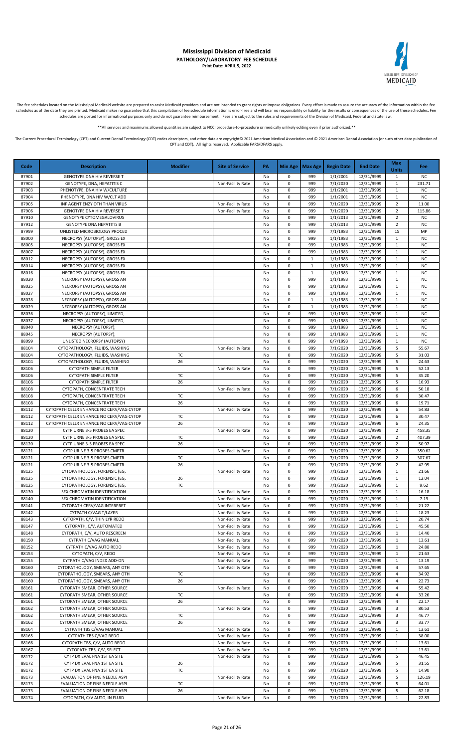# MEDICAID

#### **Mississippi Division of Medicaid PATHOLOGY/LABORATORY FEE SCHEDULE Print Date: APRIL 5, 2022**

The fee schedules located on the Mississippi Medicaid website are prepared to assist Medicaid providers and are not intended to grant rights or impose obligations. Every effort is made to assure the accuracy of the informa

\*\*All services and maximums allowed quantities are subject to NCCI procedure-to-procedure or medically unlikely editing even if prior authorized.\*\*

|                |                                                                                      |                 |                                        |          |                            |                     |                      |                          | <b>Max</b>                   |                        |
|----------------|--------------------------------------------------------------------------------------|-----------------|----------------------------------------|----------|----------------------------|---------------------|----------------------|--------------------------|------------------------------|------------------------|
| Code           | <b>Description</b>                                                                   | <b>Modifier</b> | <b>Site of Service</b>                 | PA       | Min Age                    | <b>Max Age</b>      | <b>Begin Date</b>    | <b>End Date</b>          | <b>Units</b>                 | Fee:                   |
| 87901          | GENOTYPE DNA HIV REVERSE T                                                           |                 |                                        | No       | 0                          | 999                 | 1/1/2001             | 12/31/9999               | $\mathbf{1}$                 | <b>NC</b>              |
| 87902          | GENOTYPE, DNA, HEPATITIS C                                                           |                 | Non-Facility Rate                      | No       | $\mathsf 0$                | 999                 | 7/1/2020             | 12/31/9999               | $\mathbf{1}$                 | 231.71                 |
| 87903          | PHENOTYPE, DNA HIV W/CULTURE                                                         |                 |                                        | No       | $\mathsf 0$                | 999                 | 1/1/2001             | 12/31/9999               | $\mathbf{1}$                 | <b>NC</b>              |
| 87904          | PHENOTYPE, DNA HIV W/CLT ADD                                                         |                 |                                        | No       | $\mathsf 0$                | 999                 | 1/1/2001             | 12/31/9999               | $\mathbf{1}$                 | <b>NC</b>              |
| 87905          | INF AGENT ENZY OTH THAN VIRUS                                                        |                 | Non-Facility Rate                      | No       | $\mathsf 0$                | 999                 | 7/1/2020             | 12/31/9999               | $\overline{2}$               | 11.00                  |
| 87906          | <b>GENOTYPE DNA HIV REVERSE T</b>                                                    |                 | Non-Facility Rate                      | No       | 0                          | 999                 | 7/1/2020             | 12/31/9999               | $\overline{2}$               | 115.86                 |
| 87910          | <b>GENOTYPE CYTOMEGALOVIRUS</b>                                                      |                 |                                        | No       | $\mathbf 0$                | 999                 | 1/1/2013             | 12/31/9999               | $\overline{2}$               | <b>NC</b>              |
| 87912          | <b>GENOTYPE DNA HEPATITIS B</b>                                                      |                 |                                        | No       | $\mathsf 0$                | 999                 | 1/1/2013             | 12/31/9999               | $\overline{2}$               | <b>NC</b>              |
| 87999          | UNLISTED MICROBIOLOGY PROCED                                                         |                 |                                        | No       | 0                          | 999                 | 7/1/1983             | 12/31/9999               | 15                           | MP                     |
| 88000          | NECROPSY (AUTOPSY), GROSS EX                                                         |                 |                                        | No       | 0                          | 999                 | 1/1/1983             | 12/31/9999               | $\mathbf{1}$                 | <b>NC</b>              |
| 88005          | NECROPSY (AUTOPSY), GROSS EX                                                         |                 |                                        | No       | 0                          | 999                 | 1/1/1983             | 12/31/9999               | $\mathbf{1}$                 | <b>NC</b>              |
| 88007          | NECROPSY (AUTOPSY), GROSS EX                                                         |                 |                                        | No       | $\mathbf 0$                | 999                 | 1/1/1983             | 12/31/9999               | 1                            | <b>NC</b>              |
| 88012          | NECROPSY (AUTOPSY), GROSS EX                                                         |                 |                                        | No       | $\mathbf 0$                | $\mathbf{1}$        | 1/1/1983             | 12/31/9999               | $\mathbf{1}$                 | <b>NC</b>              |
| 88014          | NECROPSY (AUTOPSY), GROSS EX                                                         |                 |                                        | No       | $\mathsf 0$                | $\mathbf{1}$        | 1/1/1983             | 12/31/9999               | $\mathbf{1}$                 | <b>NC</b>              |
| 88016<br>88020 | NECROPSY (AUTOPSY), GROSS EX                                                         |                 |                                        | No       | $\mathsf 0$<br>$\mathsf 0$ | $\mathbf{1}$<br>999 | 1/1/1983             | 12/31/9999               | $\mathbf{1}$                 | <b>NC</b><br><b>NC</b> |
| 88025          | NECROPSY (AUTOPSY), GROSS AN<br>NECROPSY (AUTOPSY), GROSS AN                         |                 |                                        | No<br>No | $\mathbf 0$                | 999                 | 1/1/1983<br>1/1/1983 | 12/31/9999<br>12/31/9999 | $\mathbf{1}$<br>$\mathbf{1}$ | <b>NC</b>              |
| 88027          | NECROPSY (AUTOPSY), GROSS AN                                                         |                 |                                        | No       | 0                          | 999                 | 1/1/1983             | 12/31/9999               | $\mathbf{1}$                 | <b>NC</b>              |
| 88028          | NECROPSY (AUTOPSY), GROSS AN                                                         |                 |                                        | No       | 0                          | $\mathbf{1}$        | 1/1/1983             | 12/31/9999               | $\mathbf 1$                  | <b>NC</b>              |
| 88029          | NECROPSY (AUTOPSY), GROSS AN                                                         |                 |                                        | No       | $\mathbf 0$                | $\mathbf{1}$        | 1/1/1983             | 12/31/9999               | $\mathbf{1}$                 | <b>NC</b>              |
| 88036          | NECROPSY (AUTOPSY), LIMITED,                                                         |                 |                                        | No       | 0                          | 999                 | 1/1/1983             | 12/31/9999               | $\mathbf{1}$                 | <b>NC</b>              |
| 88037          | NECROPSY (AUTOPSY), LIMITED,                                                         |                 |                                        | No       | 0                          | 999                 | 1/1/1983             | 12/31/9999               | $\mathbf{1}$                 | <b>NC</b>              |
| 88040          | NECROPSY (AUTOPSY);                                                                  |                 |                                        | No       | $\mathsf 0$                | 999                 | 1/1/1983             | 12/31/9999               | $\mathbf{1}$                 | <b>NC</b>              |
| 88045          | NECROPSY (AUTOPSY);                                                                  |                 |                                        | No       | 0                          | 999                 | 1/1/1983             | 12/31/9999               | $\mathbf{1}$                 | <b>NC</b>              |
| 88099          | UNLISTED NECROPSY (AUTOPSY)                                                          |                 |                                        | No       | $\mathbf 0$                | 999                 | 6/7/1993             | 12/31/9999               | $\mathbf{1}$                 | <b>NC</b>              |
| 88104          | CYTOPATHOLOGY, FLUIDS, WASHING                                                       |                 | Non-Facility Rate                      | No       | $\mathbf 0$                | 999                 | 7/1/2020             | 12/31/9999               | 5                            | 55.67                  |
| 88104          | CYTOPATHOLOGY, FLUIDS, WASHING                                                       | TC              |                                        | No       | $\mathsf 0$                | 999                 | 7/1/2020             | 12/31/9999               | 5                            | 31.03                  |
| 88104          | CYTOPATHOLOGY, FLUIDS, WASHING                                                       | 26              |                                        | No       | $\mathsf 0$                | 999                 | 7/1/2020             | 12/31/9999               | 5                            | 24.63                  |
| 88106          | <b>CYTOPATH SIMPLE FILTER</b>                                                        |                 | Non-Facility Rate                      | No       | $\mathsf 0$                | 999                 | 7/1/2020             | 12/31/9999               | 5                            | 52.13                  |
| 88106          | <b>CYTOPATH SIMPLE FILTER</b>                                                        | TC              |                                        | No       | $\mathbf 0$                | 999                 | 7/1/2020             | 12/31/9999               | 5                            | 35.20                  |
| 88106          | <b>CYTOPATH SIMPLE FILTER</b>                                                        | 26              |                                        | No       | $\mathbf 0$                | 999                 | 7/1/2020             | 12/31/9999               | 5                            | 16.93                  |
| 88108          | CYTOPATH, CONCENTRATE TECH                                                           |                 | Non-Facility Rate                      | No       | $\mathbf 0$                | 999                 | 7/1/2020             | 12/31/9999               | 6                            | 50.18                  |
| 88108          | CYTOPATH, CONCENTRATE TECH                                                           | TC              |                                        | No       | $\mathbf 0$                | 999                 | 7/1/2020             | 12/31/9999               | 6                            | 30.47                  |
| 88108          | CYTOPATH, CONCENTRATE TECH                                                           | 26              |                                        | No       | 0                          | 999                 | 7/1/2020             | 12/31/9999               | 6                            | 19.71                  |
| 88112<br>88112 | CYTOPATH CELLR ENHANCE NO CERV/VAG CYTOP                                             | TC              | Non-Facility Rate                      | No       | 0<br>$\mathsf 0$           | 999<br>999          | 7/1/2020<br>7/1/2020 | 12/31/9999               | 6<br>6                       | 54.83<br>30.47         |
| 88112          | CYTOPATH CELLR ENHANCE NO CERV/VAG CYTOP<br>CYTOPATH CELLR ENHANCE NO CERV/VAG CYTOP | 26              |                                        | No<br>No | $\mathbf 0$                | 999                 | 7/1/2020             | 12/31/9999<br>12/31/9999 | 6                            | 24.35                  |
| 88120          | CYTP URNE 3-5 PROBES EA SPEC                                                         |                 | Non-Facility Rate                      | No       | $\mathbf 0$                | 999                 | 7/1/2020             | 12/31/9999               | $\overline{2}$               | 458.35                 |
| 88120          | CYTP URNE 3-5 PROBES EA SPEC                                                         | TC              |                                        | No       | $\mathsf 0$                | 999                 | 7/1/2020             | 12/31/9999               | $\overline{2}$               | 407.39                 |
| 88120          | CYTP URNE 3-5 PROBES EA SPEC                                                         | 26              |                                        | No       | $\mathsf 0$                | 999                 | 7/1/2020             | 12/31/9999               | $\overline{2}$               | 50.97                  |
| 88121          | CYTP URINE 3-5 PROBES CMPTR                                                          |                 | Non-Facility Rate                      | No       | $\mathsf 0$                | 999                 | 7/1/2020             | 12/31/9999               | $\overline{2}$               | 350.62                 |
| 88121          | CYTP URINE 3-5 PROBES CMPTR                                                          | TC              |                                        | No       | $\mathsf 0$                | 999                 | 7/1/2020             | 12/31/9999               | $\overline{2}$               | 307.67                 |
| 88121          | CYTP URINE 3-5 PROBES CMPTR                                                          | 26              |                                        | No       | 0                          | 999                 | 7/1/2020             | 12/31/9999               | $\overline{2}$               | 42.95                  |
| 88125          | CYTOPATHOLOGY, FORENSIC (EG,                                                         |                 | Non-Facility Rate                      | No       | $\mathbf 0$                | 999                 | 7/1/2020             | 12/31/9999               | $\mathbf{1}$                 | 21.66                  |
| 88125          | CYTOPATHOLOGY, FORENSIC (EG,                                                         | 26              |                                        | No       | $\mathbf 0$                | 999                 | 7/1/2020             | 12/31/9999               | $\mathbf{1}$                 | 12.04                  |
| 88125          | CYTOPATHOLOGY, FORENSIC (EG,                                                         | TC              |                                        | No       | $\mathbf 0$                | 999                 | 7/1/2020             | 12/31/9999               | $\mathbf{1}$                 | 9.62                   |
| 88130          | SEX CHROMATIN IDENTIFICATION                                                         |                 | Non-Facility Rate                      | No       | 0                          | 999                 | 7/1/2020             | 12/31/9999               | 1                            | 16.18                  |
| 88140          | SEX CHROMATIN IDENTIFICATION                                                         |                 | Non-Facility Rate                      | No       | 0                          | 999                 | 7/1/2020             | 12/31/9999               | $\mathbf{1}$                 | 7.19                   |
| 88141          | CYTOPATH CERV/VAG INTERPRET                                                          |                 | Non-Facility Rate                      | No       | 0                          | 999                 | 7/1/2020             | 12/31/9999               | $\mathbf{1}$                 | 21.22                  |
| 88142          | CYTPATH C/VAG T/LAYER                                                                |                 | Non-Facility Rate                      | No       | 0                          | 999                 | 7/1/2020             | 12/31/9999               | 1                            | 18.23                  |
| 88143          | CYTOPATH, C/V, THIN LYR REDO                                                         |                 | Non-Facility Rate                      | No       | $\mathsf 0$                | 999                 | 7/1/2020             | 12/31/9999               | $\mathbf{1}$                 | 20.74                  |
| 88147          | CYTOPATH, C/V, AUTOMATED                                                             |                 | Non-Facility Rate                      | No       | $\mathsf 0$                | 999                 | 7/1/2020             | 12/31/9999               | $\mathbf{1}$                 | 45.50                  |
| 88148          | CYTOPATH, C/V, AUTO RESCREEN                                                         |                 | Non-Facility Rate                      | No       | $\mathsf 0$                | 999                 | 7/1/2020             | 12/31/9999               | $\mathbf{1}$                 | 14.40                  |
| 88150<br>88152 | CYTPATH C/VAG MANUAL                                                                 |                 | Non-Facility Rate                      | No       | $\mathsf 0$<br>$\mathsf 0$ | 999                 | 7/1/2020             | 12/31/9999               | $\mathbf 1$                  | 13.61<br>24.88         |
| 88153          | CYTPATH C/VAG AUTO REDO<br>CYTOPATH, C/V, REDO                                       |                 | Non-Facility Rate<br>Non-Facility Rate | No<br>No | 0                          | 999<br>999          | 7/1/2020<br>7/1/2020 | 12/31/9999<br>12/31/9999 | $\mathbf{1}$<br>$\mathbf{1}$ | 21.63                  |
| 88155          | CYTPATH C/VAG INDEX ADD-ON                                                           |                 | Non-Facility Rate                      | No       | $\mathsf 0$                | 999                 | 7/1/2020             | 12/31/9999               | $\mathbf{1}$                 | 13.19                  |
| 88160          | CYTOPATHOLOGY, SMEARS, ANY OTH                                                       |                 | Non-Facility Rate                      | No       | 0                          | 999                 | 7/1/2020             | 12/31/9999               | $\overline{\mathbf{4}}$      | 57.65                  |
| 88160          | CYTOPATHOLOGY, SMEARS, ANY OTH                                                       | TC              |                                        | No       | 0                          | 999                 | 7/1/2020             | 12/31/9999               | 4                            | 34.92                  |
| 88160          | CYTOPATHOLOGY, SMEARS, ANY OTH                                                       | 26              |                                        | No       | 0                          | 999                 | 7/1/2020             | 12/31/9999               | 4                            | 22.73                  |
| 88161          | CYTOPATH SMEAR, OTHER SOURCE                                                         |                 | Non-Facility Rate                      | No       | 0                          | 999                 | 7/1/2020             | 12/31/9999               | 4                            | 55.42                  |
| 88161          | CYTOPATH SMEAR, OTHER SOURCE                                                         | TC              |                                        | No       | 0                          | 999                 | 7/1/2020             | 12/31/9999               | 4                            | 33.26                  |
| 88161          | CYTOPATH SMEAR, OTHER SOURCE                                                         | 26              |                                        | No       | $\mathsf 0$                | 999                 | 7/1/2020             | 12/31/9999               | 4                            | 22.17                  |
| 88162          | CYTOPATH SMEAR, OTHER SOURCE                                                         |                 | Non-Facility Rate                      | No       | $\mathsf 0$                | 999                 | 7/1/2020             | 12/31/9999               | 3                            | 80.53                  |
| 88162          | CYTOPATH SMEAR, OTHER SOURCE                                                         | TC              |                                        | No       | $\mathsf 0$                | 999                 | 7/1/2020             | 12/31/9999               | 3                            | 46.77                  |
| 88162          | CYTOPATH SMEAR, OTHER SOURCE                                                         | 26              |                                        | No       | $\mathsf 0$                | 999                 | 7/1/2020             | 12/31/9999               | 3                            | 33.77                  |
| 88164          | CYTPATH TBS C/VAG MANUAL                                                             |                 | Non-Facility Rate                      | No       | $\mathsf 0$                | 999                 | 7/1/2020             | 12/31/9999               | $\mathbf{1}$                 | 13.61                  |
| 88165          | CYTPATH TBS C/VAG REDO                                                               |                 | Non-Facility Rate                      | No       | 0                          | 999                 | 7/1/2020             | 12/31/9999               | $\mathbf{1}$                 | 38.00                  |
| 88166          | CYTOPATH TBS, C/V, AUTO REDO                                                         |                 | Non-Facility Rate                      | No       | 0                          | 999                 | 7/1/2020             | 12/31/9999               | $\mathbf{1}$                 | 13.61                  |
| 88167          | CYTOPATH TBS, C/V, SELECT                                                            |                 | Non-Facility Rate                      | No       | 0                          | 999                 | 7/1/2020             | 12/31/9999               | $\mathbf{1}$                 | 13.61                  |
| 88172          | CYTP DX EVAL FNA 1ST EA SITE                                                         |                 | Non-Facility Rate                      | No       | 0                          | 999                 | 7/1/2020             | 12/31/9999               | 5                            | 46.45                  |
| 88172          | CYTP DX EVAL FNA 1ST EA SITE                                                         | 26              |                                        | No       | 0                          | 999                 | 7/1/2020             | 12/31/9999               | 5                            | 31.55                  |
| 88172<br>88173 | CYTP DX EVAL FNA 1ST EA SITE                                                         | TC              |                                        | No<br>No | 0<br>0                     | 999<br>999          | 7/1/2020<br>7/1/2020 | 12/31/9999               | 5<br>5                       | 14.90                  |
| 88173          | EVALUATION OF FINE NEEDLE ASPI<br>EVALUATION OF FINE NEEDLE ASPI                     | TC              | Non-Facility Rate                      | No       | $\mathsf 0$                | 999                 | 7/1/2020             | 12/31/9999<br>12/31/9999 | 5                            | 126.19<br>64.01        |
| 88173          | EVALUATION OF FINE NEEDLE ASPI                                                       | 26              |                                        | No       | $\pmb{0}$                  | 999                 | 7/1/2020             | 12/31/9999               | 5                            | 62.18                  |
| 88174          | CYTOPATH, C/V AUTO, IN FLUID                                                         |                 | Non-Facility Rate                      | No       | $\mathsf 0$                | 999                 | 7/1/2020             | 12/31/9999               | $\mathbf{1}$                 | 22.83                  |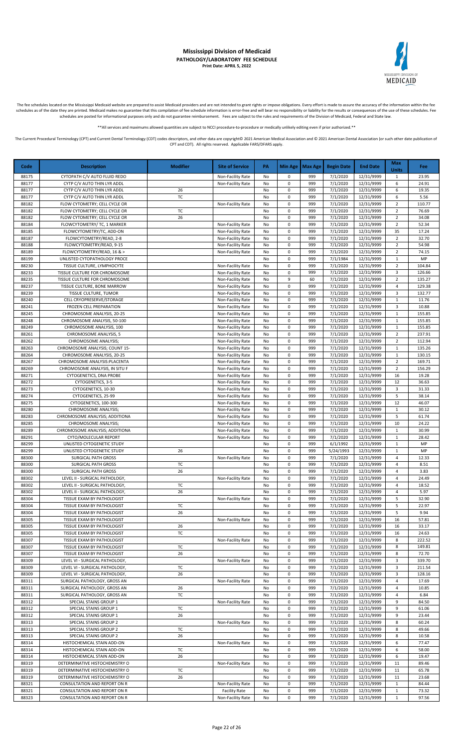## MEDICAID

#### **Mississippi Division of Medicaid PATHOLOGY/LABORATORY FEE SCHEDULE Print Date: APRIL 5, 2022**

The fee schedules located on the Mississippi Medicaid website are prepared to assist Medicaid providers and are not intended to grant rights or impose obligations. Every effort is made to assure the accuracy of the informa schedules as of the date they are printed. Medicaid makes no guarantee that this compilation of fee schedule information is error-free and will bear no responsibility or liability for the results or consequences of the use schedules are posted for informational purposes only and do not guarantee reimbursement. Fees are subject to the rules and requirements of the Division of Medicaid, Federal and State law.

\*All services and maximums allowed quantities are subject to NCCI procedure-to-procedure or medically unlikely editing even if prior authorized

The Current Procedural Terminology (CPT) and Current Dental Terminology (CDT) codes descriptors, and other data are copyright@ 2021 American Medical Association and @ 2021 American Dental Association (or such other date pu CPT and CDT). All rights reserved. Applicable FARS/DFARS apply.

**Code Description Modifier Site of Service PA Min Age Max Age Begin Date End Date Max Units Fee** 88175 CYTOPATH C/V AUTO FLUID REDO Non-Facility Rate No 0 999 7/1/2020 12/31/9999 1 23.95 88177 CYTP C/V AUTO THIN LYR ADDL NO CONTRACTLITY Rate No 0 999 7/1/2020 12/31/9999 6 24.91 88177 CYTP C/V AUTO THIN LYR ADDL 26 26 No 0 999 7/1/2020 12/31/9999 6 19.35 88177 CYTP C/V AUTO THIN LYR ADDL TC No 0 999 7/1/2020 12/31/9999 6 5.56<br>88182 FLOW CYTOMETRY; CELL CYCLE OR Non-Facility Rate No 0 999 7/1/2020 12/31/9999 2 110.77 88182 FLOW CYTOMETRY; CELL CYCLE OR Non-Facility Rate No 0 999 7/1/2020 12/31/9999 2 88182 FLOW CYTOMETRY; CELL CYCLE OR TC TC No 0 999 7/1/2020 12/31/9999 2 76.69 88182 FLOW CYTOMETRY; CELL CYCLE OR 26 26 No 0 999 7/1/2020 12/31/9999 2 34.08 88184 | FLOWCYTOMETRY/ TC, 1 MARKER | Non-Facility Rate | No | 0 | 999 | 7/1/2020 | 12/31/9999 | 2 | 52.34 88185 FLOWCYTOMETRY/TC, ADD-ON Non-Facility Rate No 0 999 7/1/2020 12/31/9999 35 17.24 88187 FLOWCYTOMETRY/READ, 2-8 Non-Facility Rate No 0 999 7/1/2020 12/31/9999 2 32.70 88188 FLOWCYTOMETRY/READ, 9-15 Noted that I Non-Facility Rate No 0 999 7/1/2020 12/31/9999 2 54.98 88189 FLOWCYTOMETRY/READ, 16 & > Non-Facility Rate No 0 999 7/1/2020 12/31/9999 2 74.15 88199 UNLISTED CYTOPATHOLOGY PROCE NO 2000 2010 No 0 999 7/1/1984 12/31/9999 1 MP 88230 TISSUE CULTURE, LYMPHOCYTE No Non-Facility Rate No 0 999 7/1/2020 12/31/9999 2 104.84 88233 NOTISSUE CULTURE FOR CHROMOSOME NO CONSEGUENT AND HON-Facility Rate No 0 999 1 7/1/2020 12/31/9999 3 126.66 88235 TISSUE CULTURE FOR CHROMOSOME<br>1993 88237 TISSUE CULTURE, BONE MARROW Non-Facility Rate No 0 999 7/1/2020 12/31/9999 4 12/3.38 TISSUE CULTURE, BONE MARROW **Non-Facility Rate** No 0 999 7/1/2020 12/31/9999 4 88239 | TISSUE CULTURE, TUMOR | Non-Facility Rate No 0 999 | 7/1/2020 | 12/31/9999 | 3 | 132.77 88240 CELL CRYOPRESERVE/STORAGE Non-Facility Rate No 0 999 7/1/2020 12/31/9999 1 11.76<br>88241 FROZEN CELL PREPARATION Non-Facility Rate No 0 999 7/1/2020 12/31/9999 3 10.88 88241 FROZEN CELL PREPARATION Non-Facility Rate No 0 999 7/1/2020 12/31/9999 3 10.88<br>88245 CHROMOSOME ANALYSIS, 20-25 Non-Facility Rate No 0 999 7/1/2020 12/31/9999 1 155.85 CHROMOSOME ANALYSIS, 20-25 Non-Facility Rate No 0 999 7/1/2020 12/31/9999 1 88248 CHROMOSOME ANALYSIS, 50-100 \ \ \ \ \ \ \ \ \ \ \ Non-Facility Rate \ \ No \ 0 \ 999 7/1/2020 12/31/9999 1 \ 155.85 88249 CHROMOSOME ANALYSIS, 100 CHROMOSOME NALYSIS, 100 NON-Facility Rate No 0 999 7/1/2020 12/31/9999 1 1 155.85 88261 CHROMOSOME ANALYSIS, 5 Non-Facility Rate No 0 999 7/1/2020 12/31/9999 2 237.91 88262 CHROMOSOME ANALYSIS; Non-Facility Rate No 0 999 7/1/2020 12/31/9999 2 112.94 88263 CHROMOSOME ANALYSIS; COUNT 15- Non-Facility Rate No 0 999 7/1/2020 12/31/9999 1 135.26 88264 CHROMOSOME ANALYSIS, 20-25 Non-Facility Rate No 0 999 7/1/2020 12/31/9999 1 130.15 88267 CHROMOSOME ANALYSIS:PLACENTA (Non-Facility Rate No 0 999 7/1/2020 12/31/9999 2 169.71 88269 CHROMOSOME ANALYSIS, IN SITU F NON-Facility Rate No 0 999 7/1/2020 12/31/9999 2 156.29 88271 | CYTOGENETICS, DNA PROBE | Non-Facility Rate | No | 0 | 999 | 7/1/2020 | 12/31/9999 | 16 | 19.28 88272 CYTOGENETICS, 3-5 Non-Facility Rate No 0 999 7/1/2020 12/31/9999 12 36.63 88273 CYTOGENETICS, 10-30 Non-Facility Rate No 0 999 7/1/2020 12/31/9999 3 31.33 88274 CYTOGENETICS, 25-99 Non-Facility Rate No 0 999 7/1/2020 12/31/9999 5 38.14 88275 CYTOGENETICS, 100-300 Non-Facility Rate No 0 999 7/1/2020 12/31/9999 12 46.07 88280 CHROMOSOME ANALYSIS; Notice Analysis; No chemic ity Rate No 0 999 7/1/2020 12/31/9999 1 30.12 88283 CHROMOSOME ANALYSIS; ADDITIONA NO NON-Facility Rate No 0 999 7/1/2020 12/31/9999 5 61.74<br>88285 CHROMOSOME ANALYSIS; Non-Facility Rate No 0 999 7/1/2020 12/31/9999 10 24.22 88285 CHROMOSOME ANALYSIS; Non-Facility Rate No 0 999 7/1/2020 12/31/9999 10 24.22 88289 CHROMOSOME ANALYSIS: ADDITIONA No and the second and the Non-Facility Rate No 0 999 7/1/2020 12/31/9999 1 1 30.99 88291 CYTO/MOLECULAR REPORT Non-Facility Rate No 0 999 7/1/2020 12/31/9999 1 28.42<br>88299 UNLISTED CYTOGENETIC STUDY NO 0 999 6/1/1992 12/31/9999 1 MP **8829 UNLISTED CYTOGENETIC STUDY** NO 0 999 6/1/1992 12/31/9999 1 MP 88299 UNLISTED CYTOGENETIC STUDY 26 No 0 999 5/24/1993 12/31/9999 1 MP 88300 SURGICAL PATH GROSS Non-Facility Rate No 0 999 7/1/2020 12/31/9999 4 12.33 88300 SURGICAL PATH GROSS NO 2000 TC NO 0 999 7/1/2020 12/31/9999 4 8.51 8.51 & 1 88300 SURGICAL PATH GROSS 26 No 0 999 7/1/2020 12/31/9999 4 3.83<br>88302 LEVEL II - SURGICAL PATHOLOGY, 2001 2003 Non-Facility Rate No 0 999 7/1/2020 12/31/9999 4 24.49 <u>88302 LEVEL II - SURGICAL PATHOLOGY, Non-Facility Rate No 0 999 7/1/2020 12/31/9999 4</u> 88302 LEVEL II - SURGICAL PATHOLOGY, TC No 0 999 7/1/2020 12/31/9999 4 18.52 88302 LEVEL II - SURGICAL PATHOLOGY, 26 26 No 0 999 7/1/2020 12/31/9999 4 5.97<br>1999 88304 TISSUE EXAM BY PATHOLOGIST No Non-Facility Rate No 0 999 7/1/2020 12/31/9999 5 32.90 TISSUE EXAM BY PATHOLOGIST Non-Facility Rate No 0 999 7/1/2020 12/31/9999 88304 TISSUE EXAM BY PATHOLOGIST TC TC No 0 999 7/1/2020 12/31/9999 5 22.97 88304 TISSUE EXAM BY PATHOLOGIST 26 26 No 0 999 7/1/2020 12/31/9999 5 9.94 88305 TISSUE EXAM BY PATHOLOGIST Nonella Computer Non-Facility Rate No 0 999 7/1/2020 12/31/9999 16 57.81 88305 TISSUE EXAM BY PATHOLOGIST 26 26 No 0 999 7/1/2020 12/31/9999 16 33.17 88305 TISSUE EXAM BY PATHOLOGIST TC TC No 0 999 7/1/2020 12/31/9999 16 24.63 88307 TISSUE EXAM BY PATHOLOGIST Non-Facility Rate No 0 999 7/1/2020 12/31/9999 8 222.52 88307 TISSUE EXAM BY PATHOLOGIST TO TC TO NO 0 999 7/1/2020 12/31/9999 8 149.81<br>88307 TISSUE EXAM BY PATHOLOGIST 26 26 No 0 999 7/1/2020 12/31/9999 8 72.70 **83308 TISSUE EXAM BY PATHOLOGIST 26** 26 No 0 999 7/1/2020 12/31/9999 8 88309 LEVEL VI - SURGICAL PATHOLOGY, Non-Facility Rate No 0 999 7/1/2020 12/31/9999 3 339.70 88309 LEVEL VI - SURGICAL PATHOLOGY, TO TC TO NO 0 999 7/1/2020 12/31/9999 3 211.54 88309 LEVEL VI - SURGICAL PATHOLOGY, 26 26 No 0 999 7/1/2020 12/31/9999 3 128.16 88311 SURGICAL PATHOLOGY, GROSS AN Non-Facility Rate No 0 999 7/1/2020 12/31/9999 4 17.69 88311 SURGICAL PATHOLOGY, GROSS AN 26 26 No 0 999 7/1/2020 12/31/9999 4 10.85 88311 SURGICAL PATHOLOGY, GROSS AN TC No 0 999 7/1/2020 12/31/9999 4 6.84 88312 SPECIAL STAINS GROUP 1 Non-Facility Rate No 0 999 7/1/2020 12/31/9999 9 84.50<br>88312 SPECIAL STAINS GROUP 1 TC No 0 999 7/1/2020 12/31/9999 9 61.06 88312 SPECIAL STAINS GROUP 1 TC 1 No 0 999 7/1/2020 12/31/9999 9 61.06 88312 SPECIAL STAINS GROUP 1 26 No 0 999 7/1/2020 12/31/9999 9 23.44<br>88313 SPECIAL STAINS GROUP 2 Non-Facility Rate No 0 999 7/1/2020 12/31/9999 8 60.24 88313 SPECIAL STAINS GROUP 2 Non-Facility Rate No 0 999 7/1/2020 12/31/9999 8 60.24 88313 SPECIAL STAINS GROUP 2 TC X NO 0 999 7/1/2020 12/31/9999 8 49.66 88313 SPECIAL STAINS GROUP 2 26 No 0 999 7/1/2020 12/31/9999 8 10.58 88314 HISTOCHEMICAL STAIN ADD-ON Non-Facility Rate No 0 999 7/1/2020 12/31/9999 6 77.47 88314 HISTOCHEMICAL STAIN ADD-ON TC RESERVED TO NO 0 999 7/1/2020 12/31/9999 6 58.00 88314 HISTOCHEMICAL STAIN ADD-ON 26 26 No 0 999 7/1/2020 12/31/9999 6 19.47 88319 DETERMINATIVE HISTOCHEMISTRY O Non-Facility Rate No 0 999 7/1/2020 12/31/9999 11 89.46<br>88319 DETERMINATIVE HISTOCHEMISTRY O TC No 0 999 7/1/2020 12/31/9999 11 65.78 88319999 DETERMINATIVE HISTOCHEMISTRY O CONTROL TC TC NO 0 999 7/1/2020 12/31/9999 11 88319 DETERMINATIVE HISTOCHEMISTRY O 26 26 No 0 999 7/1/2020 12/31/9999 11 23.68 88321 | CONSULTATION AND REPORT ON R | Non-Facility Rate | No | 0 | 999 | 7/1/2020 | 12/31/9999 | 1 | 84.44 88321 CONSULTATION AND REPORT ON R Facility Rate No 0 999 7/1/2020 12/31/9999 1 73.32 88323 CONSULTATION AND REPORT ON R NON-Facility Rate No 0 999 7/1/2020 12/31/9999 1 97.56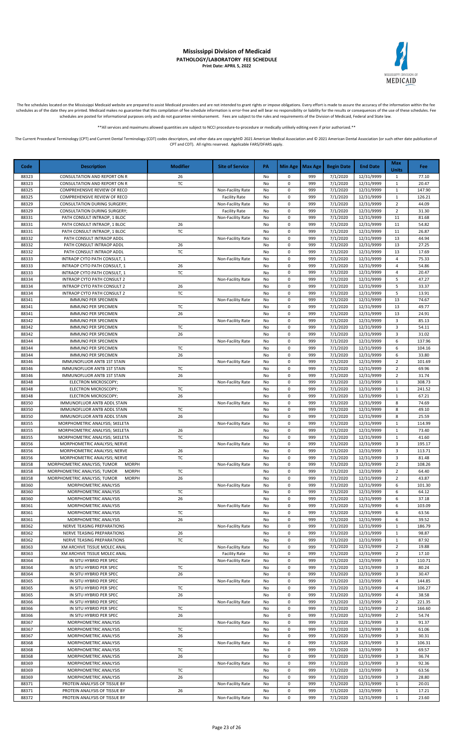

The fee schedules located on the Mississippi Medicaid website are prepared to assist Medicaid providers and are not intended to grant rights or impose obligations. Every effort is made to assure the accuracy of the informa schedules as of the date they are printed. Medicaid makes no guarantee that this compilation of fee schedule information is error-free and will bear no responsibility or liability for the results or consequences of the use schedules are posted for informational purposes only and do not guarantee reimbursement. Fees are subject to the rules and requirements of the Division of Medicaid, Federal and State law.

\*All services and maximums allowed quantities are subject to NCCI procedure-to-procedure or medically unlikely editing even if prior authorized

The Current Procedural Terminology (CPT) and Current Dental Terminology (CDT) codes descriptors, and other data are copyright@ 2021 American Medical Association and @ 2021 American Dental Association (or such other date pu CPT and CDT). All rights reserved. Applicable FARS/DFARS apply.

**Code Description Modifier Site of Service PA Min Age Max Age Begin Date End Date Max Units Fee** 88323 CONSULTATION AND REPORT ON R 26 26 No 0 999 7/1/2020 12/31/9999 1 77.10 88323 CONSULTATION AND REPORT ON R TC REPORT ON R TC NO 0 999 7/1/2020 12/31/9999 1 20.47 88325 COMPREHENSIVE REVIEW OF RECO Non-Facility Rate No 0 999 7/1/2020 12/31/9999 1 147.90 88325 COMPREHENSIVE REVIEW OF RECO FACILITY Rate No 0 999 7/1/2020 12/31/9999 1 126.21<br>88329 CONSULTATION DURING SURGERY; No Non-Facility Rate No 0 999 7/1/2020 12/31/9999 2 44.09 88329 CONSULTATION DURING SURGERY; Non-Facility Rate No 0 999 7/1/2020 12/31/9999 2 88329 CONSULTATION DURING SURGERY; Facility Rate No 0 999 7/1/2020 12/31/9999 2 31.30 88331 | PATH CONSULT INTRAOP, 1 BLOC | Non-Facility Rate No 0 999 | 7/1/2020 | 12/31/9999 | 11 | 81.68 88331 | PATH CONSULT INTRAOP, 1 BLOC | 26 No 0 999 | 7/1/2020 | 12/31/9999 | 11 | 54.82 88331 PATH CONSULT INTRAOP, 1 BLOC TC TC No 0 999 7/1/2020 12/31/9999 11 26.87 88332 PATH CONSULT INTRAOP ADDL RESOLUT NO NON-Facility Rate No 0 999 7/1/2020 12/31/9999 13 44.94 88332 PATH CONSULT INTRAOP ADDL PATH CONSULT NO 26 NO 0 999 7/1/2020 12/31/9999 13 27.25 88332 PATH CONSULT INTRAOP ADDL | TC | No 0 999 7/1/2020 12/31/9999 13 17.69 88333 INTRAOP CYTO PATH CONSULT, 1 Non-Facility Rate No 0 999 7/1/2020 12/31/9999 4 75.33 88333 INTRAOP CYTO PATH CONSULT, 1 26 26 No 0 999 7/1/2020 12/31/9999 4 54.86 88333 INTRAOP CYTO PATH CONSULT, 1 TC No 0 999 7/1/2020 12/31/9999 4 20.47<br>88334 INTRAOP CYTO PATH CONSULT 2 Non-Facility Rate No 0 999 7/1/2020 12/31/9999 5 47.27 88334 INTRAOP CYTO PATH CONSULT 2<br>1993 - BR334 INTRAOP CYTO PATH CONSULT 2 26 Non-Facility Rate No 0 999 7/1/2020 12/31/9999 5 47.27<br>1993 - BR334 INTRAOP CYTO PATH CONSULT 2 26 No. 0 999 7/1/2020 12/31/9999 5 33.37 1NTRAOP CYTO PATH CONSULT 2 26 26 No 0 999 7/1/2020 12/31/9999 5 88334 INTRAOP CYTO PATH CONSULT 2 TC No 0 999 7/1/2020 12/31/9999 5 13.91 88341 IMMUNO PER SPECIMEN Non-Facility Rate No 0 999 7/1/2020 12/31/9999 13 74.67<br>88341 IMMUNO PER SPECIMEN TC No 0 999 7/1/2020 12/31/9999 13 49.77 88341 | IMMUNO PER SPECIMEN | TC | No | 0 | 999 | 7/1/2020 | 12/31/9999 | 13 | 49.77 88341 IMMUNO PER SPECIMEN 26 26 No 0 999 7/1/2020 12/31/9999 13 24.91 88342 | IMMUNO PER SPECIMEN | Non-Facility Rate | No | 0 | 999 | 7/1/2020 | 12/31/9999 | 3 | 85.13 88342 | IMMUNO PER SPECIMEN | TC | No 0 999 | 7/1/2020 | 12/31/9999 | 3 | 54.11 88342 | IMMUNO PER SPECIMEN | 26 | No | 0 | 999 | 7/1/2020 | 12/31/9999 | 3 | 31.02 88344 IMMUNO PER SPECIMEN NON-Facility Rate No 0 999 7/1/2020 12/31/9999 6 137.96 88344 | IMMUNO PER SPECIMEN | TC | No | 0 | 999 | 7/1/2020 | 12/31/9999 | 6 | 104.16 88344 | IMMUNO PER SPECIMEN | 26 | No | 0 | 999 | 7/1/2020 | 12/31/9999 | 6 | 33.80 88346 IMMUNOFLUOR ANTB 1ST STAIN Non-Facility Rate No 0 999 7/1/2020 12/31/9999 2 101.69 88346 IMMUNOFLUOR ANTB 1ST STAIN TC No 0 999 7/1/2020 12/31/9999 2 69.96 88346 IMMUNOFLUOR ANTB 1ST STAIN 26 26 No 0 999 7/1/2020 12/31/9999 2 31.74 88348 ELECTRON MICROSCOPY; Non-Facility Rate No 0 999 7/1/2020 12/31/9999 1 308.73<br>88348 ELECTRON MICROSCOPY; TC No 0 999 7/1/2020 12/31/9999 1 241.52 88348 ELECTRON MICROSCOPY; TC No 0 999 7/1/2020 12/31/9999 88348 ELECTRON MICROSCOPY; 26 No 0 999 7/1/2020 12/31/9999 1 67.21 88350 IMMUNOFLUOR ANTB ADDL STAIN NO RESERVE NO NON-Facility Rate No 0 999 7/1/2020 12/31/9999 8 74.69 88350 | IMMUNOFLUOR ANTB ADDL STAIN | TC | No | 0 999 | 7/1/2020 | 12/31/9999 | 8 | 49.10 88350 IMMUNOFLUOR ANTB ADDL STAIN 26 26 26 No 0 999 7/1/2020 12/31/9999 8 25.59<br>1995 88355 MORPHOMETRIC ANALYSIS; SKELETA 114.99 88355 MORPHOMETRIC ANALYSIS; SKELETA Non-Facility Rate No 0 999 7/1/2020 12/31/9999 1 114.99 88355 MORPHOMETRIC ANALYSIS; SKELETA 1 26 1 No 0 999 7/1/2020 12/31/9999 1 73.40 88355 MORPHOMETRIC ANALYSIS; SKELETA TC TC No 0 999 7/1/2020 12/31/9999 1 41.60<br>88356 MORPHOMETRIC ANALYSIS: NERVE TEXT NO NON-Facility Rate No 0 999 7/1/2020 12/31/9999 3 195.17 MORPHOMETRIC ANALYSIS; NERVE Non-Facility Rate No 0 999 7/1/2020 12/31/9999 3 195.17 88356 MORPHOMETRIC ANALYSIS; NERVE 26 26 No 0 999 7/1/2020 12/31/9999 3 113.71 88356 MORPHOMETRIC ANALYSIS; NERVE TC No 0 999 7/1/2020 12/31/9999 3 81.48 88358 | MORPHOMETRIC ANALYSIS: TUMOR MORPH NORPH NON-Facility Rate No 0 999 | 7/1/2020 | 12/31/9999 | 2 | 108.26 88358 MORPHOMETRIC ANALYSIS; TUMOR MORPH TC No 0 999 7/1/2020 12/31/9999 2 64.40<br>88358 MORPHOMETRIC ANALYSIS; TUMOR MORPH 26 1 No 0 999 7/1/2020 12/31/9999 2 43.87 MORPHOMETRIC ANALYSIS; TUMOR MORPH 26 26 No 0 999 7/1/2020 12/31/9999 2 88360 MORPHOMETRIC ANALYSIS Non-Facility Rate No 0 999 7/1/2020 12/31/9999 6 101.30 88360 MORPHOMETRIC ANALYSIS TO TC No 0 999 7/1/2020 12/31/9999 6 64.12<br>88360 MORPHOMETRIC ANALYSIS 26 No 0 999 7/1/2020 12/31/9999 6 37.18 MORPHOMETRIC ANALYSIS 26 26 No 0 999 7/1/2020 12/31/9999 6 88361 MORPHOMETRIC ANALYSIS Non-Facility Rate No 0 999 7/1/2020 12/31/9999 6 103.09 88361 MORPHOMETRIC ANALYSIS TC No 0 999 7/1/2020 12/31/9999 6 63.56 88361 | MORPHOMETRIC ANALYSIS | 26 | 200 | No 0 999 | 7/1/2020 | 12/31/9999 | 6 | 39.52 88362 NERVE TEASING PREPARATIONS Non-Facility Rate No 0 999 7/1/2020 12/31/9999 1 186.79 88362 NERVE TEASING PREPARATIONS 26 No 0 999 7/1/2020 12/31/9999 1 98.87 88362 NERVE TEASING PREPARATIONS TC No 0 999 7/1/2020 12/31/9999 1 87.92 88363 XM ARCHIVE TISSUE MOLEC ANAL NO NON-Facility Rate No 0 999 7/1/2020 12/31/9999 2 19.88<br>88363 XM ARCHIVE TISSUE MOLEC ANAL NO Facility Rate No 0 999 7/1/2020 12/31/9999 2 17.10 83363 XM ARCHIVE TISSUE MOLEC ANAL FACILITY Rate No 0 999 7/1/2020 12/31/9999 2 88364 IN SITU HYBRID PER SPEC Non-Facility Rate No 0 999 7/1/2020 12/31/9999 3 110.71 88364 | IN SITU HYBRID PER SPEC | TC | No | 0 | 999 | 7/1/2020 | 12/31/9999 | 3 | 80.24 88364 | IN SITU HYBRID PER SPEC | 26 | No 0 999 | 7/1/2020 | 12/31/9999 | 3 | 30.47 88365 IN SITU HYBRID PER SPEC Non-Facility Rate No 0 999 7/1/2020 12/31/9999 4 144.85 88365 IN SITU HYBRID PER SPEC TC TC No 0 999 7/1/2020 12/31/9999 4 106.27 88365 | IN SITU HYBRID PER SPEC | 26 | No | 0 | 999 | 7/1/2020 | 12/31/9999 | 4 | 38.58 88366 IN SITU HYBRID PER SPEC Non-Facility Rate No 0 999 7/1/2020 12/31/9999 2 221.35<br>88366 IN SITU HYBRID PER SPEC TC TC No 0 999 7/1/2020 12/31/9999 2 166.60 88366 | IN SITU HYBRID PER SPEC | TC | No | 0 | 999 | 7/1/2020 | 12/31/9999 | 2 | 166.60 88366 | IN SITU HYBRID PER SPEC | 26 | No | 0 | 999 | 7/1/2020 | 12/31/9999 | 2 | 54.74 88367 MORPHOMETRIC ANALYSIS Non-Facility Rate No 0 999 7/1/2020 12/31/9999 3 91.37 88367 MORPHOMETRIC ANALYSIS TC No 0 999 7/1/2020 12/31/9999 3 61.06 MORPHOMETRIC ANALYSIS 26 26 No 0 999 7/1/2020 12/31/9999 3 30.31 88368 MORPHOMETRIC ANALYSIS Non-Facility Rate No 0 999 7/1/2020 12/31/9999 3 106.31 88368 | MORPHOMETRIC ANALYSIS | TC | No | 0 | 999 | 7/1/2020 | 12/31/9999 | 3 | 69.57 88368 | MORPHOMETRIC ANALYSIS | 26 | No 0 999 | 7/1/2020 | 12/31/9999 | 3 | 36.74 88369 MORPHOMETRIC ANALYSIS | NON-Facility Rate No 0 999 7/1/2020 12/31/9999 3 92.36 88369 MORPHOMETRIC ANALYSIS TC TC NO 0 999 7/1/2020 12/31/9999 3 63.56 88369 | MORPHOMETRIC ANALYSIS | 26 | No 0 999 7/1/2020 |12/31/9999 | 3 | 28.80 88371 | PROTEIN ANALYSIS OF TISSUE BY | NON-Facility Rate | No | 0 | 999 | 7/1/2020 | 12/31/9999 | 1 | 20.01 88371 PROTEIN ANALYSIS OF TISSUE BY 26 No 0 999 7/1/2020 12/31/9999 1 17.21 88372 PROTEIN ANALYSIS OF TISSUE BY Non-Facility Rate No 0 999 7/1/2020 12/31/9999 1 23.60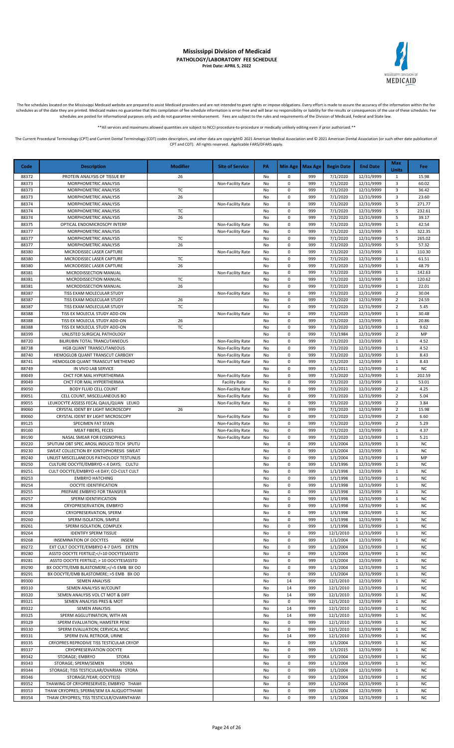

The fee schedules located on the Mississippi Medicaid website are prepared to assist Medicaid providers and are not intended to grant rights or impose obligations. Every effort is made to assure the accuracy of the informa

\*\*All services and maximums allowed quantities are subject to NCCI procedure-to-procedure or medically unlikely editing even if prior authorized.\*\*

| Code           | <b>Description</b>                                                                                                                                                                                                                | <b>Modifier</b> | <b>Site of Service</b>                 | PA       | Min Age        | <b>Max Age</b> | <b>Begin Date</b>      | <b>End Date</b>          | <b>Max</b><br><b>Units</b>       | Fee                    |
|----------------|-----------------------------------------------------------------------------------------------------------------------------------------------------------------------------------------------------------------------------------|-----------------|----------------------------------------|----------|----------------|----------------|------------------------|--------------------------|----------------------------------|------------------------|
| 88372          | PROTEIN ANALYSIS OF TISSUE BY                                                                                                                                                                                                     | 26              |                                        | No       | 0              | 999            | 7/1/2020               | 12/31/9999               | $\mathbf{1}$                     | 15.98                  |
| 88373          | MORPHOMETRIC ANALYSIS                                                                                                                                                                                                             |                 | Non-Facility Rate                      | No       | 0              | 999            | 7/1/2020               | 12/31/9999               | $\overline{3}$                   | 60.02                  |
| 88373          | MORPHOMETRIC ANALYSIS                                                                                                                                                                                                             | TC              |                                        | No       | 0              | 999            | 7/1/2020               | 12/31/9999               | 3                                | 36.42                  |
| 88373          | MORPHOMETRIC ANALYSIS                                                                                                                                                                                                             | 26              |                                        | No       | 0              | 999            | 7/1/2020               | 12/31/9999               | 3                                | 23.60                  |
| 88374<br>88374 | MORPHOMETRIC ANALYSIS<br>MORPHOMETRIC ANALYSIS                                                                                                                                                                                    | TC              | Non-Facility Rate                      | No<br>No | 0<br>$\pmb{0}$ | 999<br>999     | 7/1/2020<br>7/1/2020   | 12/31/9999<br>12/31/9999 | 5<br>5                           | 271.77<br>232.61       |
| 88374          | MORPHOMETRIC ANALYSIS                                                                                                                                                                                                             | 26              |                                        | No       | $\pmb{0}$      | 999            | 7/1/2020               | 12/31/9999               | 5                                | 39.17                  |
| 88375          | OPTICAL ENDOMICROSCPY INTERP                                                                                                                                                                                                      |                 | Non-Facility Rate                      | No       | 0              | 999            | 7/1/2020               | 12/31/9999               | $\mathbf{1}$                     | 42.54                  |
| 88377          | MORPHOMETRIC ANALYSIS                                                                                                                                                                                                             |                 | Non-Facility Rate                      | No       | 0              | 999            | 7/1/2020               | 12/31/9999               | 5                                | 322.35                 |
| 88377          | MORPHOMETRIC ANALYSIS                                                                                                                                                                                                             | TC              |                                        | No       | 0              | 999            | 7/1/2020               | 12/31/9999               | 5                                | 265.02                 |
| 88377          | MORPHOMETRIC ANALYSIS                                                                                                                                                                                                             | 26              |                                        | No       | 0              | 999            | 7/1/2020               | 12/31/9999               | 5                                | 57.32                  |
| 88380          | MICRODISSEC LASER CAPTURE                                                                                                                                                                                                         |                 | Non-Facility Rate                      | No       | 0              | 999            | 7/1/2020               | 12/31/9999               | $\mathbf{1}$                     | 110.30                 |
| 88380          | MICRODISSEC LASER CAPTURE                                                                                                                                                                                                         | TC              |                                        | No       | 0              | 999            | 7/1/2020               | 12/31/9999               | $\mathbf{1}$                     | 61.51                  |
| 88380          | MICRODISSEC LASER CAPTURE                                                                                                                                                                                                         | 26              |                                        | No       | 0<br>0         | 999<br>999     | 7/1/2020<br>7/1/2020   | 12/31/9999<br>12/31/9999 | $\mathbf{1}$<br>$\mathbf{1}$     | 48.79<br>142.63        |
| 88381<br>88381 | MICRODISSECTION MANUAL<br>MICRODISSECTION MANUAL                                                                                                                                                                                  | TC              | Non-Facility Rate                      | No<br>No | $\pmb{0}$      | 999            | 7/1/2020               | 12/31/9999               | $\mathbf{1}$                     | 120.62                 |
| 88381          | MICRODISSECTION MANUAL                                                                                                                                                                                                            | 26              |                                        | No       | $\pmb{0}$      | 999            | 7/1/2020               | 12/31/9999               | $\mathbf{1}$                     | 22.01                  |
| 88387          | TISS EXAM MOLECULAR STUDY                                                                                                                                                                                                         |                 | Non-Facility Rate                      | No       | $\pmb{0}$      | 999            | 7/1/2020               | 12/31/9999               | $\overline{2}$                   | 30.04                  |
| 88387          | TISS EXAM MOLECULAR STUDY                                                                                                                                                                                                         | 26              |                                        | No       | 0              | 999            | 7/1/2020               | 12/31/9999               | $\overline{2}$                   | 24.59                  |
| 88387          | TISS EXAM MOLECULAR STUDY                                                                                                                                                                                                         | TC              |                                        | No       | 0              | 999            | 7/1/2020               | 12/31/9999               | $\overline{2}$                   | 5.45                   |
| 88388          | TISS EX MOLECUL STUDY ADD-ON                                                                                                                                                                                                      |                 | Non-Facility Rate                      | No       | $\pmb{0}$      | 999            | 7/1/2020               | 12/31/9999               | $\mathbf{1}$                     | 30.48                  |
| 88388          | TISS EX MOLECUL STUDY ADD-ON                                                                                                                                                                                                      | 26              |                                        | No       | 0              | 999            | 7/1/2020               | 12/31/9999               | $\mathbf{1}$                     | 20.86                  |
| 88388<br>88399 | TISS EX MOLECUL STUDY ADD-ON<br>UNLISTED SURGICAL PATHOLOGY                                                                                                                                                                       | TC              |                                        | No<br>No | 0<br>0         | 999<br>999     | 7/1/2020<br>7/1/1984   | 12/31/9999<br>12/31/9999 | $\mathbf{1}$<br>$\overline{2}$   | 9.62<br>MP             |
| 88720          | BILIRUBIN TOTAL TRANCUTANEOUS                                                                                                                                                                                                     |                 | Non-Facility Rate                      | No       | 0              | 999            | 7/1/2020               | 12/31/9999               | $\mathbf{1}$                     | 4.52                   |
| 88738          | HGB QUANT TRANSCUTANEOUS                                                                                                                                                                                                          |                 | Non-Facility Rate                      | No       | 0              | 999            | 7/1/2020               | 12/31/9999               | $\mathbf{1}$                     | 4.52                   |
| 88740          | HEMOGLOB QUANT TRANSCUT CARBOXY                                                                                                                                                                                                   |                 | Non-Facility Rate                      | No       | 0              | 999            | 7/1/2020               | 12/31/9999               | $\mathbf{1}$                     | 8.43                   |
| 88741          | HEMOGLOB QUANT TRANSCUT METHEMO                                                                                                                                                                                                   |                 | Non-Facility Rate                      | No       | 0              | 999            | 7/1/2020               | 12/31/9999               | $\mathbf{1}$                     | 8.43                   |
| 88749          | IN VIVO LAB SERVICE                                                                                                                                                                                                               |                 |                                        | No       | 0              | 999            | 1/1/2011               | 12/31/9999               | 1                                | <b>NC</b>              |
| 89049          | CHCT FOR MAL HYPERTHERMIA                                                                                                                                                                                                         |                 | Non-Facility Rate                      | No       | 0              | 999            | 7/1/2020               | 12/31/9999               | $\mathbf{1}$                     | 202.59                 |
| 89049          | CHCT FOR MAL HYPERTHERMIA                                                                                                                                                                                                         |                 | <b>Facility Rate</b>                   | No       | 0              | 999            | 7/1/2020               | 12/31/9999               | $\mathbf{1}$                     | 53.01                  |
| 89050<br>89051 | <b>BODY FLUID CELL COUNT</b><br>CELL COUNT, MISCELLANEOUS BO                                                                                                                                                                      |                 | Non-Facility Rate<br>Non-Facility Rate | No       | 0<br>0         | 999<br>999     | 7/1/2020<br>7/1/2020   | 12/31/9999<br>12/31/9999 | $\overline{2}$<br>$\overline{2}$ | 4.25<br>5.04           |
| 89055          | LEUKOCYTE ASSESS FECAL QAUL/QUAN LEUKO                                                                                                                                                                                            |                 | Non-Facility Rate                      | No<br>No | $\mathbf 0$    | 999            | 7/1/2020               | 12/31/9999               | $\overline{2}$                   | 3.84                   |
| 89060          | CRYSTAL IDENT BY LIGHT MICROSCOPY                                                                                                                                                                                                 | 26              |                                        | No       | 0              | 999            | 7/1/2020               | 12/31/9999               | $\overline{2}$                   | 15.98                  |
| 89060          | CRYSTAL IDENT BY LIGHT MICROSCOPY                                                                                                                                                                                                 |                 | Non-Facility Rate                      | No       | 0              | 999            | 7/1/2020               | 12/31/9999               | $\overline{2}$                   | 6.60                   |
| 89125          | SPECIMEN FAT STAIN                                                                                                                                                                                                                |                 | Non-Facility Rate                      | No       | 0              | 999            | 7/1/2020               | 12/31/9999               | $\overline{2}$                   | 5.29                   |
| 89160          | MEAT FIBERS, FECES                                                                                                                                                                                                                |                 | Non-Facility Rate                      | No       | 0              | 999            | 7/1/2020               | 12/31/9999               | $\mathbf{1}$                     | 4.37                   |
| 89190          | NASAL SMEAR FOR EOSINOPHILS                                                                                                                                                                                                       |                 | Non-Facility Rate                      | No       | $\pmb{0}$      | 999            | 7/1/2020               | 12/31/9999               | $\mathbf{1}$                     | 5.21                   |
| 89220          | SPUTUM OBT SPEC AROSL INDUCD TECH SPUTU                                                                                                                                                                                           |                 |                                        | No       | $\pmb{0}$      | 999            | 1/1/2004               | 12/31/9999               | $\mathbf{1}$                     | <b>NC</b>              |
| 89230<br>89240 | SWEAT COLLECTION BY IONTOPHORESIS SWEAT<br>UNLIST MISCELLANEOUS PATHOLOGY TESTUNLIS                                                                                                                                               |                 |                                        | No<br>No | 0<br>0         | 999<br>999     | 1/1/2004<br>1/1/2004   | 12/31/9999<br>12/31/9999 | $\mathbf{1}$<br>$\mathbf{1}$     | <b>NC</b><br>MP        |
| 89250          | CULTURE OOCYTE/EMBRYO < 4 DAYS; CULTU                                                                                                                                                                                             |                 |                                        | No       | $\pmb{0}$      | 999            | 1/1/1996               | 12/31/9999               | $\mathbf{1}$                     | <b>NC</b>              |
| 89251          | CULT OOCYTE/EMBRYO <4 DAY; CO-CULT CULT                                                                                                                                                                                           |                 |                                        | No       | 0              | 999            | 1/1/1998               | 12/31/9999               | $\mathbf{1}$                     | <b>NC</b>              |
| 89253          | <b>EMBRYO HATCHING</b>                                                                                                                                                                                                            |                 |                                        | No       | 0              | 999            | 1/1/1998               | 12/31/9999               | $\mathbf{1}$                     | <b>NC</b>              |
| 89254          | OOCYTE IDENTIFICATION                                                                                                                                                                                                             |                 |                                        | No       | 0              | 999            | 1/1/1998               | 12/31/9999               | $\mathbf{1}$                     | <b>NC</b>              |
| 89255          | PREPARE EMBRYO FOR TRANSFER                                                                                                                                                                                                       |                 |                                        | No       | 0              | 999            | 1/1/1998               | 12/31/9999               | $\mathbf 1$                      | <b>NC</b>              |
| 89257          | SPERM IDENTIFICATION                                                                                                                                                                                                              |                 |                                        | No       | 0              | 999            | 1/1/1998               | 12/31/9999               | $\mathbf{1}$                     | <b>NC</b>              |
| 89258<br>89259 | CRYOPRESERVATION, EMBRYO<br>CRYOPRESERVATION, SPERM                                                                                                                                                                               |                 |                                        | No<br>No | 0<br>0         | 999<br>999     | 1/1/1998<br>1/1/1998   | 12/31/9999<br>12/31/9999 | $\mathbf{1}$<br>$\mathbf{1}$     | <b>NC</b><br><b>NC</b> |
| 89260          | SPERM ISOLATION, SIMPLE                                                                                                                                                                                                           |                 |                                        | No       | 0              | 999            | 1/1/1998               | 12/31/9999               | $\mathbf{1}$                     | <b>NC</b>              |
| 89261          | SPERM ISOLATION, COMPLEX                                                                                                                                                                                                          |                 |                                        | No       | 0              | 999            | 1/1/1998               | 12/31/9999               | $\mathbf{1}$                     | <b>NC</b>              |
| 89264          | <b>IDENTIFY SPERM TISSUE</b>                                                                                                                                                                                                      |                 |                                        | No       | $\mathbf 0$    | 999            | 12/1/2010              | 12/31/9999               | $\mathbf{1}$                     | <b>NC</b>              |
| 89268          | <b>INSEMINATION OF OOCYTES</b><br><b>INSEM</b>                                                                                                                                                                                    |                 |                                        | No       | 0              | 999            | 1/1/2004               | 12/31/9999               | $\mathbf{1}$                     | <b>NC</b>              |
| 89272          | EXT CULT OOCYTE/EMBRYO 4-7 DAYS EXTEN                                                                                                                                                                                             |                 |                                        | No       | 0              | 999            | 1/1/2004               | 12/31/9999               | 1                                | <b>NC</b>              |
| 89280          | ASSTD OOCYTE FERTILIZ; =10 OOCYTESASSTD</td <td></td> <td></td> <td>No</td> <td><math display="inline">\pmb{0}</math></td> <td>999</td> <td>1/1/2004</td> <td>12/31/9999</td> <td><math>\mathbf{1}</math></td> <td><b>NC</b></td> |                 |                                        | No       | $\pmb{0}$      | 999            | 1/1/2004               | 12/31/9999               | $\mathbf{1}$                     | <b>NC</b>              |
| 89281          | ASSTD OOCYTE FERTILIZ; > 10 OOCYTESASSTD                                                                                                                                                                                          |                 |                                        | No       | 0              | 999            | 1/1/2004               | 12/31/9999               | $\mathbf{1}$                     | <b>NC</b><br><b>NC</b> |
| 89290<br>89291 | BX OOCYTE/EMB BLASTOMERE; =5 EMB BX OO<br BX OOCYTE/EMB BLASTOMERE; >5 EMB BX OO                                                                                                                                                  |                 |                                        | No<br>No | 0<br>$\pmb{0}$ | 999<br>999     | 1/1/2004<br>1/1/2004   | 12/31/9999<br>12/31/9999 | $\mathbf{1}$<br>$\mathbf{1}$     | <b>NC</b>              |
| 89300          | <b>SEMEN ANALYSIS</b>                                                                                                                                                                                                             |                 |                                        | No       | 14             | 999            | 12/1/2010              | 12/31/9999               | $\mathbf{1}$                     | <b>NC</b>              |
| 89310          | SEMEN ANALYSIS W/COUNT                                                                                                                                                                                                            |                 |                                        | No       | 14             | 999            | 12/1/2010              | 12/31/9999               | $\mathbf{1}$                     | NC                     |
| 89320          | SEMEN ANALYSIS VOL CT MOT & DIFF                                                                                                                                                                                                  |                 |                                        | No       | 14             | 999            | 12/1/2010              | 12/31/9999               | $\mathbf{1}$                     | <b>NC</b>              |
| 89321          | SEMEN ANALYSIS PRES & MOT                                                                                                                                                                                                         |                 |                                        | No       | 0              | 999            | 12/1/2010              | 12/31/9999               | $\mathbf{1}$                     | <b>NC</b>              |
| 89322          | <b>SEMEN ANALYSIS</b>                                                                                                                                                                                                             |                 |                                        | No       | 14             | 999            | 12/1/2010              | 12/31/9999               | $\mathbf{1}$                     | <b>NC</b>              |
| 89325          | SPERM AGGLUTINATION, WITH AN                                                                                                                                                                                                      |                 |                                        | No       | 14             | 999            | 12/1/2010              | 12/31/9999               | $\mathbf{1}$                     | <b>NC</b>              |
| 89329<br>89330 | SPERM EVALUATION; HAMSTER PENE<br>SPERM EVALUATION; CERVICAL MUC                                                                                                                                                                  |                 |                                        | No       | 0<br>$\pmb{0}$ | 999<br>999     | 12/1/2010<br>12/1/2010 | 12/31/9999<br>12/31/9999 | $\mathbf{1}$<br>$\mathbf{1}$     | <b>NC</b><br><b>NC</b> |
| 89331          | SPERM EVAL RETROGR, URINE                                                                                                                                                                                                         |                 |                                        | No<br>No | 14             | 999            | 12/1/2010              | 12/31/9999               | $\mathbf{1}$                     | <b>NC</b>              |
| 89335          | CRYOPRES REPRODIVE TISS TESTICULAR CRYOP                                                                                                                                                                                          |                 |                                        | No       | $\pmb{0}$      | 999            | 1/1/2004               | 12/31/9999               | $\mathbf{1}$                     | <b>NC</b>              |
| 89337          | CRYOPRESERVATION OOCYTE                                                                                                                                                                                                           |                 |                                        | No       | 0              | 999            | 1/1/2015               | 12/31/9999               | $\mathbf{1}$                     | <b>NC</b>              |
| 89342          | <b>STORA</b><br>STORAGE; EMBRYO                                                                                                                                                                                                   |                 |                                        | No       | $\pmb{0}$      | 999            | 1/1/2004               | 12/31/9999               | $\mathbf{1}$                     | <b>NC</b>              |
| 89343          | STORAGE; SPERM/SEMEN<br><b>STORA</b>                                                                                                                                                                                              |                 |                                        | No       | 0              | 999            | 1/1/2004               | 12/31/9999               | $\mathbf{1}$                     | <b>NC</b>              |
| 89344          | STORAGE; TISS TESTICULAR/OVARIAN STORA                                                                                                                                                                                            |                 |                                        | No       | 0              | 999            | 1/1/2004               | 12/31/9999               | $\mathbf{1}$                     | <b>NC</b>              |
| 89346          | STORAGE/YEAR; OOCYTE(S)                                                                                                                                                                                                           |                 |                                        | No       | 0              | 999            | 1/1/2004               | 12/31/9999               | $\mathbf{1}$                     | <b>NC</b>              |
| 89352<br>89353 | THAWING OF CRYOPRESERVED; EMBRYO THAWI<br>THAW CRYOPRES; SPERM/SEM EA ALIQUOTTHAWI                                                                                                                                                |                 |                                        | No<br>No | 0<br>0         | 999<br>999     | 1/1/2004<br>1/1/2004   | 12/31/9999<br>12/31/9999 | $\mathbf{1}$<br>$\mathbf{1}$     | <b>NC</b><br><b>NC</b> |
| 89354          | THAW CRYOPRES; TISS TESTICULR/OVARNTHAWI                                                                                                                                                                                          |                 |                                        | No       | 0              | 999            | 1/1/2004               | 12/31/9999               | $\mathbf{1}$                     | <b>NC</b>              |
|                |                                                                                                                                                                                                                                   |                 |                                        |          |                |                |                        |                          |                                  |                        |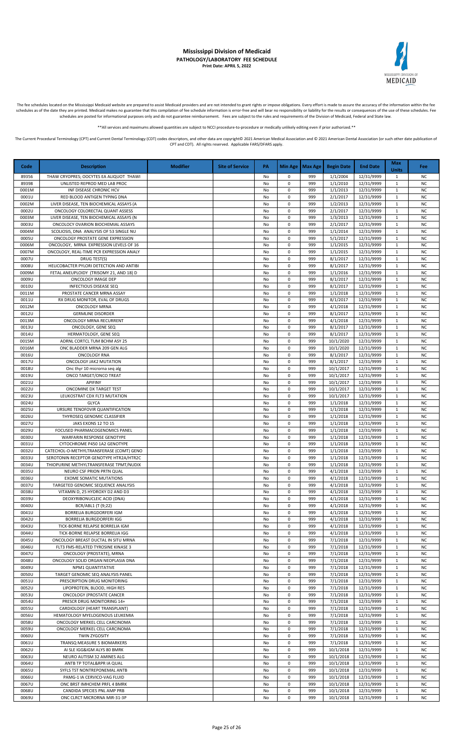

The fee schedules located on the Mississippi Medicaid website are prepared to assist Medicaid providers and are not intended to grant rights or impose obligations. Every effort is made to assure the accuracy of the informa schedules as of the date they are printed. Medicaid makes no guarantee that this compilation of fee schedule information is error-free and will bear no responsibility or liability for the results or consequences of the use schedules are posted for informational purposes only and do not guarantee reimbursement. Fees are subject to the rules and requirements of the Division of Medicaid, Federal and State law.

\*All services and maximums allowed quantities are subject to NCCI procedure-to-procedure or medically unlikely editing even if prior authorized

The Current Procedural Terminology (CPT) and Current Dental Terminology (CDT) codes descriptors, and other data are copyright@ 2021 American Medical Association and @ 2021 American Dental Association (or such other date pu CPT and CDT). All rights reserved. Applicable FARS/DFARS apply.

**Code Description Modifier Site of Service PA Min Age Max Age Begin Date End Date Max Units Fee** 89356 THAW CRYOPRES; OOCYTES EA ALIQUOT THAWI NO 1999 1/1/2004 12/31/9999 1 NO 1999 1/1/2004 12/31/9999 1 NO 89398 UNLISTED REPROD MED LAB PROC NO CONTROL NO NO 0 999 1/1/2010 12/31/9999 1 NO 0001M | INF DISEASE CHRONIC HCV | NO | NO | 0 | 999 | 1/1/2013 | 12/31/9999 | 1 | NC 0001U RED BLOOD ANTIGEN TYPING DNA NO 0 999 2/1/2017 12/31/9999 1 NO<br>0002M LIVER DISEASE, TEN BIOCHEMICAL ASSAYS (A NO 0 999 1/2/2013 12/31/9999 1 NO 0002M LIVER DISEASE, TEN BIOCHEMICAL ASSAYS (A No 0 999 1/2/2013 12/31/9999 1 0002U ONCOLOGY COLORECTAL QUANT ASSESS NO 0 909 2/1/2017 12/31/9999 1 NO 0003M LIVER DISEASE, TEN BIOCHEMICAL ASSAYS (N No 2003) No 0 999 11/3/2013 12/31/9999 1 NO 10 999 11/3/2013 12/31/9999 1 NO 0003U | ONCOLOCY OVARION BIOCHEMIAL ASSAYS | YOU DO | O | NO | O | 999 | 2/1/2017 | 12/31/9999 | 1 | NC 0004M SCOLIOSIS, DNA ANALYSIS OF 53 SINGLE NU NO NO 0 999 1/1/2014 12/31/9999 1 NO 0005U ONCOLOGY PROSTATE GENE EXPRESSION | NO 0 999 | 5/1/2017 | 12/31/9999 | 1 | NC 0006M ONCOLOGY, MRNA EXPRESSION LEVELS OF 16 NO 0 200 NO 0 999 1/1/2015 12/31/9999 1 1 NC 0007M | ONCOLOGY, REAL-TIME PCR EXPRESSION ANALY | | No | 0 | 999 | 1/1/2015 | 12/31/9999 | 1 | NC 0007U DRUG TEST(S) No 0 999 8/1/2017 12/31/9999 1 NC 0008U HELICOBACTER PYLORI DETECTION AND ANTIBI No 0 999 8/1/2017 12/31/9999 1 NC 0009M | FETALANEUPLOIDY (TRISOMY 21, AND 18) D | NO | NO | NO | 999 | 1/1/2016 | 12/31/9999 | 1 | NC 0009U ONCOLOGY IMAGE DEP NO 0 999 8/1/2017 12/31/9999 1 No<br>0010U ONCOLOGY IMAGE DEP NO 0 999 8/1/2017 12/31/9999 1 NO 0010U | INFECTIOUS DISEASE SEQ | No | No | 0 | 999 | 8/1/2017 | 12/31/9999 | 1 | NC 0011M PROSTATE CANCER MRNA ASSAY NO 2009 100 999 1/1/2018 12/31/9999 1 NO 0011U RX DRUG MONITOR, EVAL OF DRUGS No let a lot and the monoton of the monoton of the monoton of the monoton<br>با التي توريد المركز المركز المركز المركز المركز المركز المركز المركز المركز المركز المركز المركز المركز المرك 0012M ONCOLOGY MRNA No 0 999 4/1/2018 12/31/9999 1 NC 0012U GERMLINE DISORDER NO 0 999 8/1/2017 12/31/9999 1 NO 0013M ONCOLOGY MRNA RECURRENT NO ONLY NO 0 999 4/1/2018 12/31/9999 1 NO 0013U ONCOLOGY, GENE SEQ No 0 999 8/1/2017 12/31/9999 1 NC 0014U HERMATOLOGY, GENE SEQ NO 0 999 8/1/2017 12/31/9999 1 NO 0015M ADRNL CORTCL TUM BCHM ASY 25 No 0 999 10/1/2020 12/31/9999 1 NO 0016M ONC BLADDER MRNA 209 GEN ALG NO 200 1 NO 0 999 10/1/2020 12/31/9999 1 NO 1 NO 999 10/1/2020 12/31/9999 1 0016U ONCOLOGY RNA No 0 999 8/1/2017 12/31/9999 1 NC 0017U ONCOLOGY JAK2 MUTATION | NO 0 999 8/1/2017 | 12/31/9999 1 NO 0018U Onc thyr 10 microrna seq alg No 0 999 10/1/2017 12/31/9999 1 NO 0019U | ONCO TARGET/ONCO TREAT | NO | NO | NO | 0 | 999 | 10/1/2017 | 12/31/9999 | 1 | NC 0021U APIFINY No 0 999 10/1/2017 12/31/9999 1 NC 0022U ONCOMINE DX TARGET TEST NO 0 999 10/1/2017 12/31/9999 1 NO 0023U LEUKOSTRAT CDX FLT3 MUTATION NO NO 0 999 10/1/2017 12/31/9999 1 NC 0024U GLYCA No 0 999 1/1/2018 12/31/9999 1 NC 0025U URSURE TENOFOVIR QUANTIFICATION NO ON POSTAGO NO O 1999 1/1/2018 12/31/9999 1 NO 0026U THYROSEQ GENOMIC CLASSIFIER No 0 999 1/1/2018 12/31/9999 1 NC 0027U JAKS EXONS 12 TO 15 NO 0 999 1/1/2018 12/31/9999 1 NO 0029U FOCUSED PHARMACOGENOMICS PANEL NO CONSULTED NO 10 999 1/1/2018 12/31/9999 1 NO 0030U WARFARIN RESPONSE GENOTYPE No 0 999 1/1/2018 12/31/9999 1 NC 0 0 999 1/1/2018 12/31/9999 1 2021 12:03 12:03 12:03 12:04 12:04 12:04 12:04 12:04 12:04 12:04 12:04 12:04 12:04 12:04 12:04 12:04 12:04 12:04 12:04 12:04 12:04 12:04 12:04 12:04 12:04 12:04 12:04 12:04 12:04 12:04 12:04 1 0032U CATECHOL-O-METHYLTRANSFERASE (COMT) GENO NO 1 200 100 999 1/1/2018 12/31/9999 1 NO 0033U SEROTONIN RECEPTOR GENOTYPE HTR2A/HTR2C No 0 999 1/1/2018 12/31/9999 1 No 999 1/1/2018 12/31/9999 1 NC 0034U | THIOPURINE METHYLTRANSFERASE TPMT/NUDIX | NO | O | 11/1/2018 | 12/31/9999 | 1/1/2018 | 12/31/9999 | 1 NC 0035U NEURO CSF PRION PRTN QUAL NO 0 999 4/1/2018 12/31/9999 1 NO<br>0036U EXOME SOMATIC MUTATIONS NO 0 999 4/1/2018 12/31/9999 1 NO EXOME SOMATIC MUTATIONS NO 2009 12/31/9999 1 0037U TARGETED GENOMIC SEQUENCE ANALYSIS NO DELL'UNIONE DI NO 0 999 4/1/2018 12/31/9999 1 NC 0038U VITAMIN D, 25 HYDROXY D2 AND D3 No 0 999 4/1/2018 12/31/9999 1 NC 0039U DEOXYRIBONUCLEIC ACID (DNA) NO 0 999 4/1/2018 12/31/9999 0040U BCR/ABL1 (T (9;22) No 0 999 4/1/2018 12/31/9999 1 NC 0041U BORRELIA BURGDORFERI IGM NO 20041U NO 0 999 4/1/2018 12/31/9999 1 NO 0042U BORRELIA BURGDORFERI IGG No 0 999 4/1/2018 12/31/9999 1 NC 0043U | TICK-BORNE RELAPSE BORRELIA IGM | NO | NO | 0 999 | 4/1/2018 | 12/31/9999 | 1 | NC 0044U TICK-BORNE RELAPSE BORRELIA IGG NO 2004 1 NO 0 999 4/1/2018 12/31/9999 1 NO 0045U ONCOLOGY BREAST DUCTAL IN SITU MRNA NO COLOGY BREAST DUCTAL IN SITU MANA NO NO 0 999 1 7/1/2018 12/31/9999 1 1 NO 0046U FLT3 FMS-RELATED TYROSINE KINASE 3 No 0 999 7/1/2018 12/31/9999 1 No 0 909 9 1/1/2018 12/31/9999 1 NC<br>0047U ONCOLOGY (PROSTATE), MRNA 1 NC 0066 (PROSTATE), MRNA NO 0 999 7/1/2018 12/31/9999 1 NO 0048U ONCOLOGY SOLID ORGAN NEOPLASIA DNA NO NO 2009 1 2/1/2018 12/31/9999 1 NO 1 0 999 10 11/2018 12/31/9999 1 0049U NPM1 QUANTITATIVE No 0 999 7/1/2018 12/31/9999 1 NC 0050U TARGET GENOMIC SEQ ANALYSIS PANEL NO NO 0 999 7/1/2018 12/31/9999 1 NO 1 0 999 9 7/1/2018 12/31/9999 1 NC 0051U PRESCRIPTION DRUG MONITORING NO DEL NO 0 999 7/1/2018 12/31/9999 1 NO 0052U LIPOPROTEIN, BLOOD, HIGH RES NO 20052U LIPOPROTEIN, BLOOD, HIGH RES NO 2009 1 2/1/2018 12/31/9999 1 NC 0053U ONCOLOGY (PROSTATE CANCER NO 0 999 7/1/2018 12/31/9999 1 NO 0054U PRESCR DRUG MONITORING 14+ NO 0 999 7/1/2018 12/31/9999 1 NO<br>0055U CARDIOLOGY (HEART TRANSPLANT) NO 0 999 7/1/2018 12/31/9999 1 NO CARDIOLOGY (HEART TRANSPLANT) No 0 999 0056U HEMATOLOGY MYELOGENOUS LEUKEMIA NO NO 0 999 7/1/2018 12/31/9999 1 NO 0058U ONCOLOGY MERKEL CELL CARCINOMA NO COLOGY AND COLOGY AND A COLOGY MERKEL CELL CARCINOMA NO COLOGY AND RE 0059U | ONCOLOGY MERKEL CELL CARCINOMA | NO | NO | NO | 999 | 7/1/2018 | 12/31/9999 | 1 | NC 0060U TWIN ZYGOSITY No 0 999 7/1/2018 12/31/9999 1 NC 0061U TRANSQ MEASURE 5 BIOMARKERS NO CONSULTED NO 0 999 7/1/2018 12/31/9999 1 NO 0062U AISLE IGG&IGM ALYS 80 BMRK NO OCCUPATION NO NO 0 999 10/1/2018 12/31/9999 1 NO 0063U NEURO AUTISM 32 AMINES ALG NO 2000 NO 2000 NO 0 999 10/1/2018 12/31/9999 1 NO 0064U ANTB TP TOTAL&RPR IA QUAL NO 20064U NO 0 999 10/1/2018 12/31/9999 1 NO 0065U SYFLS TST NONTREPONEMAL ANTB NO 1999 10/1/2018 12/31/9999 1 NO 0066U PAMG-1 IA CERVICO-VAG FLUID NO 2009 10/1/2018 12/31/9999 1 NO 0067U | ONC BRST IMHCHEM PRFL 4 BMRK | NO | O | O | 999 | 10/1/2018 | 12/31/9999 | 1 | NC 0068U CANDIDA SPECIES PNL AMP PRB |<br>0069U ONC CLRCT MICRORNA MIR-31-3P | No 0 999 | 10/1/2018 | 12/31/9999 | 1 | NC 0069U ONC CLRCT MICRORNA MIR-31-3P NO 0 999 10/1/2018 12/31/9999 1 NO